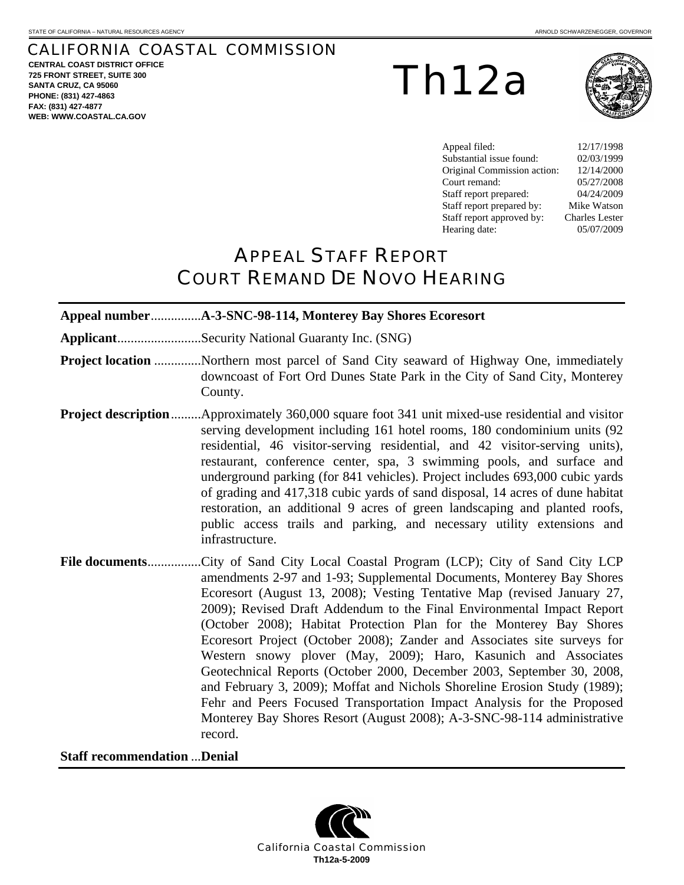# CALIFORNIA COASTAL COMMISSION

**CENTRAL COAST DISTRICT OFFICE 725 FRONT STREET, SUITE 300 SANTA CRUZ, CA 95060 PHONE: (831) 427-4863 FAX: (831) 427-4877 WEB: WWW.COASTAL.CA.GOV**

Th12a



Appeal filed: 12/17/1998 Substantial issue found: 02/03/1999 Original Commission action: 12/14/2000 Court remand: 05/27/2008 Staff report prepared: 04/24/2009 Staff report prepared by: Mike Watson Staff report approved by: Charles Lester Hearing date: 05/07/2009

# APPEAL STAFF REPORT COURT REMAND DE NOVO HEARING

| ApplicantSecurity National Guaranty Inc. (SNG)                                                                                                                                                                                                                                                                                                                                                                                                                                                                                                                                                                                                                                                                                                                                                                                                                |
|---------------------------------------------------------------------------------------------------------------------------------------------------------------------------------------------------------------------------------------------------------------------------------------------------------------------------------------------------------------------------------------------------------------------------------------------------------------------------------------------------------------------------------------------------------------------------------------------------------------------------------------------------------------------------------------------------------------------------------------------------------------------------------------------------------------------------------------------------------------|
| Project location Northern most parcel of Sand City seaward of Highway One, immediately<br>downcoast of Fort Ord Dunes State Park in the City of Sand City, Monterey<br>County.                                                                                                                                                                                                                                                                                                                                                                                                                                                                                                                                                                                                                                                                                |
| <b>Project description</b> Approximately 360,000 square foot 341 unit mixed-use residential and visitor<br>serving development including 161 hotel rooms, 180 condominium units (92<br>residential, 46 visitor-serving residential, and 42 visitor-serving units),<br>restaurant, conference center, spa, 3 swimming pools, and surface and<br>underground parking (for 841 vehicles). Project includes 693,000 cubic yards<br>of grading and 417,318 cubic yards of sand disposal, 14 acres of dune habitat<br>restoration, an additional 9 acres of green landscaping and planted roofs,<br>public access trails and parking, and necessary utility extensions and<br>infrastructure.                                                                                                                                                                       |
| File documentsCity of Sand City Local Coastal Program (LCP); City of Sand City LCP<br>amendments 2-97 and 1-93; Supplemental Documents, Monterey Bay Shores<br>Ecoresort (August 13, 2008); Vesting Tentative Map (revised January 27,<br>2009); Revised Draft Addendum to the Final Environmental Impact Report<br>(October 2008); Habitat Protection Plan for the Monterey Bay Shores<br>Ecoresort Project (October 2008); Zander and Associates site surveys for<br>Western snowy plover (May, 2009); Haro, Kasunich and Associates<br>Geotechnical Reports (October 2000, December 2003, September 30, 2008,<br>and February 3, 2009); Moffat and Nichols Shoreline Erosion Study (1989);<br>Fehr and Peers Focused Transportation Impact Analysis for the Proposed<br>Monterey Bay Shores Resort (August 2008); A-3-SNC-98-114 administrative<br>record. |

**Staff recommendation** ...**Denial** 

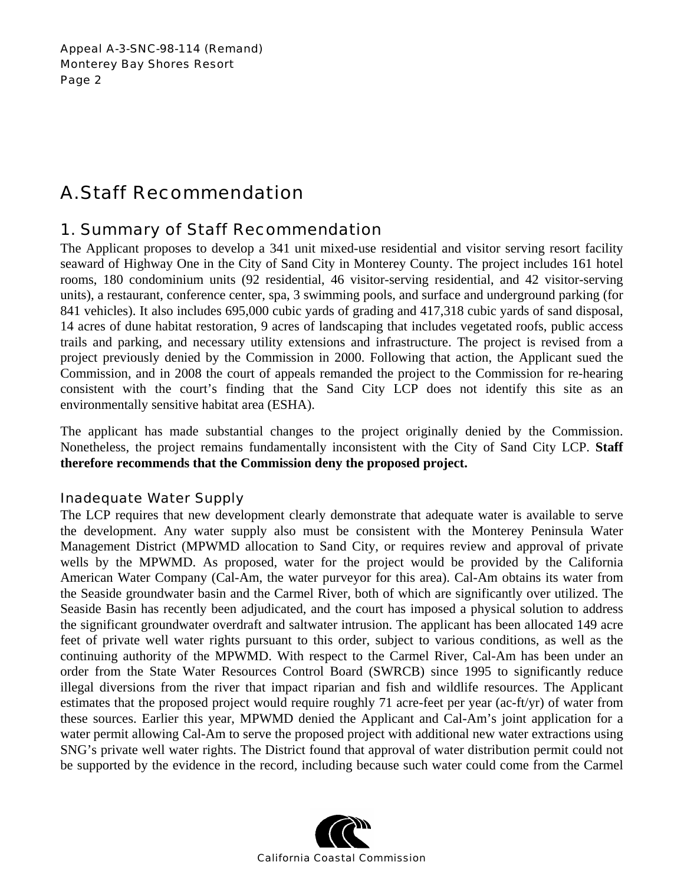# A. Staff Recommendation

# 1. Summary of Staff Recommendation

The Applicant proposes to develop a 341 unit mixed-use residential and visitor serving resort facility seaward of Highway One in the City of Sand City in Monterey County. The project includes 161 hotel rooms, 180 condominium units (92 residential, 46 visitor-serving residential, and 42 visitor-serving units), a restaurant, conference center, spa, 3 swimming pools, and surface and underground parking (for 841 vehicles). It also includes 695,000 cubic yards of grading and 417,318 cubic yards of sand disposal, 14 acres of dune habitat restoration, 9 acres of landscaping that includes vegetated roofs, public access trails and parking, and necessary utility extensions and infrastructure. The project is revised from a project previously denied by the Commission in 2000. Following that action, the Applicant sued the Commission, and in 2008 the court of appeals remanded the project to the Commission for re-hearing consistent with the court's finding that the Sand City LCP does not identify this site as an environmentally sensitive habitat area (ESHA).

The applicant has made substantial changes to the project originally denied by the Commission. Nonetheless, the project remains fundamentally inconsistent with the City of Sand City LCP. **Staff therefore recommends that the Commission deny the proposed project.**

## Inadequate Water Supply

The LCP requires that new development clearly demonstrate that adequate water is available to serve the development. Any water supply also must be consistent with the Monterey Peninsula Water Management District (MPWMD allocation to Sand City, or requires review and approval of private wells by the MPWMD. As proposed, water for the project would be provided by the California American Water Company (Cal-Am, the water purveyor for this area). Cal-Am obtains its water from the Seaside groundwater basin and the Carmel River, both of which are significantly over utilized. The Seaside Basin has recently been adjudicated, and the court has imposed a physical solution to address the significant groundwater overdraft and saltwater intrusion. The applicant has been allocated 149 acre feet of private well water rights pursuant to this order, subject to various conditions, as well as the continuing authority of the MPWMD. With respect to the Carmel River, Cal-Am has been under an order from the State Water Resources Control Board (SWRCB) since 1995 to significantly reduce illegal diversions from the river that impact riparian and fish and wildlife resources. The Applicant estimates that the proposed project would require roughly 71 acre-feet per year (ac-ft/yr) of water from these sources. Earlier this year, MPWMD denied the Applicant and Cal-Am's joint application for a water permit allowing Cal-Am to serve the proposed project with additional new water extractions using SNG's private well water rights. The District found that approval of water distribution permit could not be supported by the evidence in the record, including because such water could come from the Carmel

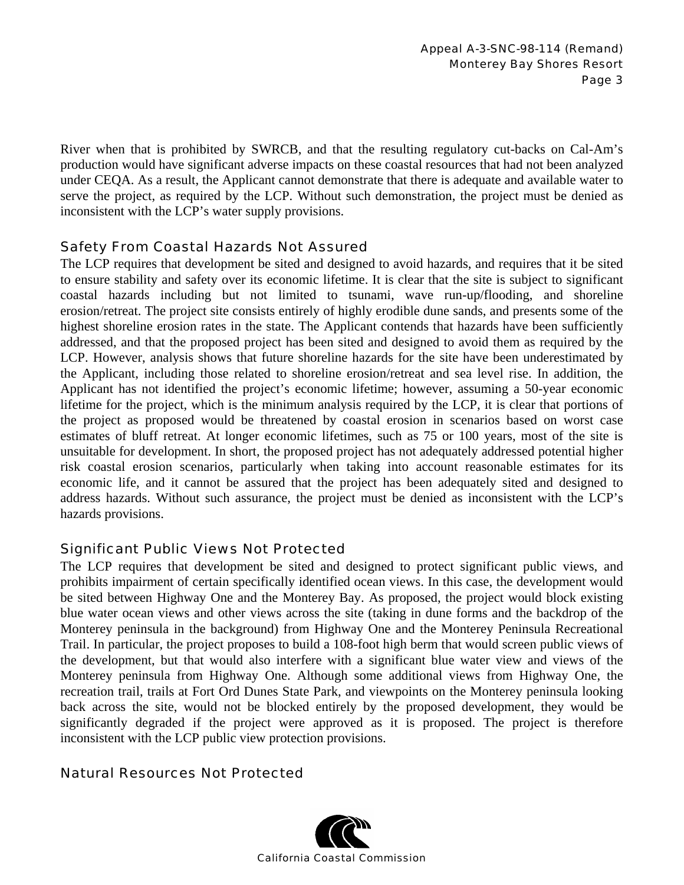River when that is prohibited by SWRCB, and that the resulting regulatory cut-backs on Cal-Am's production would have significant adverse impacts on these coastal resources that had not been analyzed under CEQA. As a result, the Applicant cannot demonstrate that there is adequate and available water to serve the project, as required by the LCP. Without such demonstration, the project must be denied as inconsistent with the LCP's water supply provisions.

## Safety From Coastal Hazards Not Assured

The LCP requires that development be sited and designed to avoid hazards, and requires that it be sited to ensure stability and safety over its economic lifetime. It is clear that the site is subject to significant coastal hazards including but not limited to tsunami, wave run-up/flooding, and shoreline erosion/retreat. The project site consists entirely of highly erodible dune sands, and presents some of the highest shoreline erosion rates in the state. The Applicant contends that hazards have been sufficiently addressed, and that the proposed project has been sited and designed to avoid them as required by the LCP. However, analysis shows that future shoreline hazards for the site have been underestimated by the Applicant, including those related to shoreline erosion/retreat and sea level rise. In addition, the Applicant has not identified the project's economic lifetime; however, assuming a 50-year economic lifetime for the project, which is the minimum analysis required by the LCP, it is clear that portions of the project as proposed would be threatened by coastal erosion in scenarios based on worst case estimates of bluff retreat. At longer economic lifetimes, such as 75 or 100 years, most of the site is unsuitable for development. In short, the proposed project has not adequately addressed potential higher risk coastal erosion scenarios, particularly when taking into account reasonable estimates for its economic life, and it cannot be assured that the project has been adequately sited and designed to address hazards. Without such assurance, the project must be denied as inconsistent with the LCP's hazards provisions.

## Significant Public Views Not Protected

The LCP requires that development be sited and designed to protect significant public views, and prohibits impairment of certain specifically identified ocean views. In this case, the development would be sited between Highway One and the Monterey Bay. As proposed, the project would block existing blue water ocean views and other views across the site (taking in dune forms and the backdrop of the Monterey peninsula in the background) from Highway One and the Monterey Peninsula Recreational Trail. In particular, the project proposes to build a 108-foot high berm that would screen public views of the development, but that would also interfere with a significant blue water view and views of the Monterey peninsula from Highway One. Although some additional views from Highway One, the recreation trail, trails at Fort Ord Dunes State Park, and viewpoints on the Monterey peninsula looking back across the site, would not be blocked entirely by the proposed development, they would be significantly degraded if the project were approved as it is proposed. The project is therefore inconsistent with the LCP public view protection provisions.

## Natural Resources Not Protected

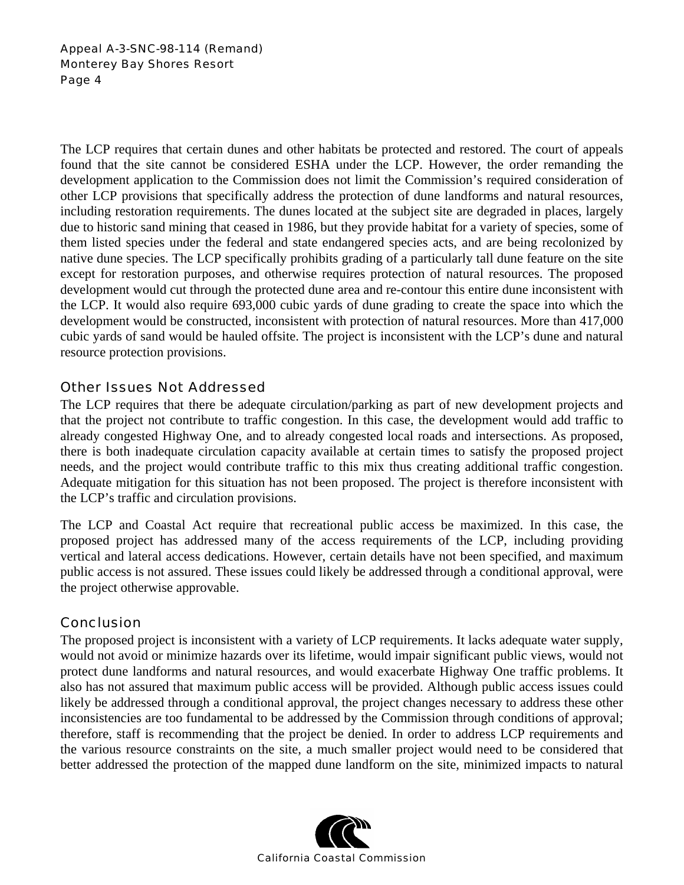The LCP requires that certain dunes and other habitats be protected and restored. The court of appeals found that the site cannot be considered ESHA under the LCP. However, the order remanding the development application to the Commission does not limit the Commission's required consideration of other LCP provisions that specifically address the protection of dune landforms and natural resources, including restoration requirements. The dunes located at the subject site are degraded in places, largely due to historic sand mining that ceased in 1986, but they provide habitat for a variety of species, some of them listed species under the federal and state endangered species acts, and are being recolonized by native dune species. The LCP specifically prohibits grading of a particularly tall dune feature on the site except for restoration purposes, and otherwise requires protection of natural resources. The proposed development would cut through the protected dune area and re-contour this entire dune inconsistent with the LCP. It would also require 693,000 cubic yards of dune grading to create the space into which the development would be constructed, inconsistent with protection of natural resources. More than 417,000 cubic yards of sand would be hauled offsite. The project is inconsistent with the LCP's dune and natural resource protection provisions.

## Other Issues Not Addressed

The LCP requires that there be adequate circulation/parking as part of new development projects and that the project not contribute to traffic congestion. In this case, the development would add traffic to already congested Highway One, and to already congested local roads and intersections. As proposed, there is both inadequate circulation capacity available at certain times to satisfy the proposed project needs, and the project would contribute traffic to this mix thus creating additional traffic congestion. Adequate mitigation for this situation has not been proposed. The project is therefore inconsistent with the LCP's traffic and circulation provisions.

The LCP and Coastal Act require that recreational public access be maximized. In this case, the proposed project has addressed many of the access requirements of the LCP, including providing vertical and lateral access dedications. However, certain details have not been specified, and maximum public access is not assured. These issues could likely be addressed through a conditional approval, were the project otherwise approvable.

## **Conclusion**

The proposed project is inconsistent with a variety of LCP requirements. It lacks adequate water supply, would not avoid or minimize hazards over its lifetime, would impair significant public views, would not protect dune landforms and natural resources, and would exacerbate Highway One traffic problems. It also has not assured that maximum public access will be provided. Although public access issues could likely be addressed through a conditional approval, the project changes necessary to address these other inconsistencies are too fundamental to be addressed by the Commission through conditions of approval; therefore, staff is recommending that the project be denied. In order to address LCP requirements and the various resource constraints on the site, a much smaller project would need to be considered that better addressed the protection of the mapped dune landform on the site, minimized impacts to natural

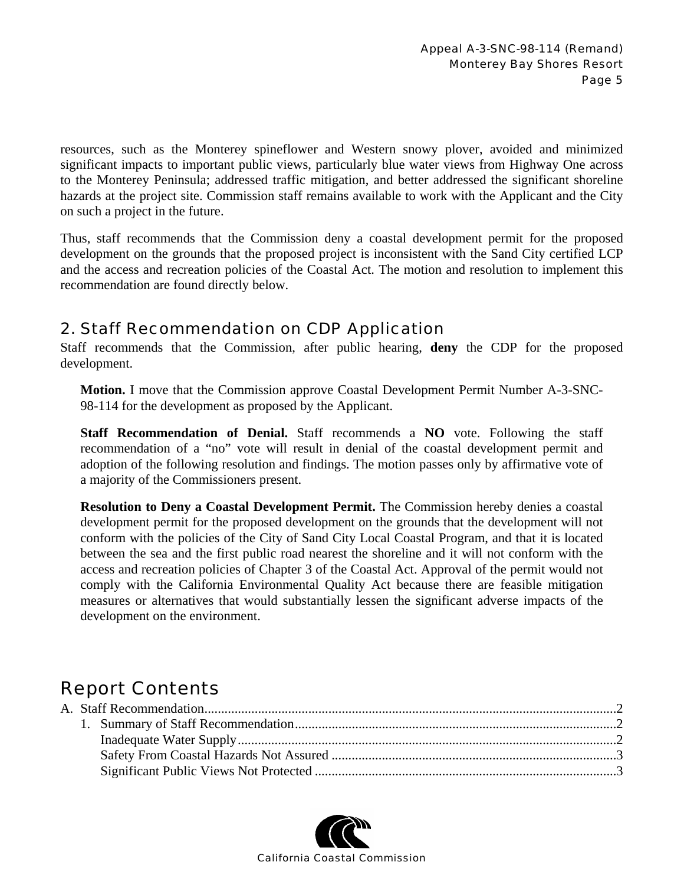resources, such as the Monterey spineflower and Western snowy plover, avoided and minimized significant impacts to important public views, particularly blue water views from Highway One across to the Monterey Peninsula; addressed traffic mitigation, and better addressed the significant shoreline hazards at the project site. Commission staff remains available to work with the Applicant and the City on such a project in the future.

Thus, staff recommends that the Commission deny a coastal development permit for the proposed development on the grounds that the proposed project is inconsistent with the Sand City certified LCP and the access and recreation policies of the Coastal Act. The motion and resolution to implement this recommendation are found directly below.

## 2. Staff Recommendation on CDP Application

Staff recommends that the Commission, after public hearing, **deny** the CDP for the proposed development.

**Motion.** I move that the Commission approve Coastal Development Permit Number A-3-SNC-98-114 for the development as proposed by the Applicant.

**Staff Recommendation of Denial.** Staff recommends a **NO** vote. Following the staff recommendation of a "no" vote will result in denial of the coastal development permit and adoption of the following resolution and findings. The motion passes only by affirmative vote of a majority of the Commissioners present.

**Resolution to Deny a Coastal Development Permit.** The Commission hereby denies a coastal development permit for the proposed development on the grounds that the development will not conform with the policies of the City of Sand City Local Coastal Program, and that it is located between the sea and the first public road nearest the shoreline and it will not conform with the access and recreation policies of Chapter 3 of the Coastal Act. Approval of the permit would not comply with the California Environmental Quality Act because there are feasible mitigation measures or alternatives that would substantially lessen the significant adverse impacts of the development on the environment.

# Report Contents

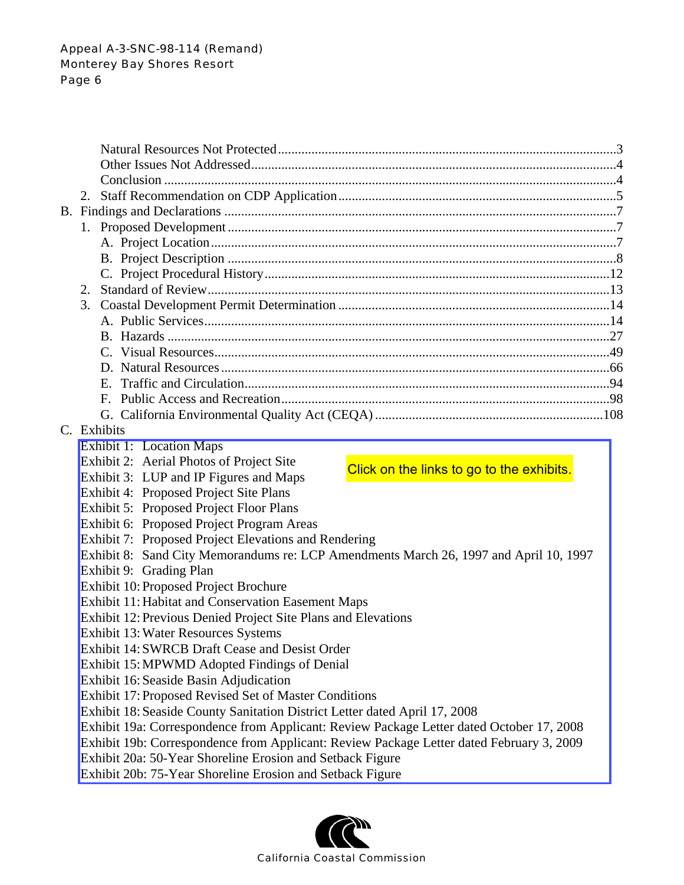| C. Exhibits                                                                              |  |  |  |  |
|------------------------------------------------------------------------------------------|--|--|--|--|
| Exhibit 1: Location Maps                                                                 |  |  |  |  |
| Exhibit 2: Aerial Photos of Project Site                                                 |  |  |  |  |
| Click on the links to go to the exhibits.<br>Exhibit 3: LUP and IP Figures and Maps      |  |  |  |  |
| Exhibit 4: Proposed Project Site Plans                                                   |  |  |  |  |
| Exhibit 5: Proposed Project Floor Plans                                                  |  |  |  |  |
| Exhibit 6: Proposed Project Program Areas                                                |  |  |  |  |
| Exhibit 7: Proposed Project Elevations and Rendering                                     |  |  |  |  |
| Exhibit 8: Sand City Memorandums re: LCP Amendments March 26, 1997 and April 10, 1997    |  |  |  |  |
| Exhibit 9: Grading Plan                                                                  |  |  |  |  |
| Exhibit 10: Proposed Project Brochure                                                    |  |  |  |  |
| <b>Exhibit 11: Habitat and Conservation Easement Maps</b>                                |  |  |  |  |
| Exhibit 12: Previous Denied Project Site Plans and Elevations                            |  |  |  |  |
| Exhibit 13: Water Resources Systems                                                      |  |  |  |  |
| Exhibit 14: SWRCB Draft Cease and Desist Order                                           |  |  |  |  |
| Exhibit 15: MPWMD Adopted Findings of Denial                                             |  |  |  |  |
| Exhibit 16: Seaside Basin Adjudication                                                   |  |  |  |  |
| Exhibit 17: Proposed Revised Set of Master Conditions                                    |  |  |  |  |
| Exhibit 18: Seaside County Sanitation District Letter dated April 17, 2008               |  |  |  |  |
| Exhibit 19a: Correspondence from Applicant: Review Package Letter dated October 17, 2008 |  |  |  |  |
| Exhibit 19b: Correspondence from Applicant: Review Package Letter dated February 3, 2009 |  |  |  |  |
| Exhibit 20a: 50-Year Shoreline Erosion and Setback Figure                                |  |  |  |  |

Exhibit 20b: 75-Year Shoreline Erosion and Setback Figure

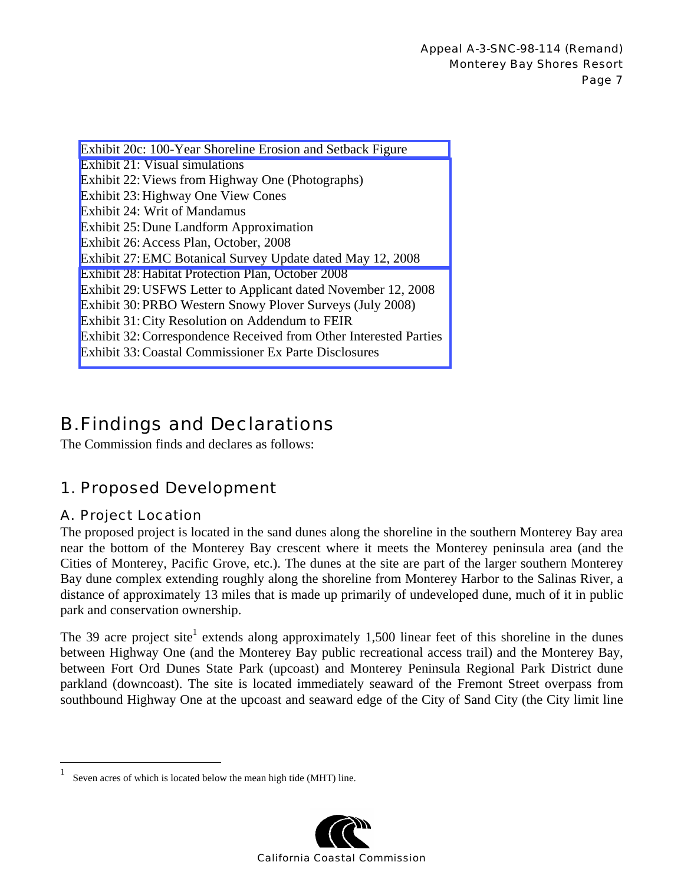[Exhibit 20c: 100-Year Shoreline Erosion and Setback Figure](http://documents.coastal.ca.gov/reports/2009/5/Th12a-5-2009-a1.pdf)  Exhibit 21: Visual simulations Exhibit 22: Views from Highway One (Photographs) Exhibit 23: Highway One View Cones Exhibit 24: Writ of Mandamus Exhibit 25: Dune Landform Approximation Exhibit 26: Access Plan, October, 2008 [Exhibit 27: EMC Botanical Survey Update dated May 12, 2008](http://documents.coastal.ca.gov/reports/2009/5/Th12a-5-2009-a2.pdf)  Exhibit 28: Habitat Protection Plan, October 2008 Exhibit 29: USFWS Letter to Applicant dated November 12, 2008 Exhibit 30: PRBO Western Snowy Plover Surveys (July 2008) Exhibit 31: City Resolution on Addendum to FEIR [Exhibit 32: Correspondence Received from Other Interested Parties](http://documents.coastal.ca.gov/reports/2009/5/Th12a-5-2009-a3.pdf)  Exhibit 33: Coastal Commissioner Ex Parte Disclosures

# B. Findings and Declarations

The Commission finds and declares as follows:

## 1. Proposed Development

## A. Project Location

 $\overline{a}$ 

The proposed project is located in the sand dunes along the shoreline in the southern Monterey Bay area near the bottom of the Monterey Bay crescent where it meets the Monterey peninsula area (and the Cities of Monterey, Pacific Grove, etc.). The dunes at the site are part of the larger southern Monterey Bay dune complex extending roughly along the shoreline from Monterey Harbor to the Salinas River, a distance of approximately 13 miles that is made up primarily of undeveloped dune, much of it in public park and conservation ownership.

The 39 acre project site<sup>1</sup> extends along approximately 1,500 linear feet of this shoreline in the dunes between Highway One (and the Monterey Bay public recreational access trail) and the Monterey Bay, between Fort Ord Dunes State Park (upcoast) and Monterey Peninsula Regional Park District dune parkland (downcoast). The site is located immediately seaward of the Fremont Street overpass from southbound Highway One at the upcoast and seaward edge of the City of Sand City (the City limit line

<sup>1</sup> Seven acres of which is located below the mean high tide (MHT) line.

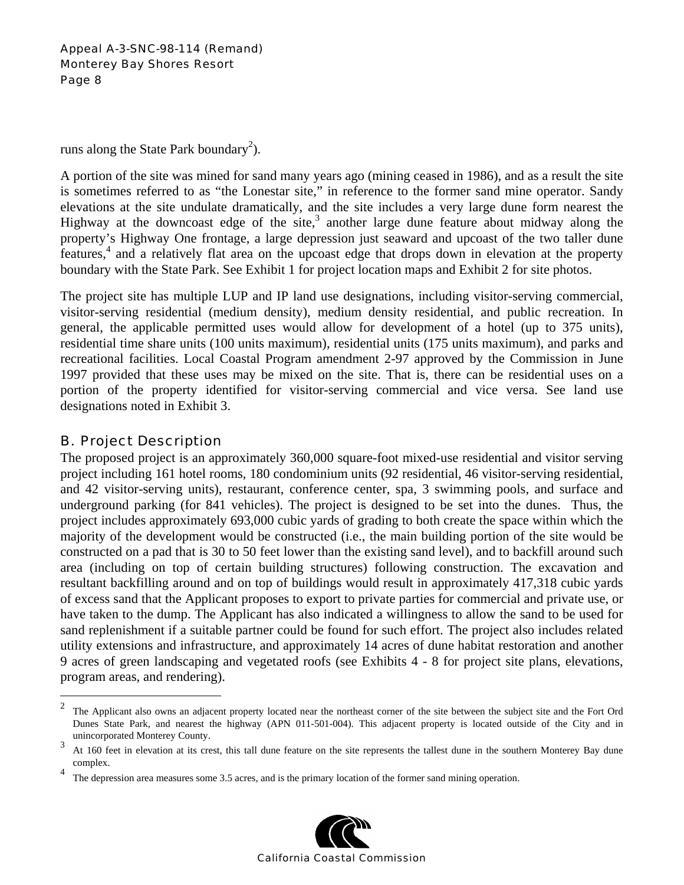runs along the State Park boundary<sup>2</sup>).

A portion of the site was mined for sand many years ago (mining ceased in 1986), and as a result the site is sometimes referred to as "the Lonestar site," in reference to the former sand mine operator. Sandy elevations at the site undulate dramatically, and the site includes a very large dune form nearest the Highway at the downcoast edge of the site, $3$  another large dune feature about midway along the property's Highway One frontage, a large depression just seaward and upcoast of the two taller dune features,<sup>4</sup> and a relatively flat area on the upcoast edge that drops down in elevation at the property boundary with the State Park. See Exhibit 1 for project location maps and Exhibit 2 for site photos.

The project site has multiple LUP and IP land use designations, including visitor-serving commercial, visitor-serving residential (medium density), medium density residential, and public recreation. In general, the applicable permitted uses would allow for development of a hotel (up to 375 units), residential time share units (100 units maximum), residential units (175 units maximum), and parks and recreational facilities. Local Coastal Program amendment 2-97 approved by the Commission in June 1997 provided that these uses may be mixed on the site. That is, there can be residential uses on a portion of the property identified for visitor-serving commercial and vice versa. See land use designations noted in Exhibit 3.

## B. Project Description

1

The proposed project is an approximately 360,000 square-foot mixed-use residential and visitor serving project including 161 hotel rooms, 180 condominium units (92 residential, 46 visitor-serving residential, and 42 visitor-serving units), restaurant, conference center, spa, 3 swimming pools, and surface and underground parking (for 841 vehicles). The project is designed to be set into the dunes. Thus, the project includes approximately 693,000 cubic yards of grading to both create the space within which the majority of the development would be constructed (i.e., the main building portion of the site would be constructed on a pad that is 30 to 50 feet lower than the existing sand level), and to backfill around such area (including on top of certain building structures) following construction. The excavation and resultant backfilling around and on top of buildings would result in approximately 417,318 cubic yards of excess sand that the Applicant proposes to export to private parties for commercial and private use, or have taken to the dump. The Applicant has also indicated a willingness to allow the sand to be used for sand replenishment if a suitable partner could be found for such effort. The project also includes related utility extensions and infrastructure, and approximately 14 acres of dune habitat restoration and another 9 acres of green landscaping and vegetated roofs (see Exhibits 4 - 8 for project site plans, elevations, program areas, and rendering).

<sup>4</sup> The depression area measures some 3.5 acres, and is the primary location of the former sand mining operation.



<sup>&</sup>lt;sup>2</sup> The Applicant also owns an adjacent property located near the northeast corner of the site between the subject site and the Fort Ord Dunes State Park, and nearest the highway (APN 011-501-004). This adjacent property is located outside of the City and in unincorporated Monterey County.<br>
<sup>3</sup> At 160 feet in elevation at its crest, this tall dune feature on the site represents the tallest dune in the southern Monterey Bay dune

complex.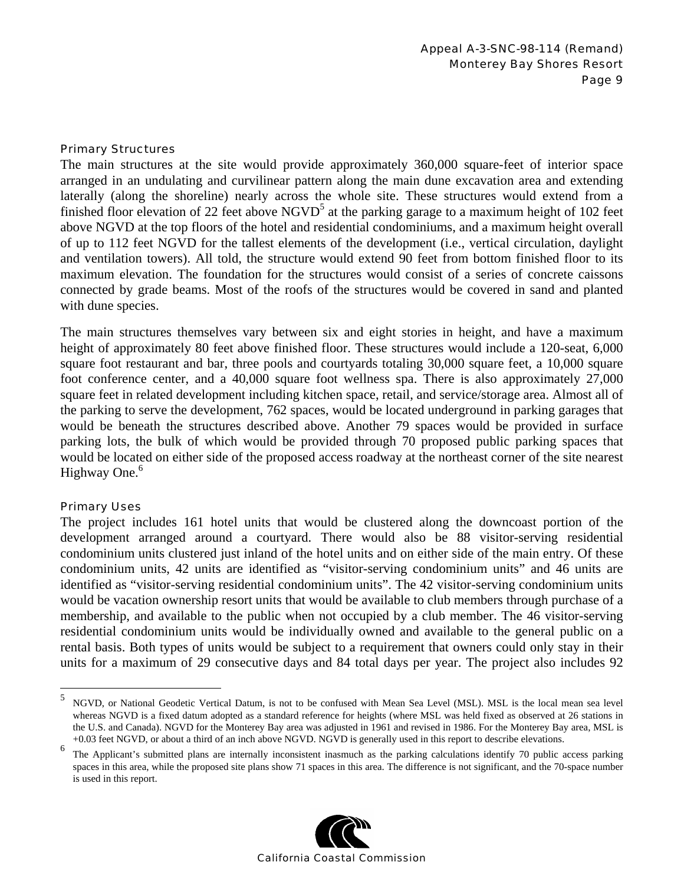#### Primary Structures

The main structures at the site would provide approximately 360,000 square-feet of interior space arranged in an undulating and curvilinear pattern along the main dune excavation area and extending laterally (along the shoreline) nearly across the whole site. These structures would extend from a finished floor elevation of 22 feet above  $NGVD<sup>5</sup>$  at the parking garage to a maximum height of 102 feet above NGVD at the top floors of the hotel and residential condominiums, and a maximum height overall of up to 112 feet NGVD for the tallest elements of the development (i.e., vertical circulation, daylight and ventilation towers). All told, the structure would extend 90 feet from bottom finished floor to its maximum elevation. The foundation for the structures would consist of a series of concrete caissons connected by grade beams. Most of the roofs of the structures would be covered in sand and planted with dune species.

The main structures themselves vary between six and eight stories in height, and have a maximum height of approximately 80 feet above finished floor. These structures would include a 120-seat, 6,000 square foot restaurant and bar, three pools and courtyards totaling 30,000 square feet, a 10,000 square foot conference center, and a 40,000 square foot wellness spa. There is also approximately 27,000 square feet in related development including kitchen space, retail, and service/storage area. Almost all of the parking to serve the development, 762 spaces, would be located underground in parking garages that would be beneath the structures described above. Another 79 spaces would be provided in surface parking lots, the bulk of which would be provided through 70 proposed public parking spaces that would be located on either side of the proposed access roadway at the northeast corner of the site nearest Highway One.<sup>6</sup>

#### Primary Uses

 $\overline{a}$ 

The project includes 161 hotel units that would be clustered along the downcoast portion of the development arranged around a courtyard. There would also be 88 visitor-serving residential condominium units clustered just inland of the hotel units and on either side of the main entry. Of these condominium units, 42 units are identified as "visitor-serving condominium units" and 46 units are identified as "visitor-serving residential condominium units". The 42 visitor-serving condominium units would be vacation ownership resort units that would be available to club members through purchase of a membership, and available to the public when not occupied by a club member. The 46 visitor-serving residential condominium units would be individually owned and available to the general public on a rental basis. Both types of units would be subject to a requirement that owners could only stay in their units for a maximum of 29 consecutive days and 84 total days per year. The project also includes 92

<sup>&</sup>lt;sup>6</sup> The Applicant's submitted plans are internally inconsistent inasmuch as the parking calculations identify 70 public access parking spaces in this area, while the proposed site plans show 71 spaces in this area. The difference is not significant, and the 70-space number is used in this report.



<sup>5</sup> NGVD, or National Geodetic Vertical Datum, is not to be confused with Mean Sea Level (MSL). MSL is the local mean sea level whereas NGVD is a fixed datum adopted as a standard reference for heights (where MSL was held fixed as observed at 26 stations in the U.S. and Canada). NGVD for the Monterey Bay area was adjusted in 1961 and revised in 1986. For the Monterey Bay area, MSL is +0.03 feet NGVD, or about a third of an inch above NGVD. NGVD is generally used in this report to describe elevations.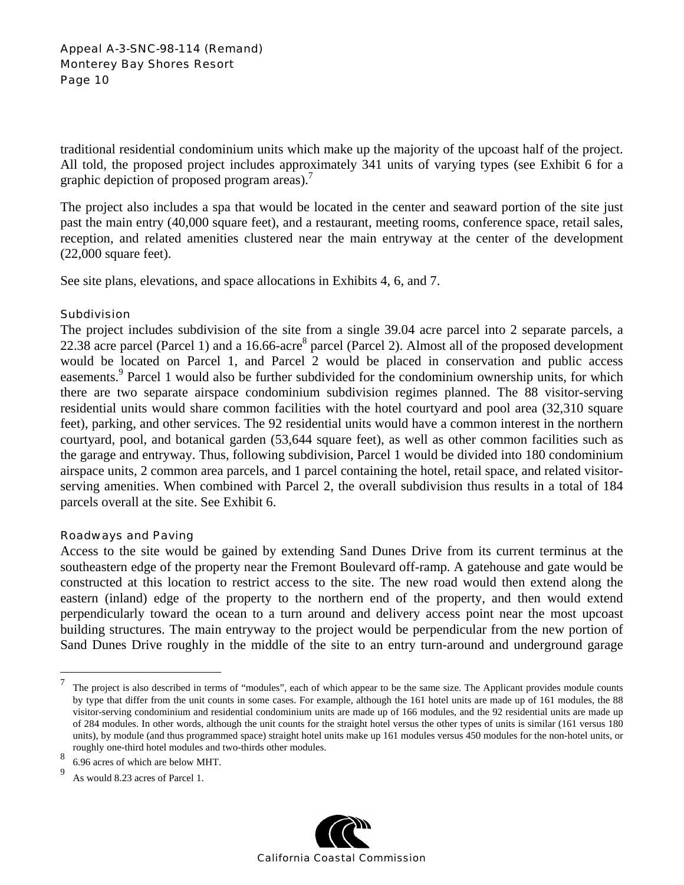traditional residential condominium units which make up the majority of the upcoast half of the project. All told, the proposed project includes approximately 341 units of varying types (see Exhibit 6 for a graphic depiction of proposed program areas).<sup>7</sup>

The project also includes a spa that would be located in the center and seaward portion of the site just past the main entry (40,000 square feet), and a restaurant, meeting rooms, conference space, retail sales, reception, and related amenities clustered near the main entryway at the center of the development (22,000 square feet).

See site plans, elevations, and space allocations in Exhibits 4, 6, and 7.

#### **Subdivision**

The project includes subdivision of the site from a single 39.04 acre parcel into 2 separate parcels, a 22.38 acre parcel (Parcel 1) and a 16.66-acre<sup>8</sup> parcel (Parcel 2). Almost all of the proposed development would be located on Parcel 1, and Parcel 2 would be placed in conservation and public access easements.<sup>9</sup> Parcel 1 would also be further subdivided for the condominium ownership units, for which there are two separate airspace condominium subdivision regimes planned. The 88 visitor-serving residential units would share common facilities with the hotel courtyard and pool area (32,310 square feet), parking, and other services. The 92 residential units would have a common interest in the northern courtyard, pool, and botanical garden (53,644 square feet), as well as other common facilities such as the garage and entryway. Thus, following subdivision, Parcel 1 would be divided into 180 condominium airspace units, 2 common area parcels, and 1 parcel containing the hotel, retail space, and related visitorserving amenities. When combined with Parcel 2, the overall subdivision thus results in a total of 184 parcels overall at the site. See Exhibit 6.

#### Roadways and Paving

Access to the site would be gained by extending Sand Dunes Drive from its current terminus at the southeastern edge of the property near the Fremont Boulevard off-ramp. A gatehouse and gate would be constructed at this location to restrict access to the site. The new road would then extend along the eastern (inland) edge of the property to the northern end of the property, and then would extend perpendicularly toward the ocean to a turn around and delivery access point near the most upcoast building structures. The main entryway to the project would be perpendicular from the new portion of Sand Dunes Drive roughly in the middle of the site to an entry turn-around and underground garage

 $\overline{a}$ 



<sup>&</sup>lt;sup>7</sup> The project is also described in terms of "modules", each of which appear to be the same size. The Applicant provides module counts by type that differ from the unit counts in some cases. For example, although the 161 hotel units are made up of 161 modules, the 88 visitor-serving condominium and residential condominium units are made up of 166 modules, and the 92 residential units are made up of 284 modules. In other words, although the unit counts for the straight hotel versus the other types of units is similar (161 versus 180 units), by module (and thus programmed space) straight hotel units make up 161 modules versus 450 modules for the non-hotel units, or roughly one-third hotel modules and two-thirds other modules.

<sup>8</sup> 6.96 acres of which are below MHT.

<sup>9</sup> As would 8.23 acres of Parcel 1.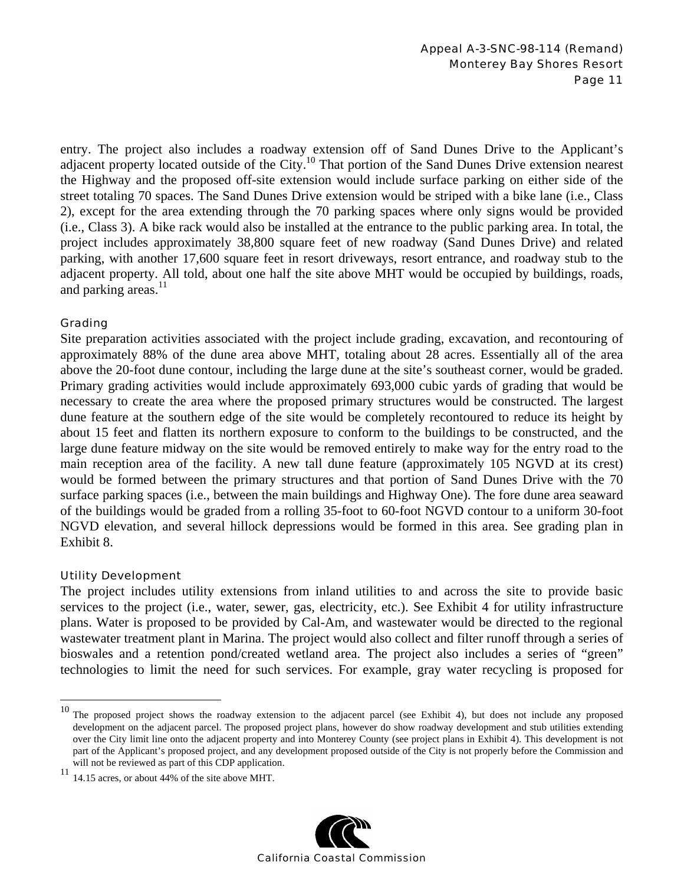entry. The project also includes a roadway extension off of Sand Dunes Drive to the Applicant's adjacent property located outside of the City.<sup>10</sup> That portion of the Sand Dunes Drive extension nearest the Highway and the proposed off-site extension would include surface parking on either side of the street totaling 70 spaces. The Sand Dunes Drive extension would be striped with a bike lane (i.e., Class 2), except for the area extending through the 70 parking spaces where only signs would be provided (i.e., Class 3). A bike rack would also be installed at the entrance to the public parking area. In total, the project includes approximately 38,800 square feet of new roadway (Sand Dunes Drive) and related parking, with another 17,600 square feet in resort driveways, resort entrance, and roadway stub to the adjacent property. All told, about one half the site above MHT would be occupied by buildings, roads, and parking areas.<sup>11</sup>

### Grading

Site preparation activities associated with the project include grading, excavation, and recontouring of approximately 88% of the dune area above MHT, totaling about 28 acres. Essentially all of the area above the 20-foot dune contour, including the large dune at the site's southeast corner, would be graded. Primary grading activities would include approximately 693,000 cubic yards of grading that would be necessary to create the area where the proposed primary structures would be constructed. The largest dune feature at the southern edge of the site would be completely recontoured to reduce its height by about 15 feet and flatten its northern exposure to conform to the buildings to be constructed, and the large dune feature midway on the site would be removed entirely to make way for the entry road to the main reception area of the facility. A new tall dune feature (approximately 105 NGVD at its crest) would be formed between the primary structures and that portion of Sand Dunes Drive with the 70 surface parking spaces (i.e., between the main buildings and Highway One). The fore dune area seaward of the buildings would be graded from a rolling 35-foot to 60-foot NGVD contour to a uniform 30-foot NGVD elevation, and several hillock depressions would be formed in this area. See grading plan in Exhibit 8.

#### Utility Development

 $\overline{a}$ 

The project includes utility extensions from inland utilities to and across the site to provide basic services to the project (i.e., water, sewer, gas, electricity, etc.). See Exhibit 4 for utility infrastructure plans. Water is proposed to be provided by Cal-Am, and wastewater would be directed to the regional wastewater treatment plant in Marina. The project would also collect and filter runoff through a series of bioswales and a retention pond/created wetland area. The project also includes a series of "green" technologies to limit the need for such services. For example, gray water recycling is proposed for

 $11$  14.15 acres, or about 44% of the site above MHT.



 $10$  The proposed project shows the roadway extension to the adjacent parcel (see Exhibit 4), but does not include any proposed development on the adjacent parcel. The proposed project plans, however do show roadway development and stub utilities extending over the City limit line onto the adjacent property and into Monterey County (see project plans in Exhibit 4). This development is not part of the Applicant's proposed project, and any development proposed outside of the City is not properly before the Commission and will not be reviewed as part of this CDP application.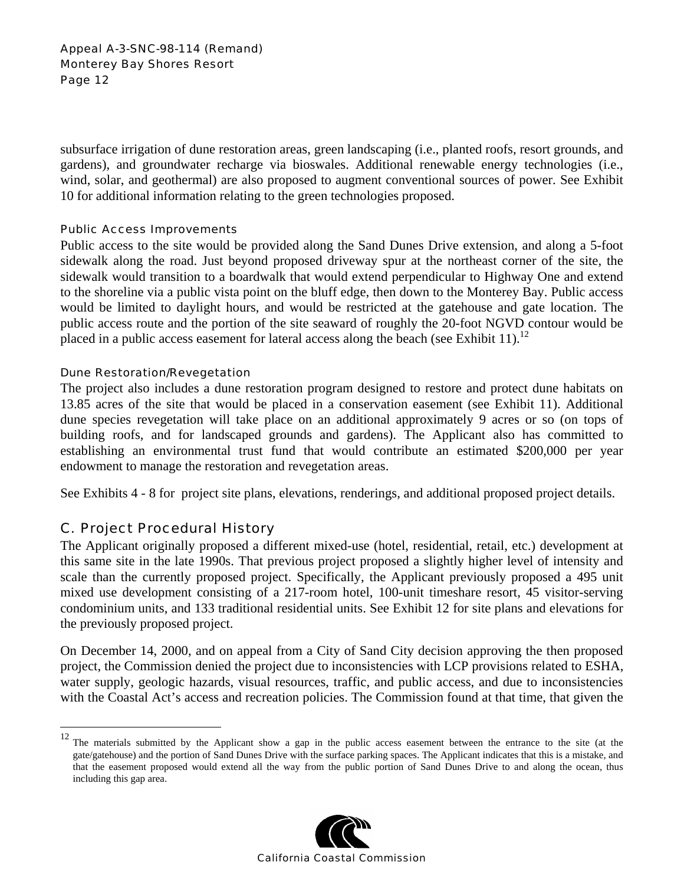subsurface irrigation of dune restoration areas, green landscaping (i.e., planted roofs, resort grounds, and gardens), and groundwater recharge via bioswales. Additional renewable energy technologies (i.e., wind, solar, and geothermal) are also proposed to augment conventional sources of power. See Exhibit 10 for additional information relating to the green technologies proposed.

#### Public Access Improvements

Public access to the site would be provided along the Sand Dunes Drive extension, and along a 5-foot sidewalk along the road. Just beyond proposed driveway spur at the northeast corner of the site, the sidewalk would transition to a boardwalk that would extend perpendicular to Highway One and extend to the shoreline via a public vista point on the bluff edge, then down to the Monterey Bay. Public access would be limited to daylight hours, and would be restricted at the gatehouse and gate location. The public access route and the portion of the site seaward of roughly the 20-foot NGVD contour would be placed in a public access easement for lateral access along the beach (see Exhibit 11).<sup>12</sup>

#### Dune Restoration/Revegetation

The project also includes a dune restoration program designed to restore and protect dune habitats on 13.85 acres of the site that would be placed in a conservation easement (see Exhibit 11). Additional dune species revegetation will take place on an additional approximately 9 acres or so (on tops of building roofs, and for landscaped grounds and gardens). The Applicant also has committed to establishing an environmental trust fund that would contribute an estimated \$200,000 per year endowment to manage the restoration and revegetation areas.

See Exhibits 4 - 8 for project site plans, elevations, renderings, and additional proposed project details.

## C. Project Procedural History

 $\overline{a}$ 

The Applicant originally proposed a different mixed-use (hotel, residential, retail, etc.) development at this same site in the late 1990s. That previous project proposed a slightly higher level of intensity and scale than the currently proposed project. Specifically, the Applicant previously proposed a 495 unit mixed use development consisting of a 217-room hotel, 100-unit timeshare resort, 45 visitor-serving condominium units, and 133 traditional residential units. See Exhibit 12 for site plans and elevations for the previously proposed project.

On December 14, 2000, and on appeal from a City of Sand City decision approving the then proposed project, the Commission denied the project due to inconsistencies with LCP provisions related to ESHA, water supply, geologic hazards, visual resources, traffic, and public access, and due to inconsistencies with the Coastal Act's access and recreation policies. The Commission found at that time, that given the

 $12$  The materials submitted by the Applicant show a gap in the public access easement between the entrance to the site (at the gate/gatehouse) and the portion of Sand Dunes Drive with the surface parking spaces. The Applicant indicates that this is a mistake, and that the easement proposed would extend all the way from the public portion of Sand Dunes Drive to and along the ocean, thus including this gap area.

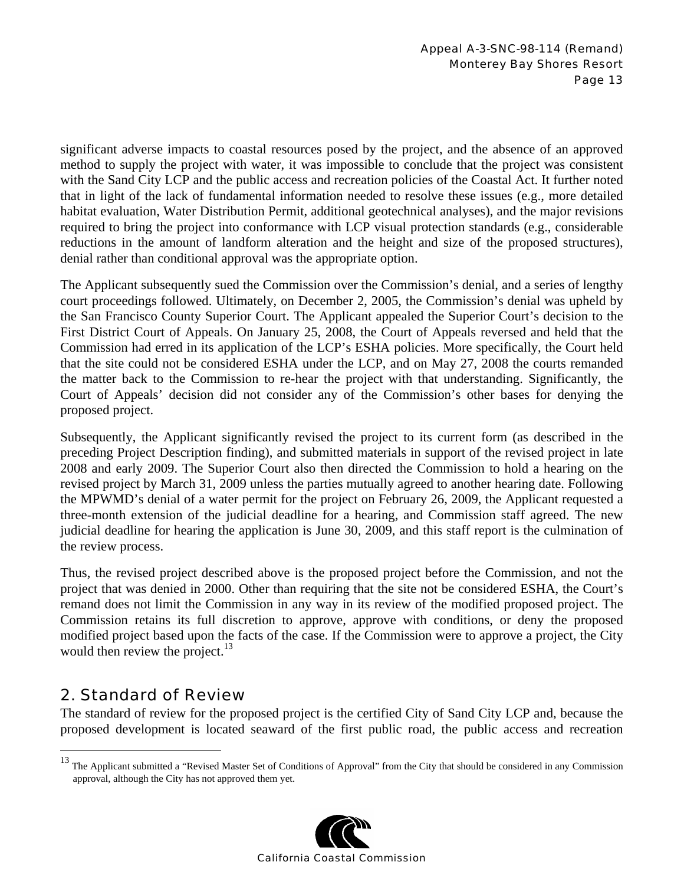significant adverse impacts to coastal resources posed by the project, and the absence of an approved method to supply the project with water, it was impossible to conclude that the project was consistent with the Sand City LCP and the public access and recreation policies of the Coastal Act. It further noted that in light of the lack of fundamental information needed to resolve these issues (e.g., more detailed habitat evaluation, Water Distribution Permit, additional geotechnical analyses), and the major revisions required to bring the project into conformance with LCP visual protection standards (e.g., considerable reductions in the amount of landform alteration and the height and size of the proposed structures), denial rather than conditional approval was the appropriate option.

The Applicant subsequently sued the Commission over the Commission's denial, and a series of lengthy court proceedings followed. Ultimately, on December 2, 2005, the Commission's denial was upheld by the San Francisco County Superior Court. The Applicant appealed the Superior Court's decision to the First District Court of Appeals. On January 25, 2008, the Court of Appeals reversed and held that the Commission had erred in its application of the LCP's ESHA policies. More specifically, the Court held that the site could not be considered ESHA under the LCP, and on May 27, 2008 the courts remanded the matter back to the Commission to re-hear the project with that understanding. Significantly, the Court of Appeals' decision did not consider any of the Commission's other bases for denying the proposed project.

Subsequently, the Applicant significantly revised the project to its current form (as described in the preceding Project Description finding), and submitted materials in support of the revised project in late 2008 and early 2009. The Superior Court also then directed the Commission to hold a hearing on the revised project by March 31, 2009 unless the parties mutually agreed to another hearing date. Following the MPWMD's denial of a water permit for the project on February 26, 2009, the Applicant requested a three-month extension of the judicial deadline for a hearing, and Commission staff agreed. The new judicial deadline for hearing the application is June 30, 2009, and this staff report is the culmination of the review process.

Thus, the revised project described above is the proposed project before the Commission, and not the project that was denied in 2000. Other than requiring that the site not be considered ESHA, the Court's remand does not limit the Commission in any way in its review of the modified proposed project. The Commission retains its full discretion to approve, approve with conditions, or deny the proposed modified project based upon the facts of the case. If the Commission were to approve a project, the City would then review the project. $^{13}$ 

## 2. Standard of Review

 $\overline{a}$ 

The standard of review for the proposed project is the certified City of Sand City LCP and, because the proposed development is located seaward of the first public road, the public access and recreation

 $13$  The Applicant submitted a "Revised Master Set of Conditions of Approval" from the City that should be considered in any Commission approval, although the City has not approved them yet.

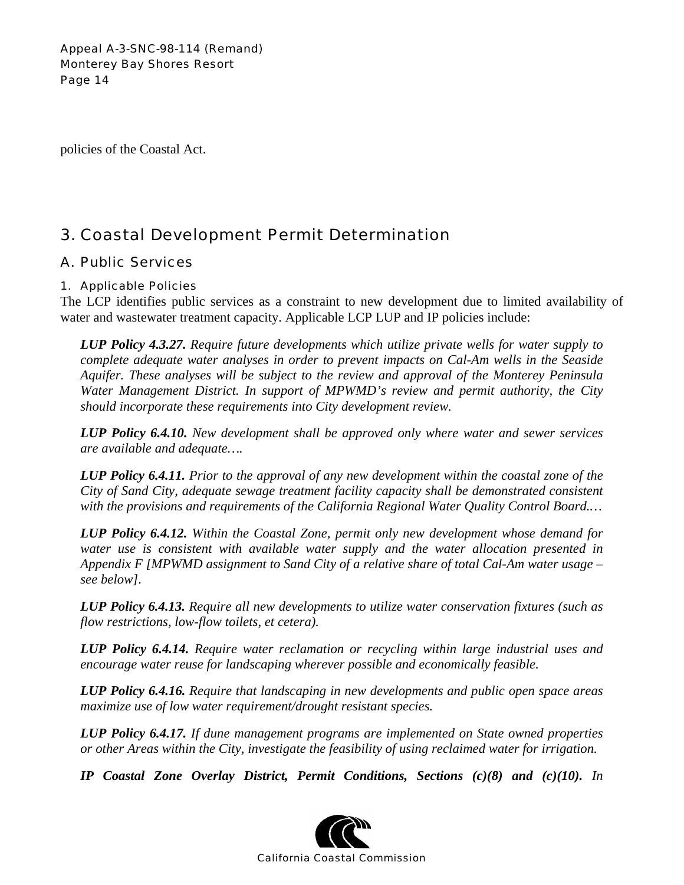policies of the Coastal Act.

# 3. Coastal Development Permit Determination

## A. Public Services

### 1. Applicable Policies

The LCP identifies public services as a constraint to new development due to limited availability of water and wastewater treatment capacity. Applicable LCP LUP and IP policies include:

*LUP Policy 4.3.27. Require future developments which utilize private wells for water supply to complete adequate water analyses in order to prevent impacts on Cal-Am wells in the Seaside Aquifer. These analyses will be subject to the review and approval of the Monterey Peninsula Water Management District. In support of MPWMD's review and permit authority, the City should incorporate these requirements into City development review.*

*LUP Policy 6.4.10. New development shall be approved only where water and sewer services are available and adequate….* 

*LUP Policy 6.4.11. Prior to the approval of any new development within the coastal zone of the City of Sand City, adequate sewage treatment facility capacity shall be demonstrated consistent with the provisions and requirements of the California Regional Water Quality Control Board.…* 

*LUP Policy 6.4.12. Within the Coastal Zone, permit only new development whose demand for water use is consistent with available water supply and the water allocation presented in Appendix F [MPWMD assignment to Sand City of a relative share of total Cal-Am water usage – see below].* 

*LUP Policy 6.4.13. Require all new developments to utilize water conservation fixtures (such as flow restrictions, low-flow toilets, et cetera).* 

*LUP Policy 6.4.14. Require water reclamation or recycling within large industrial uses and encourage water reuse for landscaping wherever possible and economically feasible.* 

*LUP Policy 6.4.16. Require that landscaping in new developments and public open space areas maximize use of low water requirement/drought resistant species.* 

*LUP Policy 6.4.17. If dune management programs are implemented on State owned properties or other Areas within the City, investigate the feasibility of using reclaimed water for irrigation.* 

*IP Coastal Zone Overlay District, Permit Conditions, Sections (c)(8) and (c)(10). In* 

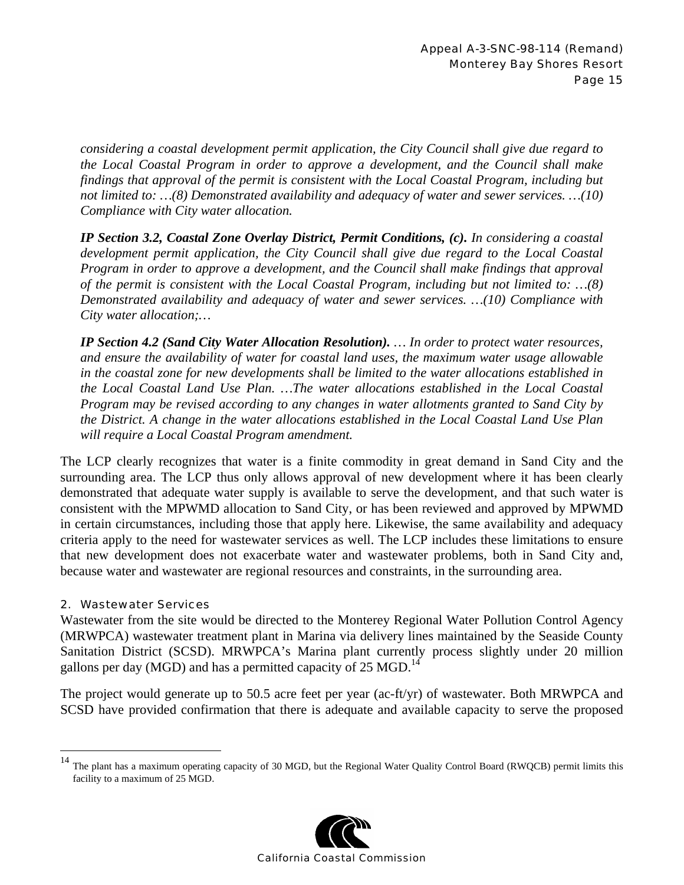*considering a coastal development permit application, the City Council shall give due regard to the Local Coastal Program in order to approve a development, and the Council shall make findings that approval of the permit is consistent with the Local Coastal Program, including but not limited to: …(8) Demonstrated availability and adequacy of water and sewer services. …(10) Compliance with City water allocation.* 

*IP Section 3.2, Coastal Zone Overlay District, Permit Conditions, (c). In considering a coastal development permit application, the City Council shall give due regard to the Local Coastal Program in order to approve a development, and the Council shall make findings that approval of the permit is consistent with the Local Coastal Program, including but not limited to: …(8) Demonstrated availability and adequacy of water and sewer services. …(10) Compliance with City water allocation;…* 

*IP Section 4.2 (Sand City Water Allocation Resolution). … In order to protect water resources, and ensure the availability of water for coastal land uses, the maximum water usage allowable in the coastal zone for new developments shall be limited to the water allocations established in the Local Coastal Land Use Plan. …The water allocations established in the Local Coastal Program may be revised according to any changes in water allotments granted to Sand City by the District. A change in the water allocations established in the Local Coastal Land Use Plan will require a Local Coastal Program amendment.* 

The LCP clearly recognizes that water is a finite commodity in great demand in Sand City and the surrounding area. The LCP thus only allows approval of new development where it has been clearly demonstrated that adequate water supply is available to serve the development, and that such water is consistent with the MPWMD allocation to Sand City, or has been reviewed and approved by MPWMD in certain circumstances, including those that apply here. Likewise, the same availability and adequacy criteria apply to the need for wastewater services as well. The LCP includes these limitations to ensure that new development does not exacerbate water and wastewater problems, both in Sand City and, because water and wastewater are regional resources and constraints, in the surrounding area.

### 2. Wastewater Services

 $\overline{a}$ 

Wastewater from the site would be directed to the Monterey Regional Water Pollution Control Agency (MRWPCA) wastewater treatment plant in Marina via delivery lines maintained by the Seaside County Sanitation District (SCSD). MRWPCA's Marina plant currently process slightly under 20 million gallons per day (MGD) and has a permitted capacity of  $25 \text{ MGD}$ .<sup>14</sup>

The project would generate up to 50.5 acre feet per year (ac-ft/yr) of wastewater. Both MRWPCA and SCSD have provided confirmation that there is adequate and available capacity to serve the proposed

 $14$  The plant has a maximum operating capacity of 30 MGD, but the Regional Water Quality Control Board (RWQCB) permit limits this facility to a maximum of 25 MGD.

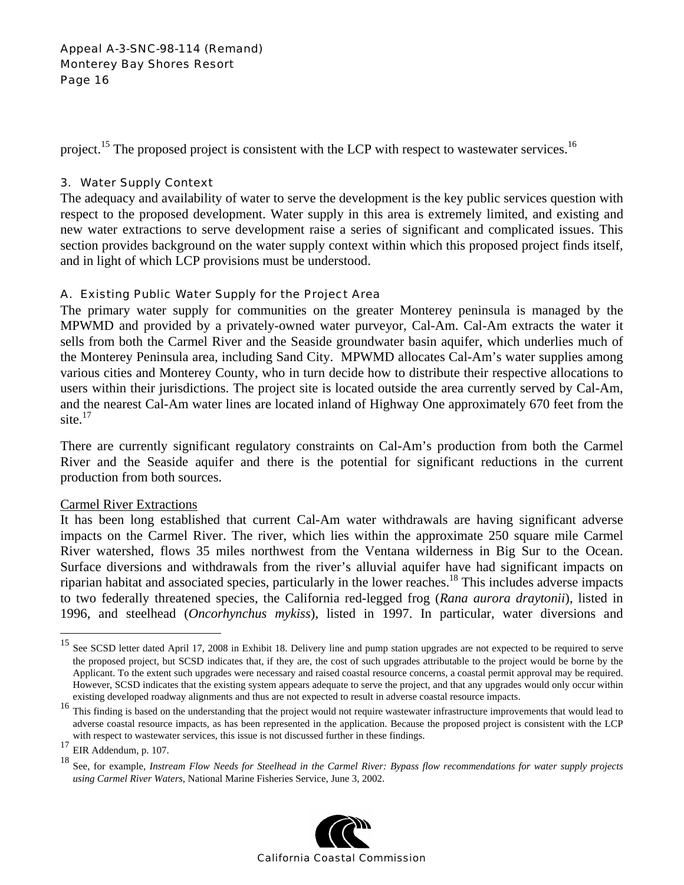project.<sup>15</sup> The proposed project is consistent with the LCP with respect to wastewater services.<sup>16</sup>

## 3. Water Supply Context

The adequacy and availability of water to serve the development is the key public services question with respect to the proposed development. Water supply in this area is extremely limited, and existing and new water extractions to serve development raise a series of significant and complicated issues. This section provides background on the water supply context within which this proposed project finds itself, and in light of which LCP provisions must be understood.

## A. Existing Public Water Supply for the Project Area

The primary water supply for communities on the greater Monterey peninsula is managed by the MPWMD and provided by a privately-owned water purveyor, Cal-Am. Cal-Am extracts the water it sells from both the Carmel River and the Seaside groundwater basin aquifer, which underlies much of the Monterey Peninsula area, including Sand City. MPWMD allocates Cal-Am's water supplies among various cities and Monterey County, who in turn decide how to distribute their respective allocations to users within their jurisdictions. The project site is located outside the area currently served by Cal-Am, and the nearest Cal-Am water lines are located inland of Highway One approximately 670 feet from the site. $17$ 

There are currently significant regulatory constraints on Cal-Am's production from both the Carmel River and the Seaside aquifer and there is the potential for significant reductions in the current production from both sources.

### Carmel River Extractions

It has been long established that current Cal-Am water withdrawals are having significant adverse impacts on the Carmel River. The river, which lies within the approximate 250 square mile Carmel River watershed, flows 35 miles northwest from the Ventana wilderness in Big Sur to the Ocean. Surface diversions and withdrawals from the river's alluvial aquifer have had significant impacts on riparian habitat and associated species, particularly in the lower reaches.18 This includes adverse impacts to two federally threatened species, the California red-legged frog (*Rana aurora draytonii*), listed in 1996, and steelhead (*Oncorhynchus mykiss*), listed in 1997. In particular, water diversions and

1

<sup>18</sup> See, for example, *Instream Flow Needs for Steelhead in the Carmel River: Bypass flow recommendations for water supply projects using Carmel River Waters*, National Marine Fisheries Service, June 3, 2002.



<sup>&</sup>lt;sup>15</sup> See SCSD letter dated April 17, 2008 in Exhibit 18. Delivery line and pump station upgrades are not expected to be required to serve the proposed project, but SCSD indicates that, if they are, the cost of such upgrades attributable to the project would be borne by the Applicant. To the extent such upgrades were necessary and raised coastal resource concerns, a coastal permit approval may be required. However, SCSD indicates that the existing system appears adequate to serve the project, and that any upgrades would only occur within

existing developed roadway alignments and thus are not expected to result in adverse coastal resource impacts.<br><sup>16</sup> This finding is based on the understanding that the project would not require wastewater infrastructure im adverse coastal resource impacts, as has been represented in the application. Because the proposed project is consistent with the LCP with respect to wastewater services, this issue is not discussed further in these findings.

 $17$  EIR Addendum, p. 107.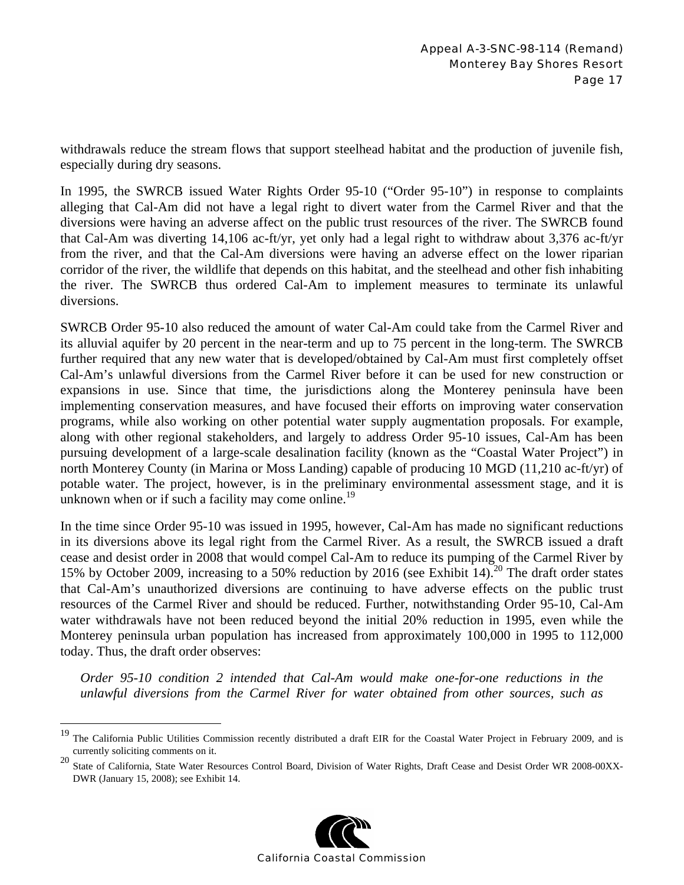withdrawals reduce the stream flows that support steelhead habitat and the production of juvenile fish, especially during dry seasons.

In 1995, the SWRCB issued Water Rights Order 95-10 ("Order 95-10") in response to complaints alleging that Cal-Am did not have a legal right to divert water from the Carmel River and that the diversions were having an adverse affect on the public trust resources of the river. The SWRCB found that Cal-Am was diverting 14,106 ac-ft/yr, yet only had a legal right to withdraw about 3,376 ac-ft/yr from the river, and that the Cal-Am diversions were having an adverse effect on the lower riparian corridor of the river, the wildlife that depends on this habitat, and the steelhead and other fish inhabiting the river. The SWRCB thus ordered Cal-Am to implement measures to terminate its unlawful diversions.

SWRCB Order 95-10 also reduced the amount of water Cal-Am could take from the Carmel River and its alluvial aquifer by 20 percent in the near-term and up to 75 percent in the long-term. The SWRCB further required that any new water that is developed/obtained by Cal-Am must first completely offset Cal-Am's unlawful diversions from the Carmel River before it can be used for new construction or expansions in use. Since that time, the jurisdictions along the Monterey peninsula have been implementing conservation measures, and have focused their efforts on improving water conservation programs, while also working on other potential water supply augmentation proposals. For example, along with other regional stakeholders, and largely to address Order 95-10 issues, Cal-Am has been pursuing development of a large-scale desalination facility (known as the "Coastal Water Project") in north Monterey County (in Marina or Moss Landing) capable of producing 10 MGD (11,210 ac-ft/yr) of potable water. The project, however, is in the preliminary environmental assessment stage, and it is unknown when or if such a facility may come online.<sup>19</sup>

In the time since Order 95-10 was issued in 1995, however, Cal-Am has made no significant reductions in its diversions above its legal right from the Carmel River. As a result, the SWRCB issued a draft cease and desist order in 2008 that would compel Cal-Am to reduce its pumping of the Carmel River by 15% by October 2009, increasing to a 50% reduction by 2016 (see Exhibit 14).<sup>20</sup> The draft order states that Cal-Am's unauthorized diversions are continuing to have adverse effects on the public trust resources of the Carmel River and should be reduced. Further, notwithstanding Order 95-10, Cal-Am water withdrawals have not been reduced beyond the initial 20% reduction in 1995, even while the Monterey peninsula urban population has increased from approximately 100,000 in 1995 to 112,000 today. Thus, the draft order observes:

*Order 95-10 condition 2 intended that Cal-Am would make one-for-one reductions in the unlawful diversions from the Carmel River for water obtained from other sources, such as* 

 $\overline{a}$ 

<sup>20</sup> State of California, State Water Resources Control Board, Division of Water Rights, Draft Cease and Desist Order WR 2008-00XX-DWR (January 15, 2008); see Exhibit 14.



<sup>&</sup>lt;sup>19</sup> The California Public Utilities Commission recently distributed a draft EIR for the Coastal Water Project in February 2009, and is currently soliciting comments on it.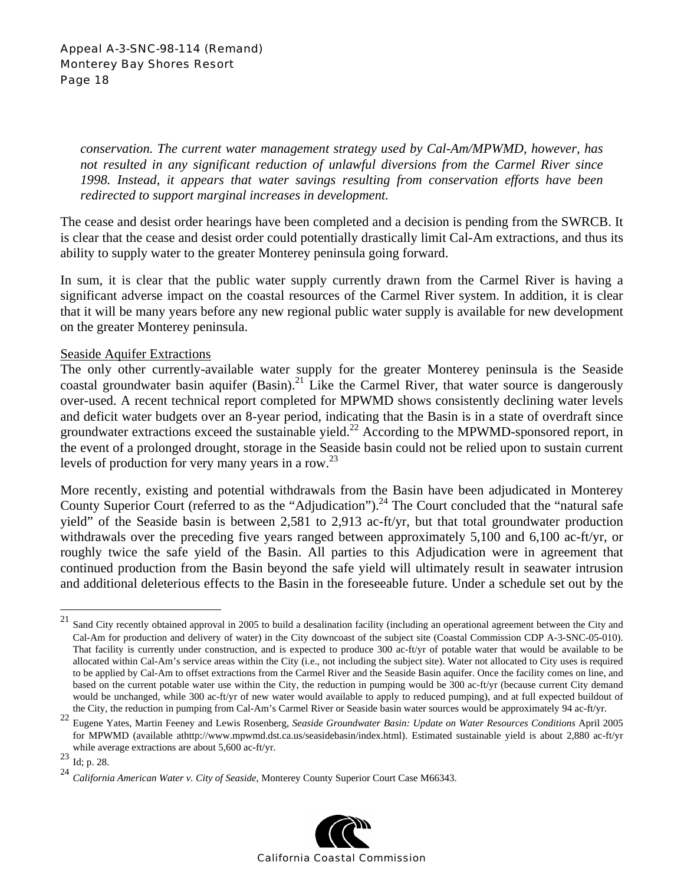*conservation. The current water management strategy used by Cal-Am/MPWMD, however, has not resulted in any significant reduction of unlawful diversions from the Carmel River since 1998. Instead, it appears that water savings resulting from conservation efforts have been redirected to support marginal increases in development.* 

The cease and desist order hearings have been completed and a decision is pending from the SWRCB. It is clear that the cease and desist order could potentially drastically limit Cal-Am extractions, and thus its ability to supply water to the greater Monterey peninsula going forward.

In sum, it is clear that the public water supply currently drawn from the Carmel River is having a significant adverse impact on the coastal resources of the Carmel River system. In addition, it is clear that it will be many years before any new regional public water supply is available for new development on the greater Monterey peninsula.

### Seaside Aquifer Extractions

The only other currently-available water supply for the greater Monterey peninsula is the Seaside coastal groundwater basin aquifer  $(Basin)^{21}$ . Like the Carmel River, that water source is dangerously over-used. A recent technical report completed for MPWMD shows consistently declining water levels and deficit water budgets over an 8-year period, indicating that the Basin is in a state of overdraft since groundwater extractions exceed the sustainable yield.<sup>22</sup> According to the MPWMD-sponsored report, in the event of a prolonged drought, storage in the Seaside basin could not be relied upon to sustain current levels of production for very many years in a row.<sup>23</sup>

More recently, existing and potential withdrawals from the Basin have been adjudicated in Monterey County Superior Court (referred to as the "Adjudication").<sup>24</sup> The Court concluded that the "natural safe" yield" of the Seaside basin is between 2,581 to 2,913 ac-ft/yr, but that total groundwater production withdrawals over the preceding five years ranged between approximately 5,100 and 6,100 ac-ft/yr, or roughly twice the safe yield of the Basin. All parties to this Adjudication were in agreement that continued production from the Basin beyond the safe yield will ultimately result in seawater intrusion and additional deleterious effects to the Basin in the foreseeable future. Under a schedule set out by the

 $\overline{a}$ 

<sup>24</sup> *California American Water v. City of Seaside*, Monterey County Superior Court Case M66343.



 $21$  Sand City recently obtained approval in 2005 to build a desalination facility (including an operational agreement between the City and Cal-Am for production and delivery of water) in the City downcoast of the subject site (Coastal Commission CDP A-3-SNC-05-010). That facility is currently under construction, and is expected to produce 300 ac-ft/yr of potable water that would be available to be allocated within Cal-Am's service areas within the City (i.e., not including the subject site). Water not allocated to City uses is required to be applied by Cal-Am to offset extractions from the Carmel River and the Seaside Basin aquifer. Once the facility comes on line, and based on the current potable water use within the City, the reduction in pumping would be 300 ac-ft/yr (because current City demand would be unchanged, while 300 ac-ft/yr of new water would available to apply to reduced pumping), and at full expected buildout of

the City, the reduction in pumping from Cal-Am's Carmel River or Seaside basin water sources would be approximately 94 ac-ft/yr.<br><sup>22</sup> Eugene Yates, Martin Feeney and Lewis Rosenberg, Seaside Groundwater Basin: Update on Wa for MPWMD (available athttp://www.mpwmd.dst.ca.us/seasidebasin/index.html). Estimated sustainable yield is about 2,880 ac-ft/yr while average extractions are about 5,600 ac-ft/yr.<br>
<sup>23</sup> Id; p. 28.<br>
<sup>24</sup> California American Water y City of Searide Ma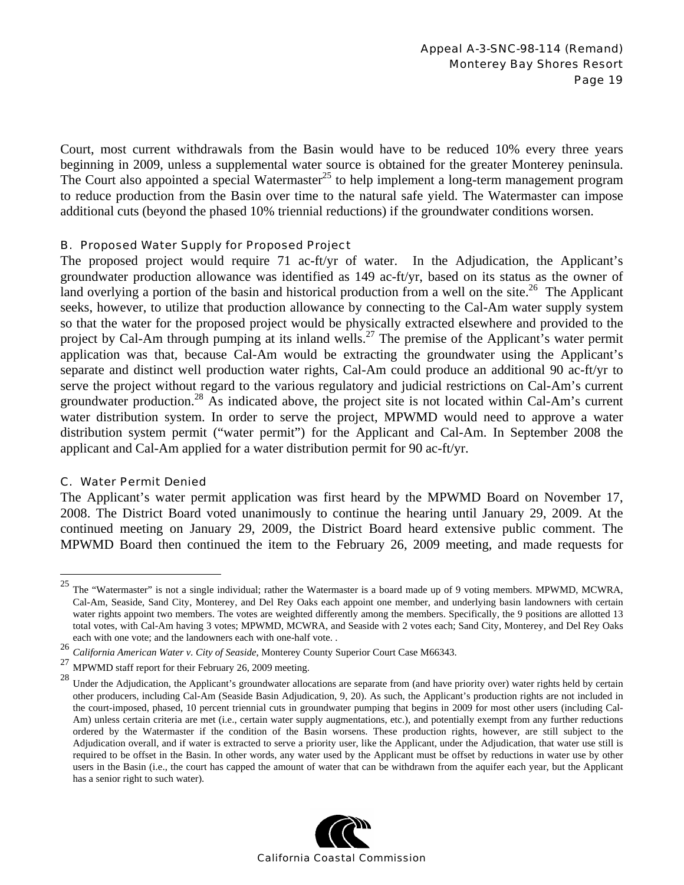Court, most current withdrawals from the Basin would have to be reduced 10% every three years beginning in 2009, unless a supplemental water source is obtained for the greater Monterey peninsula. The Court also appointed a special Watermaster<sup>25</sup> to help implement a long-term management program to reduce production from the Basin over time to the natural safe yield. The Watermaster can impose additional cuts (beyond the phased 10% triennial reductions) if the groundwater conditions worsen.

#### B. Proposed Water Supply for Proposed Project

The proposed project would require 71 ac-ft/yr of water. In the Adjudication, the Applicant's groundwater production allowance was identified as 149 ac-ft/yr, based on its status as the owner of land overlying a portion of the basin and historical production from a well on the site.<sup>26</sup> The Applicant seeks, however, to utilize that production allowance by connecting to the Cal-Am water supply system so that the water for the proposed project would be physically extracted elsewhere and provided to the project by Cal-Am through pumping at its inland wells.<sup>27</sup> The premise of the Applicant's water permit application was that, because Cal-Am would be extracting the groundwater using the Applicant's separate and distinct well production water rights, Cal-Am could produce an additional 90 ac-ft/yr to serve the project without regard to the various regulatory and judicial restrictions on Cal-Am's current groundwater production.28 As indicated above, the project site is not located within Cal-Am's current water distribution system. In order to serve the project, MPWMD would need to approve a water distribution system permit ("water permit") for the Applicant and Cal-Am. In September 2008 the applicant and Cal-Am applied for a water distribution permit for 90 ac-ft/yr.

### C. Water Permit Denied

The Applicant's water permit application was first heard by the MPWMD Board on November 17, 2008. The District Board voted unanimously to continue the hearing until January 29, 2009. At the continued meeting on January 29, 2009, the District Board heard extensive public comment. The MPWMD Board then continued the item to the February 26, 2009 meeting, and made requests for

Under the Adjudication, the Applicant's groundwater allocations are separate from (and have priority over) water rights held by certain other producers, including Cal-Am (Seaside Basin Adjudication, 9, 20). As such, the Applicant's production rights are not included in the court-imposed, phased, 10 percent triennial cuts in groundwater pumping that begins in 2009 for most other users (including Cal-Am) unless certain criteria are met (i.e., certain water supply augmentations, etc.), and potentially exempt from any further reductions ordered by the Watermaster if the condition of the Basin worsens. These production rights, however, are still subject to the Adjudication overall, and if water is extracted to serve a priority user, like the Applicant, under the Adjudication, that water use still is required to be offset in the Basin. In other words, any water used by the Applicant must be offset by reductions in water use by other users in the Basin (i.e., the court has capped the amount of water that can be withdrawn from the aquifer each year, but the Applicant has a senior right to such water).



 $25\,$ The "Watermaster" is not a single individual; rather the Watermaster is a board made up of 9 voting members. MPWMD, MCWRA, Cal-Am, Seaside, Sand City, Monterey, and Del Rey Oaks each appoint one member, and underlying basin landowners with certain water rights appoint two members. The votes are weighted differently among the members. Specifically, the 9 positions are allotted 13 total votes, with Cal-Am having 3 votes; MPWMD, MCWRA, and Seaside with 2 votes each; Sand City, Monterey, and Del Rey Oaks each with one vote; and the landowners each with one-half vote. .

<sup>26</sup> *California American Water v. City of Seaside*, Monterey County Superior Court Case M66343.

<sup>&</sup>lt;sup>27</sup> MPWMD staff report for their February 26, 2009 meeting.<br><sup>28</sup> Method and the theory of the theory of the state of the state of the state of the state of the state of the state of the state of the state of the state of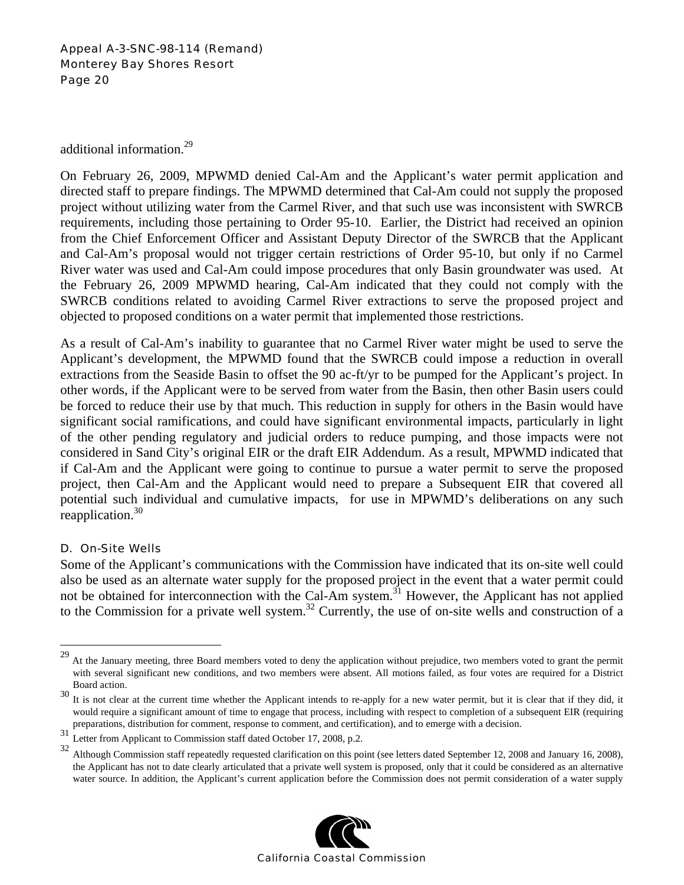additional information.29

On February 26, 2009, MPWMD denied Cal-Am and the Applicant's water permit application and directed staff to prepare findings. The MPWMD determined that Cal-Am could not supply the proposed project without utilizing water from the Carmel River, and that such use was inconsistent with SWRCB requirements, including those pertaining to Order 95-10. Earlier, the District had received an opinion from the Chief Enforcement Officer and Assistant Deputy Director of the SWRCB that the Applicant and Cal-Am's proposal would not trigger certain restrictions of Order 95-10, but only if no Carmel River water was used and Cal-Am could impose procedures that only Basin groundwater was used. At the February 26, 2009 MPWMD hearing, Cal-Am indicated that they could not comply with the SWRCB conditions related to avoiding Carmel River extractions to serve the proposed project and objected to proposed conditions on a water permit that implemented those restrictions.

As a result of Cal-Am's inability to guarantee that no Carmel River water might be used to serve the Applicant's development, the MPWMD found that the SWRCB could impose a reduction in overall extractions from the Seaside Basin to offset the 90 ac-ft/yr to be pumped for the Applicant's project. In other words, if the Applicant were to be served from water from the Basin, then other Basin users could be forced to reduce their use by that much. This reduction in supply for others in the Basin would have significant social ramifications, and could have significant environmental impacts, particularly in light of the other pending regulatory and judicial orders to reduce pumping, and those impacts were not considered in Sand City's original EIR or the draft EIR Addendum. As a result, MPWMD indicated that if Cal-Am and the Applicant were going to continue to pursue a water permit to serve the proposed project, then Cal-Am and the Applicant would need to prepare a Subsequent EIR that covered all potential such individual and cumulative impacts, for use in MPWMD's deliberations on any such reapplication. $30$ 

### D. On-Site Wells

 $\overline{a}$ 

Some of the Applicant's communications with the Commission have indicated that its on-site well could also be used as an alternate water supply for the proposed project in the event that a water permit could not be obtained for interconnection with the Cal-Am system.<sup>31</sup> However, the Applicant has not applied to the Commission for a private well system. 32 Currently, the use of on-site wells and construction of a

<sup>&</sup>lt;sup>32</sup> Although Commission staff repeatedly requested clarification on this point (see letters dated September 12, 2008 and January 16, 2008), the Applicant has not to date clearly articulated that a private well system is proposed, only that it could be considered as an alternative water source. In addition, the Applicant's current application before the Commission does not permit consideration of a water supply



<sup>&</sup>lt;sup>29</sup> At the January meeting, three Board members voted to deny the application without prejudice, two members voted to grant the permit with several significant new conditions, and two members were absent. All motions failed, as four votes are required for a District Board action.

<sup>&</sup>lt;sup>30</sup> It is not clear at the current time whether the Applicant intends to re-apply for a new water permit, but it is clear that if they did, it would require a significant amount of time to engage that process, including with respect to completion of a subsequent EIR (requiring preparations, distribution for comment, response to comment, and certification), and to emerge with a decision.

<sup>31&</sup>lt;br>1 Letter from Applicant to Commission staff dated October 17, 2008, p.2.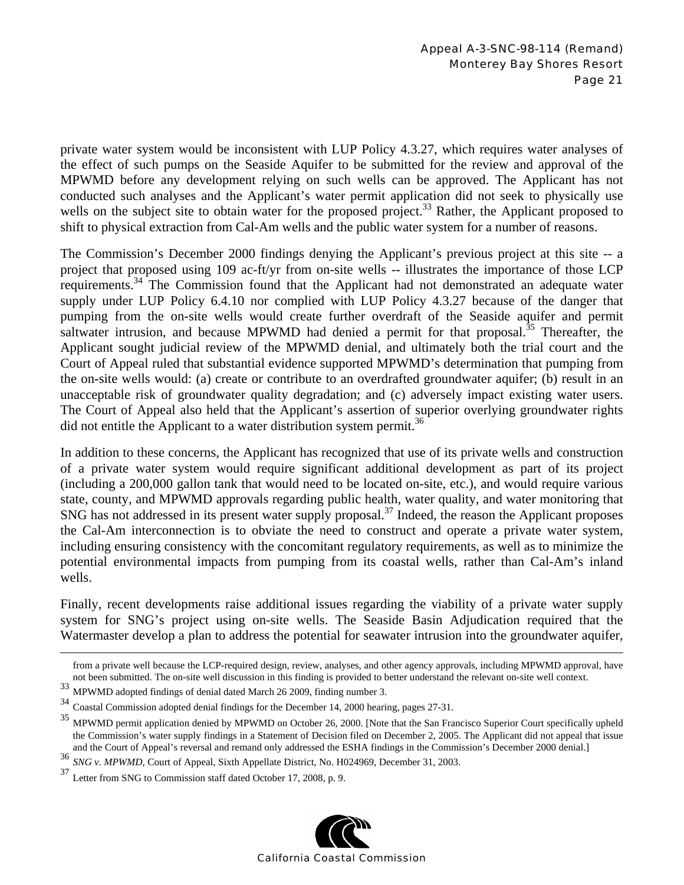private water system would be inconsistent with LUP Policy 4.3.27, which requires water analyses of the effect of such pumps on the Seaside Aquifer to be submitted for the review and approval of the MPWMD before any development relying on such wells can be approved. The Applicant has not conducted such analyses and the Applicant's water permit application did not seek to physically use wells on the subject site to obtain water for the proposed project.<sup>33</sup> Rather, the Applicant proposed to shift to physical extraction from Cal-Am wells and the public water system for a number of reasons.

The Commission's December 2000 findings denying the Applicant's previous project at this site -- a project that proposed using 109 ac-ft/yr from on-site wells -- illustrates the importance of those LCP requirements.<sup>34</sup> The Commission found that the Applicant had not demonstrated an adequate water supply under LUP Policy 6.4.10 nor complied with LUP Policy 4.3.27 because of the danger that pumping from the on-site wells would create further overdraft of the Seaside aquifer and permit saltwater intrusion, and because MPWMD had denied a permit for that proposal.<sup>35</sup> Thereafter, the Applicant sought judicial review of the MPWMD denial, and ultimately both the trial court and the Court of Appeal ruled that substantial evidence supported MPWMD's determination that pumping from the on-site wells would: (a) create or contribute to an overdrafted groundwater aquifer; (b) result in an unacceptable risk of groundwater quality degradation; and (c) adversely impact existing water users. The Court of Appeal also held that the Applicant's assertion of superior overlying groundwater rights did not entitle the Applicant to a water distribution system permit.<sup>36</sup>

In addition to these concerns, the Applicant has recognized that use of its private wells and construction of a private water system would require significant additional development as part of its project (including a 200,000 gallon tank that would need to be located on-site, etc.), and would require various state, county, and MPWMD approvals regarding public health, water quality, and water monitoring that SNG has not addressed in its present water supply proposal.<sup>37</sup> Indeed, the reason the Applicant proposes the Cal-Am interconnection is to obviate the need to construct and operate a private water system, including ensuring consistency with the concomitant regulatory requirements, as well as to minimize the potential environmental impacts from pumping from its coastal wells, rather than Cal-Am's inland wells.

Finally, recent developments raise additional issues regarding the viability of a private water supply system for SNG's project using on-site wells. The Seaside Basin Adjudication required that the Watermaster develop a plan to address the potential for seawater intrusion into the groundwater aquifer,

<sup>37</sup> Letter from SNG to Commission staff dated October 17, 2008, p. 9.



from a private well because the LCP-required design, review, analyses, and other agency approvals, including MPWMD approval, have not been submitted. The on-site well discussion in this finding is provided to better understand the relevant on-site well context.

 $\frac{33}{34}$  MPWMD adopted findings of denial dated March 26 2009, finding number 3.<br> $\frac{34}{34}$  Coastal Commission adopted depial findings for the December 14, 2000 begain

<sup>34</sup> Coastal Commission adopted denial findings for the December 14, 2000 hearing, pages 27-31.

<sup>&</sup>lt;sup>35</sup> MPWMD permit application denied by MPWMD on October 26, 2000. [Note that the San Francisco Superior Court specifically upheld the Commission's water supply findings in a Statement of Decision filed on December 2, 2005. The Applicant did not appeal that issue and the Court of Appeal's reversal and remand only addressed the ESHA findings in the Commission's December 2000 denial.]

<sup>&</sup>lt;sup>36</sup> *SNG v. MPWMD*, Court of Appeal, Sixth Appellate District, No. H024969, December 31, 2003.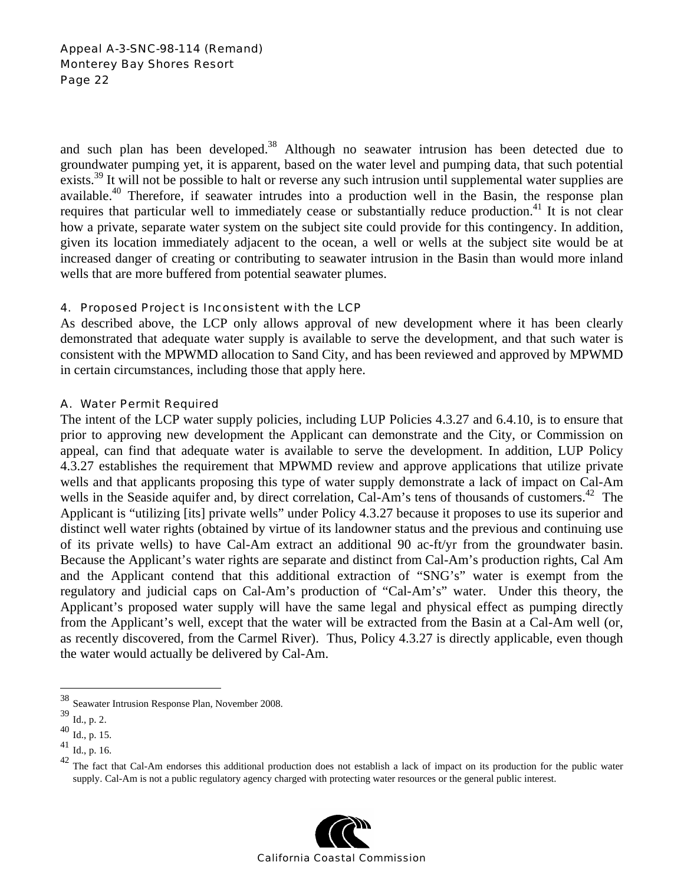and such plan has been developed.<sup>38</sup> Although no seawater intrusion has been detected due to groundwater pumping yet, it is apparent, based on the water level and pumping data, that such potential exists.<sup>39</sup> It will not be possible to halt or reverse any such intrusion until supplemental water supplies are available.<sup>40</sup> Therefore, if seawater intrudes into a production well in the Basin, the response plan requires that particular well to immediately cease or substantially reduce production.<sup>41</sup> It is not clear how a private, separate water system on the subject site could provide for this contingency. In addition, given its location immediately adjacent to the ocean, a well or wells at the subject site would be at increased danger of creating or contributing to seawater intrusion in the Basin than would more inland wells that are more buffered from potential seawater plumes.

### 4. Proposed Project is Inconsistent with the LCP

As described above, the LCP only allows approval of new development where it has been clearly demonstrated that adequate water supply is available to serve the development, and that such water is consistent with the MPWMD allocation to Sand City, and has been reviewed and approved by MPWMD in certain circumstances, including those that apply here.

### A. Water Permit Required

The intent of the LCP water supply policies, including LUP Policies 4.3.27 and 6.4.10, is to ensure that prior to approving new development the Applicant can demonstrate and the City, or Commission on appeal, can find that adequate water is available to serve the development. In addition, LUP Policy 4.3.27 establishes the requirement that MPWMD review and approve applications that utilize private wells and that applicants proposing this type of water supply demonstrate a lack of impact on Cal-Am wells in the Seaside aquifer and, by direct correlation, Cal-Am's tens of thousands of customers.<sup>42</sup> The Applicant is "utilizing [its] private wells" under Policy 4.3.27 because it proposes to use its superior and distinct well water rights (obtained by virtue of its landowner status and the previous and continuing use of its private wells) to have Cal-Am extract an additional 90 ac-ft/yr from the groundwater basin. Because the Applicant's water rights are separate and distinct from Cal-Am's production rights, Cal Am and the Applicant contend that this additional extraction of "SNG's" water is exempt from the regulatory and judicial caps on Cal-Am's production of "Cal-Am's" water. Under this theory, the Applicant's proposed water supply will have the same legal and physical effect as pumping directly from the Applicant's well, except that the water will be extracted from the Basin at a Cal-Am well (or, as recently discovered, from the Carmel River). Thus, Policy 4.3.27 is directly applicable, even though the water would actually be delivered by Cal-Am.

1

<sup>&</sup>lt;sup>42</sup> The fact that Cal-Am endorses this additional production does not establish a lack of impact on its production for the public water supply. Cal-Am is not a public regulatory agency charged with protecting water resources or the general public interest.



<sup>38</sup> Seawater Intrusion Response Plan, November 2008.

<sup>39</sup> Id., p. 2.

<sup>40</sup> Id., p. 15.

<sup>41</sup> Id., p. 16.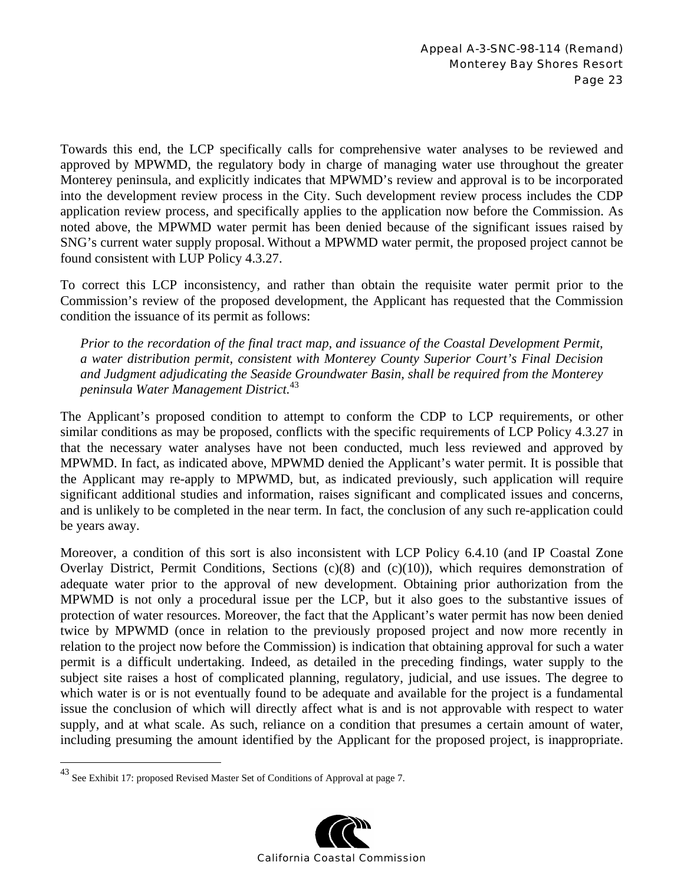Towards this end, the LCP specifically calls for comprehensive water analyses to be reviewed and approved by MPWMD, the regulatory body in charge of managing water use throughout the greater Monterey peninsula, and explicitly indicates that MPWMD's review and approval is to be incorporated into the development review process in the City. Such development review process includes the CDP application review process, and specifically applies to the application now before the Commission. As noted above, the MPWMD water permit has been denied because of the significant issues raised by SNG's current water supply proposal. Without a MPWMD water permit, the proposed project cannot be found consistent with LUP Policy 4.3.27.

To correct this LCP inconsistency, and rather than obtain the requisite water permit prior to the Commission's review of the proposed development, the Applicant has requested that the Commission condition the issuance of its permit as follows:

*Prior to the recordation of the final tract map, and issuance of the Coastal Development Permit, a water distribution permit, consistent with Monterey County Superior Court's Final Decision and Judgment adjudicating the Seaside Groundwater Basin, shall be required from the Monterey peninsula Water Management District.*<sup>43</sup>

The Applicant's proposed condition to attempt to conform the CDP to LCP requirements, or other similar conditions as may be proposed, conflicts with the specific requirements of LCP Policy 4.3.27 in that the necessary water analyses have not been conducted, much less reviewed and approved by MPWMD. In fact, as indicated above, MPWMD denied the Applicant's water permit. It is possible that the Applicant may re-apply to MPWMD, but, as indicated previously, such application will require significant additional studies and information, raises significant and complicated issues and concerns, and is unlikely to be completed in the near term. In fact, the conclusion of any such re-application could be years away.

Moreover, a condition of this sort is also inconsistent with LCP Policy 6.4.10 (and IP Coastal Zone Overlay District, Permit Conditions, Sections (c)(8) and (c)(10)), which requires demonstration of adequate water prior to the approval of new development. Obtaining prior authorization from the MPWMD is not only a procedural issue per the LCP, but it also goes to the substantive issues of protection of water resources. Moreover, the fact that the Applicant's water permit has now been denied twice by MPWMD (once in relation to the previously proposed project and now more recently in relation to the project now before the Commission) is indication that obtaining approval for such a water permit is a difficult undertaking. Indeed, as detailed in the preceding findings, water supply to the subject site raises a host of complicated planning, regulatory, judicial, and use issues. The degree to which water is or is not eventually found to be adequate and available for the project is a fundamental issue the conclusion of which will directly affect what is and is not approvable with respect to water supply, and at what scale. As such, reliance on a condition that presumes a certain amount of water, including presuming the amount identified by the Applicant for the proposed project, is inappropriate.

1



<sup>&</sup>lt;sup>43</sup> See Exhibit 17: proposed Revised Master Set of Conditions of Approval at page 7.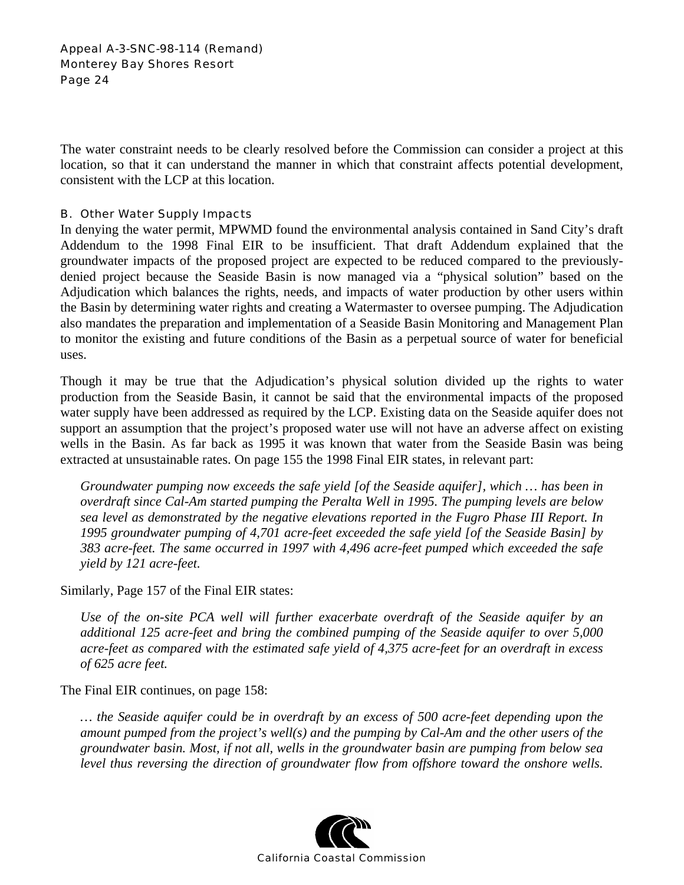The water constraint needs to be clearly resolved before the Commission can consider a project at this location, so that it can understand the manner in which that constraint affects potential development, consistent with the LCP at this location.

#### B. Other Water Supply Impacts

In denying the water permit, MPWMD found the environmental analysis contained in Sand City's draft Addendum to the 1998 Final EIR to be insufficient. That draft Addendum explained that the groundwater impacts of the proposed project are expected to be reduced compared to the previouslydenied project because the Seaside Basin is now managed via a "physical solution" based on the Adjudication which balances the rights, needs, and impacts of water production by other users within the Basin by determining water rights and creating a Watermaster to oversee pumping. The Adjudication also mandates the preparation and implementation of a Seaside Basin Monitoring and Management Plan to monitor the existing and future conditions of the Basin as a perpetual source of water for beneficial uses.

Though it may be true that the Adjudication's physical solution divided up the rights to water production from the Seaside Basin, it cannot be said that the environmental impacts of the proposed water supply have been addressed as required by the LCP. Existing data on the Seaside aquifer does not support an assumption that the project's proposed water use will not have an adverse affect on existing wells in the Basin. As far back as 1995 it was known that water from the Seaside Basin was being extracted at unsustainable rates. On page 155 the 1998 Final EIR states, in relevant part:

*Groundwater pumping now exceeds the safe yield [of the Seaside aquifer], which … has been in overdraft since Cal-Am started pumping the Peralta Well in 1995. The pumping levels are below sea level as demonstrated by the negative elevations reported in the Fugro Phase III Report. In 1995 groundwater pumping of 4,701 acre-feet exceeded the safe yield [of the Seaside Basin] by 383 acre-feet. The same occurred in 1997 with 4,496 acre-feet pumped which exceeded the safe yield by 121 acre-feet.* 

Similarly, Page 157 of the Final EIR states:

*Use of the on-site PCA well will further exacerbate overdraft of the Seaside aquifer by an additional 125 acre-feet and bring the combined pumping of the Seaside aquifer to over 5,000 acre-feet as compared with the estimated safe yield of 4,375 acre-feet for an overdraft in excess of 625 acre feet.* 

The Final EIR continues, on page 158:

*… the Seaside aquifer could be in overdraft by an excess of 500 acre-feet depending upon the amount pumped from the project's well(s) and the pumping by Cal-Am and the other users of the groundwater basin. Most, if not all, wells in the groundwater basin are pumping from below sea level thus reversing the direction of groundwater flow from offshore toward the onshore wells.* 

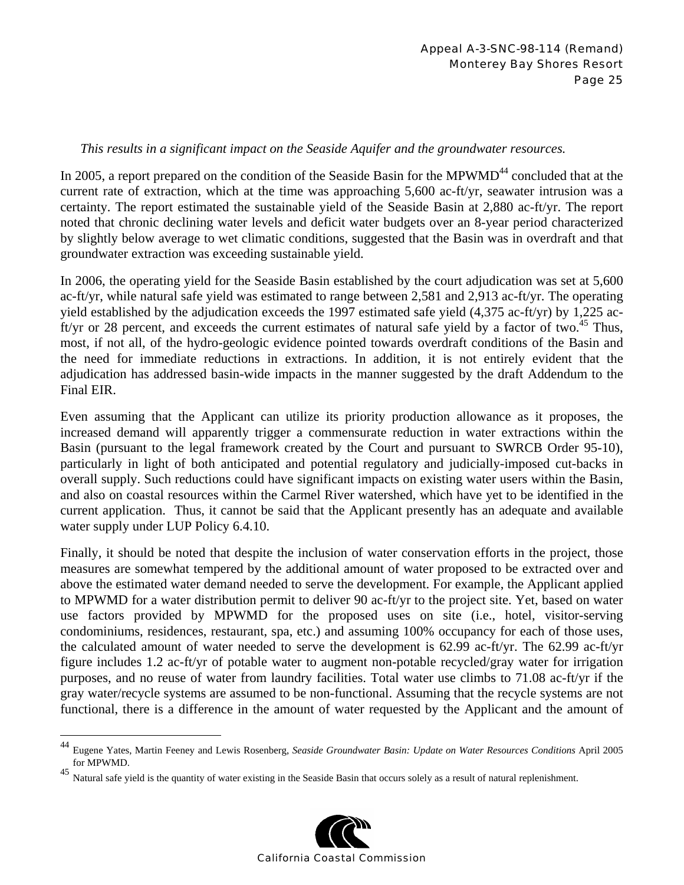## *This results in a significant impact on the Seaside Aquifer and the groundwater resources.*

In 2005, a report prepared on the condition of the Seaside Basin for the MPWMD<sup>44</sup> concluded that at the current rate of extraction, which at the time was approaching 5,600 ac-ft/yr, seawater intrusion was a certainty. The report estimated the sustainable yield of the Seaside Basin at 2,880 ac-ft/yr. The report noted that chronic declining water levels and deficit water budgets over an 8-year period characterized by slightly below average to wet climatic conditions, suggested that the Basin was in overdraft and that groundwater extraction was exceeding sustainable yield.

In 2006, the operating yield for the Seaside Basin established by the court adjudication was set at 5,600 ac-ft/yr, while natural safe yield was estimated to range between 2,581 and 2,913 ac-ft/yr. The operating yield established by the adjudication exceeds the 1997 estimated safe yield (4,375 ac-ft/yr) by 1,225 acft/yr or 28 percent, and exceeds the current estimates of natural safe yield by a factor of two.<sup>45</sup> Thus, most, if not all, of the hydro-geologic evidence pointed towards overdraft conditions of the Basin and the need for immediate reductions in extractions. In addition, it is not entirely evident that the adjudication has addressed basin-wide impacts in the manner suggested by the draft Addendum to the Final EIR.

Even assuming that the Applicant can utilize its priority production allowance as it proposes, the increased demand will apparently trigger a commensurate reduction in water extractions within the Basin (pursuant to the legal framework created by the Court and pursuant to SWRCB Order 95-10), particularly in light of both anticipated and potential regulatory and judicially-imposed cut-backs in overall supply. Such reductions could have significant impacts on existing water users within the Basin, and also on coastal resources within the Carmel River watershed, which have yet to be identified in the current application. Thus, it cannot be said that the Applicant presently has an adequate and available water supply under LUP Policy 6.4.10.

Finally, it should be noted that despite the inclusion of water conservation efforts in the project, those measures are somewhat tempered by the additional amount of water proposed to be extracted over and above the estimated water demand needed to serve the development. For example, the Applicant applied to MPWMD for a water distribution permit to deliver 90 ac-ft/yr to the project site. Yet, based on water use factors provided by MPWMD for the proposed uses on site (i.e., hotel, visitor-serving condominiums, residences, restaurant, spa, etc.) and assuming 100% occupancy for each of those uses, the calculated amount of water needed to serve the development is 62.99 ac-ft/yr. The 62.99 ac-ft/yr figure includes 1.2 ac-ft/yr of potable water to augment non-potable recycled/gray water for irrigation purposes, and no reuse of water from laundry facilities. Total water use climbs to 71.08 ac-ft/yr if the gray water/recycle systems are assumed to be non-functional. Assuming that the recycle systems are not functional, there is a difference in the amount of water requested by the Applicant and the amount of

1



<sup>44</sup> Eugene Yates, Martin Feeney and Lewis Rosenberg, *Seaside Groundwater Basin: Update on Water Resources Conditions* April 2005 for MPWMD.

<sup>45</sup> Natural safe yield is the quantity of water existing in the Seaside Basin that occurs solely as a result of natural replenishment.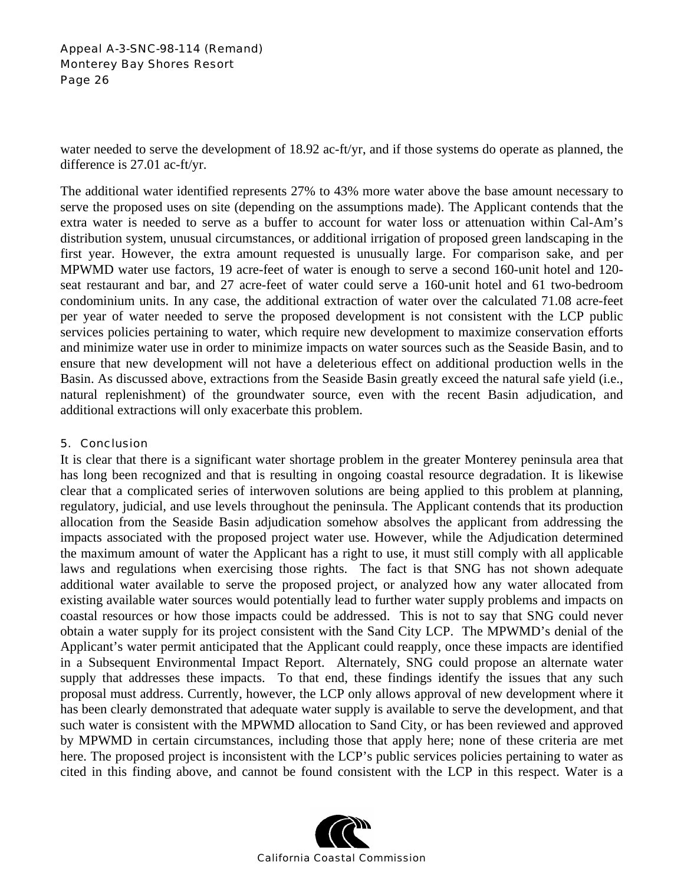water needed to serve the development of 18.92 ac-ft/yr, and if those systems do operate as planned, the difference is 27.01 ac-ft/yr.

The additional water identified represents 27% to 43% more water above the base amount necessary to serve the proposed uses on site (depending on the assumptions made). The Applicant contends that the extra water is needed to serve as a buffer to account for water loss or attenuation within Cal-Am's distribution system, unusual circumstances, or additional irrigation of proposed green landscaping in the first year. However, the extra amount requested is unusually large. For comparison sake, and per MPWMD water use factors, 19 acre-feet of water is enough to serve a second 160-unit hotel and 120 seat restaurant and bar, and 27 acre-feet of water could serve a 160-unit hotel and 61 two-bedroom condominium units. In any case, the additional extraction of water over the calculated 71.08 acre-feet per year of water needed to serve the proposed development is not consistent with the LCP public services policies pertaining to water, which require new development to maximize conservation efforts and minimize water use in order to minimize impacts on water sources such as the Seaside Basin, and to ensure that new development will not have a deleterious effect on additional production wells in the Basin. As discussed above, extractions from the Seaside Basin greatly exceed the natural safe yield (i.e., natural replenishment) of the groundwater source, even with the recent Basin adjudication, and additional extractions will only exacerbate this problem.

### 5. Conclusion

It is clear that there is a significant water shortage problem in the greater Monterey peninsula area that has long been recognized and that is resulting in ongoing coastal resource degradation. It is likewise clear that a complicated series of interwoven solutions are being applied to this problem at planning, regulatory, judicial, and use levels throughout the peninsula. The Applicant contends that its production allocation from the Seaside Basin adjudication somehow absolves the applicant from addressing the impacts associated with the proposed project water use. However, while the Adjudication determined the maximum amount of water the Applicant has a right to use, it must still comply with all applicable laws and regulations when exercising those rights. The fact is that SNG has not shown adequate additional water available to serve the proposed project, or analyzed how any water allocated from existing available water sources would potentially lead to further water supply problems and impacts on coastal resources or how those impacts could be addressed. This is not to say that SNG could never obtain a water supply for its project consistent with the Sand City LCP. The MPWMD's denial of the Applicant's water permit anticipated that the Applicant could reapply, once these impacts are identified in a Subsequent Environmental Impact Report. Alternately, SNG could propose an alternate water supply that addresses these impacts. To that end, these findings identify the issues that any such proposal must address. Currently, however, the LCP only allows approval of new development where it has been clearly demonstrated that adequate water supply is available to serve the development, and that such water is consistent with the MPWMD allocation to Sand City, or has been reviewed and approved by MPWMD in certain circumstances, including those that apply here; none of these criteria are met here. The proposed project is inconsistent with the LCP's public services policies pertaining to water as cited in this finding above, and cannot be found consistent with the LCP in this respect. Water is a

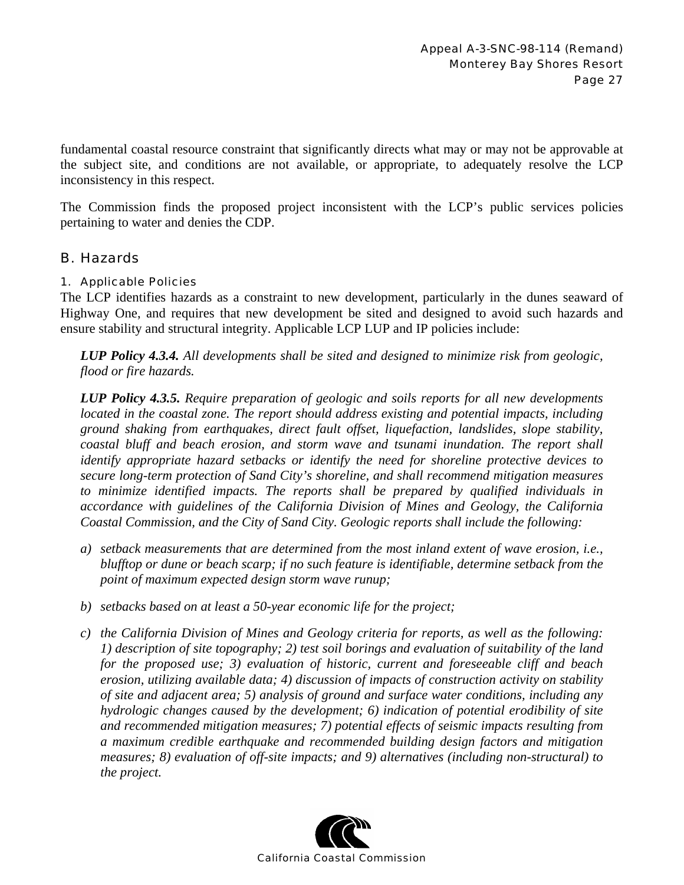fundamental coastal resource constraint that significantly directs what may or may not be approvable at the subject site, and conditions are not available, or appropriate, to adequately resolve the LCP inconsistency in this respect.

The Commission finds the proposed project inconsistent with the LCP's public services policies pertaining to water and denies the CDP.

## B. Hazards

### 1. Applicable Policies

The LCP identifies hazards as a constraint to new development, particularly in the dunes seaward of Highway One, and requires that new development be sited and designed to avoid such hazards and ensure stability and structural integrity. Applicable LCP LUP and IP policies include:

*LUP Policy 4.3.4. All developments shall be sited and designed to minimize risk from geologic, flood or fire hazards.* 

*LUP Policy 4.3.5. Require preparation of geologic and soils reports for all new developments located in the coastal zone. The report should address existing and potential impacts, including ground shaking from earthquakes, direct fault offset, liquefaction, landslides, slope stability, coastal bluff and beach erosion, and storm wave and tsunami inundation. The report shall identify appropriate hazard setbacks or identify the need for shoreline protective devices to secure long-term protection of Sand City's shoreline, and shall recommend mitigation measures to minimize identified impacts. The reports shall be prepared by qualified individuals in accordance with guidelines of the California Division of Mines and Geology, the California Coastal Commission, and the City of Sand City. Geologic reports shall include the following:* 

- *a) setback measurements that are determined from the most inland extent of wave erosion, i.e., blufftop or dune or beach scarp; if no such feature is identifiable, determine setback from the point of maximum expected design storm wave runup;*
- *b) setbacks based on at least a 50-year economic life for the project;*
- *c) the California Division of Mines and Geology criteria for reports, as well as the following: 1) description of site topography; 2) test soil borings and evaluation of suitability of the land for the proposed use; 3) evaluation of historic, current and foreseeable cliff and beach erosion, utilizing available data; 4) discussion of impacts of construction activity on stability of site and adjacent area; 5) analysis of ground and surface water conditions, including any hydrologic changes caused by the development; 6) indication of potential erodibility of site and recommended mitigation measures; 7) potential effects of seismic impacts resulting from a maximum credible earthquake and recommended building design factors and mitigation measures; 8) evaluation of off-site impacts; and 9) alternatives (including non-structural) to the project.*

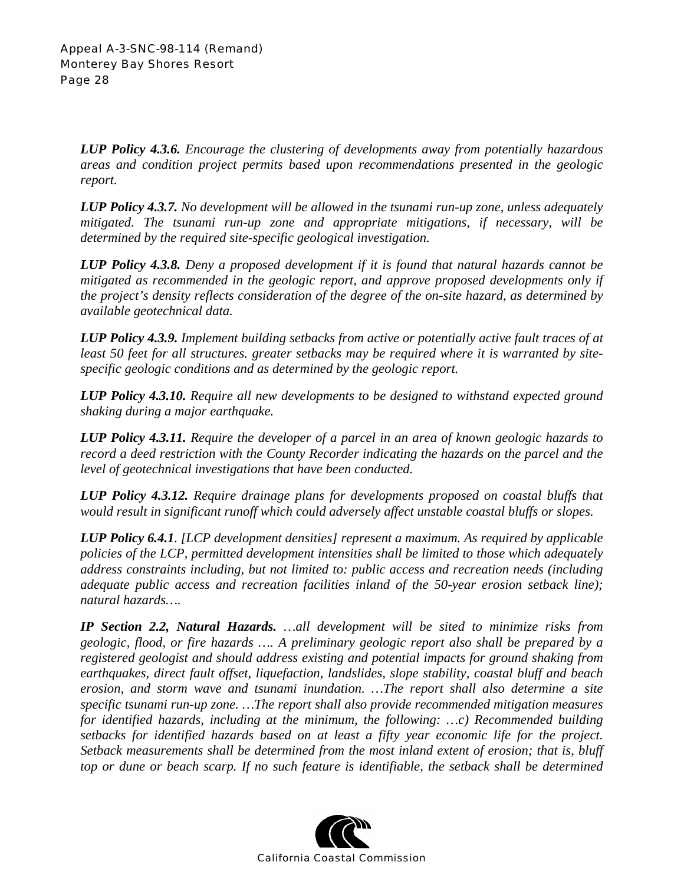*LUP Policy 4.3.6. Encourage the clustering of developments away from potentially hazardous areas and condition project permits based upon recommendations presented in the geologic report.* 

*LUP Policy 4.3.7. No development will be allowed in the tsunami run-up zone, unless adequately mitigated. The tsunami run-up zone and appropriate mitigations, if necessary, will be determined by the required site-specific geological investigation.* 

*LUP Policy 4.3.8. Deny a proposed development if it is found that natural hazards cannot be mitigated as recommended in the geologic report, and approve proposed developments only if the project's density reflects consideration of the degree of the on-site hazard, as determined by available geotechnical data.* 

*LUP Policy 4.3.9. Implement building setbacks from active or potentially active fault traces of at least 50 feet for all structures. greater setbacks may be required where it is warranted by sitespecific geologic conditions and as determined by the geologic report.* 

*LUP Policy 4.3.10. Require all new developments to be designed to withstand expected ground shaking during a major earthquake.* 

*LUP Policy 4.3.11. Require the developer of a parcel in an area of known geologic hazards to record a deed restriction with the County Recorder indicating the hazards on the parcel and the level of geotechnical investigations that have been conducted.* 

*LUP Policy 4.3.12. Require drainage plans for developments proposed on coastal bluffs that would result in significant runoff which could adversely affect unstable coastal bluffs or slopes.* 

*LUP Policy 6.4.1. [LCP development densities] represent a maximum. As required by applicable policies of the LCP, permitted development intensities shall be limited to those which adequately address constraints including, but not limited to: public access and recreation needs (including adequate public access and recreation facilities inland of the 50-year erosion setback line); natural hazards….* 

*IP Section 2.2, Natural Hazards. …all development will be sited to minimize risks from geologic, flood, or fire hazards …. A preliminary geologic report also shall be prepared by a registered geologist and should address existing and potential impacts for ground shaking from earthquakes, direct fault offset, liquefaction, landslides, slope stability, coastal bluff and beach erosion, and storm wave and tsunami inundation. …The report shall also determine a site specific tsunami run-up zone. …The report shall also provide recommended mitigation measures for identified hazards, including at the minimum, the following: …c) Recommended building setbacks for identified hazards based on at least a fifty year economic life for the project. Setback measurements shall be determined from the most inland extent of erosion; that is, bluff top or dune or beach scarp. If no such feature is identifiable, the setback shall be determined* 

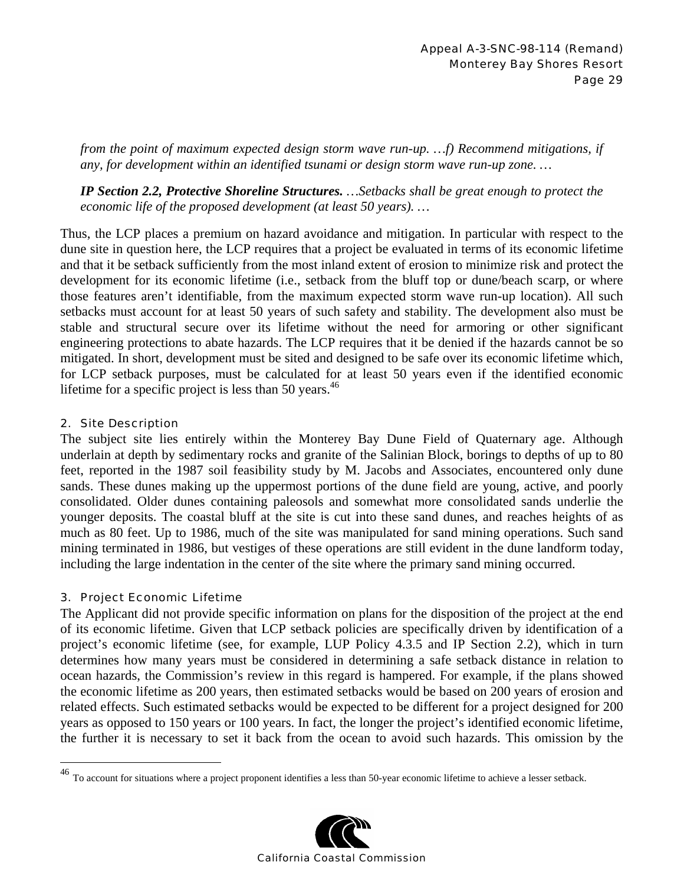*from the point of maximum expected design storm wave run-up. …f) Recommend mitigations, if any, for development within an identified tsunami or design storm wave run-up zone. …* 

*IP Section 2.2, Protective Shoreline Structures. …Setbacks shall be great enough to protect the economic life of the proposed development (at least 50 years). …* 

Thus, the LCP places a premium on hazard avoidance and mitigation. In particular with respect to the dune site in question here, the LCP requires that a project be evaluated in terms of its economic lifetime and that it be setback sufficiently from the most inland extent of erosion to minimize risk and protect the development for its economic lifetime (i.e., setback from the bluff top or dune/beach scarp, or where those features aren't identifiable, from the maximum expected storm wave run-up location). All such setbacks must account for at least 50 years of such safety and stability. The development also must be stable and structural secure over its lifetime without the need for armoring or other significant engineering protections to abate hazards. The LCP requires that it be denied if the hazards cannot be so mitigated. In short, development must be sited and designed to be safe over its economic lifetime which, for LCP setback purposes, must be calculated for at least 50 years even if the identified economic lifetime for a specific project is less than 50 years. $46$ 

### 2. Site Description

The subject site lies entirely within the Monterey Bay Dune Field of Quaternary age. Although underlain at depth by sedimentary rocks and granite of the Salinian Block, borings to depths of up to 80 feet, reported in the 1987 soil feasibility study by M. Jacobs and Associates, encountered only dune sands. These dunes making up the uppermost portions of the dune field are young, active, and poorly consolidated. Older dunes containing paleosols and somewhat more consolidated sands underlie the younger deposits. The coastal bluff at the site is cut into these sand dunes, and reaches heights of as much as 80 feet. Up to 1986, much of the site was manipulated for sand mining operations. Such sand mining terminated in 1986, but vestiges of these operations are still evident in the dune landform today, including the large indentation in the center of the site where the primary sand mining occurred.

### 3. Project Economic Lifetime

 $\overline{a}$ 

The Applicant did not provide specific information on plans for the disposition of the project at the end of its economic lifetime. Given that LCP setback policies are specifically driven by identification of a project's economic lifetime (see, for example, LUP Policy 4.3.5 and IP Section 2.2), which in turn determines how many years must be considered in determining a safe setback distance in relation to ocean hazards, the Commission's review in this regard is hampered. For example, if the plans showed the economic lifetime as 200 years, then estimated setbacks would be based on 200 years of erosion and related effects. Such estimated setbacks would be expected to be different for a project designed for 200 years as opposed to 150 years or 100 years. In fact, the longer the project's identified economic lifetime, the further it is necessary to set it back from the ocean to avoid such hazards. This omission by the

 $^{46}$  To account for situations where a project proponent identifies a less than 50-year economic lifetime to achieve a lesser setback.

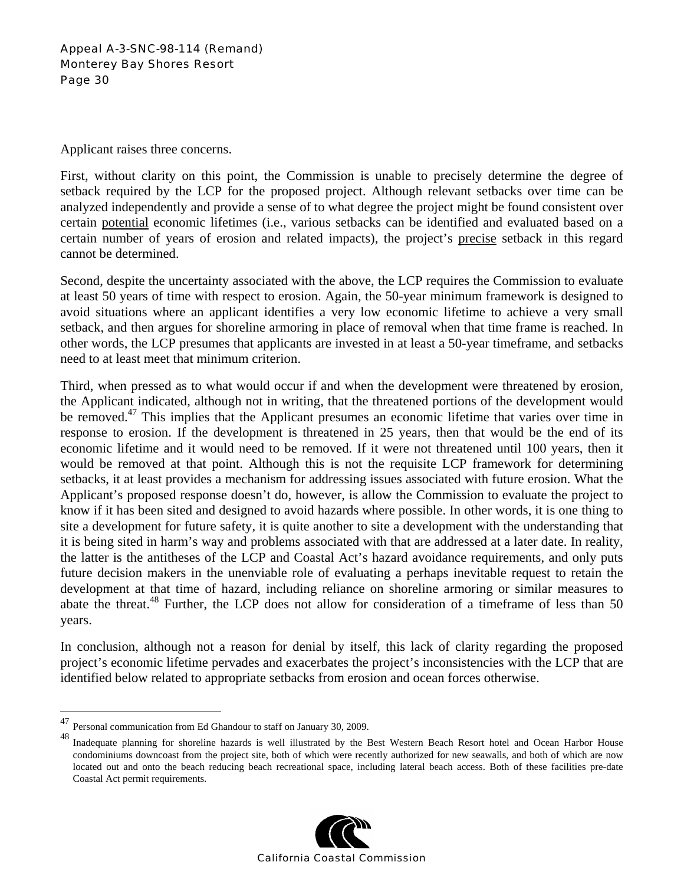Applicant raises three concerns.

First, without clarity on this point, the Commission is unable to precisely determine the degree of setback required by the LCP for the proposed project. Although relevant setbacks over time can be analyzed independently and provide a sense of to what degree the project might be found consistent over certain potential economic lifetimes (i.e., various setbacks can be identified and evaluated based on a certain number of years of erosion and related impacts), the project's precise setback in this regard cannot be determined.

Second, despite the uncertainty associated with the above, the LCP requires the Commission to evaluate at least 50 years of time with respect to erosion. Again, the 50-year minimum framework is designed to avoid situations where an applicant identifies a very low economic lifetime to achieve a very small setback, and then argues for shoreline armoring in place of removal when that time frame is reached. In other words, the LCP presumes that applicants are invested in at least a 50-year timeframe, and setbacks need to at least meet that minimum criterion.

Third, when pressed as to what would occur if and when the development were threatened by erosion, the Applicant indicated, although not in writing, that the threatened portions of the development would be removed.<sup>47</sup> This implies that the Applicant presumes an economic lifetime that varies over time in response to erosion. If the development is threatened in 25 years, then that would be the end of its economic lifetime and it would need to be removed. If it were not threatened until 100 years, then it would be removed at that point. Although this is not the requisite LCP framework for determining setbacks, it at least provides a mechanism for addressing issues associated with future erosion. What the Applicant's proposed response doesn't do, however, is allow the Commission to evaluate the project to know if it has been sited and designed to avoid hazards where possible. In other words, it is one thing to site a development for future safety, it is quite another to site a development with the understanding that it is being sited in harm's way and problems associated with that are addressed at a later date. In reality, the latter is the antitheses of the LCP and Coastal Act's hazard avoidance requirements, and only puts future decision makers in the unenviable role of evaluating a perhaps inevitable request to retain the development at that time of hazard, including reliance on shoreline armoring or similar measures to abate the threat.<sup>48</sup> Further, the LCP does not allow for consideration of a timeframe of less than 50 years.

In conclusion, although not a reason for denial by itself, this lack of clarity regarding the proposed project's economic lifetime pervades and exacerbates the project's inconsistencies with the LCP that are identified below related to appropriate setbacks from erosion and ocean forces otherwise.

 $\overline{a}$ 

Inadequate planning for shoreline hazards is well illustrated by the Best Western Beach Resort hotel and Ocean Harbor House condominiums downcoast from the project site, both of which were recently authorized for new seawalls, and both of which are now located out and onto the beach reducing beach recreational space, including lateral beach access. Both of these facilities pre-date Coastal Act permit requirements.



<sup>47</sup> Personal communication from Ed Ghandour to staff on January 30, 2009.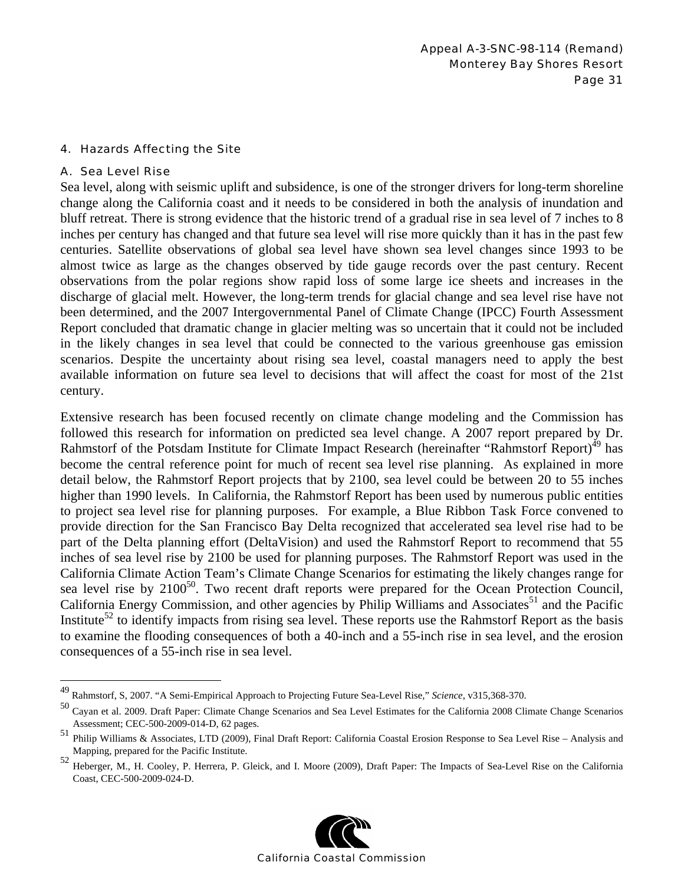#### 4. Hazards Affecting the Site

#### A. Sea Level Rise

1

Sea level, along with seismic uplift and subsidence, is one of the stronger drivers for long-term shoreline change along the California coast and it needs to be considered in both the analysis of inundation and bluff retreat. There is strong evidence that the historic trend of a gradual rise in sea level of 7 inches to 8 inches per century has changed and that future sea level will rise more quickly than it has in the past few centuries. Satellite observations of global sea level have shown sea level changes since 1993 to be almost twice as large as the changes observed by tide gauge records over the past century. Recent observations from the polar regions show rapid loss of some large ice sheets and increases in the discharge of glacial melt. However, the long-term trends for glacial change and sea level rise have not been determined, and the 2007 Intergovernmental Panel of Climate Change (IPCC) Fourth Assessment Report concluded that dramatic change in glacier melting was so uncertain that it could not be included in the likely changes in sea level that could be connected to the various greenhouse gas emission scenarios. Despite the uncertainty about rising sea level, coastal managers need to apply the best available information on future sea level to decisions that will affect the coast for most of the 21st century.

Extensive research has been focused recently on climate change modeling and the Commission has followed this research for information on predicted sea level change. A 2007 report prepared by Dr. Rahmstorf of the Potsdam Institute for Climate Impact Research (hereinafter "Rahmstorf Report)<sup>49</sup> has become the central reference point for much of recent sea level rise planning. As explained in more detail below, the Rahmstorf Report projects that by 2100, sea level could be between 20 to 55 inches higher than 1990 levels. In California, the Rahmstorf Report has been used by numerous public entities to project sea level rise for planning purposes. For example, a Blue Ribbon Task Force convened to provide direction for the San Francisco Bay Delta recognized that accelerated sea level rise had to be part of the Delta planning effort (DeltaVision) and used the Rahmstorf Report to recommend that 55 inches of sea level rise by 2100 be used for planning purposes. The Rahmstorf Report was used in the California Climate Action Team's Climate Change Scenarios for estimating the likely changes range for sea level rise by  $2100^{50}$ . Two recent draft reports were prepared for the Ocean Protection Council, California Energy Commission, and other agencies by Philip Williams and Associates<sup>51</sup> and the Pacific Institute<sup>52</sup> to identify impacts from rising sea level. These reports use the Rahmstorf Report as the basis to examine the flooding consequences of both a 40-inch and a 55-inch rise in sea level, and the erosion consequences of a 55-inch rise in sea level.

<sup>52</sup> Heberger, M., H. Cooley, P. Herrera, P. Gleick, and I. Moore (2009), Draft Paper: The Impacts of Sea-Level Rise on the California Coast, CEC-500-2009-024-D.



<sup>49</sup> Rahmstorf, S, 2007. "A Semi-Empirical Approach to Projecting Future Sea-Level Rise," *Science*, v315,368-370.

<sup>50</sup> Cayan et al. 2009. Draft Paper: Climate Change Scenarios and Sea Level Estimates for the California 2008 Climate Change Scenarios Assessment; CEC-500-2009-014-D, 62 pages.

<sup>51</sup> Philip Williams & Associates, LTD (2009), Final Draft Report: California Coastal Erosion Response to Sea Level Rise – Analysis and Mapping, prepared for the Pacific Institute.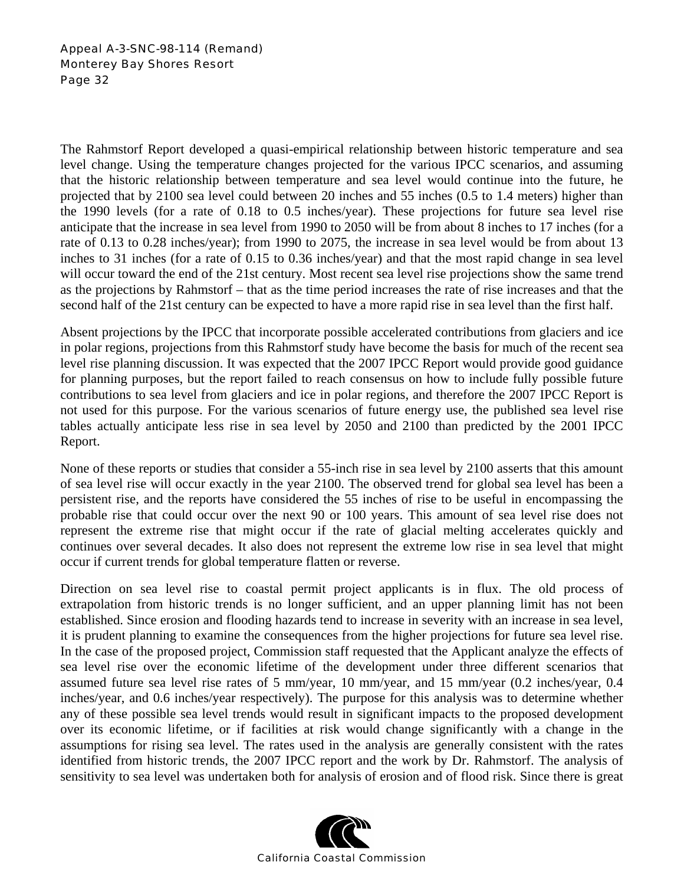The Rahmstorf Report developed a quasi-empirical relationship between historic temperature and sea level change. Using the temperature changes projected for the various IPCC scenarios, and assuming that the historic relationship between temperature and sea level would continue into the future, he projected that by 2100 sea level could between 20 inches and 55 inches (0.5 to 1.4 meters) higher than the 1990 levels (for a rate of 0.18 to 0.5 inches/year). These projections for future sea level rise anticipate that the increase in sea level from 1990 to 2050 will be from about 8 inches to 17 inches (for a rate of 0.13 to 0.28 inches/year); from 1990 to 2075, the increase in sea level would be from about 13 inches to 31 inches (for a rate of 0.15 to 0.36 inches/year) and that the most rapid change in sea level will occur toward the end of the 21st century. Most recent sea level rise projections show the same trend as the projections by Rahmstorf – that as the time period increases the rate of rise increases and that the second half of the 21st century can be expected to have a more rapid rise in sea level than the first half.

Absent projections by the IPCC that incorporate possible accelerated contributions from glaciers and ice in polar regions, projections from this Rahmstorf study have become the basis for much of the recent sea level rise planning discussion. It was expected that the 2007 IPCC Report would provide good guidance for planning purposes, but the report failed to reach consensus on how to include fully possible future contributions to sea level from glaciers and ice in polar regions, and therefore the 2007 IPCC Report is not used for this purpose. For the various scenarios of future energy use, the published sea level rise tables actually anticipate less rise in sea level by 2050 and 2100 than predicted by the 2001 IPCC Report.

None of these reports or studies that consider a 55-inch rise in sea level by 2100 asserts that this amount of sea level rise will occur exactly in the year 2100. The observed trend for global sea level has been a persistent rise, and the reports have considered the 55 inches of rise to be useful in encompassing the probable rise that could occur over the next 90 or 100 years. This amount of sea level rise does not represent the extreme rise that might occur if the rate of glacial melting accelerates quickly and continues over several decades. It also does not represent the extreme low rise in sea level that might occur if current trends for global temperature flatten or reverse.

Direction on sea level rise to coastal permit project applicants is in flux. The old process of extrapolation from historic trends is no longer sufficient, and an upper planning limit has not been established. Since erosion and flooding hazards tend to increase in severity with an increase in sea level, it is prudent planning to examine the consequences from the higher projections for future sea level rise. In the case of the proposed project, Commission staff requested that the Applicant analyze the effects of sea level rise over the economic lifetime of the development under three different scenarios that assumed future sea level rise rates of 5 mm/year, 10 mm/year, and 15 mm/year (0.2 inches/year, 0.4 inches/year, and 0.6 inches/year respectively). The purpose for this analysis was to determine whether any of these possible sea level trends would result in significant impacts to the proposed development over its economic lifetime, or if facilities at risk would change significantly with a change in the assumptions for rising sea level. The rates used in the analysis are generally consistent with the rates identified from historic trends, the 2007 IPCC report and the work by Dr. Rahmstorf. The analysis of sensitivity to sea level was undertaken both for analysis of erosion and of flood risk. Since there is great

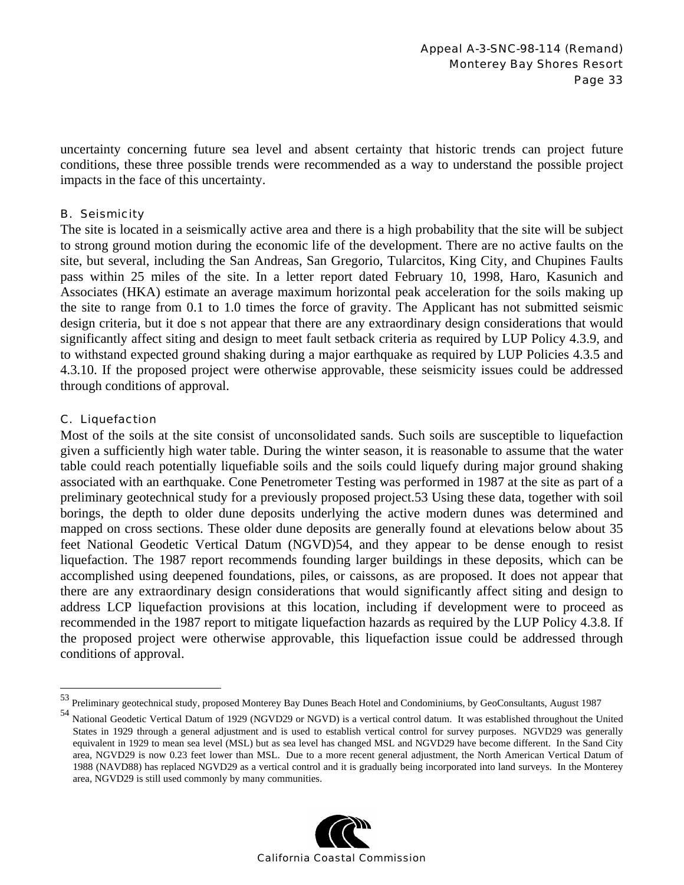uncertainty concerning future sea level and absent certainty that historic trends can project future conditions, these three possible trends were recommended as a way to understand the possible project impacts in the face of this uncertainty.

#### B. Seismicity

The site is located in a seismically active area and there is a high probability that the site will be subject to strong ground motion during the economic life of the development. There are no active faults on the site, but several, including the San Andreas, San Gregorio, Tularcitos, King City, and Chupines Faults pass within 25 miles of the site. In a letter report dated February 10, 1998, Haro, Kasunich and Associates (HKA) estimate an average maximum horizontal peak acceleration for the soils making up the site to range from 0.1 to 1.0 times the force of gravity. The Applicant has not submitted seismic design criteria, but it doe s not appear that there are any extraordinary design considerations that would significantly affect siting and design to meet fault setback criteria as required by LUP Policy 4.3.9, and to withstand expected ground shaking during a major earthquake as required by LUP Policies 4.3.5 and 4.3.10. If the proposed project were otherwise approvable, these seismicity issues could be addressed through conditions of approval.

#### C. Liquefaction

 $\overline{a}$ 

Most of the soils at the site consist of unconsolidated sands. Such soils are susceptible to liquefaction given a sufficiently high water table. During the winter season, it is reasonable to assume that the water table could reach potentially liquefiable soils and the soils could liquefy during major ground shaking associated with an earthquake. Cone Penetrometer Testing was performed in 1987 at the site as part of a preliminary geotechnical study for a previously proposed project.53 Using these data, together with soil borings, the depth to older dune deposits underlying the active modern dunes was determined and mapped on cross sections. These older dune deposits are generally found at elevations below about 35 feet National Geodetic Vertical Datum (NGVD)54, and they appear to be dense enough to resist liquefaction. The 1987 report recommends founding larger buildings in these deposits, which can be accomplished using deepened foundations, piles, or caissons, as are proposed. It does not appear that there are any extraordinary design considerations that would significantly affect siting and design to address LCP liquefaction provisions at this location, including if development were to proceed as recommended in the 1987 report to mitigate liquefaction hazards as required by the LUP Policy 4.3.8. If the proposed project were otherwise approvable, this liquefaction issue could be addressed through conditions of approval.

<sup>&</sup>lt;sup>54</sup> National Geodetic Vertical Datum of 1929 (NGVD29 or NGVD) is a vertical control datum. It was established throughout the United States in 1929 through a general adjustment and is used to establish vertical control for survey purposes. NGVD29 was generally equivalent in 1929 to mean sea level (MSL) but as sea level has changed MSL and NGVD29 have become different. In the Sand City area, NGVD29 is now 0.23 feet lower than MSL. Due to a more recent general adjustment, the North American Vertical Datum of 1988 (NAVD88) has replaced NGVD29 as a vertical control and it is gradually being incorporated into land surveys. In the Monterey area, NGVD29 is still used commonly by many communities.



<sup>53</sup> Preliminary geotechnical study, proposed Monterey Bay Dunes Beach Hotel and Condominiums, by GeoConsultants, August 1987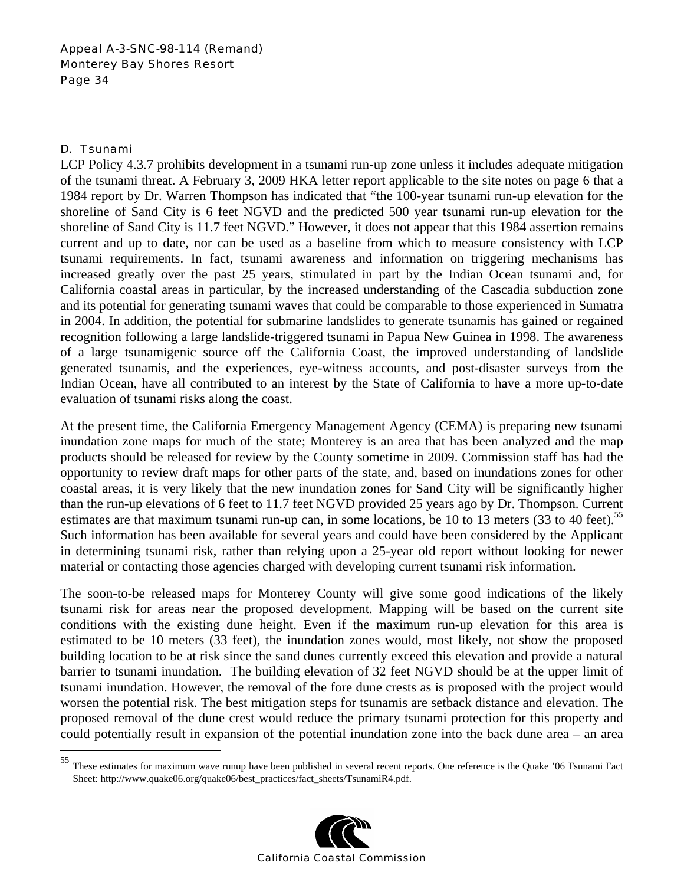### D. Tsunami

1

LCP Policy 4.3.7 prohibits development in a tsunami run-up zone unless it includes adequate mitigation of the tsunami threat. A February 3, 2009 HKA letter report applicable to the site notes on page 6 that a 1984 report by Dr. Warren Thompson has indicated that "the 100-year tsunami run-up elevation for the shoreline of Sand City is 6 feet NGVD and the predicted 500 year tsunami run-up elevation for the shoreline of Sand City is 11.7 feet NGVD." However, it does not appear that this 1984 assertion remains current and up to date, nor can be used as a baseline from which to measure consistency with LCP tsunami requirements. In fact, tsunami awareness and information on triggering mechanisms has increased greatly over the past 25 years, stimulated in part by the Indian Ocean tsunami and, for California coastal areas in particular, by the increased understanding of the Cascadia subduction zone and its potential for generating tsunami waves that could be comparable to those experienced in Sumatra in 2004. In addition, the potential for submarine landslides to generate tsunamis has gained or regained recognition following a large landslide-triggered tsunami in Papua New Guinea in 1998. The awareness of a large tsunamigenic source off the California Coast, the improved understanding of landslide generated tsunamis, and the experiences, eye-witness accounts, and post-disaster surveys from the Indian Ocean, have all contributed to an interest by the State of California to have a more up-to-date evaluation of tsunami risks along the coast.

At the present time, the California Emergency Management Agency (CEMA) is preparing new tsunami inundation zone maps for much of the state; Monterey is an area that has been analyzed and the map products should be released for review by the County sometime in 2009. Commission staff has had the opportunity to review draft maps for other parts of the state, and, based on inundations zones for other coastal areas, it is very likely that the new inundation zones for Sand City will be significantly higher than the run-up elevations of 6 feet to 11.7 feet NGVD provided 25 years ago by Dr. Thompson. Current estimates are that maximum tsunami run-up can, in some locations, be 10 to 13 meters  $(33 \text{ to } 40 \text{ feet})^{55}$ Such information has been available for several years and could have been considered by the Applicant in determining tsunami risk, rather than relying upon a 25-year old report without looking for newer material or contacting those agencies charged with developing current tsunami risk information.

The soon-to-be released maps for Monterey County will give some good indications of the likely tsunami risk for areas near the proposed development. Mapping will be based on the current site conditions with the existing dune height. Even if the maximum run-up elevation for this area is estimated to be 10 meters (33 feet), the inundation zones would, most likely, not show the proposed building location to be at risk since the sand dunes currently exceed this elevation and provide a natural barrier to tsunami inundation. The building elevation of 32 feet NGVD should be at the upper limit of tsunami inundation. However, the removal of the fore dune crests as is proposed with the project would worsen the potential risk. The best mitigation steps for tsunamis are setback distance and elevation. The proposed removal of the dune crest would reduce the primary tsunami protection for this property and could potentially result in expansion of the potential inundation zone into the back dune area – an area

<sup>55</sup> These estimates for maximum wave runup have been published in several recent reports. One reference is the Quake '06 Tsunami Fact Sheet: http://www.quake06.org/quake06/best\_practices/fact\_sheets/TsunamiR4.pdf.

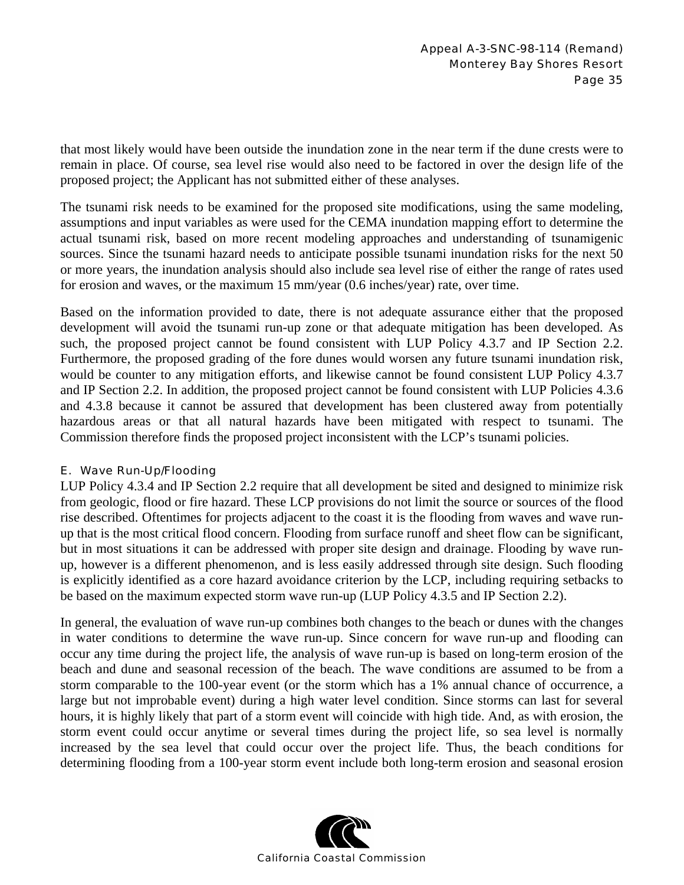that most likely would have been outside the inundation zone in the near term if the dune crests were to remain in place. Of course, sea level rise would also need to be factored in over the design life of the proposed project; the Applicant has not submitted either of these analyses.

The tsunami risk needs to be examined for the proposed site modifications, using the same modeling, assumptions and input variables as were used for the CEMA inundation mapping effort to determine the actual tsunami risk, based on more recent modeling approaches and understanding of tsunamigenic sources. Since the tsunami hazard needs to anticipate possible tsunami inundation risks for the next 50 or more years, the inundation analysis should also include sea level rise of either the range of rates used for erosion and waves, or the maximum 15 mm/year (0.6 inches/year) rate, over time.

Based on the information provided to date, there is not adequate assurance either that the proposed development will avoid the tsunami run-up zone or that adequate mitigation has been developed. As such, the proposed project cannot be found consistent with LUP Policy 4.3.7 and IP Section 2.2. Furthermore, the proposed grading of the fore dunes would worsen any future tsunami inundation risk, would be counter to any mitigation efforts, and likewise cannot be found consistent LUP Policy 4.3.7 and IP Section 2.2. In addition, the proposed project cannot be found consistent with LUP Policies 4.3.6 and 4.3.8 because it cannot be assured that development has been clustered away from potentially hazardous areas or that all natural hazards have been mitigated with respect to tsunami. The Commission therefore finds the proposed project inconsistent with the LCP's tsunami policies.

### E. Wave Run-Up/Flooding

LUP Policy 4.3.4 and IP Section 2.2 require that all development be sited and designed to minimize risk from geologic, flood or fire hazard. These LCP provisions do not limit the source or sources of the flood rise described. Oftentimes for projects adjacent to the coast it is the flooding from waves and wave runup that is the most critical flood concern. Flooding from surface runoff and sheet flow can be significant, but in most situations it can be addressed with proper site design and drainage. Flooding by wave runup, however is a different phenomenon, and is less easily addressed through site design. Such flooding is explicitly identified as a core hazard avoidance criterion by the LCP, including requiring setbacks to be based on the maximum expected storm wave run-up (LUP Policy 4.3.5 and IP Section 2.2).

In general, the evaluation of wave run-up combines both changes to the beach or dunes with the changes in water conditions to determine the wave run-up. Since concern for wave run-up and flooding can occur any time during the project life, the analysis of wave run-up is based on long-term erosion of the beach and dune and seasonal recession of the beach. The wave conditions are assumed to be from a storm comparable to the 100-year event (or the storm which has a 1% annual chance of occurrence, a large but not improbable event) during a high water level condition. Since storms can last for several hours, it is highly likely that part of a storm event will coincide with high tide. And, as with erosion, the storm event could occur anytime or several times during the project life, so sea level is normally increased by the sea level that could occur over the project life. Thus, the beach conditions for determining flooding from a 100-year storm event include both long-term erosion and seasonal erosion

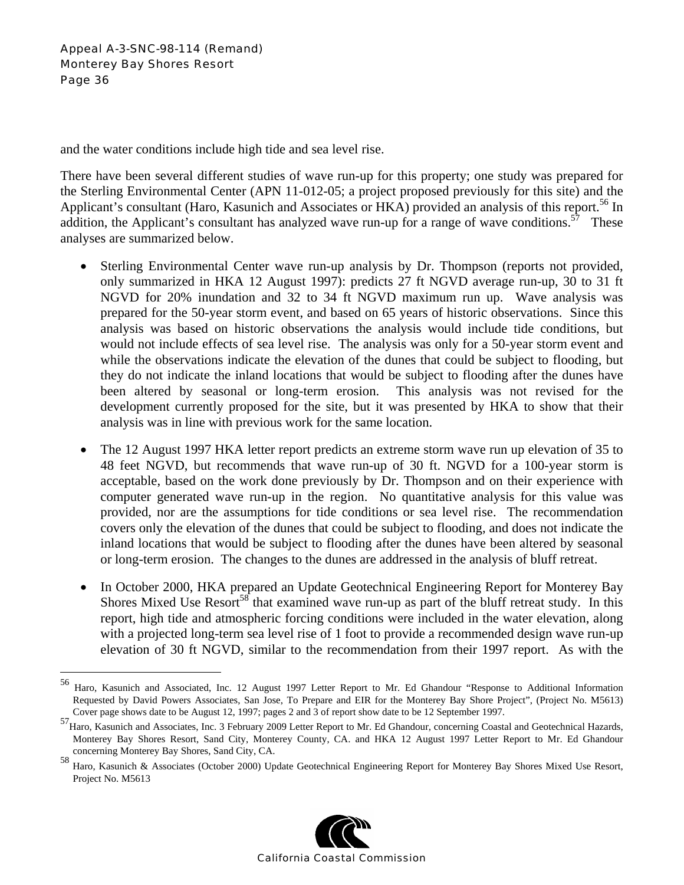1

and the water conditions include high tide and sea level rise.

There have been several different studies of wave run-up for this property; one study was prepared for the Sterling Environmental Center (APN 11-012-05; a project proposed previously for this site) and the Applicant's consultant (Haro, Kasunich and Associates or HKA) provided an analysis of this report.<sup>56</sup> In addition, the Applicant's consultant has analyzed wave run-up for a range of wave conditions.<sup>57</sup> These analyses are summarized below.

- Sterling Environmental Center wave run-up analysis by Dr. Thompson (reports not provided, only summarized in HKA 12 August 1997): predicts 27 ft NGVD average run-up, 30 to 31 ft NGVD for 20% inundation and 32 to 34 ft NGVD maximum run up. Wave analysis was prepared for the 50-year storm event, and based on 65 years of historic observations. Since this analysis was based on historic observations the analysis would include tide conditions, but would not include effects of sea level rise. The analysis was only for a 50-year storm event and while the observations indicate the elevation of the dunes that could be subject to flooding, but they do not indicate the inland locations that would be subject to flooding after the dunes have been altered by seasonal or long-term erosion. This analysis was not revised for the development currently proposed for the site, but it was presented by HKA to show that their analysis was in line with previous work for the same location.
- The 12 August 1997 HKA letter report predicts an extreme storm wave run up elevation of 35 to 48 feet NGVD, but recommends that wave run-up of 30 ft. NGVD for a 100-year storm is acceptable, based on the work done previously by Dr. Thompson and on their experience with computer generated wave run-up in the region. No quantitative analysis for this value was provided, nor are the assumptions for tide conditions or sea level rise. The recommendation covers only the elevation of the dunes that could be subject to flooding, and does not indicate the inland locations that would be subject to flooding after the dunes have been altered by seasonal or long-term erosion. The changes to the dunes are addressed in the analysis of bluff retreat.
- In October 2000, HKA prepared an Update Geotechnical Engineering Report for Monterey Bay Shores Mixed Use Resort<sup>58</sup> that examined wave run-up as part of the bluff retreat study. In this report, high tide and atmospheric forcing conditions were included in the water elevation, along with a projected long-term sea level rise of 1 foot to provide a recommended design wave run-up elevation of 30 ft NGVD, similar to the recommendation from their 1997 report. As with the

<sup>58</sup> Haro, Kasunich & Associates (October 2000) Update Geotechnical Engineering Report for Monterey Bay Shores Mixed Use Resort, Project No. M5613



<sup>56</sup> Haro, Kasunich and Associated, Inc. 12 August 1997 Letter Report to Mr. Ed Ghandour "Response to Additional Information Requested by David Powers Associates, San Jose, To Prepare and EIR for the Monterey Bay Shore Project", (Project No. M5613) Cover page shows date to be August 12, 1997; pages 2 and 3 of report show date to be 12 September 1997.

<sup>57&</sup>lt;br>Haro, Kasunich and Associates, Inc. 3 February 2009 Letter Report to Mr. Ed Ghandour, concerning Coastal and Geotechnical Hazards, Monterey Bay Shores Resort, Sand City, Monterey County, CA. and HKA 12 August 1997 Letter Report to Mr. Ed Ghandour concerning Monterey Bay Shores, Sand City, CA.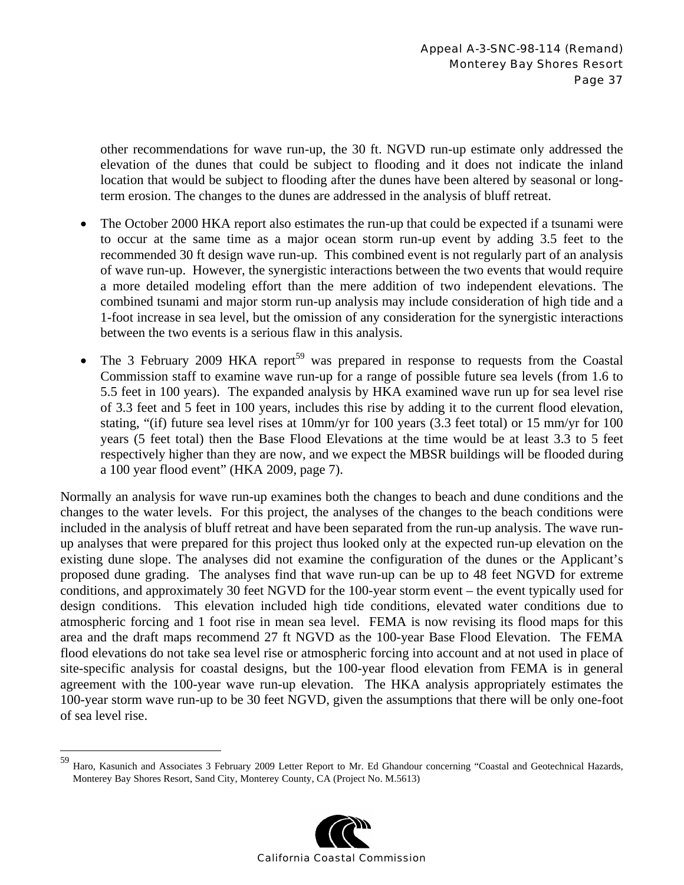other recommendations for wave run-up, the 30 ft. NGVD run-up estimate only addressed the elevation of the dunes that could be subject to flooding and it does not indicate the inland location that would be subject to flooding after the dunes have been altered by seasonal or longterm erosion. The changes to the dunes are addressed in the analysis of bluff retreat.

- The October 2000 HKA report also estimates the run-up that could be expected if a tsunami were to occur at the same time as a major ocean storm run-up event by adding 3.5 feet to the recommended 30 ft design wave run-up. This combined event is not regularly part of an analysis of wave run-up. However, the synergistic interactions between the two events that would require a more detailed modeling effort than the mere addition of two independent elevations. The combined tsunami and major storm run-up analysis may include consideration of high tide and a 1-foot increase in sea level, but the omission of any consideration for the synergistic interactions between the two events is a serious flaw in this analysis.
- The 3 February 2009 HKA report<sup>59</sup> was prepared in response to requests from the Coastal Commission staff to examine wave run-up for a range of possible future sea levels (from 1.6 to 5.5 feet in 100 years). The expanded analysis by HKA examined wave run up for sea level rise of 3.3 feet and 5 feet in 100 years, includes this rise by adding it to the current flood elevation, stating, "(if) future sea level rises at 10mm/yr for 100 years (3.3 feet total) or 15 mm/yr for 100 years (5 feet total) then the Base Flood Elevations at the time would be at least 3.3 to 5 feet respectively higher than they are now, and we expect the MBSR buildings will be flooded during a 100 year flood event" (HKA 2009, page 7).

Normally an analysis for wave run-up examines both the changes to beach and dune conditions and the changes to the water levels. For this project, the analyses of the changes to the beach conditions were included in the analysis of bluff retreat and have been separated from the run-up analysis. The wave runup analyses that were prepared for this project thus looked only at the expected run-up elevation on the existing dune slope. The analyses did not examine the configuration of the dunes or the Applicant's proposed dune grading. The analyses find that wave run-up can be up to 48 feet NGVD for extreme conditions, and approximately 30 feet NGVD for the 100-year storm event – the event typically used for design conditions. This elevation included high tide conditions, elevated water conditions due to atmospheric forcing and 1 foot rise in mean sea level. FEMA is now revising its flood maps for this area and the draft maps recommend 27 ft NGVD as the 100-year Base Flood Elevation. The FEMA flood elevations do not take sea level rise or atmospheric forcing into account and at not used in place of site-specific analysis for coastal designs, but the 100-year flood elevation from FEMA is in general agreement with the 100-year wave run-up elevation. The HKA analysis appropriately estimates the 100-year storm wave run-up to be 30 feet NGVD, given the assumptions that there will be only one-foot of sea level rise.

 $\overline{a}$ 



<sup>59</sup> Haro, Kasunich and Associates 3 February 2009 Letter Report to Mr. Ed Ghandour concerning "Coastal and Geotechnical Hazards, Monterey Bay Shores Resort, Sand City, Monterey County, CA (Project No. M.5613)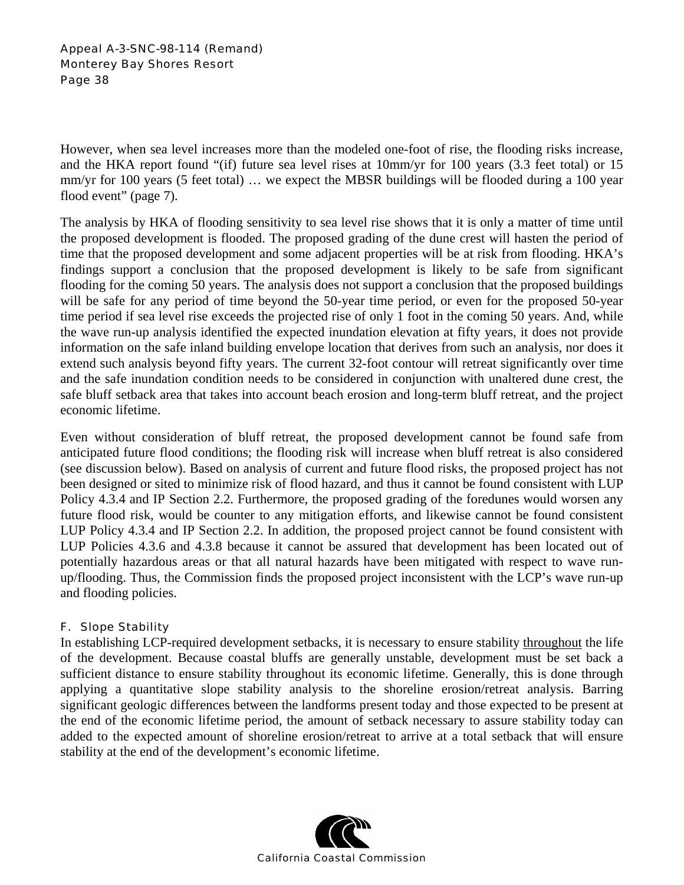### Appeal A-3-SNC-98-114 (Remand) Monterey Bay Shores Resort Page 38

However, when sea level increases more than the modeled one-foot of rise, the flooding risks increase, and the HKA report found "(if) future sea level rises at 10mm/yr for 100 years (3.3 feet total) or 15 mm/yr for 100 years (5 feet total) … we expect the MBSR buildings will be flooded during a 100 year flood event" (page 7).

The analysis by HKA of flooding sensitivity to sea level rise shows that it is only a matter of time until the proposed development is flooded. The proposed grading of the dune crest will hasten the period of time that the proposed development and some adjacent properties will be at risk from flooding. HKA's findings support a conclusion that the proposed development is likely to be safe from significant flooding for the coming 50 years. The analysis does not support a conclusion that the proposed buildings will be safe for any period of time beyond the 50-year time period, or even for the proposed 50-year time period if sea level rise exceeds the projected rise of only 1 foot in the coming 50 years. And, while the wave run-up analysis identified the expected inundation elevation at fifty years, it does not provide information on the safe inland building envelope location that derives from such an analysis, nor does it extend such analysis beyond fifty years. The current 32-foot contour will retreat significantly over time and the safe inundation condition needs to be considered in conjunction with unaltered dune crest, the safe bluff setback area that takes into account beach erosion and long-term bluff retreat, and the project economic lifetime.

Even without consideration of bluff retreat, the proposed development cannot be found safe from anticipated future flood conditions; the flooding risk will increase when bluff retreat is also considered (see discussion below). Based on analysis of current and future flood risks, the proposed project has not been designed or sited to minimize risk of flood hazard, and thus it cannot be found consistent with LUP Policy 4.3.4 and IP Section 2.2. Furthermore, the proposed grading of the foredunes would worsen any future flood risk, would be counter to any mitigation efforts, and likewise cannot be found consistent LUP Policy 4.3.4 and IP Section 2.2. In addition, the proposed project cannot be found consistent with LUP Policies 4.3.6 and 4.3.8 because it cannot be assured that development has been located out of potentially hazardous areas or that all natural hazards have been mitigated with respect to wave runup/flooding. Thus, the Commission finds the proposed project inconsistent with the LCP's wave run-up and flooding policies.

# F. Slope Stability

In establishing LCP-required development setbacks, it is necessary to ensure stability throughout the life of the development. Because coastal bluffs are generally unstable, development must be set back a sufficient distance to ensure stability throughout its economic lifetime. Generally, this is done through applying a quantitative slope stability analysis to the shoreline erosion/retreat analysis. Barring significant geologic differences between the landforms present today and those expected to be present at the end of the economic lifetime period, the amount of setback necessary to assure stability today can added to the expected amount of shoreline erosion/retreat to arrive at a total setback that will ensure stability at the end of the development's economic lifetime.

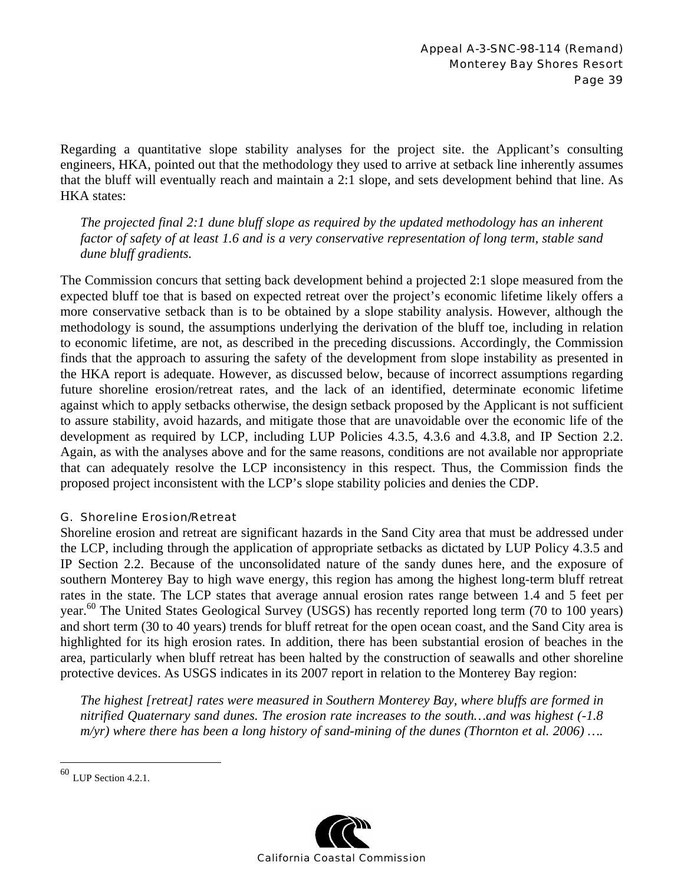Regarding a quantitative slope stability analyses for the project site. the Applicant's consulting engineers, HKA, pointed out that the methodology they used to arrive at setback line inherently assumes that the bluff will eventually reach and maintain a 2:1 slope, and sets development behind that line. As HKA states:

*The projected final 2:1 dune bluff slope as required by the updated methodology has an inherent factor of safety of at least 1.6 and is a very conservative representation of long term, stable sand dune bluff gradients.* 

The Commission concurs that setting back development behind a projected 2:1 slope measured from the expected bluff toe that is based on expected retreat over the project's economic lifetime likely offers a more conservative setback than is to be obtained by a slope stability analysis. However, although the methodology is sound, the assumptions underlying the derivation of the bluff toe, including in relation to economic lifetime, are not, as described in the preceding discussions. Accordingly, the Commission finds that the approach to assuring the safety of the development from slope instability as presented in the HKA report is adequate. However, as discussed below, because of incorrect assumptions regarding future shoreline erosion/retreat rates, and the lack of an identified, determinate economic lifetime against which to apply setbacks otherwise, the design setback proposed by the Applicant is not sufficient to assure stability, avoid hazards, and mitigate those that are unavoidable over the economic life of the development as required by LCP, including LUP Policies 4.3.5, 4.3.6 and 4.3.8, and IP Section 2.2. Again, as with the analyses above and for the same reasons, conditions are not available nor appropriate that can adequately resolve the LCP inconsistency in this respect. Thus, the Commission finds the proposed project inconsistent with the LCP's slope stability policies and denies the CDP.

# G. Shoreline Erosion/Retreat

Shoreline erosion and retreat are significant hazards in the Sand City area that must be addressed under the LCP, including through the application of appropriate setbacks as dictated by LUP Policy 4.3.5 and IP Section 2.2. Because of the unconsolidated nature of the sandy dunes here, and the exposure of southern Monterey Bay to high wave energy, this region has among the highest long-term bluff retreat rates in the state. The LCP states that average annual erosion rates range between 1.4 and 5 feet per year.<sup>60</sup> The United States Geological Survey (USGS) has recently reported long term (70 to 100 years) and short term (30 to 40 years) trends for bluff retreat for the open ocean coast, and the Sand City area is highlighted for its high erosion rates. In addition, there has been substantial erosion of beaches in the area, particularly when bluff retreat has been halted by the construction of seawalls and other shoreline protective devices. As USGS indicates in its 2007 report in relation to the Monterey Bay region:

*The highest [retreat] rates were measured in Southern Monterey Bay, where bluffs are formed in nitrified Quaternary sand dunes. The erosion rate increases to the south…and was highest (-1.8 m/yr) where there has been a long history of sand-mining of the dunes (Thornton et al. 2006) ….* 

 $\overline{a}$ 



 $60$  LUP Section 4.2.1.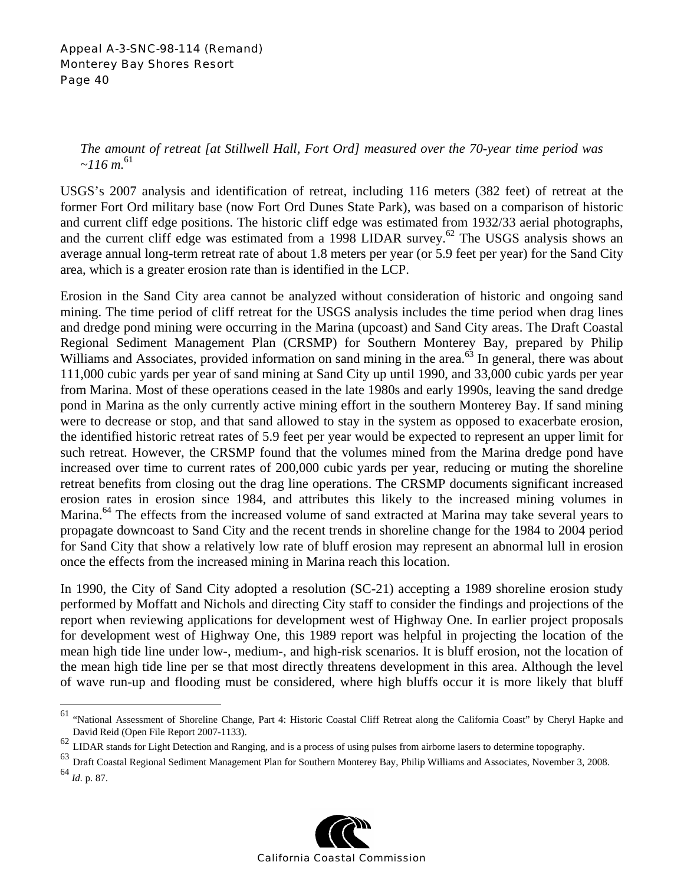Appeal A-3-SNC-98-114 (Remand) Monterey Bay Shores Resort Page 40

1

*The amount of retreat [at Stillwell Hall, Fort Ord] measured over the 70-year time period was*   $\sim$ 116 m.<sup>61</sup>

USGS's 2007 analysis and identification of retreat, including 116 meters (382 feet) of retreat at the former Fort Ord military base (now Fort Ord Dunes State Park), was based on a comparison of historic and current cliff edge positions. The historic cliff edge was estimated from 1932/33 aerial photographs, and the current cliff edge was estimated from a 1998 LIDAR survey.<sup>62</sup> The USGS analysis shows an average annual long-term retreat rate of about 1.8 meters per year (or 5.9 feet per year) for the Sand City area, which is a greater erosion rate than is identified in the LCP.

Erosion in the Sand City area cannot be analyzed without consideration of historic and ongoing sand mining. The time period of cliff retreat for the USGS analysis includes the time period when drag lines and dredge pond mining were occurring in the Marina (upcoast) and Sand City areas. The Draft Coastal Regional Sediment Management Plan (CRSMP) for Southern Monterey Bay, prepared by Philip Williams and Associates, provided information on sand mining in the area.<sup>63</sup> In general, there was about 111,000 cubic yards per year of sand mining at Sand City up until 1990, and 33,000 cubic yards per year from Marina. Most of these operations ceased in the late 1980s and early 1990s, leaving the sand dredge pond in Marina as the only currently active mining effort in the southern Monterey Bay. If sand mining were to decrease or stop, and that sand allowed to stay in the system as opposed to exacerbate erosion, the identified historic retreat rates of 5.9 feet per year would be expected to represent an upper limit for such retreat. However, the CRSMP found that the volumes mined from the Marina dredge pond have increased over time to current rates of 200,000 cubic yards per year, reducing or muting the shoreline retreat benefits from closing out the drag line operations. The CRSMP documents significant increased erosion rates in erosion since 1984, and attributes this likely to the increased mining volumes in Marina.<sup>64</sup> The effects from the increased volume of sand extracted at Marina may take several years to propagate downcoast to Sand City and the recent trends in shoreline change for the 1984 to 2004 period for Sand City that show a relatively low rate of bluff erosion may represent an abnormal lull in erosion once the effects from the increased mining in Marina reach this location.

In 1990, the City of Sand City adopted a resolution (SC-21) accepting a 1989 shoreline erosion study performed by Moffatt and Nichols and directing City staff to consider the findings and projections of the report when reviewing applications for development west of Highway One. In earlier project proposals for development west of Highway One, this 1989 report was helpful in projecting the location of the mean high tide line under low-, medium-, and high-risk scenarios. It is bluff erosion, not the location of the mean high tide line per se that most directly threatens development in this area. Although the level of wave run-up and flooding must be considered, where high bluffs occur it is more likely that bluff

<sup>64</sup> *Id.* p. 87.



<sup>&</sup>lt;sup>61</sup> "National Assessment of Shoreline Change, Part 4: Historic Coastal Cliff Retreat along the California Coast" by Cheryl Hapke and David Reid (Open File Report 2007-1133).

<sup>&</sup>lt;sup>62</sup> LIDAR stands for Light Detection and Ranging, and is a process of using pulses from airborne lasers to determine topography.<br><sup>63</sup> Draft Coastal Regional Sediment Management Plan for Southern Monterey Bay, Philip Willi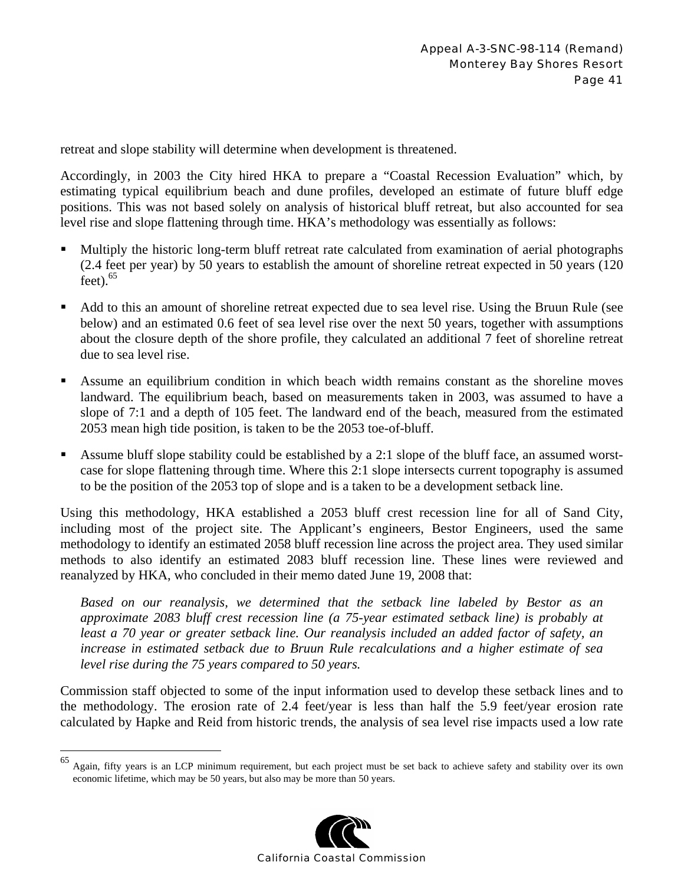retreat and slope stability will determine when development is threatened.

Accordingly, in 2003 the City hired HKA to prepare a "Coastal Recession Evaluation" which, by estimating typical equilibrium beach and dune profiles, developed an estimate of future bluff edge positions. This was not based solely on analysis of historical bluff retreat, but also accounted for sea level rise and slope flattening through time. HKA's methodology was essentially as follows:

- Multiply the historic long-term bluff retreat rate calculated from examination of aerial photographs (2.4 feet per year) by 50 years to establish the amount of shoreline retreat expected in 50 years (120  $feet$ ).  $65$
- Add to this an amount of shoreline retreat expected due to sea level rise. Using the Bruun Rule (see below) and an estimated 0.6 feet of sea level rise over the next 50 years, together with assumptions about the closure depth of the shore profile, they calculated an additional 7 feet of shoreline retreat due to sea level rise.
- Assume an equilibrium condition in which beach width remains constant as the shoreline moves landward. The equilibrium beach, based on measurements taken in 2003, was assumed to have a slope of 7:1 and a depth of 105 feet. The landward end of the beach, measured from the estimated 2053 mean high tide position, is taken to be the 2053 toe-of-bluff.
- Assume bluff slope stability could be established by a 2:1 slope of the bluff face, an assumed worstcase for slope flattening through time. Where this 2:1 slope intersects current topography is assumed to be the position of the 2053 top of slope and is a taken to be a development setback line.

Using this methodology, HKA established a 2053 bluff crest recession line for all of Sand City, including most of the project site. The Applicant's engineers, Bestor Engineers, used the same methodology to identify an estimated 2058 bluff recession line across the project area. They used similar methods to also identify an estimated 2083 bluff recession line. These lines were reviewed and reanalyzed by HKA, who concluded in their memo dated June 19, 2008 that:

*Based on our reanalysis, we determined that the setback line labeled by Bestor as an approximate 2083 bluff crest recession line (a 75-year estimated setback line) is probably at least a 70 year or greater setback line. Our reanalysis included an added factor of safety, an increase in estimated setback due to Bruun Rule recalculations and a higher estimate of sea level rise during the 75 years compared to 50 years.* 

Commission staff objected to some of the input information used to develop these setback lines and to the methodology. The erosion rate of 2.4 feet/year is less than half the 5.9 feet/year erosion rate calculated by Hapke and Reid from historic trends, the analysis of sea level rise impacts used a low rate

1



<sup>65</sup> Again, fifty years is an LCP minimum requirement, but each project must be set back to achieve safety and stability over its own economic lifetime, which may be 50 years, but also may be more than 50 years.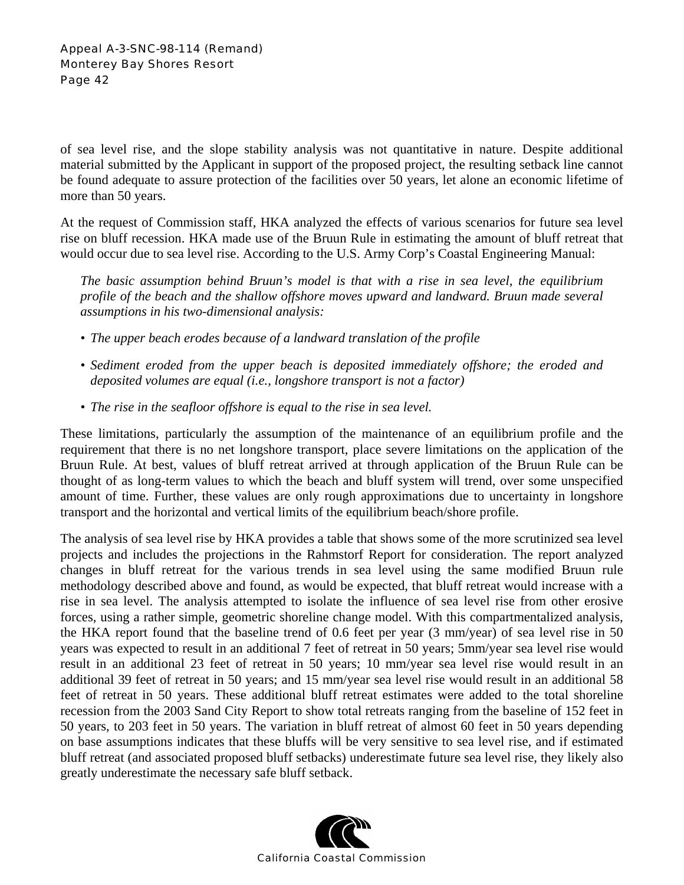of sea level rise, and the slope stability analysis was not quantitative in nature. Despite additional material submitted by the Applicant in support of the proposed project, the resulting setback line cannot be found adequate to assure protection of the facilities over 50 years, let alone an economic lifetime of more than 50 years.

At the request of Commission staff, HKA analyzed the effects of various scenarios for future sea level rise on bluff recession. HKA made use of the Bruun Rule in estimating the amount of bluff retreat that would occur due to sea level rise. According to the U.S. Army Corp's Coastal Engineering Manual:

*The basic assumption behind Bruun's model is that with a rise in sea level, the equilibrium profile of the beach and the shallow offshore moves upward and landward. Bruun made several assumptions in his two-dimensional analysis:* 

- *The upper beach erodes because of a landward translation of the profile*
- *Sediment eroded from the upper beach is deposited immediately offshore; the eroded and deposited volumes are equal (i.e., longshore transport is not a factor)*
- *The rise in the seafloor offshore is equal to the rise in sea level.*

These limitations, particularly the assumption of the maintenance of an equilibrium profile and the requirement that there is no net longshore transport, place severe limitations on the application of the Bruun Rule. At best, values of bluff retreat arrived at through application of the Bruun Rule can be thought of as long-term values to which the beach and bluff system will trend, over some unspecified amount of time. Further, these values are only rough approximations due to uncertainty in longshore transport and the horizontal and vertical limits of the equilibrium beach/shore profile.

The analysis of sea level rise by HKA provides a table that shows some of the more scrutinized sea level projects and includes the projections in the Rahmstorf Report for consideration. The report analyzed changes in bluff retreat for the various trends in sea level using the same modified Bruun rule methodology described above and found, as would be expected, that bluff retreat would increase with a rise in sea level. The analysis attempted to isolate the influence of sea level rise from other erosive forces, using a rather simple, geometric shoreline change model. With this compartmentalized analysis, the HKA report found that the baseline trend of 0.6 feet per year (3 mm/year) of sea level rise in 50 years was expected to result in an additional 7 feet of retreat in 50 years; 5mm/year sea level rise would result in an additional 23 feet of retreat in 50 years; 10 mm/year sea level rise would result in an additional 39 feet of retreat in 50 years; and 15 mm/year sea level rise would result in an additional 58 feet of retreat in 50 years. These additional bluff retreat estimates were added to the total shoreline recession from the 2003 Sand City Report to show total retreats ranging from the baseline of 152 feet in 50 years, to 203 feet in 50 years. The variation in bluff retreat of almost 60 feet in 50 years depending on base assumptions indicates that these bluffs will be very sensitive to sea level rise, and if estimated bluff retreat (and associated proposed bluff setbacks) underestimate future sea level rise, they likely also greatly underestimate the necessary safe bluff setback.

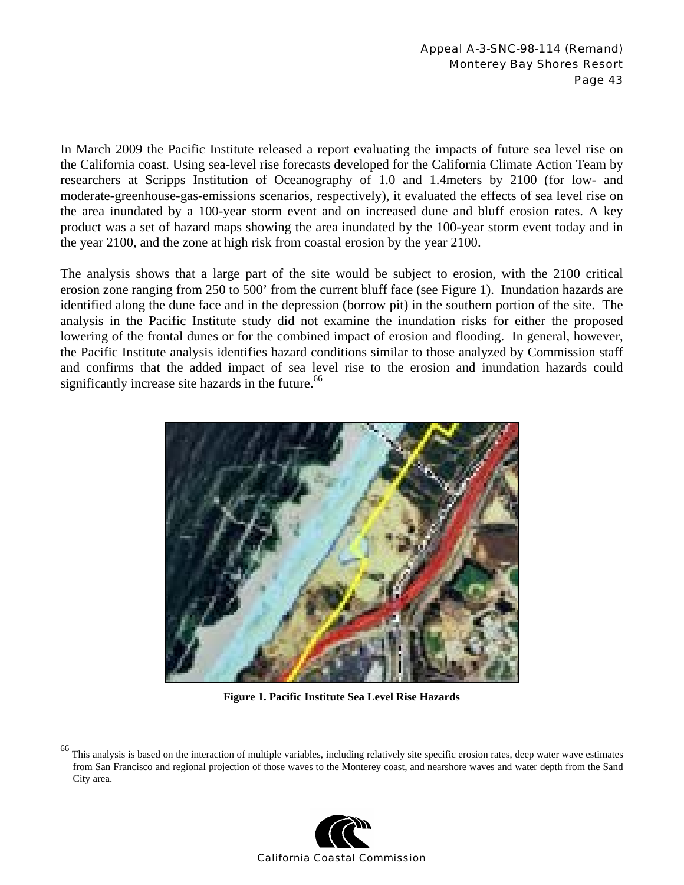In March 2009 the Pacific Institute released a report evaluating the impacts of future sea level rise on the California coast. Using sea-level rise forecasts developed for the California Climate Action Team by researchers at Scripps Institution of Oceanography of 1.0 and 1.4meters by 2100 (for low- and moderate-greenhouse-gas-emissions scenarios, respectively), it evaluated the effects of sea level rise on the area inundated by a 100-year storm event and on increased dune and bluff erosion rates. A key product was a set of hazard maps showing the area inundated by the 100-year storm event today and in the year 2100, and the zone at high risk from coastal erosion by the year 2100.

The analysis shows that a large part of the site would be subject to erosion, with the 2100 critical erosion zone ranging from 250 to 500' from the current bluff face (see Figure 1). Inundation hazards are identified along the dune face and in the depression (borrow pit) in the southern portion of the site. The analysis in the Pacific Institute study did not examine the inundation risks for either the proposed lowering of the frontal dunes or for the combined impact of erosion and flooding. In general, however, the Pacific Institute analysis identifies hazard conditions similar to those analyzed by Commission staff and confirms that the added impact of sea level rise to the erosion and inundation hazards could significantly increase site hazards in the future.<sup>66</sup>



**Figure 1. Pacific Institute Sea Level Rise Hazards** 

 $\overline{a}$ 



This analysis is based on the interaction of multiple variables, including relatively site specific erosion rates, deep water wave estimates from San Francisco and regional projection of those waves to the Monterey coast, and nearshore waves and water depth from the Sand City area.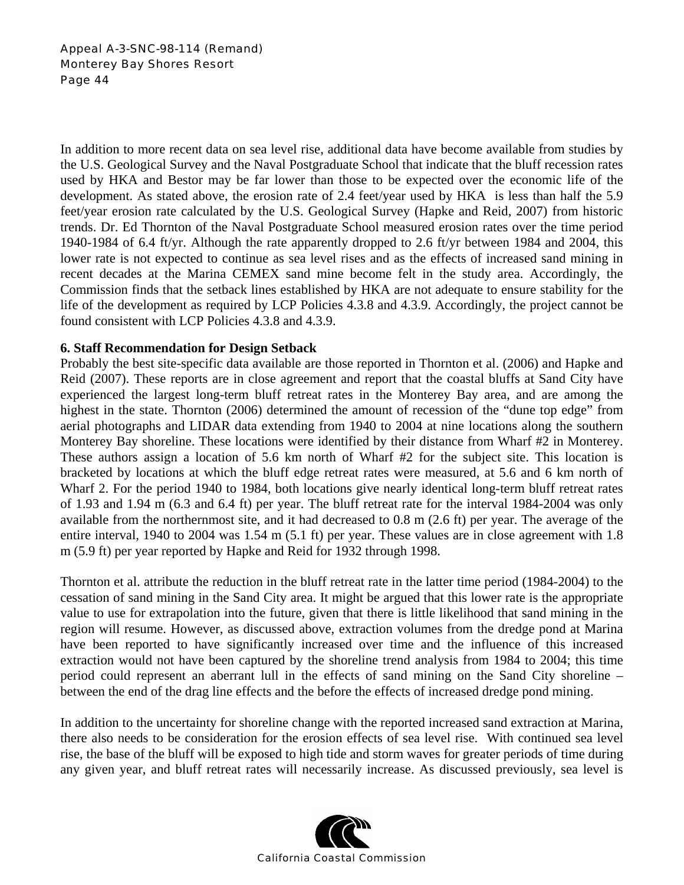Appeal A-3-SNC-98-114 (Remand) Monterey Bay Shores Resort Page 44

In addition to more recent data on sea level rise, additional data have become available from studies by the U.S. Geological Survey and the Naval Postgraduate School that indicate that the bluff recession rates used by HKA and Bestor may be far lower than those to be expected over the economic life of the development. As stated above, the erosion rate of 2.4 feet/year used by HKA is less than half the 5.9 feet/year erosion rate calculated by the U.S. Geological Survey (Hapke and Reid, 2007) from historic trends. Dr. Ed Thornton of the Naval Postgraduate School measured erosion rates over the time period 1940-1984 of 6.4 ft/yr. Although the rate apparently dropped to 2.6 ft/yr between 1984 and 2004, this lower rate is not expected to continue as sea level rises and as the effects of increased sand mining in recent decades at the Marina CEMEX sand mine become felt in the study area. Accordingly, the Commission finds that the setback lines established by HKA are not adequate to ensure stability for the life of the development as required by LCP Policies 4.3.8 and 4.3.9. Accordingly, the project cannot be found consistent with LCP Policies 4.3.8 and 4.3.9.

# **6. Staff Recommendation for Design Setback**

Probably the best site-specific data available are those reported in Thornton et al. (2006) and Hapke and Reid (2007). These reports are in close agreement and report that the coastal bluffs at Sand City have experienced the largest long-term bluff retreat rates in the Monterey Bay area, and are among the highest in the state. Thornton (2006) determined the amount of recession of the "dune top edge" from aerial photographs and LIDAR data extending from 1940 to 2004 at nine locations along the southern Monterey Bay shoreline. These locations were identified by their distance from Wharf #2 in Monterey. These authors assign a location of 5.6 km north of Wharf #2 for the subject site. This location is bracketed by locations at which the bluff edge retreat rates were measured, at 5.6 and 6 km north of Wharf 2. For the period 1940 to 1984, both locations give nearly identical long-term bluff retreat rates of 1.93 and 1.94 m (6.3 and 6.4 ft) per year. The bluff retreat rate for the interval 1984-2004 was only available from the northernmost site, and it had decreased to 0.8 m (2.6 ft) per year. The average of the entire interval, 1940 to 2004 was 1.54 m (5.1 ft) per year. These values are in close agreement with 1.8 m (5.9 ft) per year reported by Hapke and Reid for 1932 through 1998.

Thornton et al. attribute the reduction in the bluff retreat rate in the latter time period (1984-2004) to the cessation of sand mining in the Sand City area. It might be argued that this lower rate is the appropriate value to use for extrapolation into the future, given that there is little likelihood that sand mining in the region will resume. However, as discussed above, extraction volumes from the dredge pond at Marina have been reported to have significantly increased over time and the influence of this increased extraction would not have been captured by the shoreline trend analysis from 1984 to 2004; this time period could represent an aberrant lull in the effects of sand mining on the Sand City shoreline – between the end of the drag line effects and the before the effects of increased dredge pond mining.

In addition to the uncertainty for shoreline change with the reported increased sand extraction at Marina, there also needs to be consideration for the erosion effects of sea level rise. With continued sea level rise, the base of the bluff will be exposed to high tide and storm waves for greater periods of time during any given year, and bluff retreat rates will necessarily increase. As discussed previously, sea level is

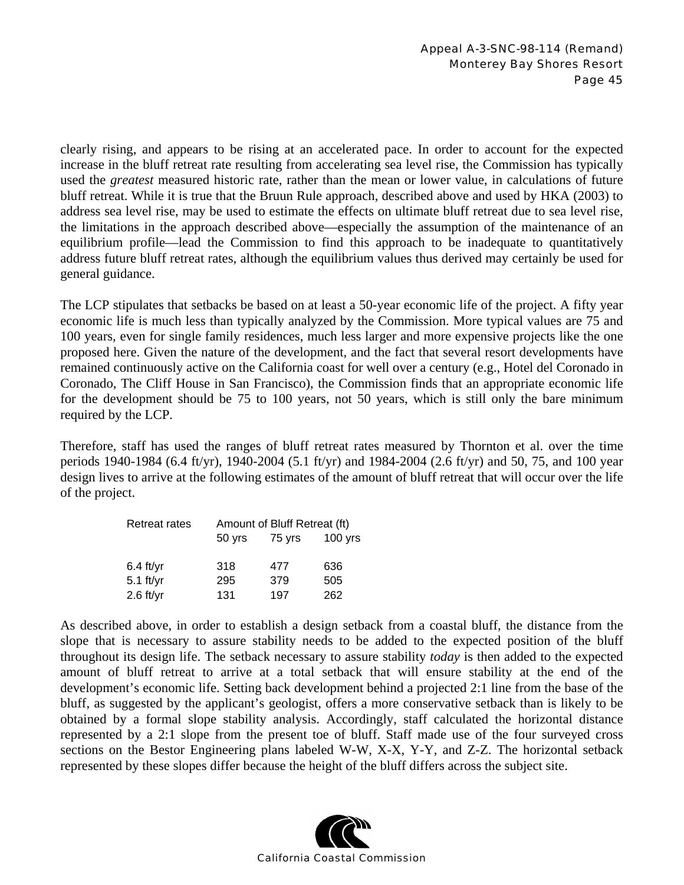clearly rising, and appears to be rising at an accelerated pace. In order to account for the expected increase in the bluff retreat rate resulting from accelerating sea level rise, the Commission has typically used the *greatest* measured historic rate, rather than the mean or lower value, in calculations of future bluff retreat. While it is true that the Bruun Rule approach, described above and used by HKA (2003) to address sea level rise, may be used to estimate the effects on ultimate bluff retreat due to sea level rise, the limitations in the approach described above—especially the assumption of the maintenance of an equilibrium profile—lead the Commission to find this approach to be inadequate to quantitatively address future bluff retreat rates, although the equilibrium values thus derived may certainly be used for general guidance.

The LCP stipulates that setbacks be based on at least a 50-year economic life of the project. A fifty year economic life is much less than typically analyzed by the Commission. More typical values are 75 and 100 years, even for single family residences, much less larger and more expensive projects like the one proposed here. Given the nature of the development, and the fact that several resort developments have remained continuously active on the California coast for well over a century (e.g., Hotel del Coronado in Coronado, The Cliff House in San Francisco), the Commission finds that an appropriate economic life for the development should be 75 to 100 years, not 50 years, which is still only the bare minimum required by the LCP.

Therefore, staff has used the ranges of bluff retreat rates measured by Thornton et al. over the time periods 1940-1984 (6.4 ft/yr), 1940-2004 (5.1 ft/yr) and 1984-2004 (2.6 ft/yr) and 50, 75, and 100 year design lives to arrive at the following estimates of the amount of bluff retreat that will occur over the life of the project.

| <b>Retreat rates</b> | Amount of Bluff Retreat (ft) |        |           |
|----------------------|------------------------------|--------|-----------|
|                      | $50$ yrs                     | 75 yrs | $100$ yrs |
|                      |                              |        |           |
| $6.4$ ft/yr          | 318                          | 477    | 636       |
| $5.1$ ft/yr          | 295                          | 379    | 505       |
| $2.6$ ft/yr          | 131                          | 197    | 262       |

As described above, in order to establish a design setback from a coastal bluff, the distance from the slope that is necessary to assure stability needs to be added to the expected position of the bluff throughout its design life. The setback necessary to assure stability *today* is then added to the expected amount of bluff retreat to arrive at a total setback that will ensure stability at the end of the development's economic life. Setting back development behind a projected 2:1 line from the base of the bluff, as suggested by the applicant's geologist, offers a more conservative setback than is likely to be obtained by a formal slope stability analysis. Accordingly, staff calculated the horizontal distance represented by a 2:1 slope from the present toe of bluff. Staff made use of the four surveyed cross sections on the Bestor Engineering plans labeled W-W, X-X, Y-Y, and Z-Z. The horizontal setback represented by these slopes differ because the height of the bluff differs across the subject site.

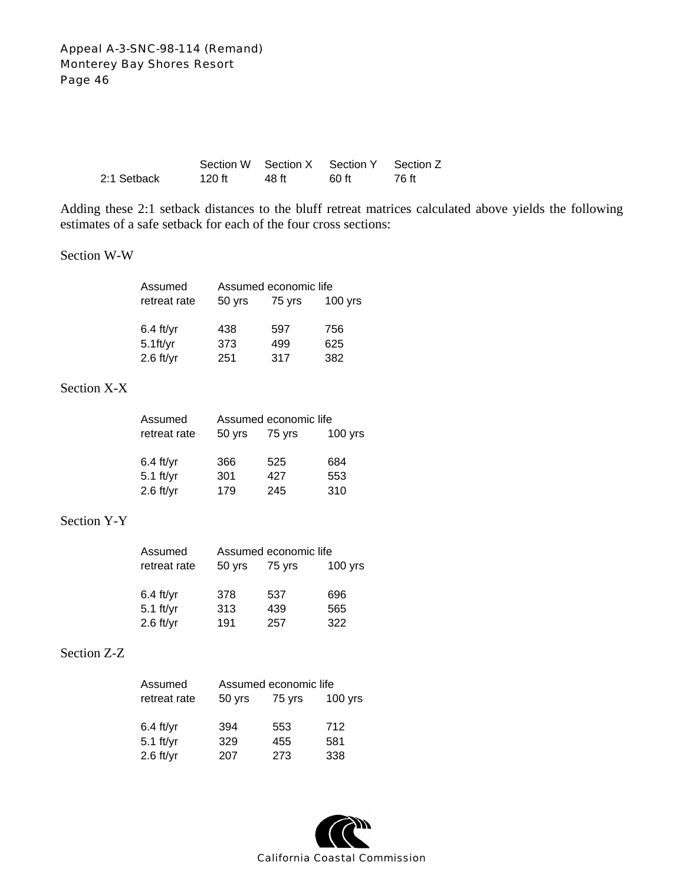|             |        |       | Section W Section X Section Y Section Z |       |
|-------------|--------|-------|-----------------------------------------|-------|
| 2:1 Setback | 120 ft | 48 ft | -60 ft                                  | 76 ft |

Adding these 2:1 setback distances to the bluff retreat matrices calculated above yields the following estimates of a safe setback for each of the four cross sections:

#### Section W-W

| Assumed      | Assumed economic life |        |           |
|--------------|-----------------------|--------|-----------|
| retreat rate | 50 yrs                | 75 yrs | $100$ yrs |
|              |                       |        |           |
| $6.4$ ft/yr  | 438                   | 597    | 756       |
| $5.1$ ft/yr  | 373                   | 499    | 625       |
| $2.6$ ft/yr  | 251                   | 317    | 382       |

# Section X-X

| Assumed      |        | Assumed economic life |           |
|--------------|--------|-----------------------|-----------|
| retreat rate | 50 yrs | 75 yrs                | $100$ yrs |
| $6.4$ ft/yr  | 366    | 525                   | 684       |
| $5.1$ ft/yr  | 301    | 427                   | 553       |
| $2.6$ ft/yr  | 179    | 245                   | 310       |

# Section Y-Y

| Assumed      |        | Assumed economic life |           |
|--------------|--------|-----------------------|-----------|
| retreat rate | 50 yrs | 75 yrs                | $100$ yrs |
|              |        |                       |           |
| $6.4$ ft/yr  | 378    | 537                   | 696       |
| $5.1$ ft/yr  | 313    | 439                   | 565       |
| $2.6$ ft/yr  | 191    | 257                   | 322       |

# Section Z-Z

| Assumed      | Assumed economic life |        |           |
|--------------|-----------------------|--------|-----------|
| retreat rate | 50 yrs                | 75 yrs | $100$ yrs |
|              |                       |        |           |
| $6.4$ ft/yr  | 394                   | 553    | 712       |
| $5.1$ ft/yr  | 329                   | 455    | 581       |
| $2.6$ ft/yr  | 207                   | 273    | 338       |

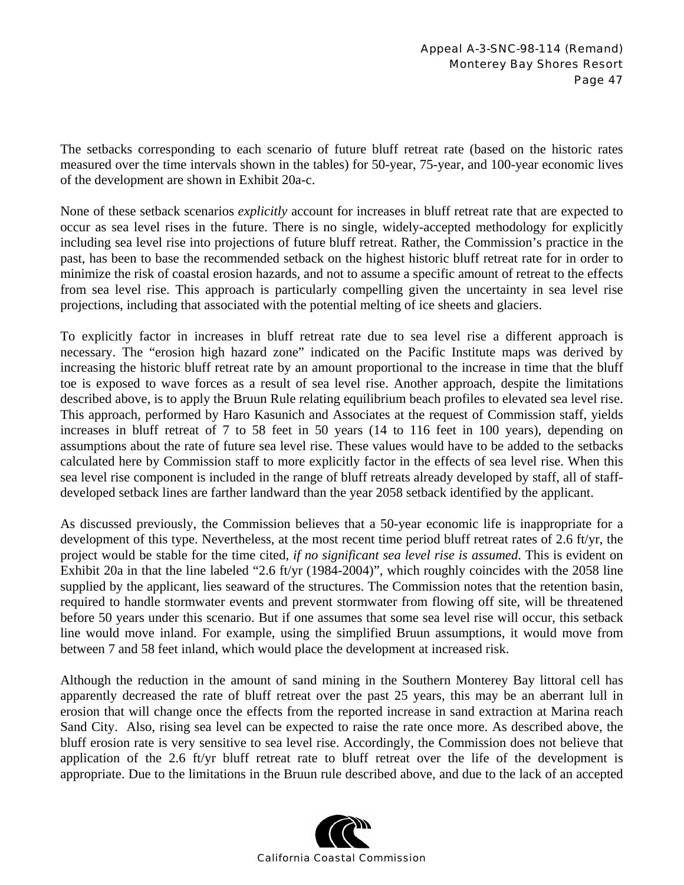The setbacks corresponding to each scenario of future bluff retreat rate (based on the historic rates measured over the time intervals shown in the tables) for 50-year, 75-year, and 100-year economic lives of the development are shown in Exhibit 20a-c.

None of these setback scenarios *explicitly* account for increases in bluff retreat rate that are expected to occur as sea level rises in the future. There is no single, widely-accepted methodology for explicitly including sea level rise into projections of future bluff retreat. Rather, the Commission's practice in the past, has been to base the recommended setback on the highest historic bluff retreat rate for in order to minimize the risk of coastal erosion hazards, and not to assume a specific amount of retreat to the effects from sea level rise. This approach is particularly compelling given the uncertainty in sea level rise projections, including that associated with the potential melting of ice sheets and glaciers.

To explicitly factor in increases in bluff retreat rate due to sea level rise a different approach is necessary. The "erosion high hazard zone" indicated on the Pacific Institute maps was derived by increasing the historic bluff retreat rate by an amount proportional to the increase in time that the bluff toe is exposed to wave forces as a result of sea level rise. Another approach, despite the limitations described above, is to apply the Bruun Rule relating equilibrium beach profiles to elevated sea level rise. This approach, performed by Haro Kasunich and Associates at the request of Commission staff, yields increases in bluff retreat of 7 to 58 feet in 50 years (14 to 116 feet in 100 years), depending on assumptions about the rate of future sea level rise. These values would have to be added to the setbacks calculated here by Commission staff to more explicitly factor in the effects of sea level rise. When this sea level rise component is included in the range of bluff retreats already developed by staff, all of staffdeveloped setback lines are farther landward than the year 2058 setback identified by the applicant.

As discussed previously, the Commission believes that a 50-year economic life is inappropriate for a development of this type. Nevertheless, at the most recent time period bluff retreat rates of 2.6 ft/yr, the project would be stable for the time cited, *if no significant sea level rise is assumed*. This is evident on Exhibit 20a in that the line labeled "2.6 ft/yr (1984-2004)", which roughly coincides with the 2058 line supplied by the applicant, lies seaward of the structures. The Commission notes that the retention basin, required to handle stormwater events and prevent stormwater from flowing off site, will be threatened before 50 years under this scenario. But if one assumes that some sea level rise will occur, this setback line would move inland. For example, using the simplified Bruun assumptions, it would move from between 7 and 58 feet inland, which would place the development at increased risk.

Although the reduction in the amount of sand mining in the Southern Monterey Bay littoral cell has apparently decreased the rate of bluff retreat over the past 25 years, this may be an aberrant lull in erosion that will change once the effects from the reported increase in sand extraction at Marina reach Sand City. Also, rising sea level can be expected to raise the rate once more. As described above, the bluff erosion rate is very sensitive to sea level rise. Accordingly, the Commission does not believe that application of the 2.6 ft/yr bluff retreat rate to bluff retreat over the life of the development is appropriate. Due to the limitations in the Bruun rule described above, and due to the lack of an accepted

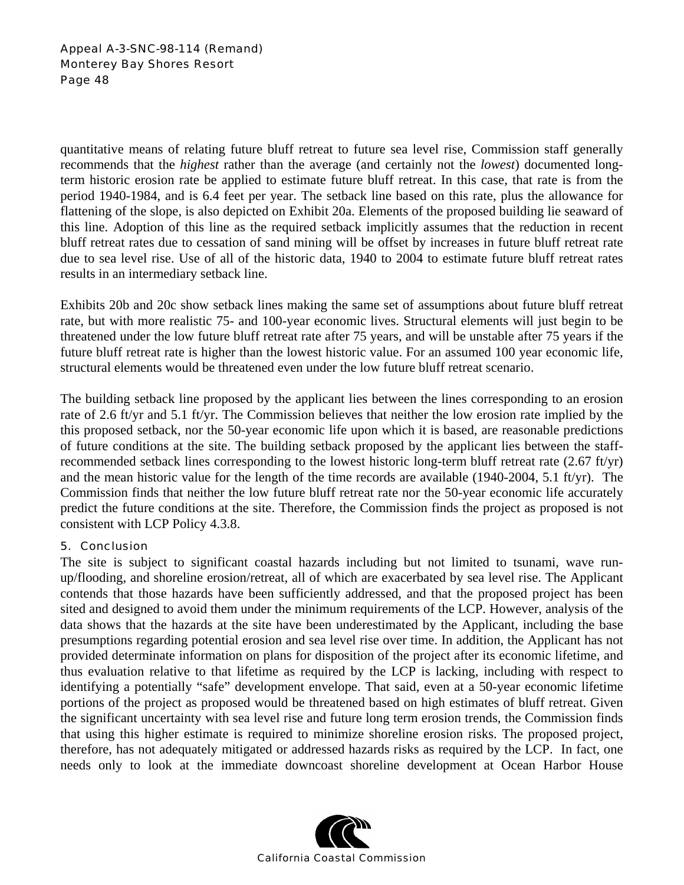quantitative means of relating future bluff retreat to future sea level rise, Commission staff generally recommends that the *highest* rather than the average (and certainly not the *lowest*) documented longterm historic erosion rate be applied to estimate future bluff retreat. In this case, that rate is from the period 1940-1984, and is 6.4 feet per year. The setback line based on this rate, plus the allowance for flattening of the slope, is also depicted on Exhibit 20a. Elements of the proposed building lie seaward of this line. Adoption of this line as the required setback implicitly assumes that the reduction in recent bluff retreat rates due to cessation of sand mining will be offset by increases in future bluff retreat rate due to sea level rise. Use of all of the historic data, 1940 to 2004 to estimate future bluff retreat rates results in an intermediary setback line.

Exhibits 20b and 20c show setback lines making the same set of assumptions about future bluff retreat rate, but with more realistic 75- and 100-year economic lives. Structural elements will just begin to be threatened under the low future bluff retreat rate after 75 years, and will be unstable after 75 years if the future bluff retreat rate is higher than the lowest historic value. For an assumed 100 year economic life, structural elements would be threatened even under the low future bluff retreat scenario.

The building setback line proposed by the applicant lies between the lines corresponding to an erosion rate of 2.6 ft/yr and 5.1 ft/yr. The Commission believes that neither the low erosion rate implied by the this proposed setback, nor the 50-year economic life upon which it is based, are reasonable predictions of future conditions at the site. The building setback proposed by the applicant lies between the staffrecommended setback lines corresponding to the lowest historic long-term bluff retreat rate (2.67 ft/yr) and the mean historic value for the length of the time records are available (1940-2004, 5.1 ft/yr). The Commission finds that neither the low future bluff retreat rate nor the 50-year economic life accurately predict the future conditions at the site. Therefore, the Commission finds the project as proposed is not consistent with LCP Policy 4.3.8.

# 5. Conclusion

The site is subject to significant coastal hazards including but not limited to tsunami, wave runup/flooding, and shoreline erosion/retreat, all of which are exacerbated by sea level rise. The Applicant contends that those hazards have been sufficiently addressed, and that the proposed project has been sited and designed to avoid them under the minimum requirements of the LCP. However, analysis of the data shows that the hazards at the site have been underestimated by the Applicant, including the base presumptions regarding potential erosion and sea level rise over time. In addition, the Applicant has not provided determinate information on plans for disposition of the project after its economic lifetime, and thus evaluation relative to that lifetime as required by the LCP is lacking, including with respect to identifying a potentially "safe" development envelope. That said, even at a 50-year economic lifetime portions of the project as proposed would be threatened based on high estimates of bluff retreat. Given the significant uncertainty with sea level rise and future long term erosion trends, the Commission finds that using this higher estimate is required to minimize shoreline erosion risks. The proposed project, therefore, has not adequately mitigated or addressed hazards risks as required by the LCP. In fact, one needs only to look at the immediate downcoast shoreline development at Ocean Harbor House

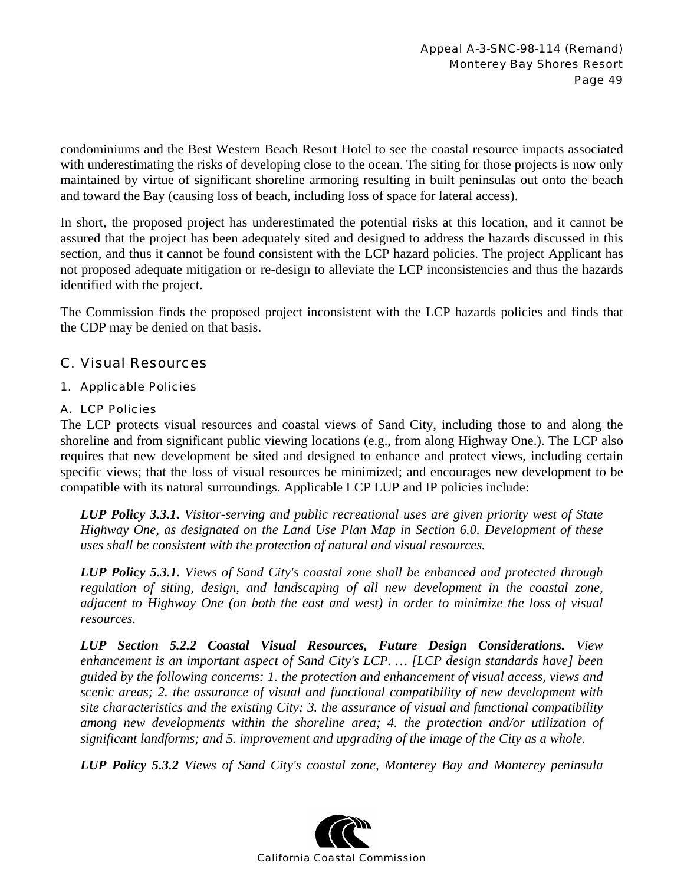condominiums and the Best Western Beach Resort Hotel to see the coastal resource impacts associated with underestimating the risks of developing close to the ocean. The siting for those projects is now only maintained by virtue of significant shoreline armoring resulting in built peninsulas out onto the beach and toward the Bay (causing loss of beach, including loss of space for lateral access).

In short, the proposed project has underestimated the potential risks at this location, and it cannot be assured that the project has been adequately sited and designed to address the hazards discussed in this section, and thus it cannot be found consistent with the LCP hazard policies. The project Applicant has not proposed adequate mitigation or re-design to alleviate the LCP inconsistencies and thus the hazards identified with the project.

The Commission finds the proposed project inconsistent with the LCP hazards policies and finds that the CDP may be denied on that basis.

# C. Visual Resources

# 1. Applicable Policies

# A. LCP Policies

The LCP protects visual resources and coastal views of Sand City, including those to and along the shoreline and from significant public viewing locations (e.g., from along Highway One.). The LCP also requires that new development be sited and designed to enhance and protect views, including certain specific views; that the loss of visual resources be minimized; and encourages new development to be compatible with its natural surroundings. Applicable LCP LUP and IP policies include:

*LUP Policy 3.3.1. Visitor-serving and public recreational uses are given priority west of State Highway One, as designated on the Land Use Plan Map in Section 6.0. Development of these uses shall be consistent with the protection of natural and visual resources.*

*LUP Policy 5.3.1. Views of Sand City's coastal zone shall be enhanced and protected through regulation of siting, design, and landscaping of all new development in the coastal zone, adjacent to Highway One (on both the east and west) in order to minimize the loss of visual resources.* 

*LUP Section 5.2.2 Coastal Visual Resources, Future Design Considerations. View enhancement is an important aspect of Sand City's LCP. … [LCP design standards have] been guided by the following concerns: 1. the protection and enhancement of visual access, views and scenic areas; 2. the assurance of visual and functional compatibility of new development with site characteristics and the existing City; 3. the assurance of visual and functional compatibility among new developments within the shoreline area; 4. the protection and/or utilization of significant landforms; and 5. improvement and upgrading of the image of the City as a whole.* 

*LUP Policy 5.3.2 Views of Sand City's coastal zone, Monterey Bay and Monterey peninsula* 

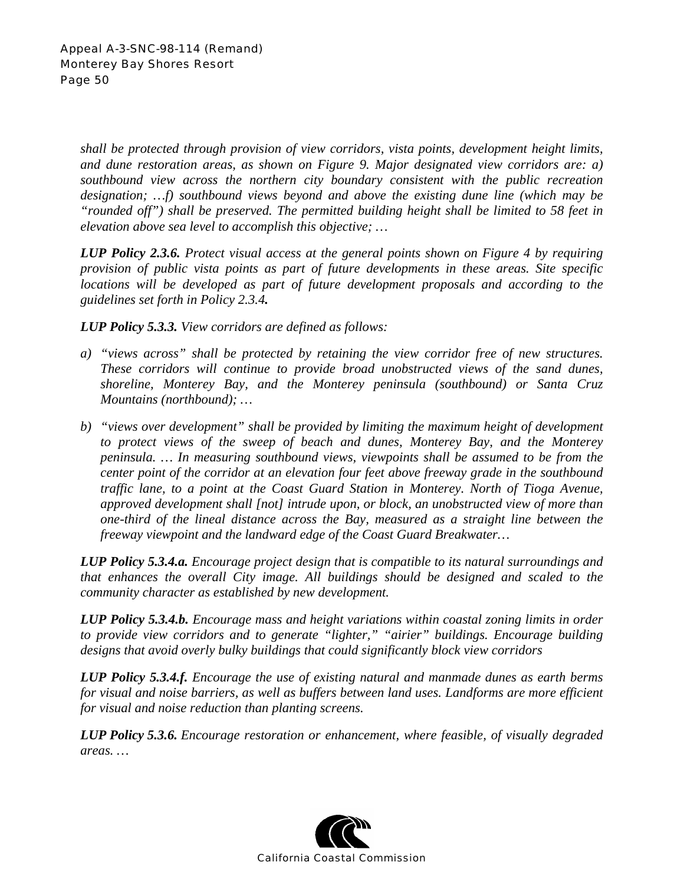*shall be protected through provision of view corridors, vista points, development height limits, and dune restoration areas, as shown on Figure 9. Major designated view corridors are: a) southbound view across the northern city boundary consistent with the public recreation designation; …f) southbound views beyond and above the existing dune line (which may be "rounded off") shall be preserved. The permitted building height shall be limited to 58 feet in elevation above sea level to accomplish this objective; …* 

*LUP Policy 2.3.6. Protect visual access at the general points shown on Figure 4 by requiring provision of public vista points as part of future developments in these areas. Site specific locations will be developed as part of future development proposals and according to the guidelines set forth in Policy 2.3.4.* 

*LUP Policy 5.3.3. View corridors are defined as follows:* 

- *a) "views across" shall be protected by retaining the view corridor free of new structures. These corridors will continue to provide broad unobstructed views of the sand dunes, shoreline, Monterey Bay, and the Monterey peninsula (southbound) or Santa Cruz Mountains (northbound); …*
- *b) "views over development" shall be provided by limiting the maximum height of development to protect views of the sweep of beach and dunes, Monterey Bay, and the Monterey peninsula. … In measuring southbound views, viewpoints shall be assumed to be from the center point of the corridor at an elevation four feet above freeway grade in the southbound traffic lane, to a point at the Coast Guard Station in Monterey. North of Tioga Avenue, approved development shall [not] intrude upon, or block, an unobstructed view of more than one-third of the lineal distance across the Bay, measured as a straight line between the freeway viewpoint and the landward edge of the Coast Guard Breakwater…*

*LUP Policy 5.3.4.a. Encourage project design that is compatible to its natural surroundings and that enhances the overall City image. All buildings should be designed and scaled to the community character as established by new development.* 

*LUP Policy 5.3.4.b. Encourage mass and height variations within coastal zoning limits in order to provide view corridors and to generate "lighter," "airier" buildings. Encourage building designs that avoid overly bulky buildings that could significantly block view corridors* 

*LUP Policy 5.3.4.f. Encourage the use of existing natural and manmade dunes as earth berms*  for visual and noise barriers, as well as buffers between land uses. Landforms are more efficient *for visual and noise reduction than planting screens.* 

*LUP Policy 5.3.6. Encourage restoration or enhancement, where feasible, of visually degraded areas. …* 

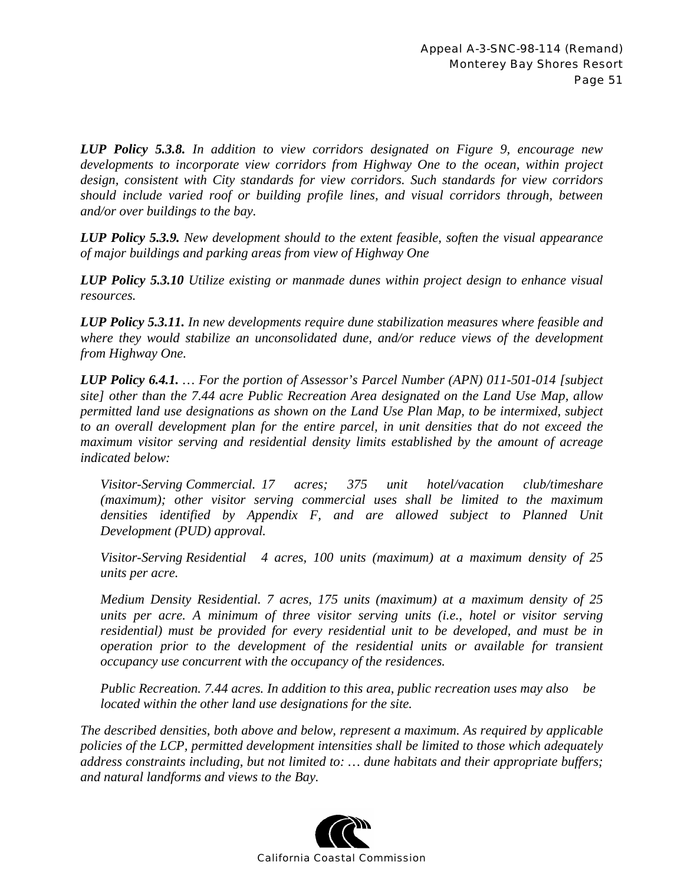*LUP Policy 5.3.8. In addition to view corridors designated on Figure 9, encourage new developments to incorporate view corridors from Highway One to the ocean, within project design, consistent with City standards for view corridors. Such standards for view corridors should include varied roof or building profile lines, and visual corridors through, between and/or over buildings to the bay.* 

*LUP Policy 5.3.9. New development should to the extent feasible, soften the visual appearance of major buildings and parking areas from view of Highway One* 

*LUP Policy 5.3.10 Utilize existing or manmade dunes within project design to enhance visual resources.* 

*LUP Policy 5.3.11. In new developments require dune stabilization measures where feasible and where they would stabilize an unconsolidated dune, and/or reduce views of the development from Highway One.* 

*LUP Policy 6.4.1. … For the portion of Assessor's Parcel Number (APN) 011-501-014 [subject site] other than the 7.44 acre Public Recreation Area designated on the Land Use Map, allow permitted land use designations as shown on the Land Use Plan Map, to be intermixed, subject to an overall development plan for the entire parcel, in unit densities that do not exceed the maximum visitor serving and residential density limits established by the amount of acreage indicated below:* 

*Visitor-Serving Commercial. 17 acres; 375 unit hotel/vacation club/timeshare (maximum); other visitor serving commercial uses shall be limited to the maximum*  densities identified by Appendix F, and are allowed subject to Planned Unit *Development (PUD) approval.* 

*Visitor-Serving Residential 4 acres, 100 units (maximum) at a maximum density of 25 units per acre.* 

*Medium Density Residential. 7 acres, 175 units (maximum) at a maximum density of 25 units per acre. A minimum of three visitor serving units (i.e., hotel or visitor serving residential) must be provided for every residential unit to be developed, and must be in operation prior to the development of the residential units or available for transient occupancy use concurrent with the occupancy of the residences.* 

*Public Recreation. 7.44 acres. In addition to this area, public recreation uses may also be located within the other land use designations for the site.* 

*The described densities, both above and below, represent a maximum. As required by applicable policies of the LCP, permitted development intensities shall be limited to those which adequately address constraints including, but not limited to: … dune habitats and their appropriate buffers; and natural landforms and views to the Bay.* 

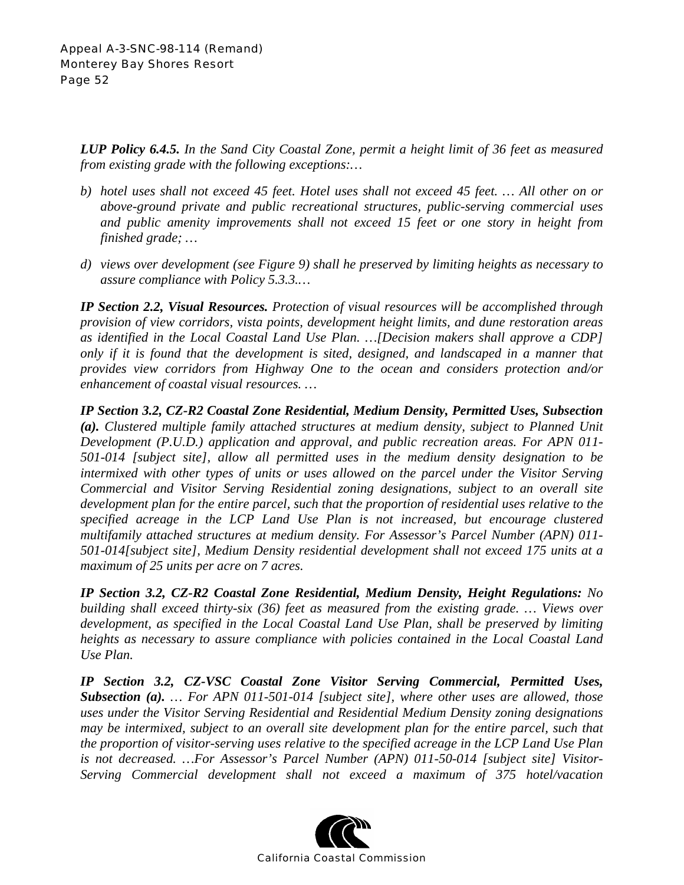*LUP Policy 6.4.5. In the Sand City Coastal Zone, permit a height limit of 36 feet as measured from existing grade with the following exceptions:…* 

- *b) hotel uses shall not exceed 45 feet. Hotel uses shall not exceed 45 feet. … All other on or above-ground private and public recreational structures, public-serving commercial uses and public amenity improvements shall not exceed 15 feet or one story in height from finished grade; …*
- *d) views over development (see Figure 9) shall he preserved by limiting heights as necessary to assure compliance with Policy 5.3.3.…*

*IP Section 2.2, Visual Resources. Protection of visual resources will be accomplished through provision of view corridors, vista points, development height limits, and dune restoration areas as identified in the Local Coastal Land Use Plan. …[Decision makers shall approve a CDP] only if it is found that the development is sited, designed, and landscaped in a manner that provides view corridors from Highway One to the ocean and considers protection and/or enhancement of coastal visual resources. …* 

*IP Section 3.2, CZ-R2 Coastal Zone Residential, Medium Density, Permitted Uses, Subsection (a). Clustered multiple family attached structures at medium density, subject to Planned Unit Development (P.U.D.) application and approval, and public recreation areas. For APN 011- 501-014 [subject site], allow all permitted uses in the medium density designation to be intermixed with other types of units or uses allowed on the parcel under the Visitor Serving Commercial and Visitor Serving Residential zoning designations, subject to an overall site development plan for the entire parcel, such that the proportion of residential uses relative to the specified acreage in the LCP Land Use Plan is not increased, but encourage clustered multifamily attached structures at medium density. For Assessor's Parcel Number (APN) 011- 501-014[subject site], Medium Density residential development shall not exceed 175 units at a maximum of 25 units per acre on 7 acres.*

*IP Section 3.2, CZ-R2 Coastal Zone Residential, Medium Density, Height Regulations: No building shall exceed thirty-six (36) feet as measured from the existing grade. … Views over development, as specified in the Local Coastal Land Use Plan, shall be preserved by limiting heights as necessary to assure compliance with policies contained in the Local Coastal Land Use Plan.* 

*IP Section 3.2, CZ-VSC Coastal Zone Visitor Serving Commercial, Permitted Uses, Subsection (a). … For APN 011-501-014 [subject site], where other uses are allowed, those uses under the Visitor Serving Residential and Residential Medium Density zoning designations may be intermixed, subject to an overall site development plan for the entire parcel, such that the proportion of visitor-serving uses relative to the specified acreage in the LCP Land Use Plan is not decreased. …For Assessor's Parcel Number (APN) 011-50-014 [subject site] Visitor-Serving Commercial development shall not exceed a maximum of 375 hotel/vacation* 

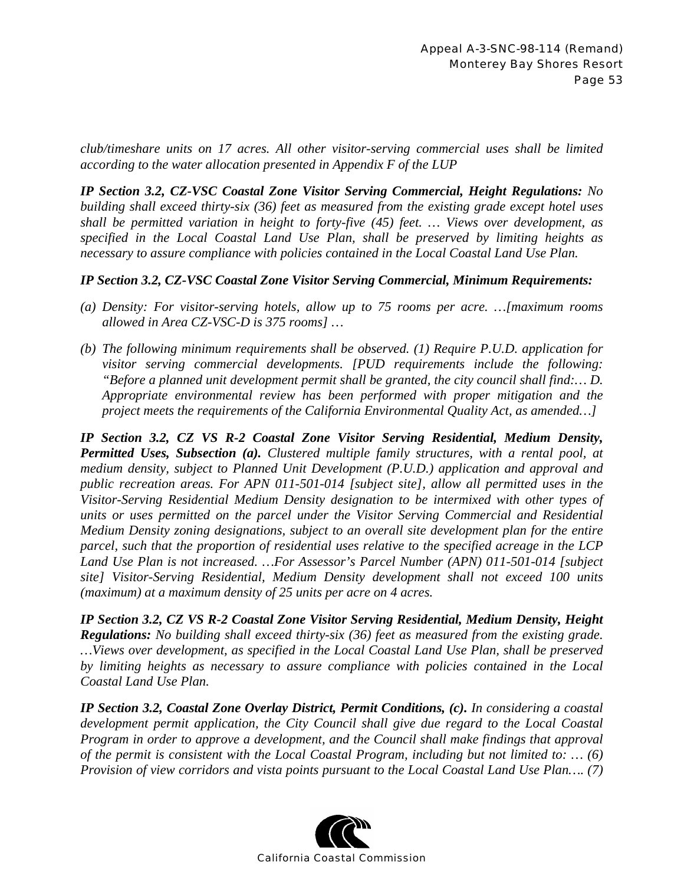*club/timeshare units on 17 acres. All other visitor-serving commercial uses shall be limited according to the water allocation presented in Appendix F of the LUP* 

*IP Section 3.2, CZ-VSC Coastal Zone Visitor Serving Commercial, Height Regulations: No building shall exceed thirty-six (36) feet as measured from the existing grade except hotel uses shall be permitted variation in height to forty-five (45) feet. … Views over development, as specified in the Local Coastal Land Use Plan, shall be preserved by limiting heights as necessary to assure compliance with policies contained in the Local Coastal Land Use Plan.* 

# *IP Section 3.2, CZ-VSC Coastal Zone Visitor Serving Commercial, Minimum Requirements:*

- *(a) Density: For visitor-serving hotels, allow up to 75 rooms per acre. …[maximum rooms allowed in Area CZ-VSC-D is 375 rooms] …*
- *(b) The following minimum requirements shall be observed. (1) Require P.U.D. application for visitor serving commercial developments. [PUD requirements include the following: "Before a planned unit development permit shall be granted, the city council shall find:… D. Appropriate environmental review has been performed with proper mitigation and the project meets the requirements of the California Environmental Quality Act, as amended…]*

*IP Section 3.2, CZ VS R-2 Coastal Zone Visitor Serving Residential, Medium Density, Permitted Uses, Subsection (a). Clustered multiple family structures, with a rental pool, at medium density, subject to Planned Unit Development (P.U.D.) application and approval and public recreation areas. For APN 011-501-014 [subject site], allow all permitted uses in the Visitor-Serving Residential Medium Density designation to be intermixed with other types of units or uses permitted on the parcel under the Visitor Serving Commercial and Residential Medium Density zoning designations, subject to an overall site development plan for the entire parcel, such that the proportion of residential uses relative to the specified acreage in the LCP Land Use Plan is not increased. …For Assessor's Parcel Number (APN) 011-501-014 [subject site] Visitor-Serving Residential, Medium Density development shall not exceed 100 units (maximum) at a maximum density of 25 units per acre on 4 acres.* 

*IP Section 3.2, CZ VS R-2 Coastal Zone Visitor Serving Residential, Medium Density, Height Regulations: No building shall exceed thirty-six (36) feet as measured from the existing grade. …Views over development, as specified in the Local Coastal Land Use Plan, shall be preserved by limiting heights as necessary to assure compliance with policies contained in the Local Coastal Land Use Plan.* 

*IP Section 3.2, Coastal Zone Overlay District, Permit Conditions, (c). In considering a coastal development permit application, the City Council shall give due regard to the Local Coastal Program in order to approve a development, and the Council shall make findings that approval of the permit is consistent with the Local Coastal Program, including but not limited to: … (6) Provision of view corridors and vista points pursuant to the Local Coastal Land Use Plan…. (7)*

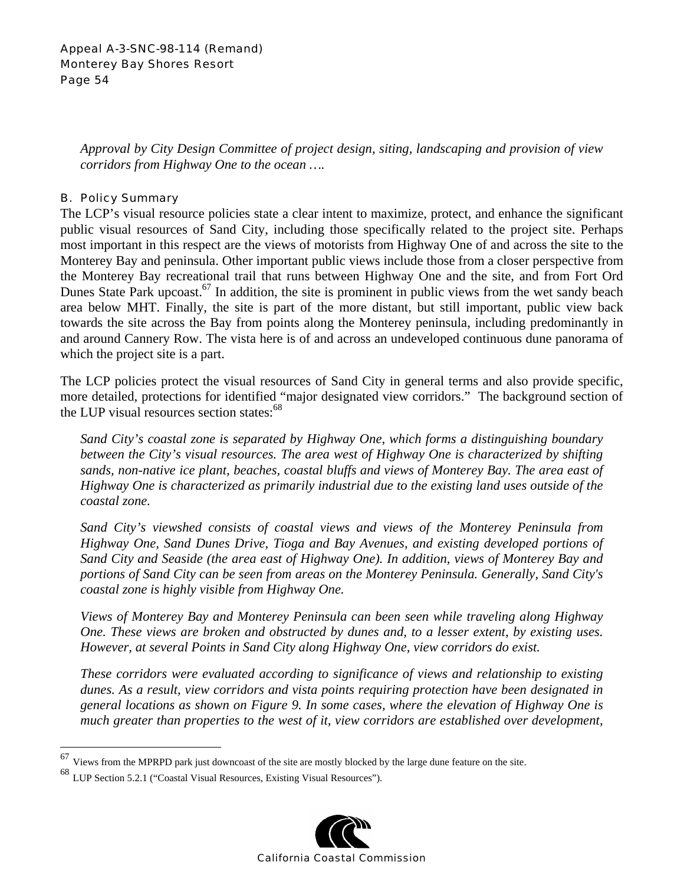*Approval by City Design Committee of project design, siting, landscaping and provision of view corridors from Highway One to the ocean ….* 

### B. Policy Summary

The LCP's visual resource policies state a clear intent to maximize, protect, and enhance the significant public visual resources of Sand City, including those specifically related to the project site. Perhaps most important in this respect are the views of motorists from Highway One of and across the site to the Monterey Bay and peninsula. Other important public views include those from a closer perspective from the Monterey Bay recreational trail that runs between Highway One and the site, and from Fort Ord Dunes State Park upcoast.<sup>67</sup> In addition, the site is prominent in public views from the wet sandy beach area below MHT. Finally, the site is part of the more distant, but still important, public view back towards the site across the Bay from points along the Monterey peninsula, including predominantly in and around Cannery Row. The vista here is of and across an undeveloped continuous dune panorama of which the project site is a part.

The LCP policies protect the visual resources of Sand City in general terms and also provide specific, more detailed, protections for identified "major designated view corridors." The background section of the LUP visual resources section states: $68$ 

*Sand City's coastal zone is separated by Highway One, which forms a distinguishing boundary between the City's visual resources. The area west of Highway One is characterized by shifting sands, non-native ice plant, beaches, coastal bluffs and views of Monterey Bay. The area east of Highway One is characterized as primarily industrial due to the existing land uses outside of the coastal zone.* 

*Sand City's viewshed consists of coastal views and views of the Monterey Peninsula from Highway One, Sand Dunes Drive, Tioga and Bay Avenues, and existing developed portions of Sand City and Seaside (the area east of Highway One). In addition, views of Monterey Bay and portions of Sand City can be seen from areas on the Monterey Peninsula. Generally, Sand City's coastal zone is highly visible from Highway One.* 

*Views of Monterey Bay and Monterey Peninsula can been seen while traveling along Highway One. These views are broken and obstructed by dunes and, to a lesser extent, by existing uses. However, at several Points in Sand City along Highway One, view corridors do exist.* 

*These corridors were evaluated according to significance of views and relationship to existing dunes. As a result, view corridors and vista points requiring protection have been designated in general locations as shown on Figure 9. In some cases, where the elevation of Highway One is much greater than properties to the west of it, view corridors are established over development,* 

 $\overline{a}$ 



Views from the MPRPD park just downcoast of the site are mostly blocked by the large dune feature on the site.

<sup>68</sup> LUP Section 5.2.1 ("Coastal Visual Resources, Existing Visual Resources").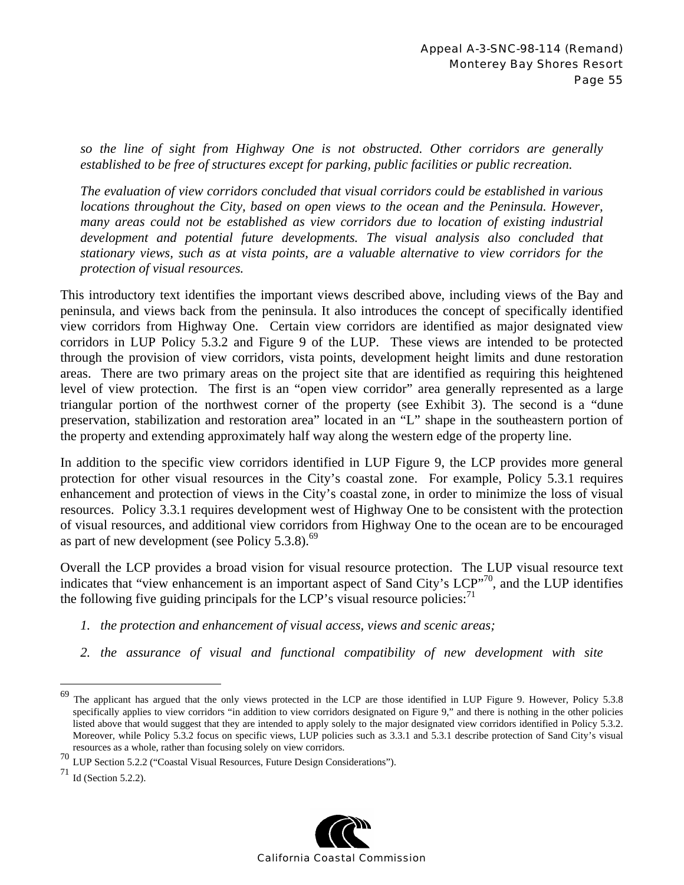*so the line of sight from Highway One is not obstructed. Other corridors are generally established to be free of structures except for parking, public facilities or public recreation.* 

*The evaluation of view corridors concluded that visual corridors could be established in various locations throughout the City, based on open views to the ocean and the Peninsula. However, many areas could not be established as view corridors due to location of existing industrial development and potential future developments. The visual analysis also concluded that stationary views, such as at vista points, are a valuable alternative to view corridors for the protection of visual resources.* 

This introductory text identifies the important views described above, including views of the Bay and peninsula, and views back from the peninsula. It also introduces the concept of specifically identified view corridors from Highway One. Certain view corridors are identified as major designated view corridors in LUP Policy 5.3.2 and Figure 9 of the LUP. These views are intended to be protected through the provision of view corridors, vista points, development height limits and dune restoration areas. There are two primary areas on the project site that are identified as requiring this heightened level of view protection. The first is an "open view corridor" area generally represented as a large triangular portion of the northwest corner of the property (see Exhibit 3). The second is a "dune preservation, stabilization and restoration area" located in an "L" shape in the southeastern portion of the property and extending approximately half way along the western edge of the property line.

In addition to the specific view corridors identified in LUP Figure 9, the LCP provides more general protection for other visual resources in the City's coastal zone. For example, Policy 5.3.1 requires enhancement and protection of views in the City's coastal zone, in order to minimize the loss of visual resources. Policy 3.3.1 requires development west of Highway One to be consistent with the protection of visual resources, and additional view corridors from Highway One to the ocean are to be encouraged as part of new development (see Policy  $5.3.8$ ).<sup>69</sup>

Overall the LCP provides a broad vision for visual resource protection. The LUP visual resource text indicates that "view enhancement is an important aspect of Sand City's LCP"<sup>70</sup>, and the LUP identifies the following five guiding principals for the LCP's visual resource policies: $<sup>71</sup>$ </sup>

- *1. the protection and enhancement of visual access, views and scenic areas;*
- *2. the assurance of visual and functional compatibility of new development with site*



<sup>69</sup> The applicant has argued that the only views protected in the LCP are those identified in LUP Figure 9. However, Policy 5.3.8 specifically applies to view corridors "in addition to view corridors designated on Figure 9," and there is nothing in the other policies listed above that would suggest that they are intended to apply solely to the major designated view corridors identified in Policy 5.3.2. Moreover, while Policy 5.3.2 focus on specific views, LUP policies such as 3.3.1 and 5.3.1 describe protection of Sand City's visual resources as a whole, rather than focusing solely on view corridors.

<sup>&</sup>lt;sup>70</sup> LUP Section 5.2.2 ("Coastal Visual Resources, Future Design Considerations").

 $71$  Id (Section 5.2.2).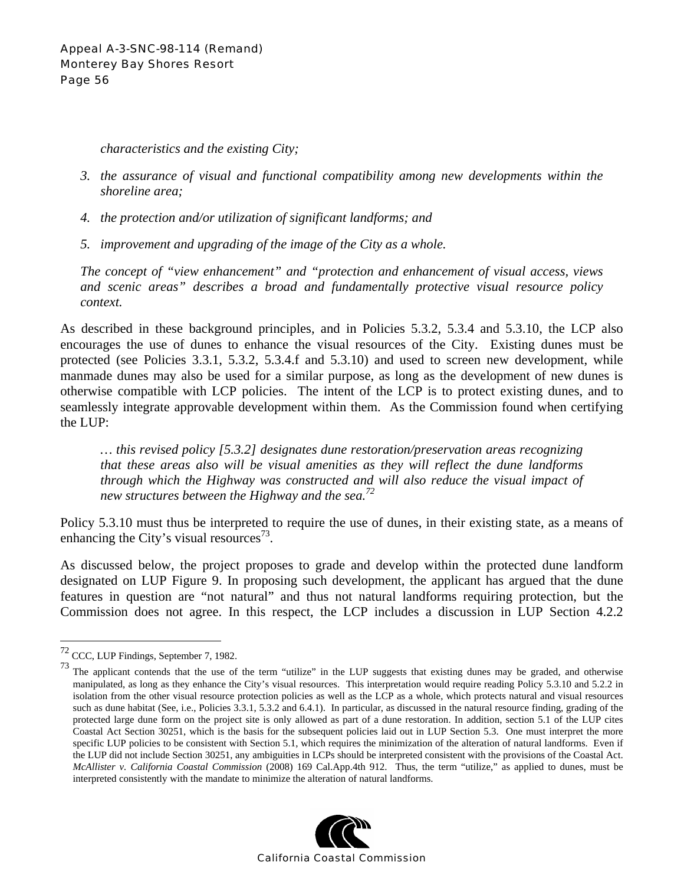*characteristics and the existing City;* 

- *3. the assurance of visual and functional compatibility among new developments within the shoreline area;*
- *4. the protection and/or utilization of significant landforms; and*
- *5. improvement and upgrading of the image of the City as a whole.*

*The concept of "view enhancement" and "protection and enhancement of visual access, views and scenic areas" describes a broad and fundamentally protective visual resource policy context.* 

As described in these background principles, and in Policies 5.3.2, 5.3.4 and 5.3.10, the LCP also encourages the use of dunes to enhance the visual resources of the City. Existing dunes must be protected (see Policies 3.3.1, 5.3.2, 5.3.4.f and 5.3.10) and used to screen new development, while manmade dunes may also be used for a similar purpose, as long as the development of new dunes is otherwise compatible with LCP policies. The intent of the LCP is to protect existing dunes, and to seamlessly integrate approvable development within them. As the Commission found when certifying the LUP:

*… this revised policy [5.3.2] designates dune restoration/preservation areas recognizing that these areas also will be visual amenities as they will reflect the dune landforms through which the Highway was constructed and will also reduce the visual impact of new structures between the Highway and the sea.72* 

Policy 5.3.10 must thus be interpreted to require the use of dunes, in their existing state, as a means of enhancing the City's visual resources<sup>73</sup>.

As discussed below, the project proposes to grade and develop within the protected dune landform designated on LUP Figure 9. In proposing such development, the applicant has argued that the dune features in question are "not natural" and thus not natural landforms requiring protection, but the Commission does not agree. In this respect, the LCP includes a discussion in LUP Section 4.2.2

 $\overline{a}$ 

The applicant contends that the use of the term "utilize" in the LUP suggests that existing dunes may be graded, and otherwise manipulated, as long as they enhance the City's visual resources. This interpretation would require reading Policy 5.3.10 and 5.2.2 in isolation from the other visual resource protection policies as well as the LCP as a whole, which protects natural and visual resources such as dune habitat (See, i.e., Policies 3.3.1, 5.3.2 and 6.4.1). In particular, as discussed in the natural resource finding, grading of the protected large dune form on the project site is only allowed as part of a dune restoration. In addition, section 5.1 of the LUP cites Coastal Act Section 30251, which is the basis for the subsequent policies laid out in LUP Section 5.3. One must interpret the more specific LUP policies to be consistent with Section 5.1, which requires the minimization of the alteration of natural landforms. Even if the LUP did not include Section 30251, any ambiguities in LCPs should be interpreted consistent with the provisions of the Coastal Act. *McAllister v. California Coastal Commission* (2008) 169 Cal.App.4th 912. Thus, the term "utilize," as applied to dunes, must be interpreted consistently with the mandate to minimize the alteration of natural landforms.



<sup>72</sup> CCC, LUP Findings, September 7, 1982.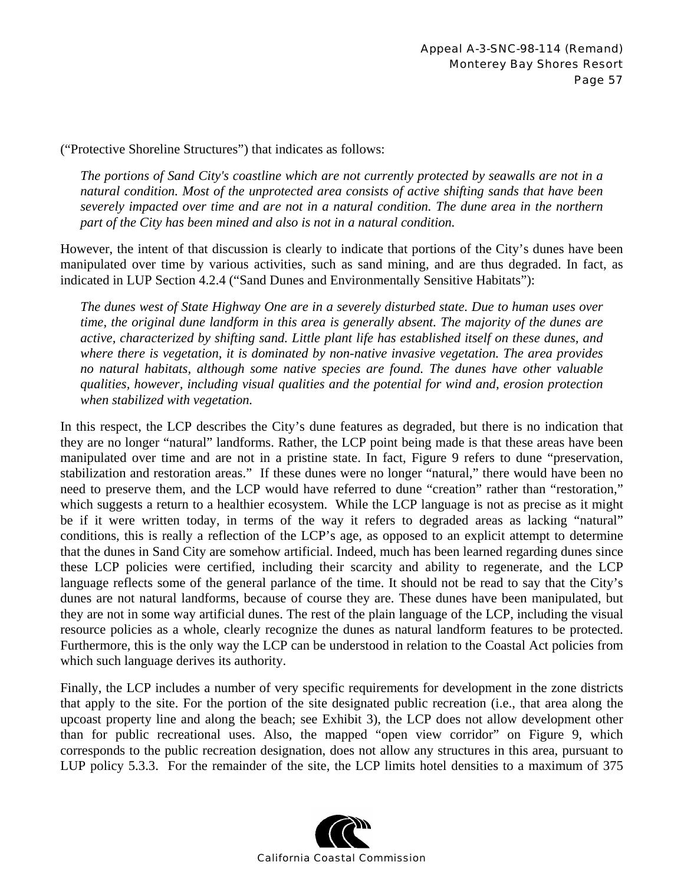("Protective Shoreline Structures") that indicates as follows:

*The portions of Sand City's coastline which are not currently protected by seawalls are not in a natural condition. Most of the unprotected area consists of active shifting sands that have been severely impacted over time and are not in a natural condition. The dune area in the northern part of the City has been mined and also is not in a natural condition.* 

However, the intent of that discussion is clearly to indicate that portions of the City's dunes have been manipulated over time by various activities, such as sand mining, and are thus degraded. In fact, as indicated in LUP Section 4.2.4 ("Sand Dunes and Environmentally Sensitive Habitats"):

*The dunes west of State Highway One are in a severely disturbed state. Due to human uses over time, the original dune landform in this area is generally absent. The majority of the dunes are active, characterized by shifting sand. Little plant life has established itself on these dunes, and where there is vegetation, it is dominated by non-native invasive vegetation. The area provides no natural habitats, although some native species are found. The dunes have other valuable qualities, however, including visual qualities and the potential for wind and, erosion protection when stabilized with vegetation.* 

In this respect, the LCP describes the City's dune features as degraded, but there is no indication that they are no longer "natural" landforms. Rather, the LCP point being made is that these areas have been manipulated over time and are not in a pristine state. In fact, Figure 9 refers to dune "preservation, stabilization and restoration areas." If these dunes were no longer "natural," there would have been no need to preserve them, and the LCP would have referred to dune "creation" rather than "restoration," which suggests a return to a healthier ecosystem. While the LCP language is not as precise as it might be if it were written today, in terms of the way it refers to degraded areas as lacking "natural" conditions, this is really a reflection of the LCP's age, as opposed to an explicit attempt to determine that the dunes in Sand City are somehow artificial. Indeed, much has been learned regarding dunes since these LCP policies were certified, including their scarcity and ability to regenerate, and the LCP language reflects some of the general parlance of the time. It should not be read to say that the City's dunes are not natural landforms, because of course they are. These dunes have been manipulated, but they are not in some way artificial dunes. The rest of the plain language of the LCP, including the visual resource policies as a whole, clearly recognize the dunes as natural landform features to be protected. Furthermore, this is the only way the LCP can be understood in relation to the Coastal Act policies from which such language derives its authority.

Finally, the LCP includes a number of very specific requirements for development in the zone districts that apply to the site. For the portion of the site designated public recreation (i.e., that area along the upcoast property line and along the beach; see Exhibit 3), the LCP does not allow development other than for public recreational uses. Also, the mapped "open view corridor" on Figure 9, which corresponds to the public recreation designation, does not allow any structures in this area, pursuant to LUP policy 5.3.3. For the remainder of the site, the LCP limits hotel densities to a maximum of 375

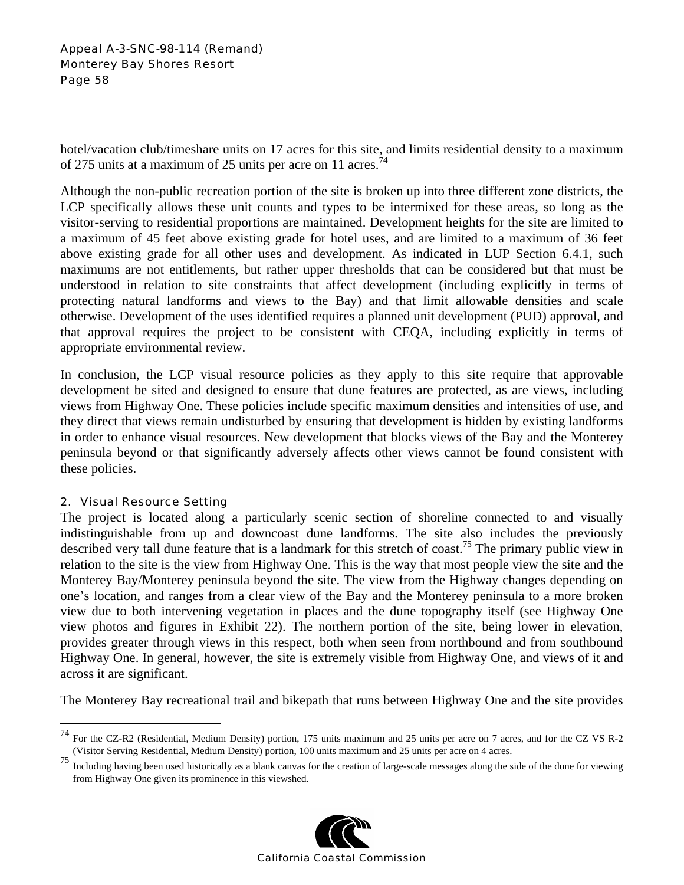#### Appeal A-3-SNC-98-114 (Remand) Monterey Bay Shores Resort Page 58

hotel/vacation club/timeshare units on 17 acres for this site, and limits residential density to a maximum of 275 units at a maximum of 25 units per acre on 11 acres.<sup>74</sup>

Although the non-public recreation portion of the site is broken up into three different zone districts, the LCP specifically allows these unit counts and types to be intermixed for these areas, so long as the visitor-serving to residential proportions are maintained. Development heights for the site are limited to a maximum of 45 feet above existing grade for hotel uses, and are limited to a maximum of 36 feet above existing grade for all other uses and development. As indicated in LUP Section 6.4.1, such maximums are not entitlements, but rather upper thresholds that can be considered but that must be understood in relation to site constraints that affect development (including explicitly in terms of protecting natural landforms and views to the Bay) and that limit allowable densities and scale otherwise. Development of the uses identified requires a planned unit development (PUD) approval, and that approval requires the project to be consistent with CEQA, including explicitly in terms of appropriate environmental review.

In conclusion, the LCP visual resource policies as they apply to this site require that approvable development be sited and designed to ensure that dune features are protected, as are views, including views from Highway One. These policies include specific maximum densities and intensities of use, and they direct that views remain undisturbed by ensuring that development is hidden by existing landforms in order to enhance visual resources. New development that blocks views of the Bay and the Monterey peninsula beyond or that significantly adversely affects other views cannot be found consistent with these policies.

# 2. Visual Resource Setting

 $\overline{a}$ 

The project is located along a particularly scenic section of shoreline connected to and visually indistinguishable from up and downcoast dune landforms. The site also includes the previously described very tall dune feature that is a landmark for this stretch of coast.<sup>75</sup> The primary public view in relation to the site is the view from Highway One. This is the way that most people view the site and the Monterey Bay/Monterey peninsula beyond the site. The view from the Highway changes depending on one's location, and ranges from a clear view of the Bay and the Monterey peninsula to a more broken view due to both intervening vegetation in places and the dune topography itself (see Highway One view photos and figures in Exhibit 22). The northern portion of the site, being lower in elevation, provides greater through views in this respect, both when seen from northbound and from southbound Highway One. In general, however, the site is extremely visible from Highway One, and views of it and across it are significant.

The Monterey Bay recreational trail and bikepath that runs between Highway One and the site provides

<sup>75</sup> Including having been used historically as a blank canvas for the creation of large-scale messages along the side of the dune for viewing from Highway One given its prominence in this viewshed.



<sup>74</sup> For the CZ-R2 (Residential, Medium Density) portion, 175 units maximum and 25 units per acre on 7 acres, and for the CZ VS R-2 (Visitor Serving Residential, Medium Density) portion, 100 units maximum and 25 units per acre on 4 acres.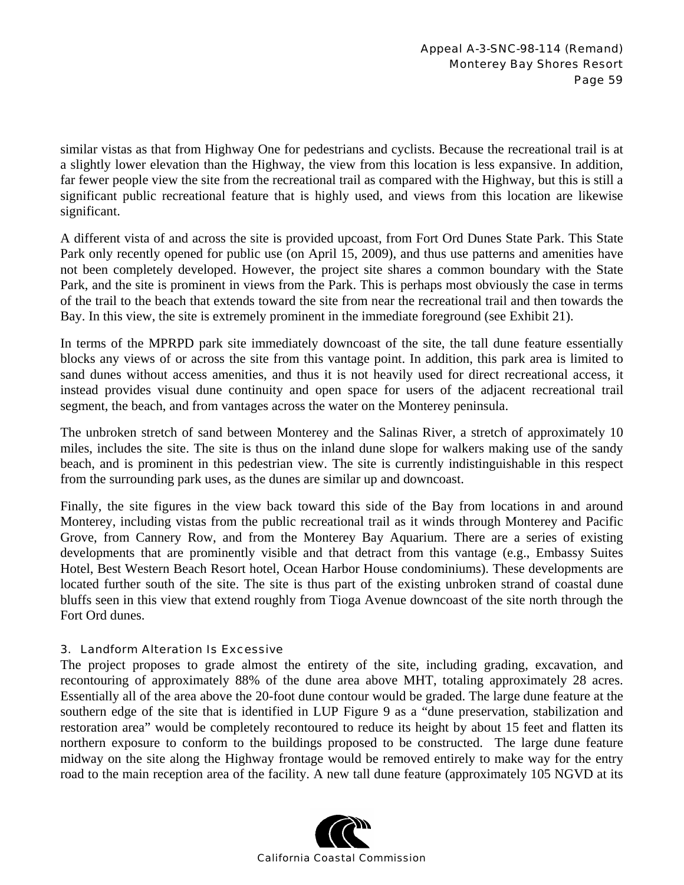similar vistas as that from Highway One for pedestrians and cyclists. Because the recreational trail is at a slightly lower elevation than the Highway, the view from this location is less expansive. In addition, far fewer people view the site from the recreational trail as compared with the Highway, but this is still a significant public recreational feature that is highly used, and views from this location are likewise significant.

A different vista of and across the site is provided upcoast, from Fort Ord Dunes State Park. This State Park only recently opened for public use (on April 15, 2009), and thus use patterns and amenities have not been completely developed. However, the project site shares a common boundary with the State Park, and the site is prominent in views from the Park. This is perhaps most obviously the case in terms of the trail to the beach that extends toward the site from near the recreational trail and then towards the Bay. In this view, the site is extremely prominent in the immediate foreground (see Exhibit 21).

In terms of the MPRPD park site immediately downcoast of the site, the tall dune feature essentially blocks any views of or across the site from this vantage point. In addition, this park area is limited to sand dunes without access amenities, and thus it is not heavily used for direct recreational access, it instead provides visual dune continuity and open space for users of the adjacent recreational trail segment, the beach, and from vantages across the water on the Monterey peninsula.

The unbroken stretch of sand between Monterey and the Salinas River, a stretch of approximately 10 miles, includes the site. The site is thus on the inland dune slope for walkers making use of the sandy beach, and is prominent in this pedestrian view. The site is currently indistinguishable in this respect from the surrounding park uses, as the dunes are similar up and downcoast.

Finally, the site figures in the view back toward this side of the Bay from locations in and around Monterey, including vistas from the public recreational trail as it winds through Monterey and Pacific Grove, from Cannery Row, and from the Monterey Bay Aquarium. There are a series of existing developments that are prominently visible and that detract from this vantage (e.g., Embassy Suites Hotel, Best Western Beach Resort hotel, Ocean Harbor House condominiums). These developments are located further south of the site. The site is thus part of the existing unbroken strand of coastal dune bluffs seen in this view that extend roughly from Tioga Avenue downcoast of the site north through the Fort Ord dunes.

# 3. Landform Alteration Is Excessive

The project proposes to grade almost the entirety of the site, including grading, excavation, and recontouring of approximately 88% of the dune area above MHT, totaling approximately 28 acres. Essentially all of the area above the 20-foot dune contour would be graded. The large dune feature at the southern edge of the site that is identified in LUP Figure 9 as a "dune preservation, stabilization and restoration area" would be completely recontoured to reduce its height by about 15 feet and flatten its northern exposure to conform to the buildings proposed to be constructed. The large dune feature midway on the site along the Highway frontage would be removed entirely to make way for the entry road to the main reception area of the facility. A new tall dune feature (approximately 105 NGVD at its

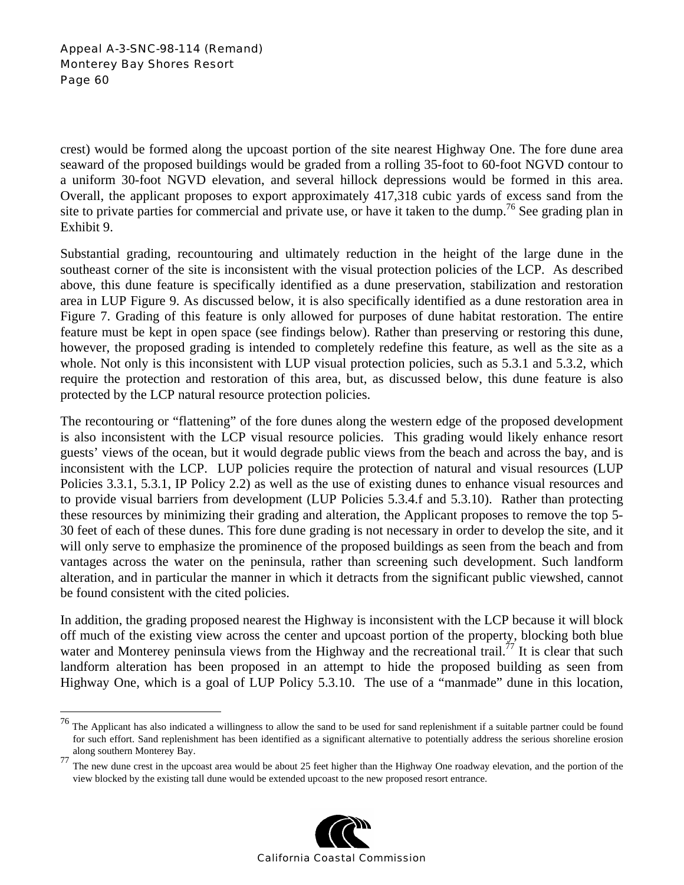<u>.</u>

crest) would be formed along the upcoast portion of the site nearest Highway One. The fore dune area seaward of the proposed buildings would be graded from a rolling 35-foot to 60-foot NGVD contour to a uniform 30-foot NGVD elevation, and several hillock depressions would be formed in this area. Overall, the applicant proposes to export approximately 417,318 cubic yards of excess sand from the site to private parties for commercial and private use, or have it taken to the dump.<sup>76</sup> See grading plan in Exhibit 9.

Substantial grading, recountouring and ultimately reduction in the height of the large dune in the southeast corner of the site is inconsistent with the visual protection policies of the LCP. As described above, this dune feature is specifically identified as a dune preservation, stabilization and restoration area in LUP Figure 9. As discussed below, it is also specifically identified as a dune restoration area in Figure 7. Grading of this feature is only allowed for purposes of dune habitat restoration. The entire feature must be kept in open space (see findings below). Rather than preserving or restoring this dune, however, the proposed grading is intended to completely redefine this feature, as well as the site as a whole. Not only is this inconsistent with LUP visual protection policies, such as 5.3.1 and 5.3.2, which require the protection and restoration of this area, but, as discussed below, this dune feature is also protected by the LCP natural resource protection policies.

The recontouring or "flattening" of the fore dunes along the western edge of the proposed development is also inconsistent with the LCP visual resource policies. This grading would likely enhance resort guests' views of the ocean, but it would degrade public views from the beach and across the bay, and is inconsistent with the LCP. LUP policies require the protection of natural and visual resources (LUP Policies 3.3.1, 5.3.1, IP Policy 2.2) as well as the use of existing dunes to enhance visual resources and to provide visual barriers from development (LUP Policies 5.3.4.f and 5.3.10). Rather than protecting these resources by minimizing their grading and alteration, the Applicant proposes to remove the top 5- 30 feet of each of these dunes. This fore dune grading is not necessary in order to develop the site, and it will only serve to emphasize the prominence of the proposed buildings as seen from the beach and from vantages across the water on the peninsula, rather than screening such development. Such landform alteration, and in particular the manner in which it detracts from the significant public viewshed, cannot be found consistent with the cited policies.

In addition, the grading proposed nearest the Highway is inconsistent with the LCP because it will block off much of the existing view across the center and upcoast portion of the property, blocking both blue water and Monterey peninsula views from the Highway and the recreational trail.<sup>77</sup> It is clear that such landform alteration has been proposed in an attempt to hide the proposed building as seen from Highway One, which is a goal of LUP Policy 5.3.10. The use of a "manmade" dune in this location,

along southern Monterey Bay.<br>
<sup>77</sup> The new dune crest in the upcoast area would be about 25 feet higher than the Highway One roadway elevation, and the portion of the view blocked by the existing tall dune would be extended upcoast to the new proposed resort entrance.



 $^{76}$  The Applicant has also indicated a willingness to allow the sand to be used for sand replenishment if a suitable partner could be found for such effort. Sand replenishment has been identified as a significant alternative to potentially address the serious shoreline erosion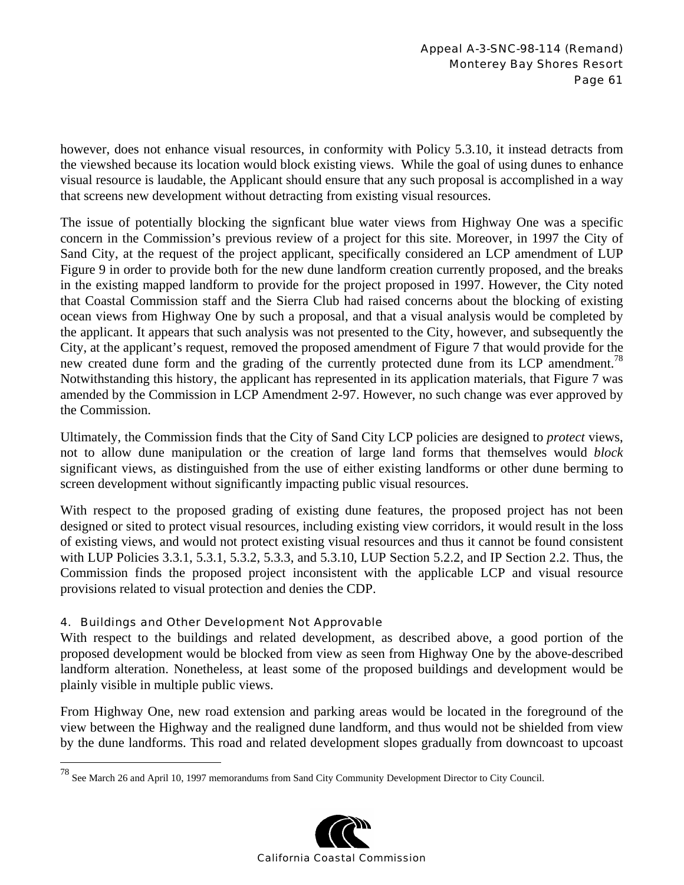however, does not enhance visual resources, in conformity with Policy 5.3.10, it instead detracts from the viewshed because its location would block existing views. While the goal of using dunes to enhance visual resource is laudable, the Applicant should ensure that any such proposal is accomplished in a way that screens new development without detracting from existing visual resources.

The issue of potentially blocking the signficant blue water views from Highway One was a specific concern in the Commission's previous review of a project for this site. Moreover, in 1997 the City of Sand City, at the request of the project applicant, specifically considered an LCP amendment of LUP Figure 9 in order to provide both for the new dune landform creation currently proposed, and the breaks in the existing mapped landform to provide for the project proposed in 1997. However, the City noted that Coastal Commission staff and the Sierra Club had raised concerns about the blocking of existing ocean views from Highway One by such a proposal, and that a visual analysis would be completed by the applicant. It appears that such analysis was not presented to the City, however, and subsequently the City, at the applicant's request, removed the proposed amendment of Figure 7 that would provide for the new created dune form and the grading of the currently protected dune from its LCP amendment.<sup>78</sup> Notwithstanding this history, the applicant has represented in its application materials, that Figure 7 was amended by the Commission in LCP Amendment 2-97. However, no such change was ever approved by the Commission.

Ultimately, the Commission finds that the City of Sand City LCP policies are designed to *protect* views, not to allow dune manipulation or the creation of large land forms that themselves would *block* significant views, as distinguished from the use of either existing landforms or other dune berming to screen development without significantly impacting public visual resources.

With respect to the proposed grading of existing dune features, the proposed project has not been designed or sited to protect visual resources, including existing view corridors, it would result in the loss of existing views, and would not protect existing visual resources and thus it cannot be found consistent with LUP Policies 3.3.1, 5.3.1, 5.3.2, 5.3.3, and 5.3.10, LUP Section 5.2.2, and IP Section 2.2. Thus, the Commission finds the proposed project inconsistent with the applicable LCP and visual resource provisions related to visual protection and denies the CDP.

# 4. Buildings and Other Development Not Approvable

 $\overline{a}$ 

With respect to the buildings and related development, as described above, a good portion of the proposed development would be blocked from view as seen from Highway One by the above-described landform alteration. Nonetheless, at least some of the proposed buildings and development would be plainly visible in multiple public views.

From Highway One, new road extension and parking areas would be located in the foreground of the view between the Highway and the realigned dune landform, and thus would not be shielded from view by the dune landforms. This road and related development slopes gradually from downcoast to upcoast

<sup>&</sup>lt;sup>78</sup> See March 26 and April 10, 1997 memorandums from Sand City Community Development Director to City Council.

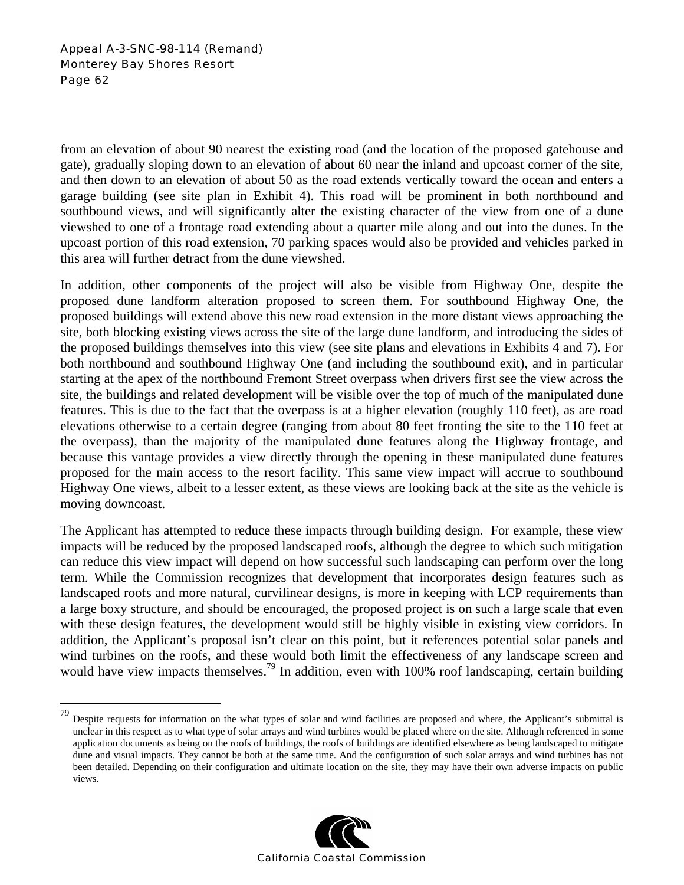### Appeal A-3-SNC-98-114 (Remand) Monterey Bay Shores Resort Page 62

1

from an elevation of about 90 nearest the existing road (and the location of the proposed gatehouse and gate), gradually sloping down to an elevation of about 60 near the inland and upcoast corner of the site, and then down to an elevation of about 50 as the road extends vertically toward the ocean and enters a garage building (see site plan in Exhibit 4). This road will be prominent in both northbound and southbound views, and will significantly alter the existing character of the view from one of a dune viewshed to one of a frontage road extending about a quarter mile along and out into the dunes. In the upcoast portion of this road extension, 70 parking spaces would also be provided and vehicles parked in this area will further detract from the dune viewshed.

In addition, other components of the project will also be visible from Highway One, despite the proposed dune landform alteration proposed to screen them. For southbound Highway One, the proposed buildings will extend above this new road extension in the more distant views approaching the site, both blocking existing views across the site of the large dune landform, and introducing the sides of the proposed buildings themselves into this view (see site plans and elevations in Exhibits 4 and 7). For both northbound and southbound Highway One (and including the southbound exit), and in particular starting at the apex of the northbound Fremont Street overpass when drivers first see the view across the site, the buildings and related development will be visible over the top of much of the manipulated dune features. This is due to the fact that the overpass is at a higher elevation (roughly 110 feet), as are road elevations otherwise to a certain degree (ranging from about 80 feet fronting the site to the 110 feet at the overpass), than the majority of the manipulated dune features along the Highway frontage, and because this vantage provides a view directly through the opening in these manipulated dune features proposed for the main access to the resort facility. This same view impact will accrue to southbound Highway One views, albeit to a lesser extent, as these views are looking back at the site as the vehicle is moving downcoast.

The Applicant has attempted to reduce these impacts through building design. For example, these view impacts will be reduced by the proposed landscaped roofs, although the degree to which such mitigation can reduce this view impact will depend on how successful such landscaping can perform over the long term. While the Commission recognizes that development that incorporates design features such as landscaped roofs and more natural, curvilinear designs, is more in keeping with LCP requirements than a large boxy structure, and should be encouraged, the proposed project is on such a large scale that even with these design features, the development would still be highly visible in existing view corridors. In addition, the Applicant's proposal isn't clear on this point, but it references potential solar panels and wind turbines on the roofs, and these would both limit the effectiveness of any landscape screen and would have view impacts themselves.<sup>79</sup> In addition, even with 100% roof landscaping, certain building

<sup>&</sup>lt;sup>79</sup> Despite requests for information on the what types of solar and wind facilities are proposed and where, the Applicant's submittal is unclear in this respect as to what type of solar arrays and wind turbines would be placed where on the site. Although referenced in some application documents as being on the roofs of buildings, the roofs of buildings are identified elsewhere as being landscaped to mitigate dune and visual impacts. They cannot be both at the same time. And the configuration of such solar arrays and wind turbines has not been detailed. Depending on their configuration and ultimate location on the site, they may have their own adverse impacts on public views.

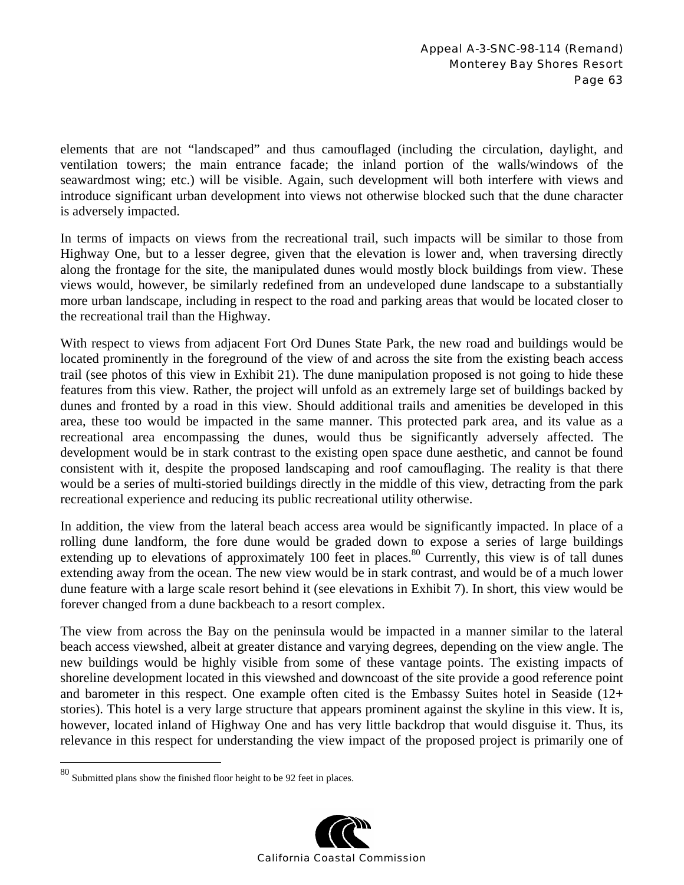elements that are not "landscaped" and thus camouflaged (including the circulation, daylight, and ventilation towers; the main entrance facade; the inland portion of the walls/windows of the seawardmost wing; etc.) will be visible. Again, such development will both interfere with views and introduce significant urban development into views not otherwise blocked such that the dune character is adversely impacted.

In terms of impacts on views from the recreational trail, such impacts will be similar to those from Highway One, but to a lesser degree, given that the elevation is lower and, when traversing directly along the frontage for the site, the manipulated dunes would mostly block buildings from view. These views would, however, be similarly redefined from an undeveloped dune landscape to a substantially more urban landscape, including in respect to the road and parking areas that would be located closer to the recreational trail than the Highway.

With respect to views from adjacent Fort Ord Dunes State Park, the new road and buildings would be located prominently in the foreground of the view of and across the site from the existing beach access trail (see photos of this view in Exhibit 21). The dune manipulation proposed is not going to hide these features from this view. Rather, the project will unfold as an extremely large set of buildings backed by dunes and fronted by a road in this view. Should additional trails and amenities be developed in this area, these too would be impacted in the same manner. This protected park area, and its value as a recreational area encompassing the dunes, would thus be significantly adversely affected. The development would be in stark contrast to the existing open space dune aesthetic, and cannot be found consistent with it, despite the proposed landscaping and roof camouflaging. The reality is that there would be a series of multi-storied buildings directly in the middle of this view, detracting from the park recreational experience and reducing its public recreational utility otherwise.

In addition, the view from the lateral beach access area would be significantly impacted. In place of a rolling dune landform, the fore dune would be graded down to expose a series of large buildings extending up to elevations of approximately 100 feet in places.<sup>80</sup> Currently, this view is of tall dunes extending away from the ocean. The new view would be in stark contrast, and would be of a much lower dune feature with a large scale resort behind it (see elevations in Exhibit 7). In short, this view would be forever changed from a dune backbeach to a resort complex.

The view from across the Bay on the peninsula would be impacted in a manner similar to the lateral beach access viewshed, albeit at greater distance and varying degrees, depending on the view angle. The new buildings would be highly visible from some of these vantage points. The existing impacts of shoreline development located in this viewshed and downcoast of the site provide a good reference point and barometer in this respect. One example often cited is the Embassy Suites hotel in Seaside (12+ stories). This hotel is a very large structure that appears prominent against the skyline in this view. It is, however, located inland of Highway One and has very little backdrop that would disguise it. Thus, its relevance in this respect for understanding the view impact of the proposed project is primarily one of

 $\overline{a}$ 



 $80$  Submitted plans show the finished floor height to be 92 feet in places.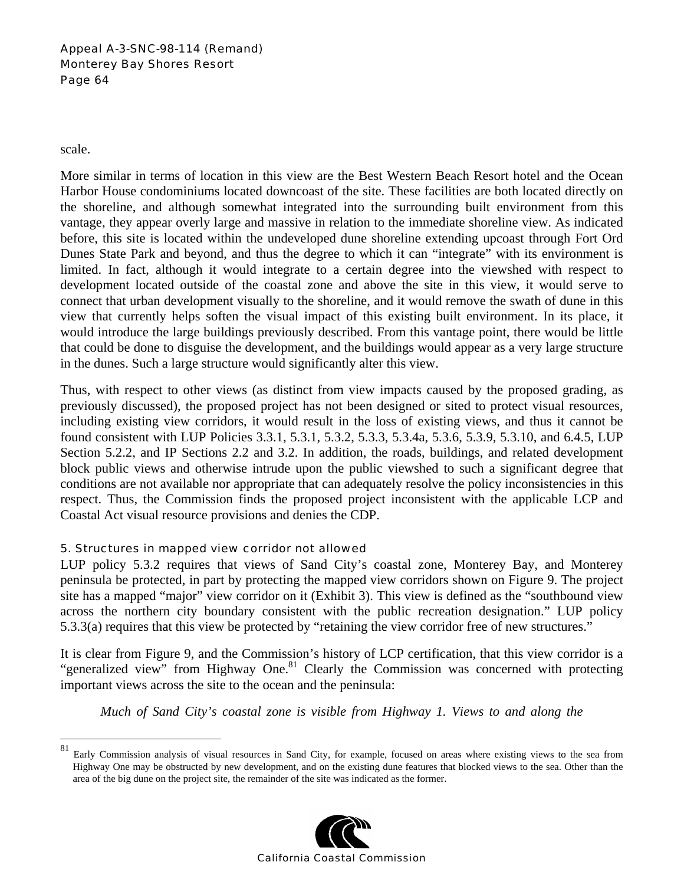### Appeal A-3-SNC-98-114 (Remand) Monterey Bay Shores Resort Page 64

scale.

1

More similar in terms of location in this view are the Best Western Beach Resort hotel and the Ocean Harbor House condominiums located downcoast of the site. These facilities are both located directly on the shoreline, and although somewhat integrated into the surrounding built environment from this vantage, they appear overly large and massive in relation to the immediate shoreline view. As indicated before, this site is located within the undeveloped dune shoreline extending upcoast through Fort Ord Dunes State Park and beyond, and thus the degree to which it can "integrate" with its environment is limited. In fact, although it would integrate to a certain degree into the viewshed with respect to development located outside of the coastal zone and above the site in this view, it would serve to connect that urban development visually to the shoreline, and it would remove the swath of dune in this view that currently helps soften the visual impact of this existing built environment. In its place, it would introduce the large buildings previously described. From this vantage point, there would be little that could be done to disguise the development, and the buildings would appear as a very large structure in the dunes. Such a large structure would significantly alter this view.

Thus, with respect to other views (as distinct from view impacts caused by the proposed grading, as previously discussed), the proposed project has not been designed or sited to protect visual resources, including existing view corridors, it would result in the loss of existing views, and thus it cannot be found consistent with LUP Policies 3.3.1, 5.3.1, 5.3.2, 5.3.3, 5.3.4a, 5.3.6, 5.3.9, 5.3.10, and 6.4.5, LUP Section 5.2.2, and IP Sections 2.2 and 3.2. In addition, the roads, buildings, and related development block public views and otherwise intrude upon the public viewshed to such a significant degree that conditions are not available nor appropriate that can adequately resolve the policy inconsistencies in this respect. Thus, the Commission finds the proposed project inconsistent with the applicable LCP and Coastal Act visual resource provisions and denies the CDP.

# 5. Structures in mapped view corridor not allowed

LUP policy 5.3.2 requires that views of Sand City's coastal zone, Monterey Bay, and Monterey peninsula be protected, in part by protecting the mapped view corridors shown on Figure 9. The project site has a mapped "major" view corridor on it (Exhibit 3). This view is defined as the "southbound view across the northern city boundary consistent with the public recreation designation." LUP policy 5.3.3(a) requires that this view be protected by "retaining the view corridor free of new structures."

It is clear from Figure 9, and the Commission's history of LCP certification, that this view corridor is a "generalized view" from Highway One.<sup>81</sup> Clearly the Commission was concerned with protecting important views across the site to the ocean and the peninsula:

*Much of Sand City's coastal zone is visible from Highway 1. Views to and along the* 

<sup>81</sup> Early Commission analysis of visual resources in Sand City, for example, focused on areas where existing views to the sea from Highway One may be obstructed by new development, and on the existing dune features that blocked views to the sea. Other than the area of the big dune on the project site, the remainder of the site was indicated as the former.

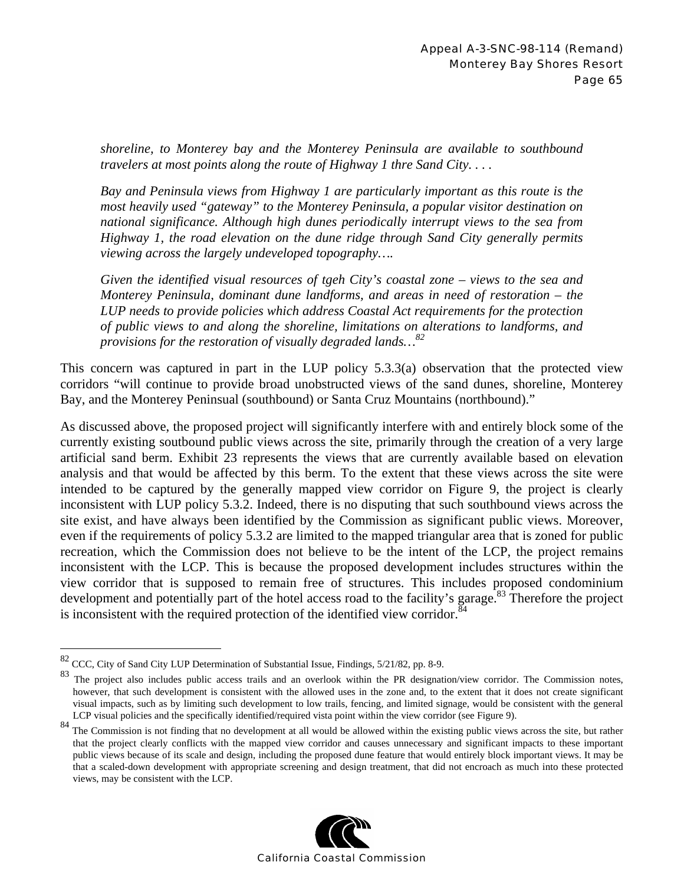*shoreline, to Monterey bay and the Monterey Peninsula are available to southbound travelers at most points along the route of Highway 1 thre Sand City. . . .* 

*Bay and Peninsula views from Highway 1 are particularly important as this route is the most heavily used "gateway" to the Monterey Peninsula, a popular visitor destination on national significance. Although high dunes periodically interrupt views to the sea from Highway 1, the road elevation on the dune ridge through Sand City generally permits viewing across the largely undeveloped topography….* 

*Given the identified visual resources of tgeh City's coastal zone – views to the sea and Monterey Peninsula, dominant dune landforms, and areas in need of restoration – the LUP needs to provide policies which address Coastal Act requirements for the protection of public views to and along the shoreline, limitations on alterations to landforms, and provisions for the restoration of visually degraded lands…<sup>82</sup>*

This concern was captured in part in the LUP policy 5.3.3(a) observation that the protected view corridors "will continue to provide broad unobstructed views of the sand dunes, shoreline, Monterey Bay, and the Monterey Peninsual (southbound) or Santa Cruz Mountains (northbound)."

As discussed above, the proposed project will significantly interfere with and entirely block some of the currently existing soutbound public views across the site, primarily through the creation of a very large artificial sand berm. Exhibit 23 represents the views that are currently available based on elevation analysis and that would be affected by this berm. To the extent that these views across the site were intended to be captured by the generally mapped view corridor on Figure 9, the project is clearly inconsistent with LUP policy 5.3.2. Indeed, there is no disputing that such southbound views across the site exist, and have always been identified by the Commission as significant public views. Moreover, even if the requirements of policy 5.3.2 are limited to the mapped triangular area that is zoned for public recreation, which the Commission does not believe to be the intent of the LCP, the project remains inconsistent with the LCP. This is because the proposed development includes structures within the view corridor that is supposed to remain free of structures. This includes proposed condominium development and potentially part of the hotel access road to the facility's garage.<sup>83</sup> Therefore the project is inconsistent with the required protection of the identified view corridor.<sup>8</sup>

 $\overline{a}$ 

<sup>&</sup>lt;sup>84</sup> The Commission is not finding that no development at all would be allowed within the existing public views across the site, but rather that the project clearly conflicts with the mapped view corridor and causes unnecessary and significant impacts to these important public views because of its scale and design, including the proposed dune feature that would entirely block important views. It may be that a scaled-down development with appropriate screening and design treatment, that did not encroach as much into these protected views, may be consistent with the LCP.



<sup>82</sup> CCC, City of Sand City LUP Determination of Substantial Issue, Findings, 5/21/82, pp. 8-9.

<sup>83</sup> The project also includes public access trails and an overlook within the PR designation/view corridor. The Commission notes, however, that such development is consistent with the allowed uses in the zone and, to the extent that it does not create significant visual impacts, such as by limiting such development to low trails, fencing, and limited signage, would be consistent with the general LCP visual policies and the specifically identified/required vista point within the view corridor (see Figure 9).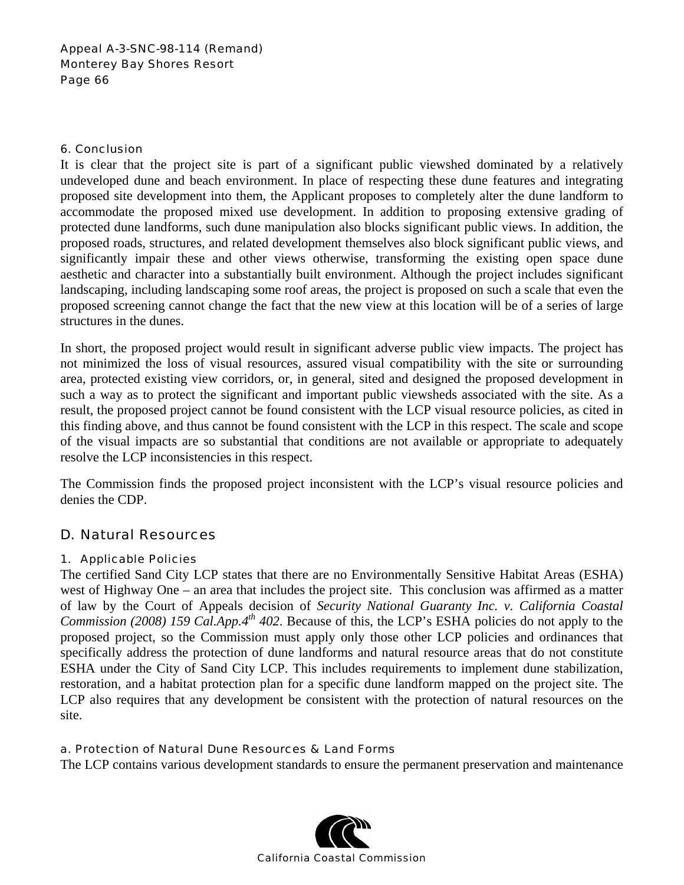#### 6. Conclusion

It is clear that the project site is part of a significant public viewshed dominated by a relatively undeveloped dune and beach environment. In place of respecting these dune features and integrating proposed site development into them, the Applicant proposes to completely alter the dune landform to accommodate the proposed mixed use development. In addition to proposing extensive grading of protected dune landforms, such dune manipulation also blocks significant public views. In addition, the proposed roads, structures, and related development themselves also block significant public views, and significantly impair these and other views otherwise, transforming the existing open space dune aesthetic and character into a substantially built environment. Although the project includes significant landscaping, including landscaping some roof areas, the project is proposed on such a scale that even the proposed screening cannot change the fact that the new view at this location will be of a series of large structures in the dunes.

In short, the proposed project would result in significant adverse public view impacts. The project has not minimized the loss of visual resources, assured visual compatibility with the site or surrounding area, protected existing view corridors, or, in general, sited and designed the proposed development in such a way as to protect the significant and important public viewsheds associated with the site. As a result, the proposed project cannot be found consistent with the LCP visual resource policies, as cited in this finding above, and thus cannot be found consistent with the LCP in this respect. The scale and scope of the visual impacts are so substantial that conditions are not available or appropriate to adequately resolve the LCP inconsistencies in this respect.

The Commission finds the proposed project inconsistent with the LCP's visual resource policies and denies the CDP.

# D. Natural Resources

# 1. Applicable Policies

The certified Sand City LCP states that there are no Environmentally Sensitive Habitat Areas (ESHA) west of Highway One – an area that includes the project site. This conclusion was affirmed as a matter of law by the Court of Appeals decision of *Security National Guaranty Inc. v. California Coastal Commission (2008) 159 Cal.App.4<sup>th</sup> 402.* Because of this, the LCP's ESHA policies do not apply to the proposed project, so the Commission must apply only those other LCP policies and ordinances that specifically address the protection of dune landforms and natural resource areas that do not constitute ESHA under the City of Sand City LCP. This includes requirements to implement dune stabilization, restoration, and a habitat protection plan for a specific dune landform mapped on the project site. The LCP also requires that any development be consistent with the protection of natural resources on the site.

# a. Protection of Natural Dune Resources & Land Forms

The LCP contains various development standards to ensure the permanent preservation and maintenance

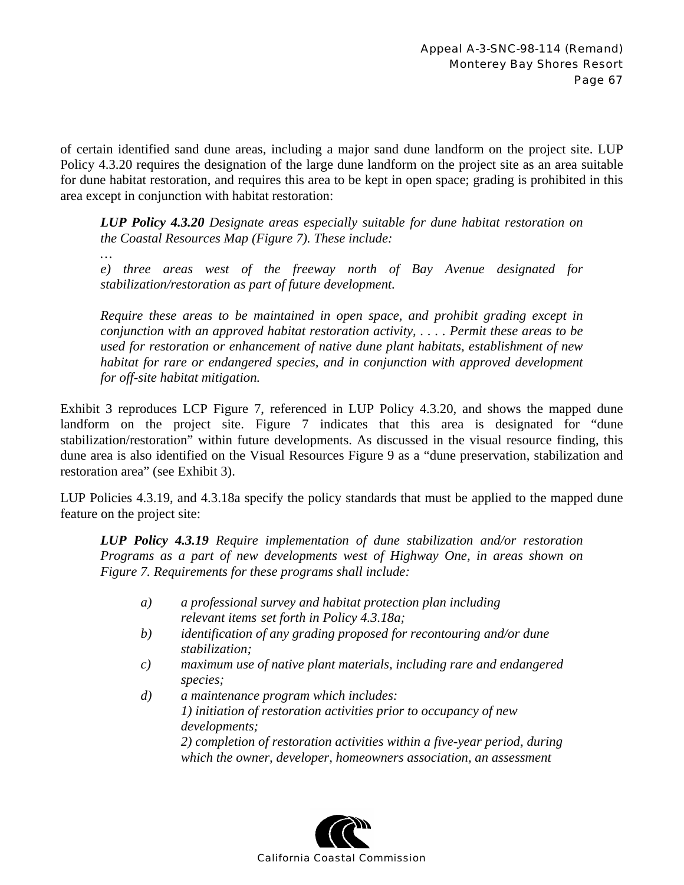of certain identified sand dune areas, including a major sand dune landform on the project site. LUP Policy 4.3.20 requires the designation of the large dune landform on the project site as an area suitable for dune habitat restoration, and requires this area to be kept in open space; grading is prohibited in this area except in conjunction with habitat restoration:

*LUP Policy 4.3.20 Designate areas especially suitable for dune habitat restoration on the Coastal Resources Map (Figure 7). These include:* 

*e) three areas west of the freeway north of Bay Avenue designated for stabilization/restoration as part of future development.* 

*…* 

*Require these areas to be maintained in open space, and prohibit grading except in conjunction with an approved habitat restoration activity, . . . . Permit these areas to be used for restoration or enhancement of native dune plant habitats, establishment of new habitat for rare or endangered species, and in conjunction with approved development for off-site habitat mitigation.* 

Exhibit 3 reproduces LCP Figure 7, referenced in LUP Policy 4.3.20, and shows the mapped dune landform on the project site. Figure 7 indicates that this area is designated for "dune" stabilization/restoration" within future developments. As discussed in the visual resource finding, this dune area is also identified on the Visual Resources Figure 9 as a "dune preservation, stabilization and restoration area" (see Exhibit 3).

LUP Policies 4.3.19, and 4.3.18a specify the policy standards that must be applied to the mapped dune feature on the project site:

*LUP Policy 4.3.19 Require implementation of dune stabilization and/or restoration Programs as a part of new developments west of Highway One, in areas shown on Figure 7. Requirements for these programs shall include:* 

- *a) a professional survey and habitat protection plan including relevant items set forth in Policy 4.3.18a;*
- *b) identification of any grading proposed for recontouring and/or dune stabilization;*
- *c) maximum use of native plant materials, including rare and endangered species;*
- *d) a maintenance program which includes: 1) initiation of restoration activities prior to occupancy of new developments; 2) completion of restoration activities within a five-year period, during which the owner, developer, homeowners association, an assessment*

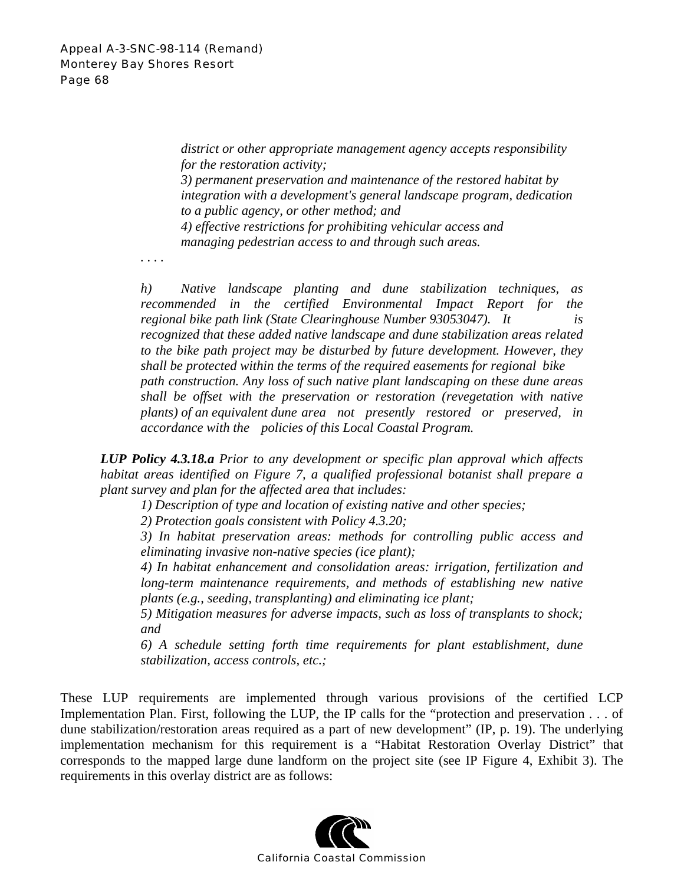*district or other appropriate management agency accepts responsibility for the restoration activity; 3) permanent preservation and maintenance of the restored habitat by* 

*integration with a development's general landscape program, dedication to a public agency, or other method; and 4) effective restrictions for prohibiting vehicular access and* 

*managing pedestrian access to and through such areas.* 

*. . . .* 

*h) Native landscape planting and dune stabilization techniques, as recommended in the certified Environmental Impact Report for the regional bike path link (State Clearinghouse Number 93053047). It is recognized that these added native landscape and dune stabilization areas related to the bike path project may be disturbed by future development. However, they shall be protected within the terms of the required easements for regional bike path construction. Any loss of such native plant landscaping on these dune areas shall be offset with the preservation or restoration (revegetation with native plants) of an equivalent dune area not presently restored or preserved, in accordance with the policies of this Local Coastal Program.* 

*LUP Policy 4.3.18.a Prior to any development or specific plan approval which affects habitat areas identified on Figure 7, a qualified professional botanist shall prepare a plant survey and plan for the affected area that includes:* 

*1) Description of type and location of existing native and other species;* 

*2) Protection goals consistent with Policy 4.3.20;* 

*3) In habitat preservation areas: methods for controlling public access and eliminating invasive non-native species (ice plant);*

*4) In habitat enhancement and consolidation areas: irrigation, fertilization and long-term maintenance requirements, and methods of establishing new native plants (e.g., seeding, transplanting) and eliminating ice plant;* 

*5) Mitigation measures for adverse impacts, such as loss of transplants to shock; and* 

*6) A schedule setting forth time requirements for plant establishment, dune stabilization, access controls, etc.;* 

These LUP requirements are implemented through various provisions of the certified LCP Implementation Plan. First, following the LUP, the IP calls for the "protection and preservation . . . of dune stabilization/restoration areas required as a part of new development" (IP, p. 19). The underlying implementation mechanism for this requirement is a "Habitat Restoration Overlay District" that corresponds to the mapped large dune landform on the project site (see IP Figure 4, Exhibit 3). The requirements in this overlay district are as follows:

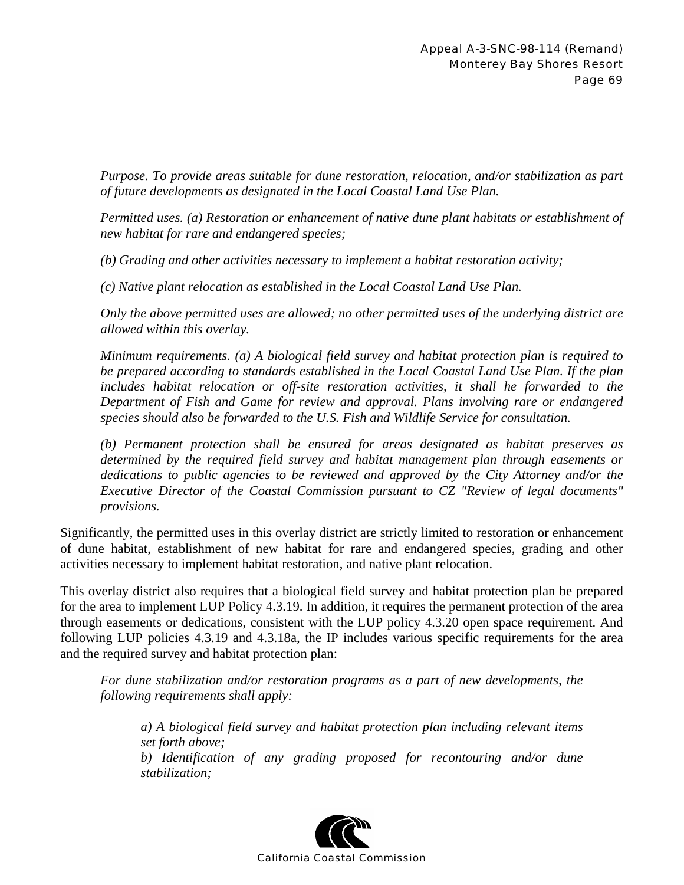*Purpose. To provide areas suitable for dune restoration, relocation, and/or stabilization as part of future developments as designated in the Local Coastal Land Use Plan.* 

*Permitted uses. (a) Restoration or enhancement of native dune plant habitats or establishment of new habitat for rare and endangered species;* 

*(b) Grading and other activities necessary to implement a habitat restoration activity;* 

*(c) Native plant relocation as established in the Local Coastal Land Use Plan.* 

*Only the above permitted uses are allowed; no other permitted uses of the underlying district are allowed within this overlay.* 

*Minimum requirements. (a) A biological field survey and habitat protection plan is required to be prepared according to standards established in the Local Coastal Land Use Plan. If the plan*  includes habitat relocation or off-site restoration activities, it shall he forwarded to the *Department of Fish and Game for review and approval. Plans involving rare or endangered species should also be forwarded to the U.S. Fish and Wildlife Service for consultation.* 

*(b) Permanent protection shall be ensured for areas designated as habitat preserves as determined by the required field survey and habitat management plan through easements or dedications to public agencies to be reviewed and approved by the City Attorney and/or the Executive Director of the Coastal Commission pursuant to CZ "Review of legal documents" provisions.* 

Significantly, the permitted uses in this overlay district are strictly limited to restoration or enhancement of dune habitat, establishment of new habitat for rare and endangered species, grading and other activities necessary to implement habitat restoration, and native plant relocation.

This overlay district also requires that a biological field survey and habitat protection plan be prepared for the area to implement LUP Policy 4.3.19. In addition, it requires the permanent protection of the area through easements or dedications, consistent with the LUP policy 4.3.20 open space requirement. And following LUP policies 4.3.19 and 4.3.18a, the IP includes various specific requirements for the area and the required survey and habitat protection plan:

*For dune stabilization and/or restoration programs as a part of new developments, the following requirements shall apply:* 

*a) A biological field survey and habitat protection plan including relevant items set forth above; b) Identification of any grading proposed for recontouring and/or dune stabilization;* 

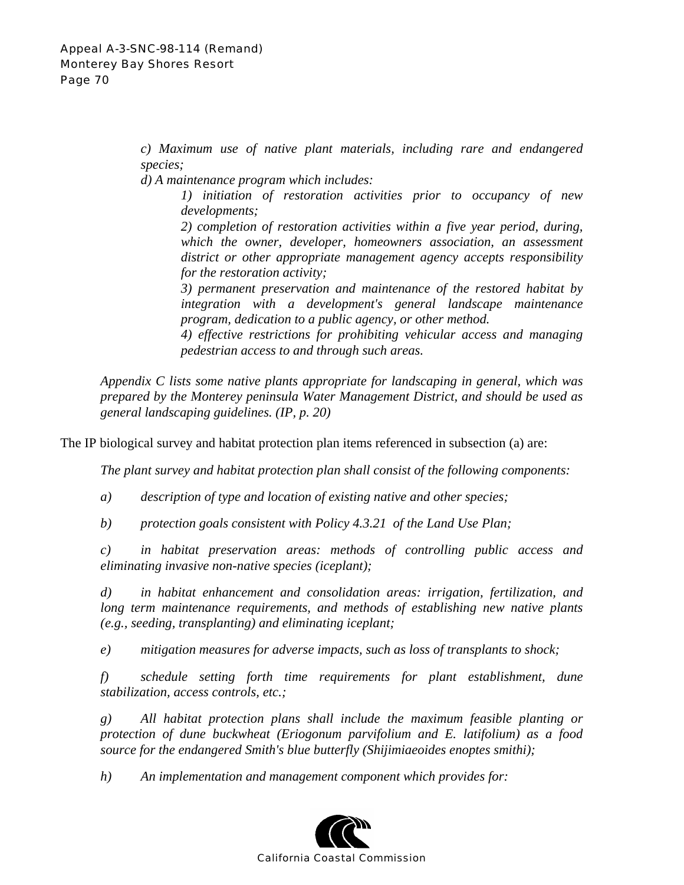*c) Maximum use of native plant materials, including rare and endangered species;* 

*d) A maintenance program which includes:* 

*1) initiation of restoration activities prior to occupancy of new developments;* 

*2) completion of restoration activities within a five year period, during, which the owner, developer, homeowners association, an assessment district or other appropriate management agency accepts responsibility for the restoration activity;* 

*3) permanent preservation and maintenance of the restored habitat by integration with a development's general landscape maintenance program, dedication to a public agency, or other method.* 

*4) effective restrictions for prohibiting vehicular access and managing pedestrian access to and through such areas.* 

*Appendix C lists some native plants appropriate for landscaping in general, which was prepared by the Monterey peninsula Water Management District, and should be used as general landscaping guidelines. (IP, p. 20)*

The IP biological survey and habitat protection plan items referenced in subsection (a) are:

*The plant survey and habitat protection plan shall consist of the following components:* 

*a) description of type and location of existing native and other species;* 

*b) protection goals consistent with Policy 4.3.21 of the Land Use Plan;* 

*c) in habitat preservation areas: methods of controlling public access and eliminating invasive non-native species (iceplant);*

*d) in habitat enhancement and consolidation areas: irrigation, fertilization, and*  long term maintenance requirements, and methods of establishing new native plants *(e.g., seeding, transplanting) and eliminating iceplant;* 

*e) mitigation measures for adverse impacts, such as loss of transplants to shock;* 

*f) schedule setting forth time requirements for plant establishment, dune stabilization, access controls, etc.;* 

*g) All habitat protection plans shall include the maximum feasible planting or protection of dune buckwheat (Eriogonum parvifolium and E. latifolium) as a food source for the endangered Smith's blue butterfly (Shijimiaeoides enoptes smithi);* 

*h) An implementation and management component which provides for:* 

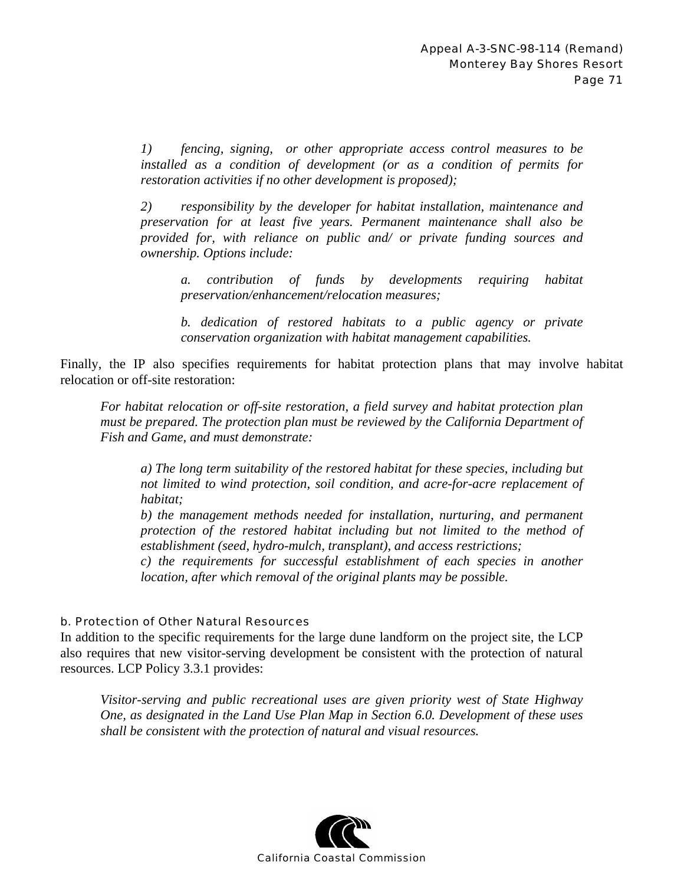*1) fencing, signing, or other appropriate access control measures to be installed as a condition of development (or as a condition of permits for restoration activities if no other development is proposed);*

*2) responsibility by the developer for habitat installation, maintenance and preservation for at least five years. Permanent maintenance shall also be provided for, with reliance on public and/ or private funding sources and ownership. Options include:* 

*a. contribution of funds by developments requiring habitat preservation/enhancement/relocation measures;* 

*b. dedication of restored habitats to a public agency or private conservation organization with habitat management capabilities.* 

Finally, the IP also specifies requirements for habitat protection plans that may involve habitat relocation or off-site restoration:

*For habitat relocation or off-site restoration, a field survey and habitat protection plan must be prepared. The protection plan must be reviewed by the California Department of Fish and Game, and must demonstrate:* 

*a) The long term suitability of the restored habitat for these species, including but not limited to wind protection, soil condition, and acre-for-acre replacement of habitat;* 

*b) the management methods needed for installation, nurturing, and permanent protection of the restored habitat including but not limited to the method of establishment (seed, hydro-mulch, transplant), and access restrictions;* 

*c) the requirements for successful establishment of each species in another location, after which removal of the original plants may be possible.* 

#### b. Protection of Other Natural Resources

In addition to the specific requirements for the large dune landform on the project site, the LCP also requires that new visitor-serving development be consistent with the protection of natural resources. LCP Policy 3.3.1 provides:

*Visitor-serving and public recreational uses are given priority west of State Highway One, as designated in the Land Use Plan Map in Section 6.0. Development of these uses shall be consistent with the protection of natural and visual resources.* 

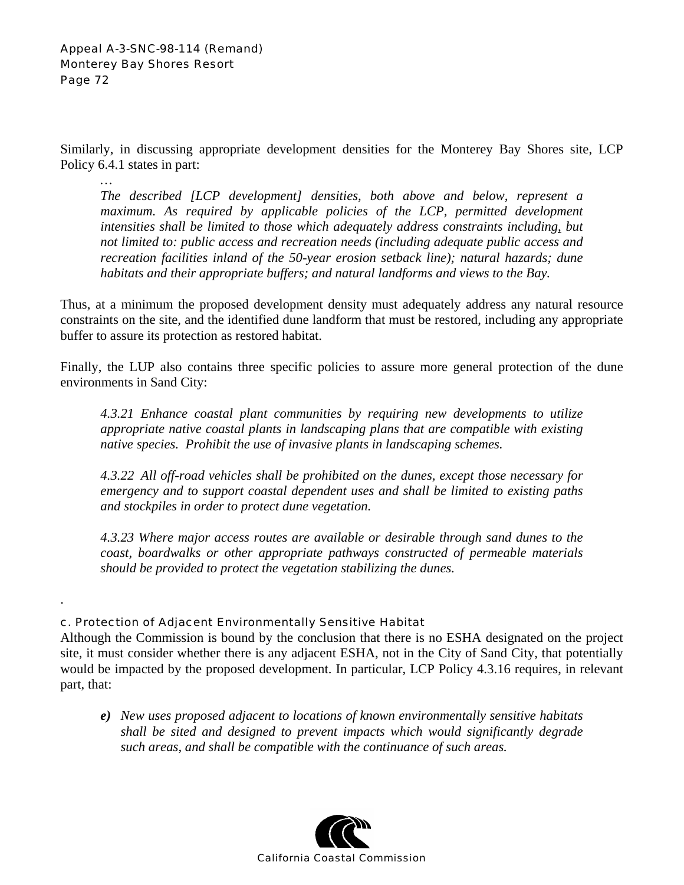*…* 

.

Similarly, in discussing appropriate development densities for the Monterey Bay Shores site, LCP Policy 6.4.1 states in part:

*The described [LCP development] densities, both above and below, represent a*  maximum. As required by applicable policies of the LCP, permitted development *intensities shall be limited to those which adequately address constraints including, but not limited to: public access and recreation needs (including adequate public access and recreation facilities inland of the 50-year erosion setback line); natural hazards; dune habitats and their appropriate buffers; and natural landforms and views to the Bay.* 

Thus, at a minimum the proposed development density must adequately address any natural resource constraints on the site, and the identified dune landform that must be restored, including any appropriate buffer to assure its protection as restored habitat.

Finally, the LUP also contains three specific policies to assure more general protection of the dune environments in Sand City:

*4.3.21 Enhance coastal plant communities by requiring new developments to utilize appropriate native coastal plants in landscaping plans that are compatible with existing native species. Prohibit the use of invasive plants in landscaping schemes.* 

*4.3.22 All off-road vehicles shall be prohibited on the dunes, except those necessary for emergency and to support coastal dependent uses and shall be limited to existing paths and stockpiles in order to protect dune vegetation.* 

*4.3.23 Where major access routes are available or desirable through sand dunes to the coast, boardwalks or other appropriate pathways constructed of permeable materials should be provided to protect the vegetation stabilizing the dunes.* 

# c. Protection of Adjacent Environmentally Sensitive Habitat

Although the Commission is bound by the conclusion that there is no ESHA designated on the project site, it must consider whether there is any adjacent ESHA, not in the City of Sand City, that potentially would be impacted by the proposed development. In particular, LCP Policy 4.3.16 requires, in relevant part, that:

*e) New uses proposed adjacent to locations of known environmentally sensitive habitats shall be sited and designed to prevent impacts which would significantly degrade such areas, and shall be compatible with the continuance of such areas.* 

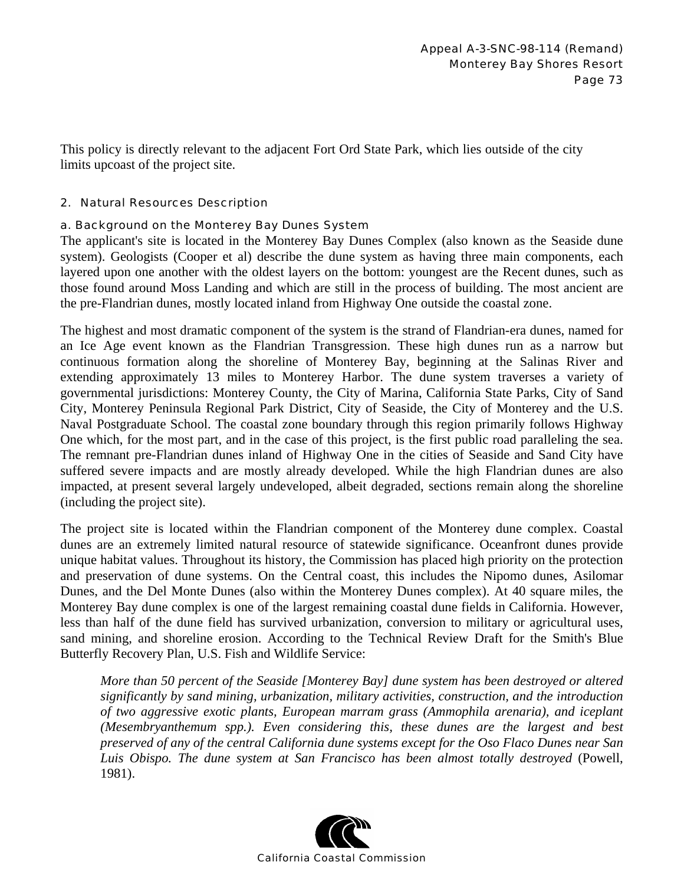This policy is directly relevant to the adjacent Fort Ord State Park, which lies outside of the city limits upcoast of the project site.

### 2. Natural Resources Description

## a. Background on the Monterey Bay Dunes System

The applicant's site is located in the Monterey Bay Dunes Complex (also known as the Seaside dune system). Geologists (Cooper et al) describe the dune system as having three main components, each layered upon one another with the oldest layers on the bottom: youngest are the Recent dunes, such as those found around Moss Landing and which are still in the process of building. The most ancient are the pre-Flandrian dunes, mostly located inland from Highway One outside the coastal zone.

The highest and most dramatic component of the system is the strand of Flandrian-era dunes, named for an Ice Age event known as the Flandrian Transgression. These high dunes run as a narrow but continuous formation along the shoreline of Monterey Bay, beginning at the Salinas River and extending approximately 13 miles to Monterey Harbor. The dune system traverses a variety of governmental jurisdictions: Monterey County, the City of Marina, California State Parks, City of Sand City, Monterey Peninsula Regional Park District, City of Seaside, the City of Monterey and the U.S. Naval Postgraduate School. The coastal zone boundary through this region primarily follows Highway One which, for the most part, and in the case of this project, is the first public road paralleling the sea. The remnant pre-Flandrian dunes inland of Highway One in the cities of Seaside and Sand City have suffered severe impacts and are mostly already developed. While the high Flandrian dunes are also impacted, at present several largely undeveloped, albeit degraded, sections remain along the shoreline (including the project site).

The project site is located within the Flandrian component of the Monterey dune complex. Coastal dunes are an extremely limited natural resource of statewide significance. Oceanfront dunes provide unique habitat values. Throughout its history, the Commission has placed high priority on the protection and preservation of dune systems. On the Central coast, this includes the Nipomo dunes, Asilomar Dunes, and the Del Monte Dunes (also within the Monterey Dunes complex). At 40 square miles, the Monterey Bay dune complex is one of the largest remaining coastal dune fields in California. However, less than half of the dune field has survived urbanization, conversion to military or agricultural uses, sand mining, and shoreline erosion. According to the Technical Review Draft for the Smith's Blue Butterfly Recovery Plan, U.S. Fish and Wildlife Service:

*More than 50 percent of the Seaside [Monterey Bay] dune system has been destroyed or altered significantly by sand mining, urbanization, military activities, construction, and the introduction of two aggressive exotic plants, European marram grass (Ammophila arenaria), and iceplant (Mesembryanthemum spp.). Even considering this, these dunes are the largest and best preserved of any of the central California dune systems except for the Oso Flaco Dunes near San Luis Obispo. The dune system at San Francisco has been almost totally destroyed* (Powell, 1981).

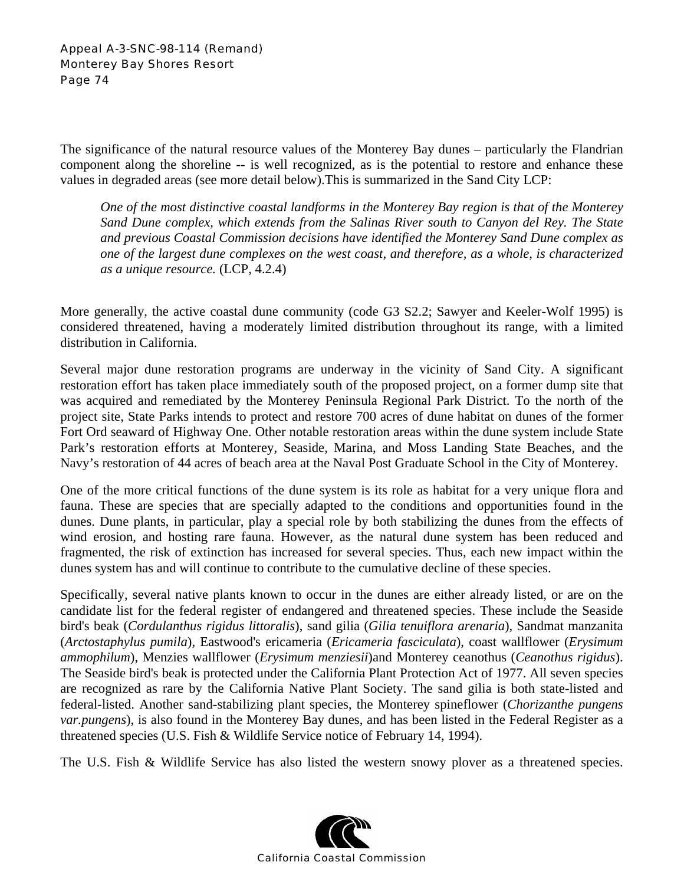### Appeal A-3-SNC-98-114 (Remand) Monterey Bay Shores Resort Page 74

The significance of the natural resource values of the Monterey Bay dunes – particularly the Flandrian component along the shoreline -- is well recognized, as is the potential to restore and enhance these values in degraded areas (see more detail below).This is summarized in the Sand City LCP:

*One of the most distinctive coastal landforms in the Monterey Bay region is that of the Monterey Sand Dune complex, which extends from the Salinas River south to Canyon del Rey. The State and previous Coastal Commission decisions have identified the Monterey Sand Dune complex as one of the largest dune complexes on the west coast, and therefore, as a whole, is characterized as a unique resource.* (LCP, 4.2.4)

More generally, the active coastal dune community (code G3 S2.2; Sawyer and Keeler-Wolf 1995) is considered threatened, having a moderately limited distribution throughout its range, with a limited distribution in California.

Several major dune restoration programs are underway in the vicinity of Sand City. A significant restoration effort has taken place immediately south of the proposed project, on a former dump site that was acquired and remediated by the Monterey Peninsula Regional Park District. To the north of the project site, State Parks intends to protect and restore 700 acres of dune habitat on dunes of the former Fort Ord seaward of Highway One. Other notable restoration areas within the dune system include State Park's restoration efforts at Monterey, Seaside, Marina, and Moss Landing State Beaches, and the Navy's restoration of 44 acres of beach area at the Naval Post Graduate School in the City of Monterey.

One of the more critical functions of the dune system is its role as habitat for a very unique flora and fauna. These are species that are specially adapted to the conditions and opportunities found in the dunes. Dune plants, in particular, play a special role by both stabilizing the dunes from the effects of wind erosion, and hosting rare fauna. However, as the natural dune system has been reduced and fragmented, the risk of extinction has increased for several species. Thus, each new impact within the dunes system has and will continue to contribute to the cumulative decline of these species.

Specifically, several native plants known to occur in the dunes are either already listed, or are on the candidate list for the federal register of endangered and threatened species. These include the Seaside bird's beak (*Cordulanthus rigidus littoralis*), sand gilia (*Gilia tenuiflora arenaria*), Sandmat manzanita (*Arctostaphylus pumila*), Eastwood's ericameria (*Ericameria fasciculata*), coast wallflower (*Erysimum ammophilum*), Menzies wallflower (*Erysimum menziesii*)and Monterey ceanothus (*Ceanothus rigidus*). The Seaside bird's beak is protected under the California Plant Protection Act of 1977. All seven species are recognized as rare by the California Native Plant Society. The sand gilia is both state-listed and federal-listed. Another sand-stabilizing plant species, the Monterey spineflower (*Chorizanthe pungens var.pungens*), is also found in the Monterey Bay dunes, and has been listed in the Federal Register as a threatened species (U.S. Fish & Wildlife Service notice of February 14, 1994).

The U.S. Fish & Wildlife Service has also listed the western snowy plover as a threatened species.

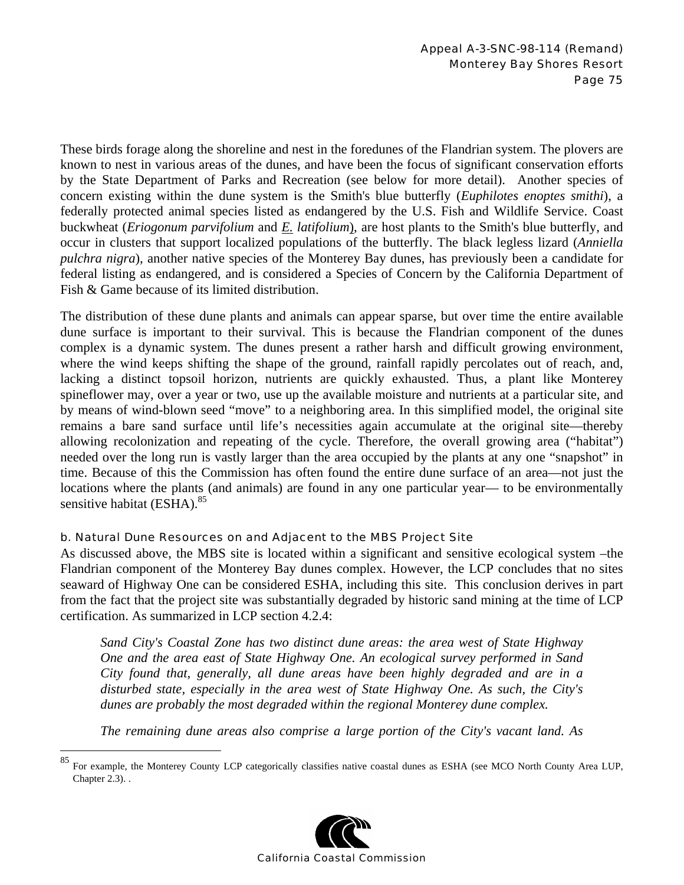These birds forage along the shoreline and nest in the foredunes of the Flandrian system. The plovers are known to nest in various areas of the dunes, and have been the focus of significant conservation efforts by the State Department of Parks and Recreation (see below for more detail). Another species of concern existing within the dune system is the Smith's blue butterfly (*Euphilotes enoptes smithi*), a federally protected animal species listed as endangered by the U.S. Fish and Wildlife Service. Coast buckwheat (*Eriogonum parvifolium* and *E. latifolium*), are host plants to the Smith's blue butterfly, and occur in clusters that support localized populations of the butterfly. The black legless lizard (*Anniella pulchra nigra*), another native species of the Monterey Bay dunes, has previously been a candidate for federal listing as endangered, and is considered a Species of Concern by the California Department of Fish & Game because of its limited distribution.

The distribution of these dune plants and animals can appear sparse, but over time the entire available dune surface is important to their survival. This is because the Flandrian component of the dunes complex is a dynamic system. The dunes present a rather harsh and difficult growing environment, where the wind keeps shifting the shape of the ground, rainfall rapidly percolates out of reach, and, lacking a distinct topsoil horizon, nutrients are quickly exhausted. Thus, a plant like Monterey spineflower may, over a year or two, use up the available moisture and nutrients at a particular site, and by means of wind-blown seed "move" to a neighboring area. In this simplified model, the original site remains a bare sand surface until life's necessities again accumulate at the original site—thereby allowing recolonization and repeating of the cycle. Therefore, the overall growing area ("habitat") needed over the long run is vastly larger than the area occupied by the plants at any one "snapshot" in time. Because of this the Commission has often found the entire dune surface of an area—not just the locations where the plants (and animals) are found in any one particular year— to be environmentally sensitive habitat  $(ESHA)$ .<sup>85</sup>

## b. Natural Dune Resources on and Adjacent to the MBS Project Site

 $\overline{a}$ 

As discussed above, the MBS site is located within a significant and sensitive ecological system –the Flandrian component of the Monterey Bay dunes complex. However, the LCP concludes that no sites seaward of Highway One can be considered ESHA, including this site. This conclusion derives in part from the fact that the project site was substantially degraded by historic sand mining at the time of LCP certification. As summarized in LCP section 4.2.4:

*Sand City's Coastal Zone has two distinct dune areas: the area west of State Highway One and the area east of State Highway One. An ecological survey performed in Sand City found that, generally, all dune areas have been highly degraded and are in a disturbed state, especially in the area west of State Highway One. As such, the City's dunes are probably the most degraded within the regional Monterey dune complex.* 

*The remaining dune areas also comprise a large portion of the City's vacant land. As* 

<sup>85</sup> For example, the Monterey County LCP categorically classifies native coastal dunes as ESHA (see MCO North County Area LUP, Chapter 2.3). .

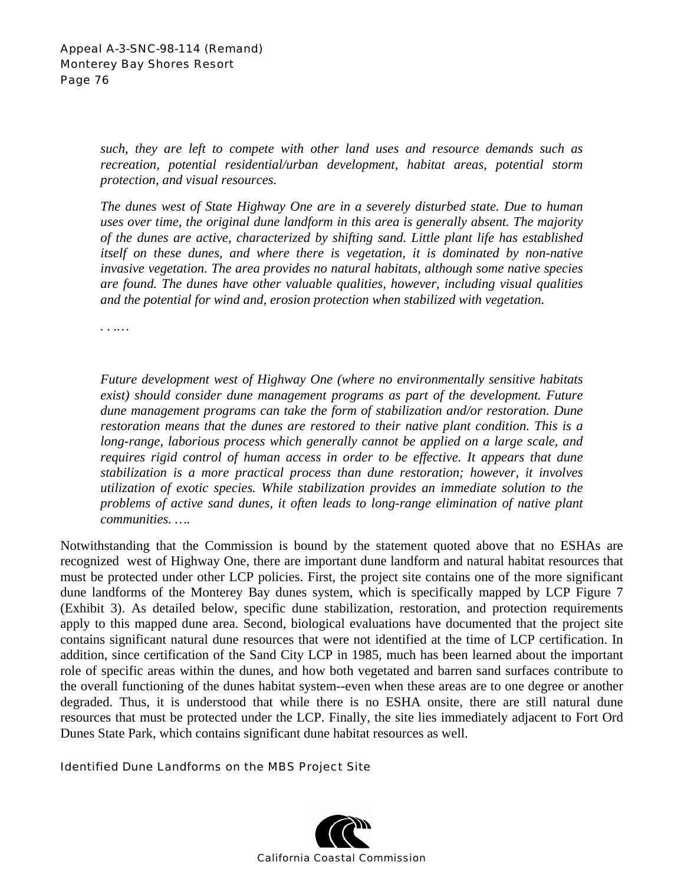*such, they are left to compete with other land uses and resource demands such as recreation, potential residential/urban development, habitat areas, potential storm protection, and visual resources.* 

*The dunes west of State Highway One are in a severely disturbed state. Due to human uses over time, the original dune landform in this area is generally absent. The majority of the dunes are active, characterized by shifting sand. Little plant life has established itself on these dunes, and where there is vegetation, it is dominated by non-native invasive vegetation. The area provides no natural habitats, although some native species are found. The dunes have other valuable qualities, however, including visual qualities and the potential for wind and, erosion protection when stabilized with vegetation.* 

*. . .…* 

*Future development west of Highway One (where no environmentally sensitive habitats exist) should consider dune management programs as part of the development. Future dune management programs can take the form of stabilization and/or restoration. Dune restoration means that the dunes are restored to their native plant condition. This is a*  long-range, laborious process which generally cannot be applied on a large scale, and *requires rigid control of human access in order to be effective. It appears that dune stabilization is a more practical process than dune restoration; however, it involves utilization of exotic species. While stabilization provides an immediate solution to the problems of active sand dunes, it often leads to long-range elimination of native plant communities. ….*

Notwithstanding that the Commission is bound by the statement quoted above that no ESHAs are recognized west of Highway One, there are important dune landform and natural habitat resources that must be protected under other LCP policies. First, the project site contains one of the more significant dune landforms of the Monterey Bay dunes system, which is specifically mapped by LCP Figure 7 (Exhibit 3). As detailed below, specific dune stabilization, restoration, and protection requirements apply to this mapped dune area. Second, biological evaluations have documented that the project site contains significant natural dune resources that were not identified at the time of LCP certification. In addition, since certification of the Sand City LCP in 1985, much has been learned about the important role of specific areas within the dunes, and how both vegetated and barren sand surfaces contribute to the overall functioning of the dunes habitat system--even when these areas are to one degree or another degraded. Thus, it is understood that while there is no ESHA onsite, there are still natural dune resources that must be protected under the LCP. Finally, the site lies immediately adjacent to Fort Ord Dunes State Park, which contains significant dune habitat resources as well.

#### Identified Dune Landforms on the MBS Project Site

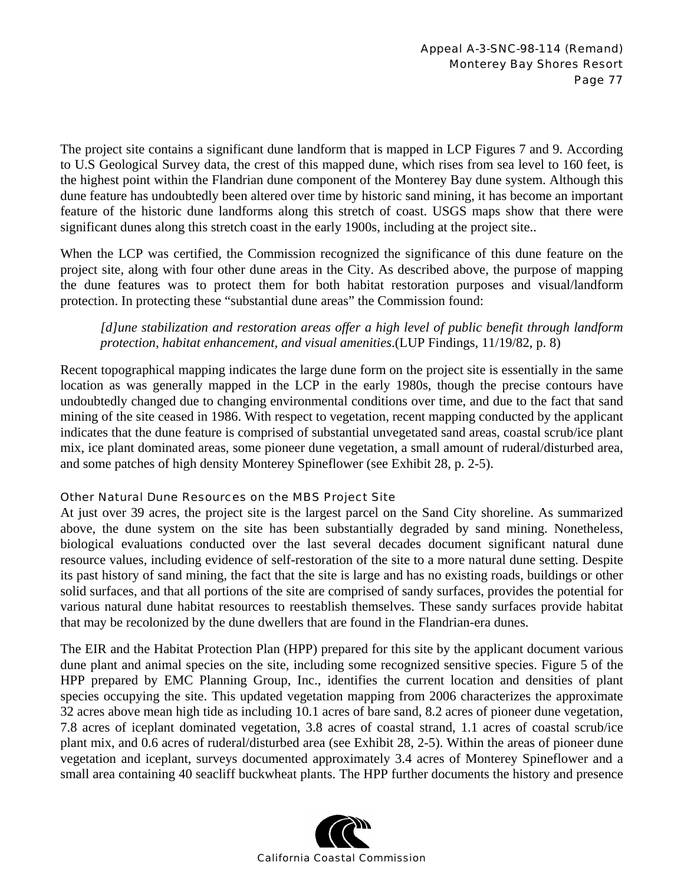The project site contains a significant dune landform that is mapped in LCP Figures 7 and 9. According to U.S Geological Survey data, the crest of this mapped dune, which rises from sea level to 160 feet, is the highest point within the Flandrian dune component of the Monterey Bay dune system. Although this dune feature has undoubtedly been altered over time by historic sand mining, it has become an important feature of the historic dune landforms along this stretch of coast. USGS maps show that there were significant dunes along this stretch coast in the early 1900s, including at the project site..

When the LCP was certified, the Commission recognized the significance of this dune feature on the project site, along with four other dune areas in the City. As described above, the purpose of mapping the dune features was to protect them for both habitat restoration purposes and visual/landform protection. In protecting these "substantial dune areas" the Commission found:

*[d]une stabilization and restoration areas offer a high level of public benefit through landform protection, habitat enhancement, and visual amenities*.(LUP Findings, 11/19/82, p. 8)

Recent topographical mapping indicates the large dune form on the project site is essentially in the same location as was generally mapped in the LCP in the early 1980s, though the precise contours have undoubtedly changed due to changing environmental conditions over time, and due to the fact that sand mining of the site ceased in 1986. With respect to vegetation, recent mapping conducted by the applicant indicates that the dune feature is comprised of substantial unvegetated sand areas, coastal scrub/ice plant mix, ice plant dominated areas, some pioneer dune vegetation, a small amount of ruderal/disturbed area, and some patches of high density Monterey Spineflower (see Exhibit 28, p. 2-5).

## Other Natural Dune Resources on the MBS Project Site

At just over 39 acres, the project site is the largest parcel on the Sand City shoreline. As summarized above, the dune system on the site has been substantially degraded by sand mining. Nonetheless, biological evaluations conducted over the last several decades document significant natural dune resource values, including evidence of self-restoration of the site to a more natural dune setting. Despite its past history of sand mining, the fact that the site is large and has no existing roads, buildings or other solid surfaces, and that all portions of the site are comprised of sandy surfaces, provides the potential for various natural dune habitat resources to reestablish themselves. These sandy surfaces provide habitat that may be recolonized by the dune dwellers that are found in the Flandrian-era dunes.

The EIR and the Habitat Protection Plan (HPP) prepared for this site by the applicant document various dune plant and animal species on the site, including some recognized sensitive species. Figure 5 of the HPP prepared by EMC Planning Group, Inc., identifies the current location and densities of plant species occupying the site. This updated vegetation mapping from 2006 characterizes the approximate 32 acres above mean high tide as including 10.1 acres of bare sand, 8.2 acres of pioneer dune vegetation, 7.8 acres of iceplant dominated vegetation, 3.8 acres of coastal strand, 1.1 acres of coastal scrub/ice plant mix, and 0.6 acres of ruderal/disturbed area (see Exhibit 28, 2-5). Within the areas of pioneer dune vegetation and iceplant, surveys documented approximately 3.4 acres of Monterey Spineflower and a small area containing 40 seacliff buckwheat plants. The HPP further documents the history and presence

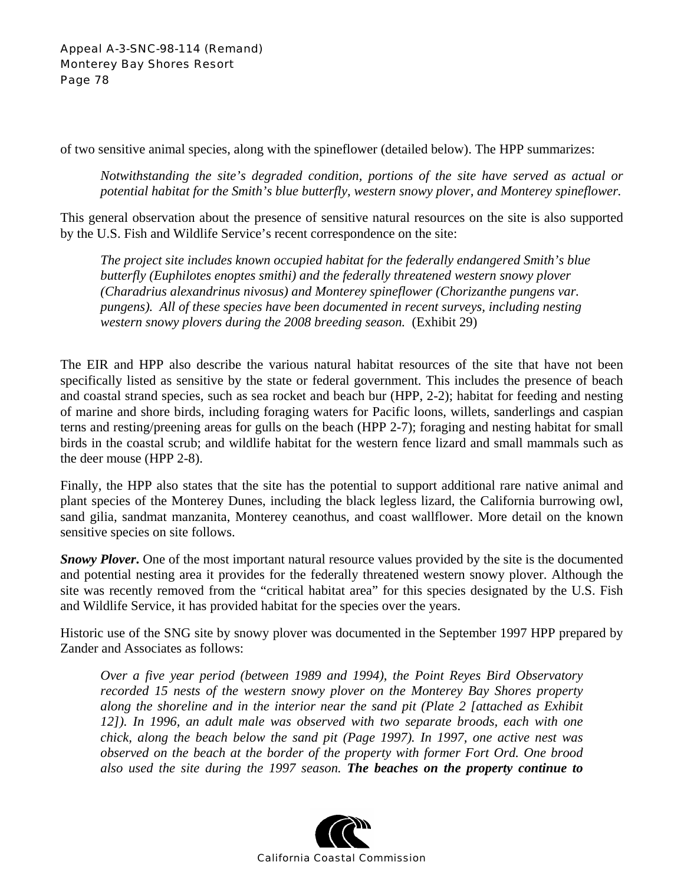Appeal A-3-SNC-98-114 (Remand) Monterey Bay Shores Resort Page 78

of two sensitive animal species, along with the spineflower (detailed below). The HPP summarizes:

*Notwithstanding the site's degraded condition, portions of the site have served as actual or potential habitat for the Smith's blue butterfly, western snowy plover, and Monterey spineflower.* 

This general observation about the presence of sensitive natural resources on the site is also supported by the U.S. Fish and Wildlife Service's recent correspondence on the site:

*The project site includes known occupied habitat for the federally endangered Smith's blue butterfly (Euphilotes enoptes smithi) and the federally threatened western snowy plover (Charadrius alexandrinus nivosus) and Monterey spineflower (Chorizanthe pungens var. pungens). All of these species have been documented in recent surveys, including nesting western snowy plovers during the 2008 breeding season.* (Exhibit 29)

The EIR and HPP also describe the various natural habitat resources of the site that have not been specifically listed as sensitive by the state or federal government. This includes the presence of beach and coastal strand species, such as sea rocket and beach bur (HPP, 2-2); habitat for feeding and nesting of marine and shore birds, including foraging waters for Pacific loons, willets, sanderlings and caspian terns and resting/preening areas for gulls on the beach (HPP 2-7); foraging and nesting habitat for small birds in the coastal scrub; and wildlife habitat for the western fence lizard and small mammals such as the deer mouse (HPP 2-8).

Finally, the HPP also states that the site has the potential to support additional rare native animal and plant species of the Monterey Dunes, including the black legless lizard, the California burrowing owl, sand gilia, sandmat manzanita, Monterey ceanothus, and coast wallflower. More detail on the known sensitive species on site follows.

**Snowy Plover.** One of the most important natural resource values provided by the site is the documented and potential nesting area it provides for the federally threatened western snowy plover. Although the site was recently removed from the "critical habitat area" for this species designated by the U.S. Fish and Wildlife Service, it has provided habitat for the species over the years.

Historic use of the SNG site by snowy plover was documented in the September 1997 HPP prepared by Zander and Associates as follows:

*Over a five year period (between 1989 and 1994), the Point Reyes Bird Observatory recorded 15 nests of the western snowy plover on the Monterey Bay Shores property along the shoreline and in the interior near the sand pit (Plate 2 [attached as Exhibit 12]). In 1996, an adult male was observed with two separate broods, each with one chick, along the beach below the sand pit (Page 1997). In 1997, one active nest was observed on the beach at the border of the property with former Fort Ord. One brood also used the site during the 1997 season. The beaches on the property continue to* 

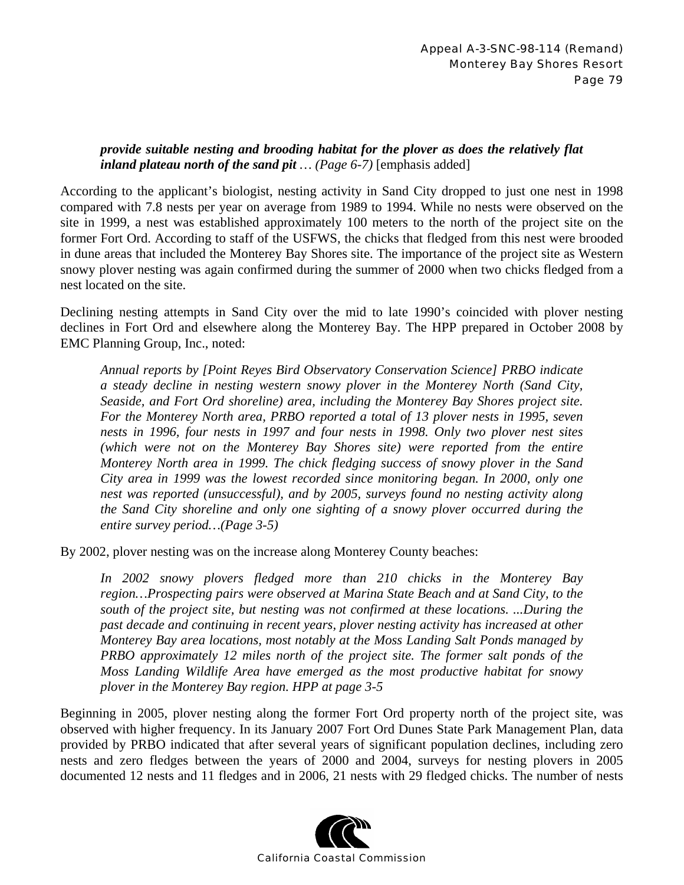# *provide suitable nesting and brooding habitat for the plover as does the relatively flat inland plateau north of the sand pit … (Page 6-7)* [emphasis added]

According to the applicant's biologist, nesting activity in Sand City dropped to just one nest in 1998 compared with 7.8 nests per year on average from 1989 to 1994. While no nests were observed on the site in 1999, a nest was established approximately 100 meters to the north of the project site on the former Fort Ord. According to staff of the USFWS, the chicks that fledged from this nest were brooded in dune areas that included the Monterey Bay Shores site. The importance of the project site as Western snowy plover nesting was again confirmed during the summer of 2000 when two chicks fledged from a nest located on the site.

Declining nesting attempts in Sand City over the mid to late 1990's coincided with plover nesting declines in Fort Ord and elsewhere along the Monterey Bay. The HPP prepared in October 2008 by EMC Planning Group, Inc., noted:

*Annual reports by [Point Reyes Bird Observatory Conservation Science] PRBO indicate a steady decline in nesting western snowy plover in the Monterey North (Sand City, Seaside, and Fort Ord shoreline) area, including the Monterey Bay Shores project site. For the Monterey North area, PRBO reported a total of 13 plover nests in 1995, seven nests in 1996, four nests in 1997 and four nests in 1998. Only two plover nest sites (which were not on the Monterey Bay Shores site) were reported from the entire Monterey North area in 1999. The chick fledging success of snowy plover in the Sand City area in 1999 was the lowest recorded since monitoring began. In 2000, only one nest was reported (unsuccessful), and by 2005, surveys found no nesting activity along the Sand City shoreline and only one sighting of a snowy plover occurred during the entire survey period…(Page 3-5)*

By 2002, plover nesting was on the increase along Monterey County beaches:

*In 2002 snowy plovers fledged more than 210 chicks in the Monterey Bay region…Prospecting pairs were observed at Marina State Beach and at Sand City, to the south of the project site, but nesting was not confirmed at these locations. ...During the past decade and continuing in recent years, plover nesting activity has increased at other Monterey Bay area locations, most notably at the Moss Landing Salt Ponds managed by PRBO approximately 12 miles north of the project site. The former salt ponds of the Moss Landing Wildlife Area have emerged as the most productive habitat for snowy plover in the Monterey Bay region. HPP at page 3-5* 

Beginning in 2005, plover nesting along the former Fort Ord property north of the project site, was observed with higher frequency. In its January 2007 Fort Ord Dunes State Park Management Plan, data provided by PRBO indicated that after several years of significant population declines, including zero nests and zero fledges between the years of 2000 and 2004, surveys for nesting plovers in 2005 documented 12 nests and 11 fledges and in 2006, 21 nests with 29 fledged chicks. The number of nests

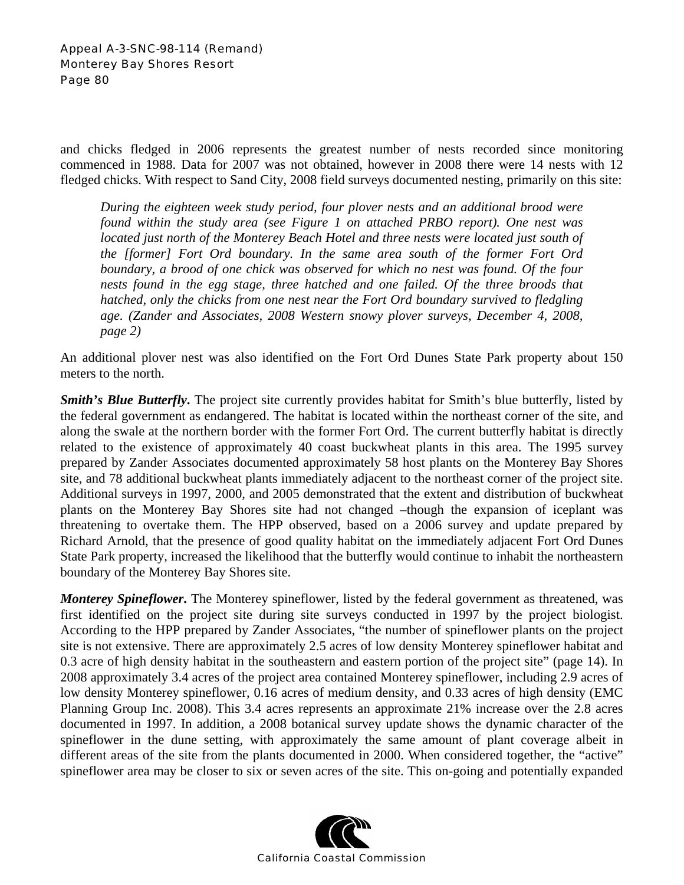and chicks fledged in 2006 represents the greatest number of nests recorded since monitoring commenced in 1988. Data for 2007 was not obtained, however in 2008 there were 14 nests with 12 fledged chicks. With respect to Sand City, 2008 field surveys documented nesting, primarily on this site:

*During the eighteen week study period, four plover nests and an additional brood were found within the study area (see Figure 1 on attached PRBO report). One nest was located just north of the Monterey Beach Hotel and three nests were located just south of the [former] Fort Ord boundary. In the same area south of the former Fort Ord*  boundary, a brood of one chick was observed for which no nest was found. Of the four nests found in the egg stage, three hatched and one failed. Of the three broods that *hatched, only the chicks from one nest near the Fort Ord boundary survived to fledgling age. (Zander and Associates, 2008 Western snowy plover surveys, December 4, 2008, page 2)* 

An additional plover nest was also identified on the Fort Ord Dunes State Park property about 150 meters to the north.

*Smith's Blue Butterfly*. The project site currently provides habitat for Smith's blue butterfly, listed by the federal government as endangered. The habitat is located within the northeast corner of the site, and along the swale at the northern border with the former Fort Ord. The current butterfly habitat is directly related to the existence of approximately 40 coast buckwheat plants in this area. The 1995 survey prepared by Zander Associates documented approximately 58 host plants on the Monterey Bay Shores site, and 78 additional buckwheat plants immediately adjacent to the northeast corner of the project site. Additional surveys in 1997, 2000, and 2005 demonstrated that the extent and distribution of buckwheat plants on the Monterey Bay Shores site had not changed –though the expansion of iceplant was threatening to overtake them. The HPP observed, based on a 2006 survey and update prepared by Richard Arnold, that the presence of good quality habitat on the immediately adjacent Fort Ord Dunes State Park property, increased the likelihood that the butterfly would continue to inhabit the northeastern boundary of the Monterey Bay Shores site.

*Monterey Spineflower*. The Monterey spineflower, listed by the federal government as threatened, was first identified on the project site during site surveys conducted in 1997 by the project biologist. According to the HPP prepared by Zander Associates, "the number of spineflower plants on the project site is not extensive. There are approximately 2.5 acres of low density Monterey spineflower habitat and 0.3 acre of high density habitat in the southeastern and eastern portion of the project site" (page 14). In 2008 approximately 3.4 acres of the project area contained Monterey spineflower, including 2.9 acres of low density Monterey spineflower, 0.16 acres of medium density, and 0.33 acres of high density (EMC Planning Group Inc. 2008). This 3.4 acres represents an approximate 21% increase over the 2.8 acres documented in 1997. In addition, a 2008 botanical survey update shows the dynamic character of the spineflower in the dune setting, with approximately the same amount of plant coverage albeit in different areas of the site from the plants documented in 2000. When considered together, the "active" spineflower area may be closer to six or seven acres of the site. This on-going and potentially expanded

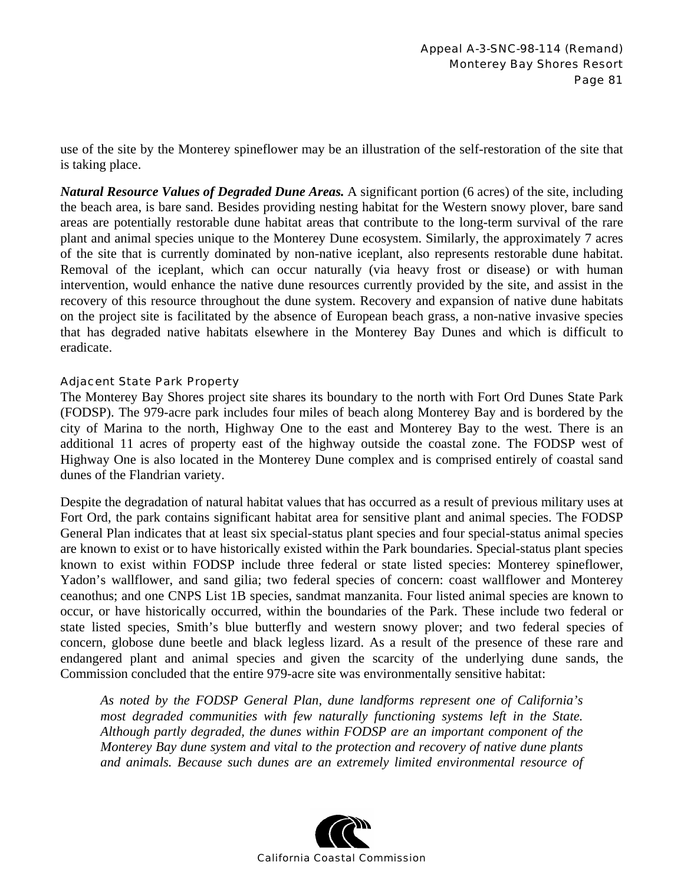use of the site by the Monterey spineflower may be an illustration of the self-restoration of the site that is taking place.

*Natural Resource Values of Degraded Dune Areas.* A significant portion (6 acres) of the site, including the beach area, is bare sand. Besides providing nesting habitat for the Western snowy plover, bare sand areas are potentially restorable dune habitat areas that contribute to the long-term survival of the rare plant and animal species unique to the Monterey Dune ecosystem. Similarly, the approximately 7 acres of the site that is currently dominated by non-native iceplant, also represents restorable dune habitat. Removal of the iceplant, which can occur naturally (via heavy frost or disease) or with human intervention, would enhance the native dune resources currently provided by the site, and assist in the recovery of this resource throughout the dune system. Recovery and expansion of native dune habitats on the project site is facilitated by the absence of European beach grass, a non-native invasive species that has degraded native habitats elsewhere in the Monterey Bay Dunes and which is difficult to eradicate.

## Adjacent State Park Property

The Monterey Bay Shores project site shares its boundary to the north with Fort Ord Dunes State Park (FODSP). The 979-acre park includes four miles of beach along Monterey Bay and is bordered by the city of Marina to the north, Highway One to the east and Monterey Bay to the west. There is an additional 11 acres of property east of the highway outside the coastal zone. The FODSP west of Highway One is also located in the Monterey Dune complex and is comprised entirely of coastal sand dunes of the Flandrian variety.

Despite the degradation of natural habitat values that has occurred as a result of previous military uses at Fort Ord, the park contains significant habitat area for sensitive plant and animal species. The FODSP General Plan indicates that at least six special-status plant species and four special-status animal species are known to exist or to have historically existed within the Park boundaries. Special-status plant species known to exist within FODSP include three federal or state listed species: Monterey spineflower, Yadon's wallflower, and sand gilia; two federal species of concern: coast wallflower and Monterey ceanothus; and one CNPS List 1B species, sandmat manzanita. Four listed animal species are known to occur, or have historically occurred, within the boundaries of the Park. These include two federal or state listed species, Smith's blue butterfly and western snowy plover; and two federal species of concern, globose dune beetle and black legless lizard. As a result of the presence of these rare and endangered plant and animal species and given the scarcity of the underlying dune sands, the Commission concluded that the entire 979-acre site was environmentally sensitive habitat:

*As noted by the FODSP General Plan, dune landforms represent one of California's most degraded communities with few naturally functioning systems left in the State. Although partly degraded, the dunes within FODSP are an important component of the Monterey Bay dune system and vital to the protection and recovery of native dune plants and animals. Because such dunes are an extremely limited environmental resource of* 

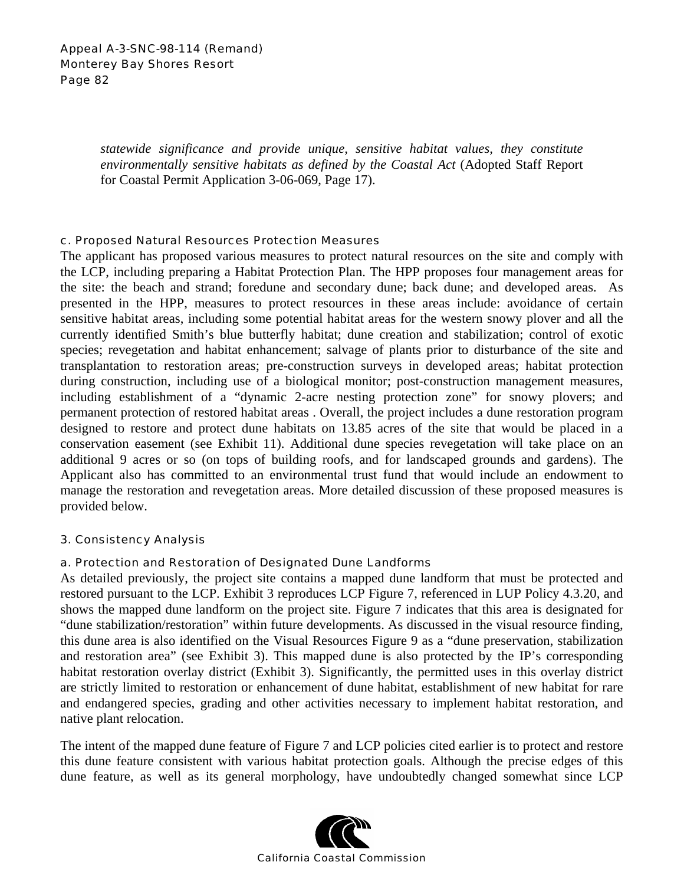*statewide significance and provide unique, sensitive habitat values, they constitute environmentally sensitive habitats as defined by the Coastal Act* (Adopted Staff Report for Coastal Permit Application 3-06-069, Page 17).

### c. Proposed Natural Resources Protection Measures

The applicant has proposed various measures to protect natural resources on the site and comply with the LCP, including preparing a Habitat Protection Plan. The HPP proposes four management areas for the site: the beach and strand; foredune and secondary dune; back dune; and developed areas. As presented in the HPP, measures to protect resources in these areas include: avoidance of certain sensitive habitat areas, including some potential habitat areas for the western snowy plover and all the currently identified Smith's blue butterfly habitat; dune creation and stabilization; control of exotic species; revegetation and habitat enhancement; salvage of plants prior to disturbance of the site and transplantation to restoration areas; pre-construction surveys in developed areas; habitat protection during construction, including use of a biological monitor; post-construction management measures, including establishment of a "dynamic 2-acre nesting protection zone" for snowy plovers; and permanent protection of restored habitat areas . Overall, the project includes a dune restoration program designed to restore and protect dune habitats on 13.85 acres of the site that would be placed in a conservation easement (see Exhibit 11). Additional dune species revegetation will take place on an additional 9 acres or so (on tops of building roofs, and for landscaped grounds and gardens). The Applicant also has committed to an environmental trust fund that would include an endowment to manage the restoration and revegetation areas. More detailed discussion of these proposed measures is provided below.

### 3. Consistency Analysis

## a. Protection and Restoration of Designated Dune Landforms

As detailed previously, the project site contains a mapped dune landform that must be protected and restored pursuant to the LCP. Exhibit 3 reproduces LCP Figure 7, referenced in LUP Policy 4.3.20, and shows the mapped dune landform on the project site. Figure 7 indicates that this area is designated for "dune stabilization/restoration" within future developments. As discussed in the visual resource finding, this dune area is also identified on the Visual Resources Figure 9 as a "dune preservation, stabilization and restoration area" (see Exhibit 3). This mapped dune is also protected by the IP's corresponding habitat restoration overlay district (Exhibit 3). Significantly, the permitted uses in this overlay district are strictly limited to restoration or enhancement of dune habitat, establishment of new habitat for rare and endangered species, grading and other activities necessary to implement habitat restoration, and native plant relocation.

The intent of the mapped dune feature of Figure 7 and LCP policies cited earlier is to protect and restore this dune feature consistent with various habitat protection goals. Although the precise edges of this dune feature, as well as its general morphology, have undoubtedly changed somewhat since LCP

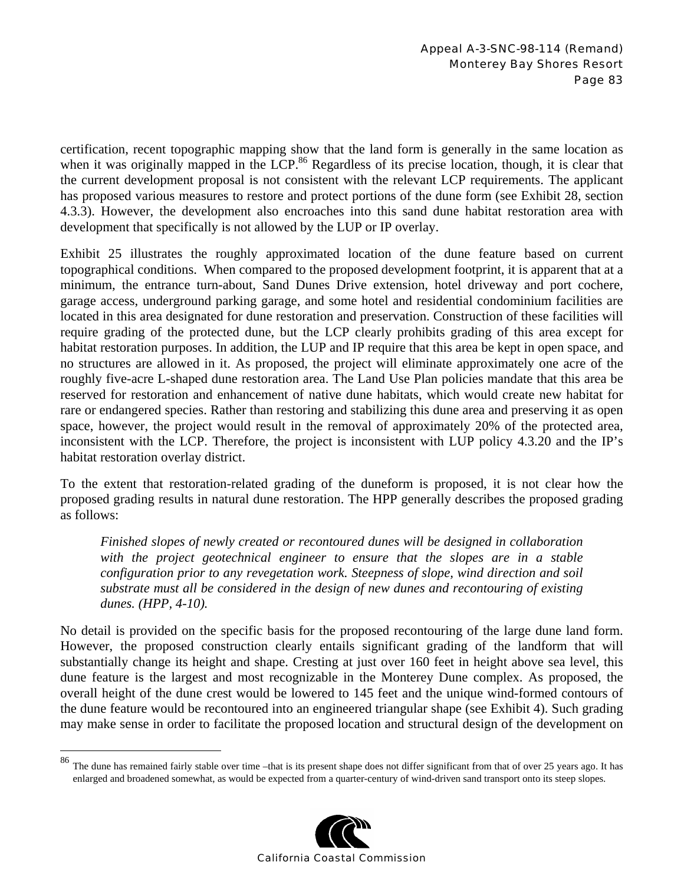certification, recent topographic mapping show that the land form is generally in the same location as when it was originally mapped in the LCP.<sup>86</sup> Regardless of its precise location, though, it is clear that the current development proposal is not consistent with the relevant LCP requirements. The applicant has proposed various measures to restore and protect portions of the dune form (see Exhibit 28, section 4.3.3). However, the development also encroaches into this sand dune habitat restoration area with development that specifically is not allowed by the LUP or IP overlay.

Exhibit 25 illustrates the roughly approximated location of the dune feature based on current topographical conditions. When compared to the proposed development footprint, it is apparent that at a minimum, the entrance turn-about, Sand Dunes Drive extension, hotel driveway and port cochere, garage access, underground parking garage, and some hotel and residential condominium facilities are located in this area designated for dune restoration and preservation. Construction of these facilities will require grading of the protected dune, but the LCP clearly prohibits grading of this area except for habitat restoration purposes. In addition, the LUP and IP require that this area be kept in open space, and no structures are allowed in it. As proposed, the project will eliminate approximately one acre of the roughly five-acre L-shaped dune restoration area. The Land Use Plan policies mandate that this area be reserved for restoration and enhancement of native dune habitats, which would create new habitat for rare or endangered species. Rather than restoring and stabilizing this dune area and preserving it as open space, however, the project would result in the removal of approximately 20% of the protected area, inconsistent with the LCP. Therefore, the project is inconsistent with LUP policy 4.3.20 and the IP's habitat restoration overlay district.

To the extent that restoration-related grading of the duneform is proposed, it is not clear how the proposed grading results in natural dune restoration. The HPP generally describes the proposed grading as follows:

*Finished slopes of newly created or recontoured dunes will be designed in collaboration with the project geotechnical engineer to ensure that the slopes are in a stable configuration prior to any revegetation work. Steepness of slope, wind direction and soil substrate must all be considered in the design of new dunes and recontouring of existing dunes. (HPP, 4-10).* 

No detail is provided on the specific basis for the proposed recontouring of the large dune land form. However, the proposed construction clearly entails significant grading of the landform that will substantially change its height and shape. Cresting at just over 160 feet in height above sea level, this dune feature is the largest and most recognizable in the Monterey Dune complex. As proposed, the overall height of the dune crest would be lowered to 145 feet and the unique wind-formed contours of the dune feature would be recontoured into an engineered triangular shape (see Exhibit 4). Such grading may make sense in order to facilitate the proposed location and structural design of the development on

1



The dune has remained fairly stable over time –that is its present shape does not differ significant from that of over 25 years ago. It has enlarged and broadened somewhat, as would be expected from a quarter-century of wind-driven sand transport onto its steep slopes.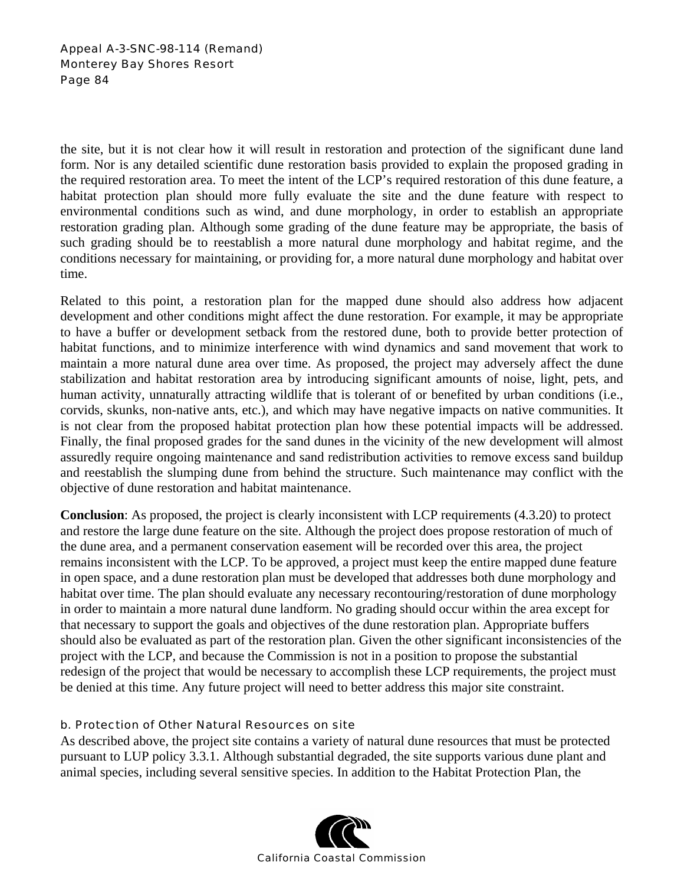the site, but it is not clear how it will result in restoration and protection of the significant dune land form. Nor is any detailed scientific dune restoration basis provided to explain the proposed grading in the required restoration area. To meet the intent of the LCP's required restoration of this dune feature, a habitat protection plan should more fully evaluate the site and the dune feature with respect to environmental conditions such as wind, and dune morphology, in order to establish an appropriate restoration grading plan. Although some grading of the dune feature may be appropriate, the basis of such grading should be to reestablish a more natural dune morphology and habitat regime, and the conditions necessary for maintaining, or providing for, a more natural dune morphology and habitat over time.

Related to this point, a restoration plan for the mapped dune should also address how adjacent development and other conditions might affect the dune restoration. For example, it may be appropriate to have a buffer or development setback from the restored dune, both to provide better protection of habitat functions, and to minimize interference with wind dynamics and sand movement that work to maintain a more natural dune area over time. As proposed, the project may adversely affect the dune stabilization and habitat restoration area by introducing significant amounts of noise, light, pets, and human activity, unnaturally attracting wildlife that is tolerant of or benefited by urban conditions (i.e., corvids, skunks, non-native ants, etc.), and which may have negative impacts on native communities. It is not clear from the proposed habitat protection plan how these potential impacts will be addressed. Finally, the final proposed grades for the sand dunes in the vicinity of the new development will almost assuredly require ongoing maintenance and sand redistribution activities to remove excess sand buildup and reestablish the slumping dune from behind the structure. Such maintenance may conflict with the objective of dune restoration and habitat maintenance.

**Conclusion**: As proposed, the project is clearly inconsistent with LCP requirements (4.3.20) to protect and restore the large dune feature on the site. Although the project does propose restoration of much of the dune area, and a permanent conservation easement will be recorded over this area, the project remains inconsistent with the LCP. To be approved, a project must keep the entire mapped dune feature in open space, and a dune restoration plan must be developed that addresses both dune morphology and habitat over time. The plan should evaluate any necessary recontouring/restoration of dune morphology in order to maintain a more natural dune landform. No grading should occur within the area except for that necessary to support the goals and objectives of the dune restoration plan. Appropriate buffers should also be evaluated as part of the restoration plan. Given the other significant inconsistencies of the project with the LCP, and because the Commission is not in a position to propose the substantial redesign of the project that would be necessary to accomplish these LCP requirements, the project must be denied at this time. Any future project will need to better address this major site constraint.

## b. Protection of Other Natural Resources on site

As described above, the project site contains a variety of natural dune resources that must be protected pursuant to LUP policy 3.3.1. Although substantial degraded, the site supports various dune plant and animal species, including several sensitive species. In addition to the Habitat Protection Plan, the

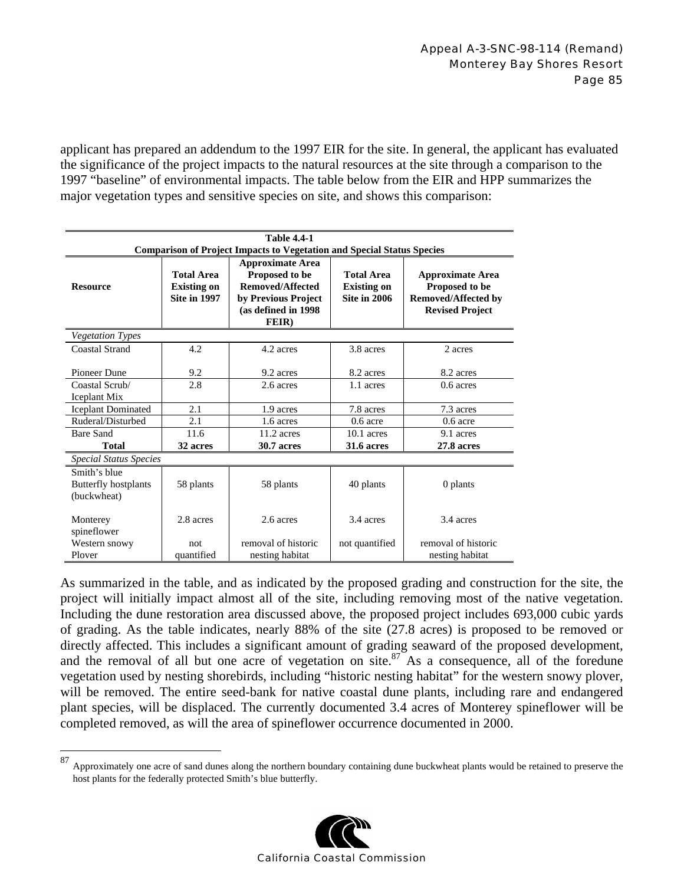applicant has prepared an addendum to the 1997 EIR for the site. In general, the applicant has evaluated the significance of the project impacts to the natural resources at the site through a comparison to the 1997 "baseline" of environmental impacts. The table below from the EIR and HPP summarizes the major vegetation types and sensitive species on site, and shows this comparison:

| <b>Table 4.4-1</b>                                                            |                                         |                                                                      |                                         |                                                      |
|-------------------------------------------------------------------------------|-----------------------------------------|----------------------------------------------------------------------|-----------------------------------------|------------------------------------------------------|
| <b>Comparison of Project Impacts to Vegetation and Special Status Species</b> |                                         |                                                                      |                                         |                                                      |
| <b>Resource</b>                                                               | <b>Total Area</b><br><b>Existing on</b> | <b>Approximate Area</b><br>Proposed to be<br><b>Removed/Affected</b> | <b>Total Area</b><br><b>Existing on</b> | <b>Approximate Area</b><br>Proposed to be            |
|                                                                               | <b>Site in 1997</b>                     | by Previous Project<br>(as defined in 1998)                          | <b>Site in 2006</b>                     | <b>Removed/Affected by</b><br><b>Revised Project</b> |
|                                                                               |                                         | FEIR)                                                                |                                         |                                                      |
| <b>Vegetation Types</b>                                                       |                                         |                                                                      |                                         |                                                      |
| <b>Coastal Strand</b>                                                         | 4.2                                     | 4.2 acres                                                            | 3.8 acres                               | 2 acres                                              |
| Pioneer Dune                                                                  | 9.2                                     | 9.2 acres                                                            | 8.2 acres                               | 8.2 acres                                            |
| Coastal Scrub/                                                                | 2.8                                     | 2.6 acres                                                            | 1.1 acres                               | $0.6$ acres                                          |
| Iceplant Mix                                                                  |                                         |                                                                      |                                         |                                                      |
| <b>Iceplant Dominated</b>                                                     | 2.1                                     | 1.9 acres                                                            | 7.8 acres                               | 7.3 acres                                            |
| Ruderal/Disturbed                                                             | 2.1                                     | 1.6 acres                                                            | $0.6$ acre                              | $0.6$ acre                                           |
| Bare Sand                                                                     | 11.6                                    | $11.2$ acres                                                         | $10.1$ acres                            | 9.1 acres                                            |
| <b>Total</b>                                                                  | 32 acres                                | <b>30.7 acres</b>                                                    | <b>31.6 acres</b>                       | 27.8 acres                                           |
| <b>Special Status Species</b>                                                 |                                         |                                                                      |                                         |                                                      |
| Smith's blue<br>Butterfly hostplants<br>(buckwheat)                           | 58 plants                               | 58 plants                                                            | 40 plants                               | 0 plants                                             |
| Monterey<br>spineflower                                                       | 2.8 acres                               | 2.6 acres                                                            | 3.4 acres                               | 3.4 acres                                            |
| Western snowy                                                                 | not                                     | removal of historic                                                  | not quantified                          | removal of historic                                  |
| Plover                                                                        | quantified                              | nesting habitat                                                      |                                         | nesting habitat                                      |

As summarized in the table, and as indicated by the proposed grading and construction for the site, the project will initially impact almost all of the site, including removing most of the native vegetation. Including the dune restoration area discussed above, the proposed project includes 693,000 cubic yards of grading. As the table indicates, nearly 88% of the site (27.8 acres) is proposed to be removed or directly affected. This includes a significant amount of grading seaward of the proposed development, and the removal of all but one acre of vegetation on site.<sup>87</sup> As a consequence, all of the foredune vegetation used by nesting shorebirds, including "historic nesting habitat" for the western snowy plover, will be removed. The entire seed-bank for native coastal dune plants, including rare and endangered plant species, will be displaced. The currently documented 3.4 acres of Monterey spineflower will be completed removed, as will the area of spineflower occurrence documented in 2000.

1



<sup>87</sup> Approximately one acre of sand dunes along the northern boundary containing dune buckwheat plants would be retained to preserve the host plants for the federally protected Smith's blue butterfly.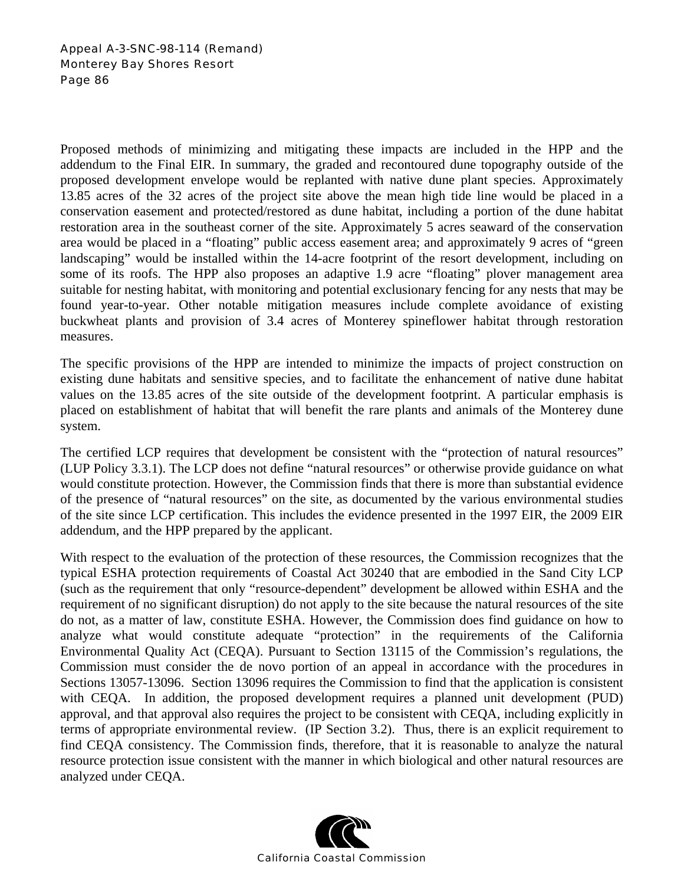Proposed methods of minimizing and mitigating these impacts are included in the HPP and the addendum to the Final EIR. In summary, the graded and recontoured dune topography outside of the proposed development envelope would be replanted with native dune plant species. Approximately 13.85 acres of the 32 acres of the project site above the mean high tide line would be placed in a conservation easement and protected/restored as dune habitat, including a portion of the dune habitat restoration area in the southeast corner of the site. Approximately 5 acres seaward of the conservation area would be placed in a "floating" public access easement area; and approximately 9 acres of "green landscaping" would be installed within the 14-acre footprint of the resort development, including on some of its roofs. The HPP also proposes an adaptive 1.9 acre "floating" plover management area suitable for nesting habitat, with monitoring and potential exclusionary fencing for any nests that may be found year-to-year. Other notable mitigation measures include complete avoidance of existing buckwheat plants and provision of 3.4 acres of Monterey spineflower habitat through restoration measures.

The specific provisions of the HPP are intended to minimize the impacts of project construction on existing dune habitats and sensitive species, and to facilitate the enhancement of native dune habitat values on the 13.85 acres of the site outside of the development footprint. A particular emphasis is placed on establishment of habitat that will benefit the rare plants and animals of the Monterey dune system.

The certified LCP requires that development be consistent with the "protection of natural resources" (LUP Policy 3.3.1). The LCP does not define "natural resources" or otherwise provide guidance on what would constitute protection. However, the Commission finds that there is more than substantial evidence of the presence of "natural resources" on the site, as documented by the various environmental studies of the site since LCP certification. This includes the evidence presented in the 1997 EIR, the 2009 EIR addendum, and the HPP prepared by the applicant.

With respect to the evaluation of the protection of these resources, the Commission recognizes that the typical ESHA protection requirements of Coastal Act 30240 that are embodied in the Sand City LCP (such as the requirement that only "resource-dependent" development be allowed within ESHA and the requirement of no significant disruption) do not apply to the site because the natural resources of the site do not, as a matter of law, constitute ESHA. However, the Commission does find guidance on how to analyze what would constitute adequate "protection" in the requirements of the California Environmental Quality Act (CEQA). Pursuant to Section 13115 of the Commission's regulations, the Commission must consider the de novo portion of an appeal in accordance with the procedures in Sections 13057-13096. Section 13096 requires the Commission to find that the application is consistent with CEQA. In addition, the proposed development requires a planned unit development (PUD) approval, and that approval also requires the project to be consistent with CEQA, including explicitly in terms of appropriate environmental review. (IP Section 3.2). Thus, there is an explicit requirement to find CEQA consistency. The Commission finds, therefore, that it is reasonable to analyze the natural resource protection issue consistent with the manner in which biological and other natural resources are analyzed under CEQA.

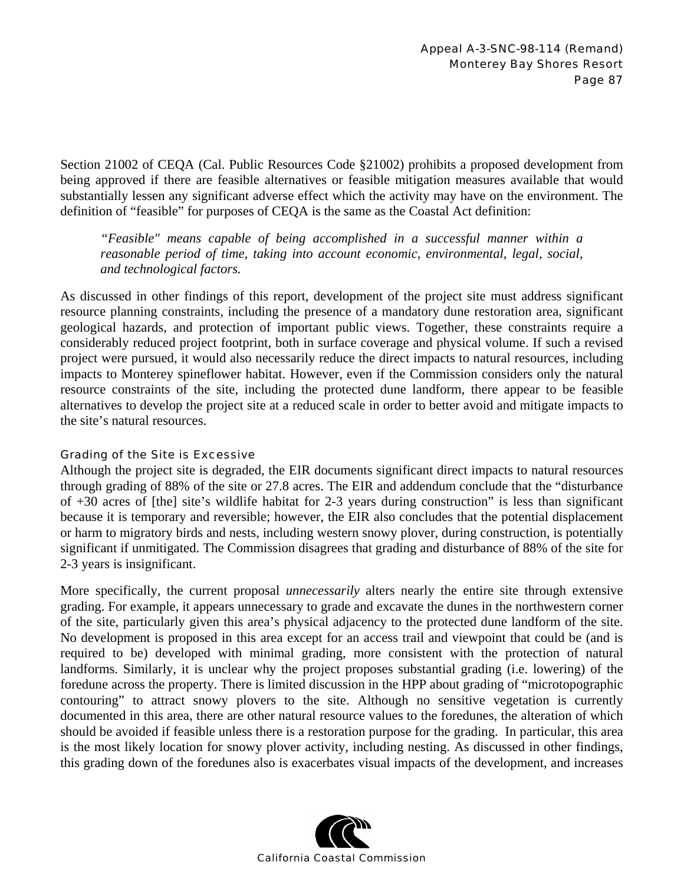Section 21002 of CEQA (Cal. Public Resources Code §21002) prohibits a proposed development from being approved if there are feasible alternatives or feasible mitigation measures available that would substantially lessen any significant adverse effect which the activity may have on the environment. The definition of "feasible" for purposes of CEQA is the same as the Coastal Act definition:

*"Feasible" means capable of being accomplished in a successful manner within a reasonable period of time, taking into account economic, environmental, legal, social, and technological factors.* 

As discussed in other findings of this report, development of the project site must address significant resource planning constraints, including the presence of a mandatory dune restoration area, significant geological hazards, and protection of important public views. Together, these constraints require a considerably reduced project footprint, both in surface coverage and physical volume. If such a revised project were pursued, it would also necessarily reduce the direct impacts to natural resources, including impacts to Monterey spineflower habitat. However, even if the Commission considers only the natural resource constraints of the site, including the protected dune landform, there appear to be feasible alternatives to develop the project site at a reduced scale in order to better avoid and mitigate impacts to the site's natural resources.

## Grading of the Site is Excessive

Although the project site is degraded, the EIR documents significant direct impacts to natural resources through grading of 88% of the site or 27.8 acres. The EIR and addendum conclude that the "disturbance of +30 acres of [the] site's wildlife habitat for 2-3 years during construction" is less than significant because it is temporary and reversible; however, the EIR also concludes that the potential displacement or harm to migratory birds and nests, including western snowy plover, during construction, is potentially significant if unmitigated. The Commission disagrees that grading and disturbance of 88% of the site for 2-3 years is insignificant.

More specifically, the current proposal *unnecessarily* alters nearly the entire site through extensive grading. For example, it appears unnecessary to grade and excavate the dunes in the northwestern corner of the site, particularly given this area's physical adjacency to the protected dune landform of the site. No development is proposed in this area except for an access trail and viewpoint that could be (and is required to be) developed with minimal grading, more consistent with the protection of natural landforms. Similarly, it is unclear why the project proposes substantial grading (i.e. lowering) of the foredune across the property. There is limited discussion in the HPP about grading of "microtopographic contouring" to attract snowy plovers to the site. Although no sensitive vegetation is currently documented in this area, there are other natural resource values to the foredunes, the alteration of which should be avoided if feasible unless there is a restoration purpose for the grading. In particular, this area is the most likely location for snowy plover activity, including nesting. As discussed in other findings, this grading down of the foredunes also is exacerbates visual impacts of the development, and increases

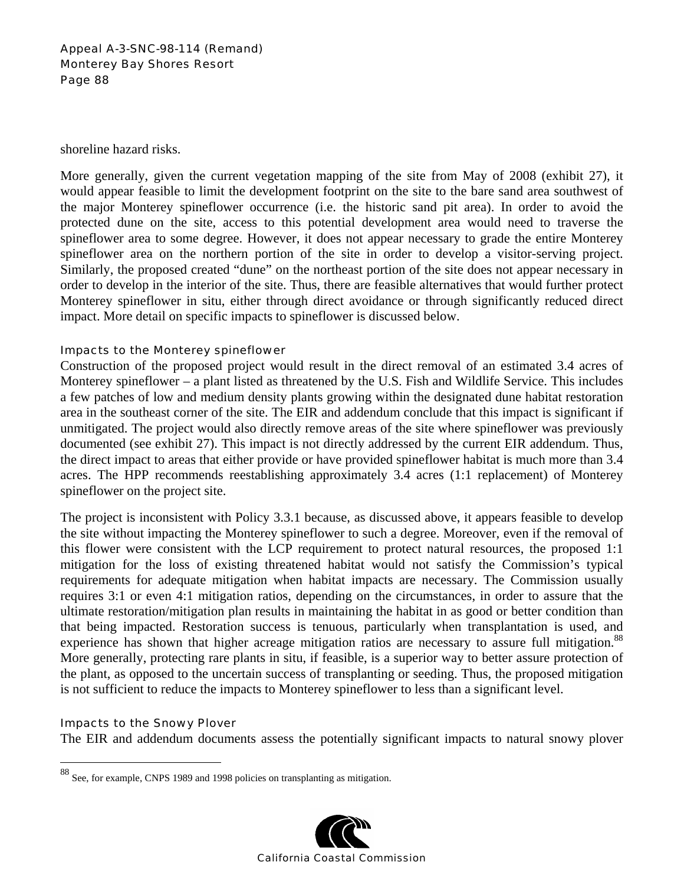### Appeal A-3-SNC-98-114 (Remand) Monterey Bay Shores Resort Page 88

shoreline hazard risks.

More generally, given the current vegetation mapping of the site from May of 2008 (exhibit 27), it would appear feasible to limit the development footprint on the site to the bare sand area southwest of the major Monterey spineflower occurrence (i.e. the historic sand pit area). In order to avoid the protected dune on the site, access to this potential development area would need to traverse the spineflower area to some degree. However, it does not appear necessary to grade the entire Monterey spineflower area on the northern portion of the site in order to develop a visitor-serving project. Similarly, the proposed created "dune" on the northeast portion of the site does not appear necessary in order to develop in the interior of the site. Thus, there are feasible alternatives that would further protect Monterey spineflower in situ, either through direct avoidance or through significantly reduced direct impact. More detail on specific impacts to spineflower is discussed below.

### Impacts to the Monterey spineflower

Construction of the proposed project would result in the direct removal of an estimated 3.4 acres of Monterey spineflower – a plant listed as threatened by the U.S. Fish and Wildlife Service. This includes a few patches of low and medium density plants growing within the designated dune habitat restoration area in the southeast corner of the site. The EIR and addendum conclude that this impact is significant if unmitigated. The project would also directly remove areas of the site where spineflower was previously documented (see exhibit 27). This impact is not directly addressed by the current EIR addendum. Thus, the direct impact to areas that either provide or have provided spineflower habitat is much more than 3.4 acres. The HPP recommends reestablishing approximately 3.4 acres (1:1 replacement) of Monterey spineflower on the project site.

The project is inconsistent with Policy 3.3.1 because, as discussed above, it appears feasible to develop the site without impacting the Monterey spineflower to such a degree. Moreover, even if the removal of this flower were consistent with the LCP requirement to protect natural resources, the proposed 1:1 mitigation for the loss of existing threatened habitat would not satisfy the Commission's typical requirements for adequate mitigation when habitat impacts are necessary. The Commission usually requires 3:1 or even 4:1 mitigation ratios, depending on the circumstances, in order to assure that the ultimate restoration/mitigation plan results in maintaining the habitat in as good or better condition than that being impacted. Restoration success is tenuous, particularly when transplantation is used, and experience has shown that higher acreage mitigation ratios are necessary to assure full mitigation.<sup>88</sup> More generally, protecting rare plants in situ, if feasible, is a superior way to better assure protection of the plant, as opposed to the uncertain success of transplanting or seeding. Thus, the proposed mitigation is not sufficient to reduce the impacts to Monterey spineflower to less than a significant level.

### Impacts to the Snowy Plover

 $\overline{a}$ 

The EIR and addendum documents assess the potentially significant impacts to natural snowy plover

<sup>88</sup> See, for example, CNPS 1989 and 1998 policies on transplanting as mitigation.

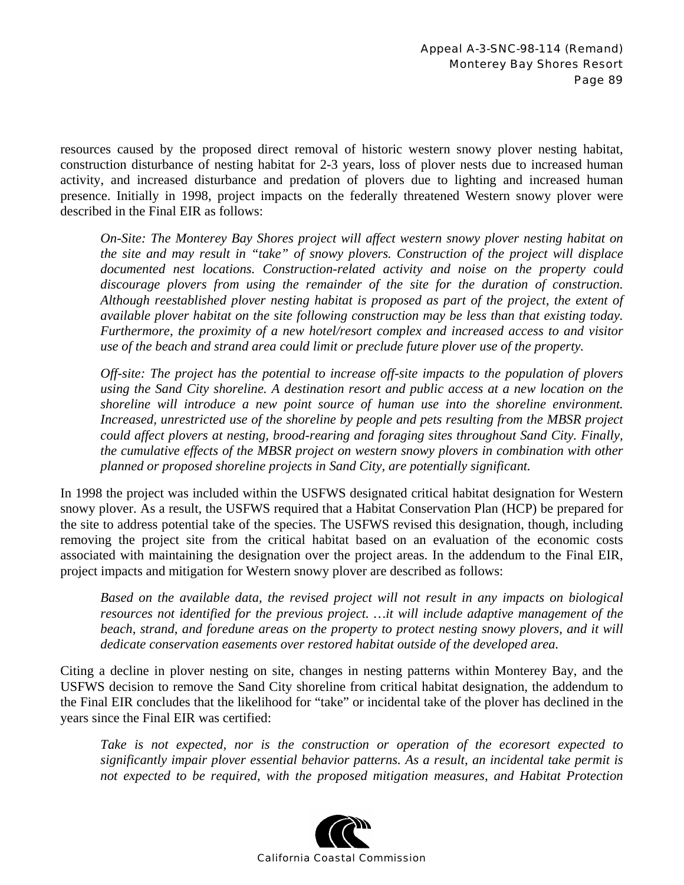resources caused by the proposed direct removal of historic western snowy plover nesting habitat, construction disturbance of nesting habitat for 2-3 years, loss of plover nests due to increased human activity, and increased disturbance and predation of plovers due to lighting and increased human presence. Initially in 1998, project impacts on the federally threatened Western snowy plover were described in the Final EIR as follows:

*On-Site: The Monterey Bay Shores project will affect western snowy plover nesting habitat on the site and may result in "take" of snowy plovers. Construction of the project will displace documented nest locations. Construction-related activity and noise on the property could discourage plovers from using the remainder of the site for the duration of construction. Although reestablished plover nesting habitat is proposed as part of the project, the extent of available plover habitat on the site following construction may be less than that existing today. Furthermore, the proximity of a new hotel/resort complex and increased access to and visitor use of the beach and strand area could limit or preclude future plover use of the property.* 

*Off-site: The project has the potential to increase off-site impacts to the population of plovers using the Sand City shoreline. A destination resort and public access at a new location on the shoreline will introduce a new point source of human use into the shoreline environment. Increased, unrestricted use of the shoreline by people and pets resulting from the MBSR project could affect plovers at nesting, brood-rearing and foraging sites throughout Sand City. Finally, the cumulative effects of the MBSR project on western snowy plovers in combination with other planned or proposed shoreline projects in Sand City, are potentially significant.* 

In 1998 the project was included within the USFWS designated critical habitat designation for Western snowy plover. As a result, the USFWS required that a Habitat Conservation Plan (HCP) be prepared for the site to address potential take of the species. The USFWS revised this designation, though, including removing the project site from the critical habitat based on an evaluation of the economic costs associated with maintaining the designation over the project areas. In the addendum to the Final EIR, project impacts and mitigation for Western snowy plover are described as follows:

*Based on the available data, the revised project will not result in any impacts on biological resources not identified for the previous project. …it will include adaptive management of the beach, strand, and foredune areas on the property to protect nesting snowy plovers, and it will dedicate conservation easements over restored habitat outside of the developed area.* 

Citing a decline in plover nesting on site, changes in nesting patterns within Monterey Bay, and the USFWS decision to remove the Sand City shoreline from critical habitat designation, the addendum to the Final EIR concludes that the likelihood for "take" or incidental take of the plover has declined in the years since the Final EIR was certified:

*Take is not expected, nor is the construction or operation of the ecoresort expected to significantly impair plover essential behavior patterns. As a result, an incidental take permit is not expected to be required, with the proposed mitigation measures, and Habitat Protection* 

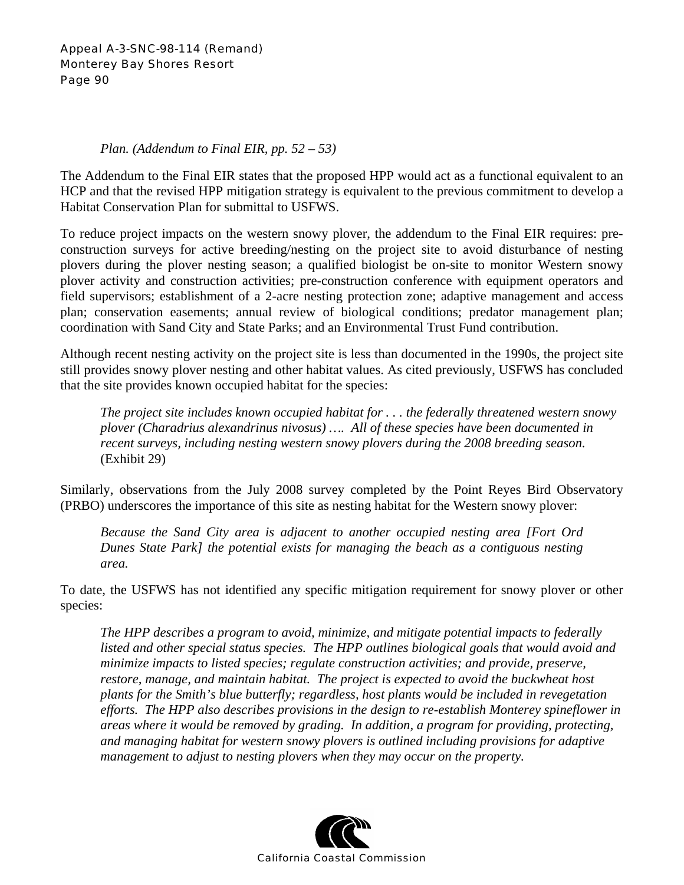### *Plan. (Addendum to Final EIR, pp. 52 – 53)*

The Addendum to the Final EIR states that the proposed HPP would act as a functional equivalent to an HCP and that the revised HPP mitigation strategy is equivalent to the previous commitment to develop a Habitat Conservation Plan for submittal to USFWS.

To reduce project impacts on the western snowy plover, the addendum to the Final EIR requires: preconstruction surveys for active breeding/nesting on the project site to avoid disturbance of nesting plovers during the plover nesting season; a qualified biologist be on-site to monitor Western snowy plover activity and construction activities; pre-construction conference with equipment operators and field supervisors; establishment of a 2-acre nesting protection zone; adaptive management and access plan; conservation easements; annual review of biological conditions; predator management plan; coordination with Sand City and State Parks; and an Environmental Trust Fund contribution.

Although recent nesting activity on the project site is less than documented in the 1990s, the project site still provides snowy plover nesting and other habitat values. As cited previously, USFWS has concluded that the site provides known occupied habitat for the species:

*The project site includes known occupied habitat for . . . the federally threatened western snowy plover (Charadrius alexandrinus nivosus) …. All of these species have been documented in recent surveys, including nesting western snowy plovers during the 2008 breeding season.*  (Exhibit 29)

Similarly, observations from the July 2008 survey completed by the Point Reyes Bird Observatory (PRBO) underscores the importance of this site as nesting habitat for the Western snowy plover:

*Because the Sand City area is adjacent to another occupied nesting area [Fort Ord Dunes State Park] the potential exists for managing the beach as a contiguous nesting area.* 

To date, the USFWS has not identified any specific mitigation requirement for snowy plover or other species:

*The HPP describes a program to avoid, minimize, and mitigate potential impacts to federally listed and other special status species. The HPP outlines biological goals that would avoid and minimize impacts to listed species; regulate construction activities; and provide, preserve, restore, manage, and maintain habitat. The project is expected to avoid the buckwheat host plants for the Smith's blue butterfly; regardless, host plants would be included in revegetation efforts. The HPP also describes provisions in the design to re-establish Monterey spineflower in areas where it would be removed by grading. In addition, a program for providing, protecting, and managing habitat for western snowy plovers is outlined including provisions for adaptive management to adjust to nesting plovers when they may occur on the property.* 

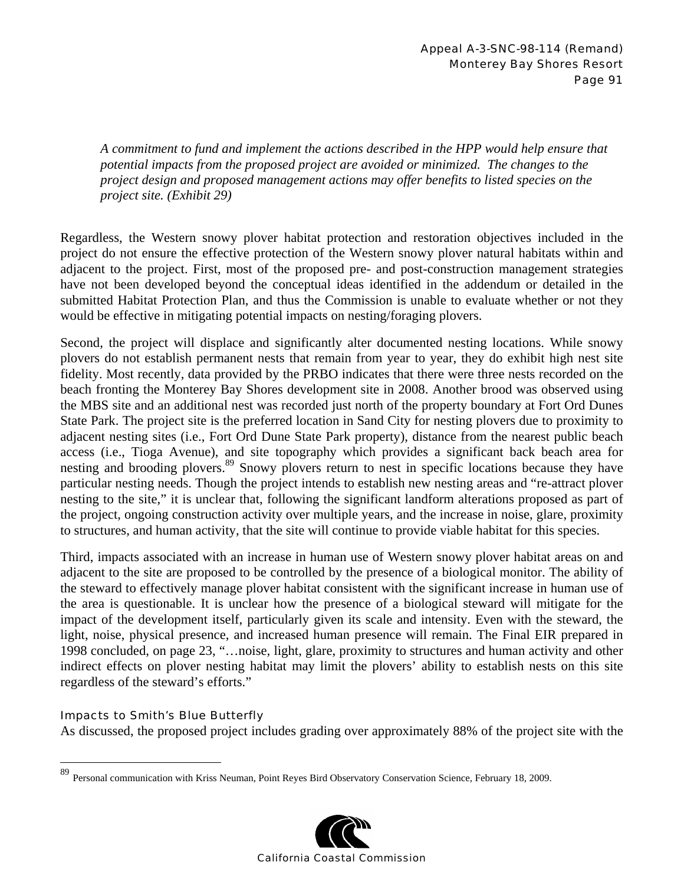*A commitment to fund and implement the actions described in the HPP would help ensure that potential impacts from the proposed project are avoided or minimized. The changes to the project design and proposed management actions may offer benefits to listed species on the project site. (Exhibit 29)* 

Regardless, the Western snowy plover habitat protection and restoration objectives included in the project do not ensure the effective protection of the Western snowy plover natural habitats within and adjacent to the project. First, most of the proposed pre- and post-construction management strategies have not been developed beyond the conceptual ideas identified in the addendum or detailed in the submitted Habitat Protection Plan, and thus the Commission is unable to evaluate whether or not they would be effective in mitigating potential impacts on nesting/foraging plovers.

Second, the project will displace and significantly alter documented nesting locations. While snowy plovers do not establish permanent nests that remain from year to year, they do exhibit high nest site fidelity. Most recently, data provided by the PRBO indicates that there were three nests recorded on the beach fronting the Monterey Bay Shores development site in 2008. Another brood was observed using the MBS site and an additional nest was recorded just north of the property boundary at Fort Ord Dunes State Park. The project site is the preferred location in Sand City for nesting plovers due to proximity to adjacent nesting sites (i.e., Fort Ord Dune State Park property), distance from the nearest public beach access (i.e., Tioga Avenue), and site topography which provides a significant back beach area for nesting and brooding plovers.<sup>89</sup> Snowy plovers return to nest in specific locations because they have particular nesting needs. Though the project intends to establish new nesting areas and "re-attract plover nesting to the site," it is unclear that, following the significant landform alterations proposed as part of the project, ongoing construction activity over multiple years, and the increase in noise, glare, proximity to structures, and human activity, that the site will continue to provide viable habitat for this species.

Third, impacts associated with an increase in human use of Western snowy plover habitat areas on and adjacent to the site are proposed to be controlled by the presence of a biological monitor. The ability of the steward to effectively manage plover habitat consistent with the significant increase in human use of the area is questionable. It is unclear how the presence of a biological steward will mitigate for the impact of the development itself, particularly given its scale and intensity. Even with the steward, the light, noise, physical presence, and increased human presence will remain. The Final EIR prepared in 1998 concluded, on page 23, "…noise, light, glare, proximity to structures and human activity and other indirect effects on plover nesting habitat may limit the plovers' ability to establish nests on this site regardless of the steward's efforts."

## Impacts to Smith's Blue Butterfly

 $\overline{a}$ 

As discussed, the proposed project includes grading over approximately 88% of the project site with the

<sup>89</sup> Personal communication with Kriss Neuman, Point Reyes Bird Observatory Conservation Science, February 18, 2009.

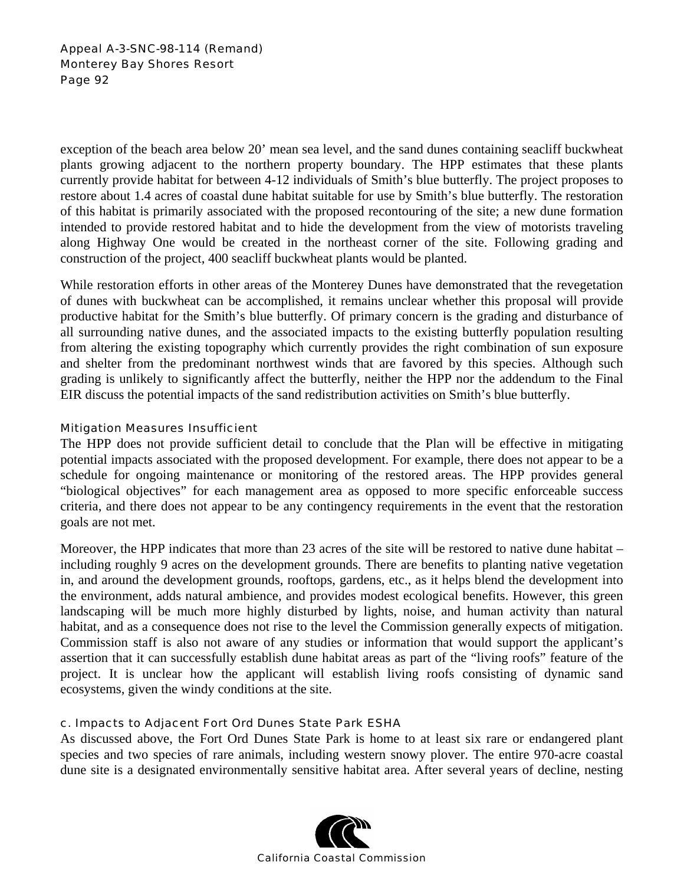Appeal A-3-SNC-98-114 (Remand) Monterey Bay Shores Resort Page 92

exception of the beach area below 20' mean sea level, and the sand dunes containing seacliff buckwheat plants growing adjacent to the northern property boundary. The HPP estimates that these plants currently provide habitat for between 4-12 individuals of Smith's blue butterfly. The project proposes to restore about 1.4 acres of coastal dune habitat suitable for use by Smith's blue butterfly. The restoration of this habitat is primarily associated with the proposed recontouring of the site; a new dune formation intended to provide restored habitat and to hide the development from the view of motorists traveling along Highway One would be created in the northeast corner of the site. Following grading and construction of the project, 400 seacliff buckwheat plants would be planted.

While restoration efforts in other areas of the Monterey Dunes have demonstrated that the revegetation of dunes with buckwheat can be accomplished, it remains unclear whether this proposal will provide productive habitat for the Smith's blue butterfly. Of primary concern is the grading and disturbance of all surrounding native dunes, and the associated impacts to the existing butterfly population resulting from altering the existing topography which currently provides the right combination of sun exposure and shelter from the predominant northwest winds that are favored by this species. Although such grading is unlikely to significantly affect the butterfly, neither the HPP nor the addendum to the Final EIR discuss the potential impacts of the sand redistribution activities on Smith's blue butterfly.

### Mitigation Measures Insufficient

The HPP does not provide sufficient detail to conclude that the Plan will be effective in mitigating potential impacts associated with the proposed development. For example, there does not appear to be a schedule for ongoing maintenance or monitoring of the restored areas. The HPP provides general "biological objectives" for each management area as opposed to more specific enforceable success criteria, and there does not appear to be any contingency requirements in the event that the restoration goals are not met.

Moreover, the HPP indicates that more than 23 acres of the site will be restored to native dune habitat  $$ including roughly 9 acres on the development grounds. There are benefits to planting native vegetation in, and around the development grounds, rooftops, gardens, etc., as it helps blend the development into the environment, adds natural ambience, and provides modest ecological benefits. However, this green landscaping will be much more highly disturbed by lights, noise, and human activity than natural habitat, and as a consequence does not rise to the level the Commission generally expects of mitigation. Commission staff is also not aware of any studies or information that would support the applicant's assertion that it can successfully establish dune habitat areas as part of the "living roofs" feature of the project. It is unclear how the applicant will establish living roofs consisting of dynamic sand ecosystems, given the windy conditions at the site.

## c. Impacts to Adjacent Fort Ord Dunes State Park ESHA

As discussed above, the Fort Ord Dunes State Park is home to at least six rare or endangered plant species and two species of rare animals, including western snowy plover. The entire 970-acre coastal dune site is a designated environmentally sensitive habitat area. After several years of decline, nesting

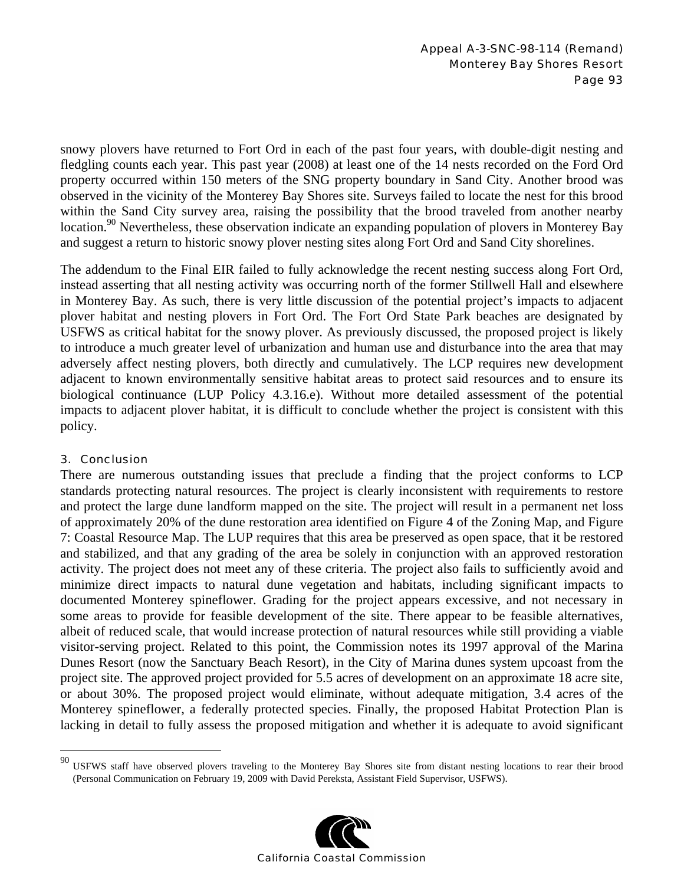snowy plovers have returned to Fort Ord in each of the past four years, with double-digit nesting and fledgling counts each year. This past year (2008) at least one of the 14 nests recorded on the Ford Ord property occurred within 150 meters of the SNG property boundary in Sand City. Another brood was observed in the vicinity of the Monterey Bay Shores site. Surveys failed to locate the nest for this brood within the Sand City survey area, raising the possibility that the brood traveled from another nearby location.<sup>90</sup> Nevertheless, these observation indicate an expanding population of plovers in Monterey Bay and suggest a return to historic snowy plover nesting sites along Fort Ord and Sand City shorelines.

The addendum to the Final EIR failed to fully acknowledge the recent nesting success along Fort Ord, instead asserting that all nesting activity was occurring north of the former Stillwell Hall and elsewhere in Monterey Bay. As such, there is very little discussion of the potential project's impacts to adjacent plover habitat and nesting plovers in Fort Ord. The Fort Ord State Park beaches are designated by USFWS as critical habitat for the snowy plover. As previously discussed, the proposed project is likely to introduce a much greater level of urbanization and human use and disturbance into the area that may adversely affect nesting plovers, both directly and cumulatively. The LCP requires new development adjacent to known environmentally sensitive habitat areas to protect said resources and to ensure its biological continuance (LUP Policy 4.3.16.e). Without more detailed assessment of the potential impacts to adjacent plover habitat, it is difficult to conclude whether the project is consistent with this policy.

## 3. Conclusion

 $\overline{a}$ 

There are numerous outstanding issues that preclude a finding that the project conforms to LCP standards protecting natural resources. The project is clearly inconsistent with requirements to restore and protect the large dune landform mapped on the site. The project will result in a permanent net loss of approximately 20% of the dune restoration area identified on Figure 4 of the Zoning Map, and Figure 7: Coastal Resource Map. The LUP requires that this area be preserved as open space, that it be restored and stabilized, and that any grading of the area be solely in conjunction with an approved restoration activity. The project does not meet any of these criteria. The project also fails to sufficiently avoid and minimize direct impacts to natural dune vegetation and habitats, including significant impacts to documented Monterey spineflower. Grading for the project appears excessive, and not necessary in some areas to provide for feasible development of the site. There appear to be feasible alternatives, albeit of reduced scale, that would increase protection of natural resources while still providing a viable visitor-serving project. Related to this point, the Commission notes its 1997 approval of the Marina Dunes Resort (now the Sanctuary Beach Resort), in the City of Marina dunes system upcoast from the project site. The approved project provided for 5.5 acres of development on an approximate 18 acre site, or about 30%. The proposed project would eliminate, without adequate mitigation, 3.4 acres of the Monterey spineflower, a federally protected species. Finally, the proposed Habitat Protection Plan is lacking in detail to fully assess the proposed mitigation and whether it is adequate to avoid significant

 $90$  USFWS staff have observed plovers traveling to the Monterey Bay Shores site from distant nesting locations to rear their brood (Personal Communication on February 19, 2009 with David Pereksta, Assistant Field Supervisor, USFWS).

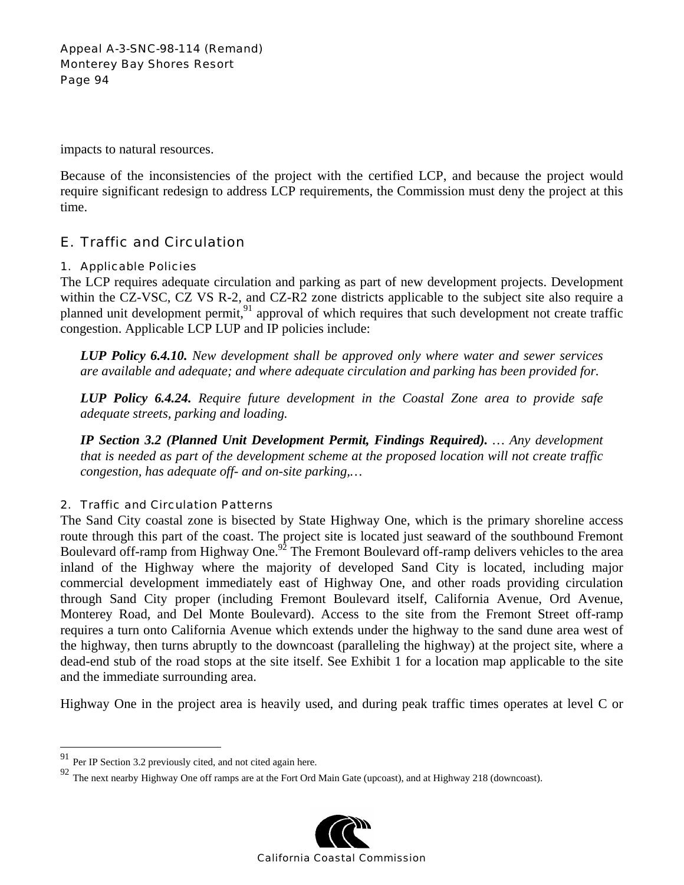impacts to natural resources.

Because of the inconsistencies of the project with the certified LCP, and because the project would require significant redesign to address LCP requirements, the Commission must deny the project at this time.

# E. Traffic and Circulation

## 1. Applicable Policies

The LCP requires adequate circulation and parking as part of new development projects. Development within the CZ-VSC, CZ VS R-2, and CZ-R2 zone districts applicable to the subject site also require a planned unit development permit,<sup>91</sup> approval of which requires that such development not create traffic congestion. Applicable LCP LUP and IP policies include:

*LUP Policy 6.4.10. New development shall be approved only where water and sewer services are available and adequate; and where adequate circulation and parking has been provided for.* 

*LUP Policy 6.4.24. Require future development in the Coastal Zone area to provide safe adequate streets, parking and loading.* 

*IP Section 3.2 (Planned Unit Development Permit, Findings Required). … Any development that is needed as part of the development scheme at the proposed location will not create traffic congestion, has adequate off- and on-site parking,…* 

# 2. Traffic and Circulation Patterns

The Sand City coastal zone is bisected by State Highway One, which is the primary shoreline access route through this part of the coast. The project site is located just seaward of the southbound Fremont Boulevard off-ramp from Highway One.<sup>92</sup> The Fremont Boulevard off-ramp delivers vehicles to the area inland of the Highway where the majority of developed Sand City is located, including major commercial development immediately east of Highway One, and other roads providing circulation through Sand City proper (including Fremont Boulevard itself, California Avenue, Ord Avenue, Monterey Road, and Del Monte Boulevard). Access to the site from the Fremont Street off-ramp requires a turn onto California Avenue which extends under the highway to the sand dune area west of the highway, then turns abruptly to the downcoast (paralleling the highway) at the project site, where a dead-end stub of the road stops at the site itself. See Exhibit 1 for a location map applicable to the site and the immediate surrounding area.

Highway One in the project area is heavily used, and during peak traffic times operates at level C or

 $\overline{a}$ 

<sup>92</sup> The next nearby Highway One off ramps are at the Fort Ord Main Gate (upcoast), and at Highway 218 (downcoast).



Per IP Section 3.2 previously cited, and not cited again here.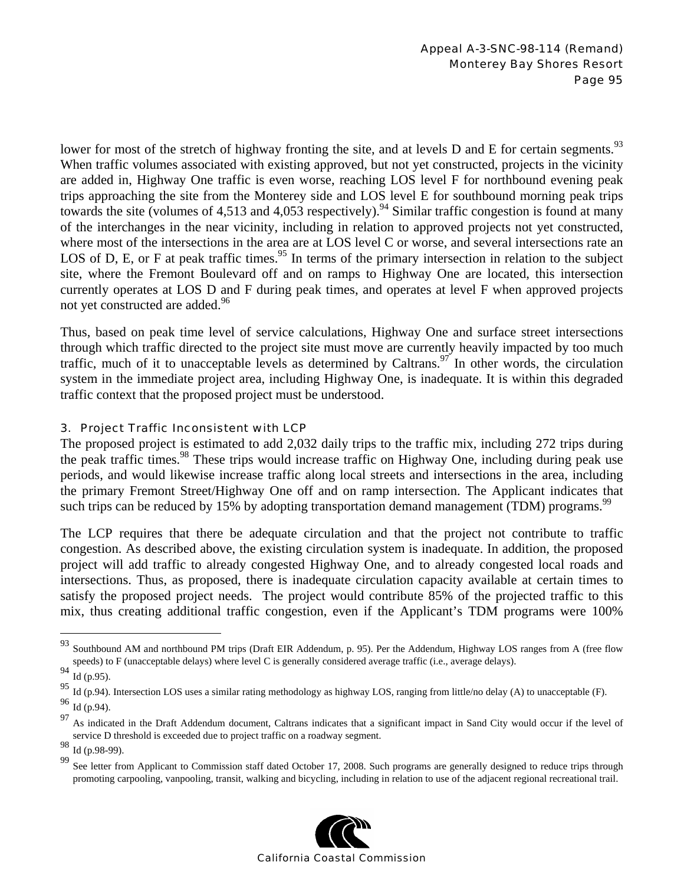lower for most of the stretch of highway fronting the site, and at levels  $D$  and  $E$  for certain segments.<sup>93</sup> When traffic volumes associated with existing approved, but not yet constructed, projects in the vicinity are added in, Highway One traffic is even worse, reaching LOS level F for northbound evening peak trips approaching the site from the Monterey side and LOS level E for southbound morning peak trips towards the site (volumes of 4,513 and 4,053 respectively).<sup>94</sup> Similar traffic congestion is found at many of the interchanges in the near vicinity, including in relation to approved projects not yet constructed, where most of the intersections in the area are at LOS level C or worse, and several intersections rate an LOS of D, E, or F at peak traffic times.<sup>95</sup> In terms of the primary intersection in relation to the subject site, where the Fremont Boulevard off and on ramps to Highway One are located, this intersection currently operates at LOS D and F during peak times, and operates at level F when approved projects not yet constructed are added.<sup>96</sup>

Thus, based on peak time level of service calculations, Highway One and surface street intersections through which traffic directed to the project site must move are currently heavily impacted by too much traffic, much of it to unacceptable levels as determined by Caltrans.<sup>97</sup> In other words, the circulation system in the immediate project area, including Highway One, is inadequate. It is within this degraded traffic context that the proposed project must be understood.

## 3. Project Traffic Inconsistent with LCP

The proposed project is estimated to add 2,032 daily trips to the traffic mix, including 272 trips during the peak traffic times.<sup>98</sup> These trips would increase traffic on Highway One, including during peak use periods, and would likewise increase traffic along local streets and intersections in the area, including the primary Fremont Street/Highway One off and on ramp intersection. The Applicant indicates that such trips can be reduced by 15% by adopting transportation demand management (TDM) programs.<sup>99</sup>

The LCP requires that there be adequate circulation and that the project not contribute to traffic congestion. As described above, the existing circulation system is inadequate. In addition, the proposed project will add traffic to already congested Highway One, and to already congested local roads and intersections. Thus, as proposed, there is inadequate circulation capacity available at certain times to satisfy the proposed project needs. The project would contribute 85% of the projected traffic to this mix, thus creating additional traffic congestion, even if the Applicant's TDM programs were 100%

1

<sup>99</sup> See letter from Applicant to Commission staff dated October 17, 2008. Such programs are generally designed to reduce trips through promoting carpooling, vanpooling, transit, walking and bicycling, including in relation to use of the adjacent regional recreational trail.



 $93$  Southbound AM and northbound PM trips (Draft EIR Addendum, p. 95). Per the Addendum, Highway LOS ranges from A (free flow speeds) to F (unacceptable delays) where level C is generally considered average traffic (i.e., average delays).

 $\frac{94}{95}$  Id (p.95).

<sup>95</sup> Id (p.94). Intersection LOS uses a similar rating methodology as highway LOS, ranging from little/no delay (A) to unacceptable (F).

<sup>96</sup> Id (p.94).

<sup>&</sup>lt;sup>97</sup> As indicated in the Draft Addendum document, Caltrans indicates that a significant impact in Sand City would occur if the level of service D threshold is exceeded due to project traffic on a roadway segment.

 $98 \text{ Id}$  (p.98-99).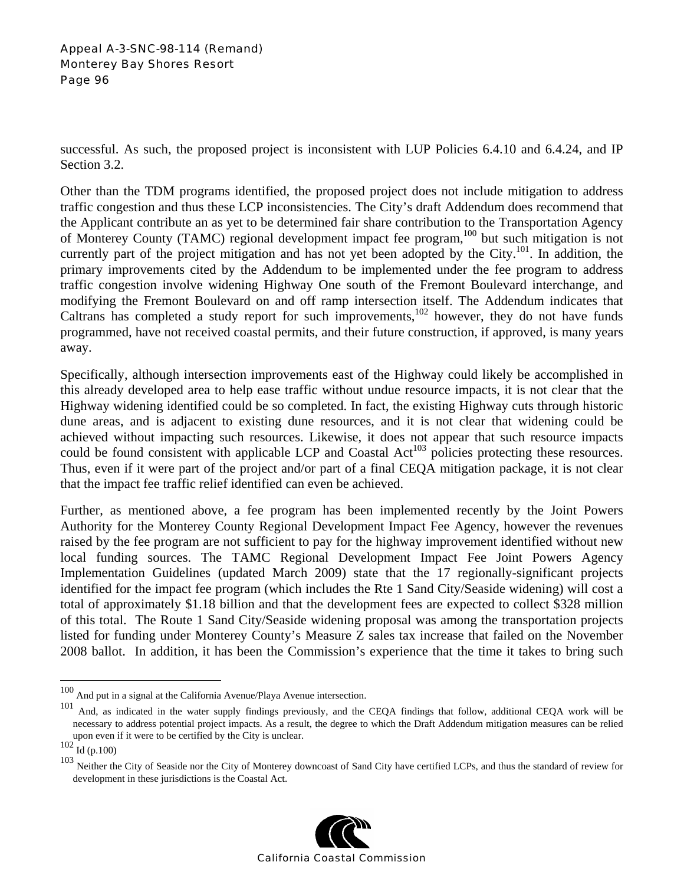### Appeal A-3-SNC-98-114 (Remand) Monterey Bay Shores Resort Page 96

successful. As such, the proposed project is inconsistent with LUP Policies 6.4.10 and 6.4.24, and IP Section 3.2.

Other than the TDM programs identified, the proposed project does not include mitigation to address traffic congestion and thus these LCP inconsistencies. The City's draft Addendum does recommend that the Applicant contribute an as yet to be determined fair share contribution to the Transportation Agency of Monterey County (TAMC) regional development impact fee program,<sup>100</sup> but such mitigation is not currently part of the project mitigation and has not yet been adopted by the City.<sup>101</sup>. In addition, the primary improvements cited by the Addendum to be implemented under the fee program to address traffic congestion involve widening Highway One south of the Fremont Boulevard interchange, and modifying the Fremont Boulevard on and off ramp intersection itself. The Addendum indicates that Caltrans has completed a study report for such improvements,<sup>102</sup> however, they do not have funds programmed, have not received coastal permits, and their future construction, if approved, is many years away.

Specifically, although intersection improvements east of the Highway could likely be accomplished in this already developed area to help ease traffic without undue resource impacts, it is not clear that the Highway widening identified could be so completed. In fact, the existing Highway cuts through historic dune areas, and is adjacent to existing dune resources, and it is not clear that widening could be achieved without impacting such resources. Likewise, it does not appear that such resource impacts could be found consistent with applicable LCP and Coastal Act<sup>103</sup> policies protecting these resources. Thus, even if it were part of the project and/or part of a final CEQA mitigation package, it is not clear that the impact fee traffic relief identified can even be achieved.

Further, as mentioned above, a fee program has been implemented recently by the Joint Powers Authority for the Monterey County Regional Development Impact Fee Agency, however the revenues raised by the fee program are not sufficient to pay for the highway improvement identified without new local funding sources. The TAMC Regional Development Impact Fee Joint Powers Agency Implementation Guidelines (updated March 2009) state that the 17 regionally-significant projects identified for the impact fee program (which includes the Rte 1 Sand City/Seaside widening) will cost a total of approximately \$1.18 billion and that the development fees are expected to collect \$328 million of this total. The Route 1 Sand City/Seaside widening proposal was among the transportation projects listed for funding under Monterey County's Measure Z sales tax increase that failed on the November 2008 ballot. In addition, it has been the Commission's experience that the time it takes to bring such

1

<sup>&</sup>lt;sup>103</sup> Neither the City of Seaside nor the City of Monterey downcoast of Sand City have certified LCPs, and thus the standard of review for development in these jurisdictions is the Coastal Act.



 $100$  And put in a signal at the California Avenue/Playa Avenue intersection.

<sup>101</sup> And, as indicated in the water supply findings previously, and the CEQA findings that follow, additional CEQA work will be necessary to address potential project impacts. As a result, the degree to which the Draft Addendum mitigation measures can be relied upon even if it were to be certified by the City is unclear.

 $102 \text{ H} \text{ (p.100)}$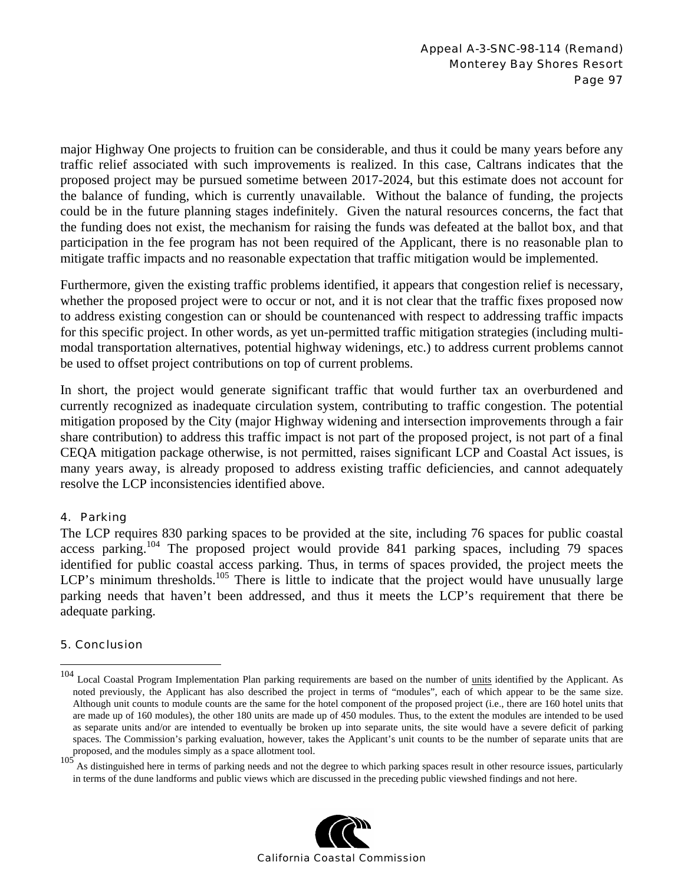major Highway One projects to fruition can be considerable, and thus it could be many years before any traffic relief associated with such improvements is realized. In this case, Caltrans indicates that the proposed project may be pursued sometime between 2017-2024, but this estimate does not account for the balance of funding, which is currently unavailable. Without the balance of funding, the projects could be in the future planning stages indefinitely. Given the natural resources concerns, the fact that the funding does not exist, the mechanism for raising the funds was defeated at the ballot box, and that participation in the fee program has not been required of the Applicant, there is no reasonable plan to mitigate traffic impacts and no reasonable expectation that traffic mitigation would be implemented.

Furthermore, given the existing traffic problems identified, it appears that congestion relief is necessary, whether the proposed project were to occur or not, and it is not clear that the traffic fixes proposed now to address existing congestion can or should be countenanced with respect to addressing traffic impacts for this specific project. In other words, as yet un-permitted traffic mitigation strategies (including multimodal transportation alternatives, potential highway widenings, etc.) to address current problems cannot be used to offset project contributions on top of current problems.

In short, the project would generate significant traffic that would further tax an overburdened and currently recognized as inadequate circulation system, contributing to traffic congestion. The potential mitigation proposed by the City (major Highway widening and intersection improvements through a fair share contribution) to address this traffic impact is not part of the proposed project, is not part of a final CEQA mitigation package otherwise, is not permitted, raises significant LCP and Coastal Act issues, is many years away, is already proposed to address existing traffic deficiencies, and cannot adequately resolve the LCP inconsistencies identified above.

## 4. Parking

The LCP requires 830 parking spaces to be provided at the site, including 76 spaces for public coastal access parking.104 The proposed project would provide 841 parking spaces, including 79 spaces identified for public coastal access parking. Thus, in terms of spaces provided, the project meets the LCP's minimum thresholds.<sup>105</sup> There is little to indicate that the project would have unusually large parking needs that haven't been addressed, and thus it meets the LCP's requirement that there be adequate parking.

## 5. Conclusion

 $\overline{a}$ 

<sup>105</sup> As distinguished here in terms of parking needs and not the degree to which parking spaces result in other resource issues, particularly in terms of the dune landforms and public views which are discussed in the preceding public viewshed findings and not here.



<sup>&</sup>lt;sup>104</sup> Local Coastal Program Implementation Plan parking requirements are based on the number of units identified by the Applicant. As noted previously, the Applicant has also described the project in terms of "modules", each of which appear to be the same size. Although unit counts to module counts are the same for the hotel component of the proposed project (i.e., there are 160 hotel units that are made up of 160 modules), the other 180 units are made up of 450 modules. Thus, to the extent the modules are intended to be used as separate units and/or are intended to eventually be broken up into separate units, the site would have a severe deficit of parking spaces. The Commission's parking evaluation, however, takes the Applicant's unit counts to be the number of separate units that are proposed, and the modules simply as a space allotment tool.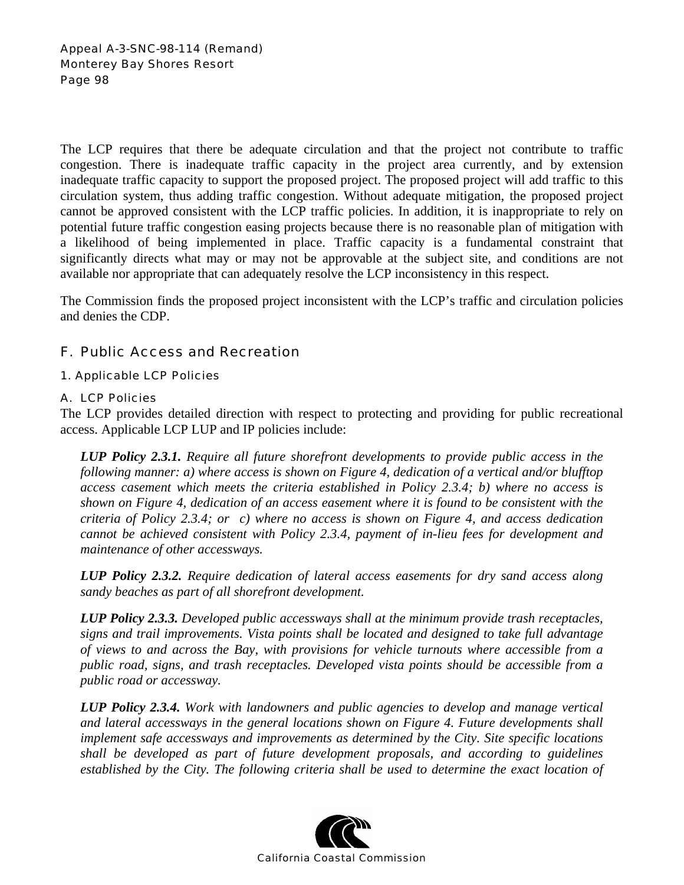The LCP requires that there be adequate circulation and that the project not contribute to traffic congestion. There is inadequate traffic capacity in the project area currently, and by extension inadequate traffic capacity to support the proposed project. The proposed project will add traffic to this circulation system, thus adding traffic congestion. Without adequate mitigation, the proposed project cannot be approved consistent with the LCP traffic policies. In addition, it is inappropriate to rely on potential future traffic congestion easing projects because there is no reasonable plan of mitigation with a likelihood of being implemented in place. Traffic capacity is a fundamental constraint that significantly directs what may or may not be approvable at the subject site, and conditions are not available nor appropriate that can adequately resolve the LCP inconsistency in this respect.

The Commission finds the proposed project inconsistent with the LCP's traffic and circulation policies and denies the CDP.

# F. Public Access and Recreation

## 1. Applicable LCP Policies

### A. LCP Policies

The LCP provides detailed direction with respect to protecting and providing for public recreational access. Applicable LCP LUP and IP policies include:

*LUP Policy 2.3.1. Require all future shorefront developments to provide public access in the following manner: a) where access is shown on Figure 4, dedication of a vertical and/or blufftop access casement which meets the criteria established in Policy 2.3.4; b) where no access is shown on Figure 4, dedication of an access easement where it is found to be consistent with the criteria of Policy 2.3.4; or c) where no access is shown on Figure 4, and access dedication cannot be achieved consistent with Policy 2.3.4, payment of in-lieu fees for development and maintenance of other accessways.* 

*LUP Policy 2.3.2. Require dedication of lateral access easements for dry sand access along sandy beaches as part of all shorefront development.* 

*LUP Policy 2.3.3. Developed public accessways shall at the minimum provide trash receptacles, signs and trail improvements. Vista points shall be located and designed to take full advantage of views to and across the Bay, with provisions for vehicle turnouts where accessible from a public road, signs, and trash receptacles. Developed vista points should be accessible from a public road or accessway.* 

*LUP Policy 2.3.4. Work with landowners and public agencies to develop and manage vertical and lateral accessways in the general locations shown on Figure 4. Future developments shall implement safe accessways and improvements as determined by the City. Site specific locations shall be developed as part of future development proposals, and according to guidelines established by the City. The following criteria shall be used to determine the exact location of* 

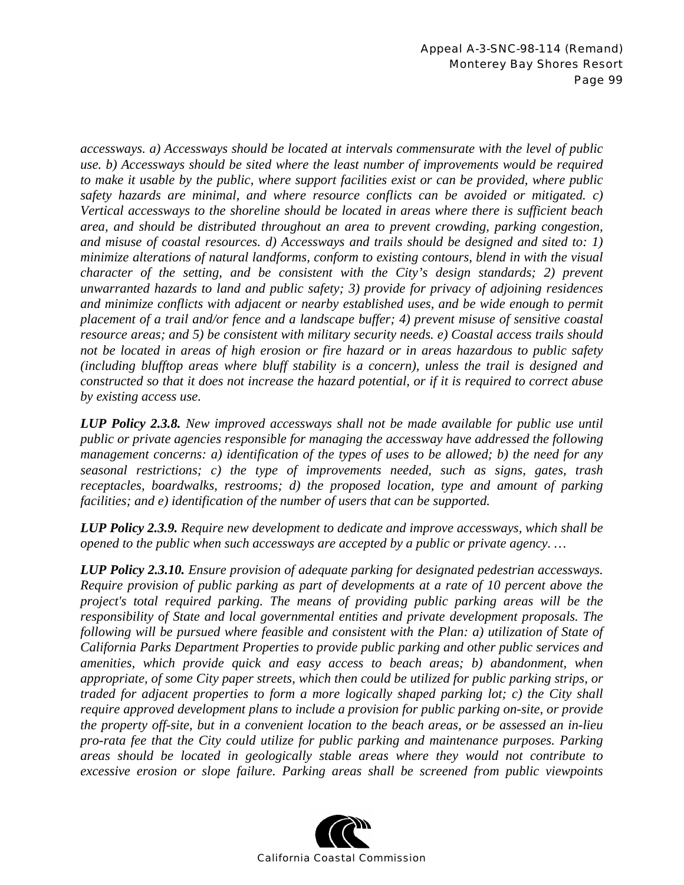*accessways. a) Accessways should be located at intervals commensurate with the level of public use. b) Accessways should be sited where the least number of improvements would be required to make it usable by the public, where support facilities exist or can be provided, where public safety hazards are minimal, and where resource conflicts can be avoided or mitigated. c) Vertical accessways to the shoreline should be located in areas where there is sufficient beach area, and should be distributed throughout an area to prevent crowding, parking congestion, and misuse of coastal resources. d) Accessways and trails should be designed and sited to: 1) minimize alterations of natural landforms, conform to existing contours, blend in with the visual character of the setting, and be consistent with the City's design standards; 2) prevent unwarranted hazards to land and public safety; 3) provide for privacy of adjoining residences and minimize conflicts with adjacent or nearby established uses, and be wide enough to permit placement of a trail and/or fence and a landscape buffer; 4) prevent misuse of sensitive coastal resource areas; and 5) be consistent with military security needs. e) Coastal access trails should not be located in areas of high erosion or fire hazard or in areas hazardous to public safety (including blufftop areas where bluff stability is a concern), unless the trail is designed and constructed so that it does not increase the hazard potential, or if it is required to correct abuse by existing access use.* 

*LUP Policy 2.3.8. New improved accessways shall not be made available for public use until public or private agencies responsible for managing the accessway have addressed the following management concerns: a) identification of the types of uses to be allowed; b) the need for any seasonal restrictions; c) the type of improvements needed, such as signs, gates, trash receptacles, boardwalks, restrooms; d) the proposed location, type and amount of parking facilities; and e) identification of the number of users that can be supported.* 

*LUP Policy 2.3.9. Require new development to dedicate and improve accessways, which shall be opened to the public when such accessways are accepted by a public or private agency. …* 

*LUP Policy 2.3.10. Ensure provision of adequate parking for designated pedestrian accessways. Require provision of public parking as part of developments at a rate of 10 percent above the project's total required parking. The means of providing public parking areas will be the responsibility of State and local governmental entities and private development proposals. The following will be pursued where feasible and consistent with the Plan: a) utilization of State of California Parks Department Properties to provide public parking and other public services and amenities, which provide quick and easy access to beach areas; b) abandonment, when appropriate, of some City paper streets, which then could be utilized for public parking strips, or traded for adjacent properties to form a more logically shaped parking lot; c) the City shall require approved development plans to include a provision for public parking on-site, or provide the property off-site, but in a convenient location to the beach areas, or be assessed an in-lieu pro-rata fee that the City could utilize for public parking and maintenance purposes. Parking areas should be located in geologically stable areas where they would not contribute to excessive erosion or slope failure. Parking areas shall be screened from public viewpoints* 

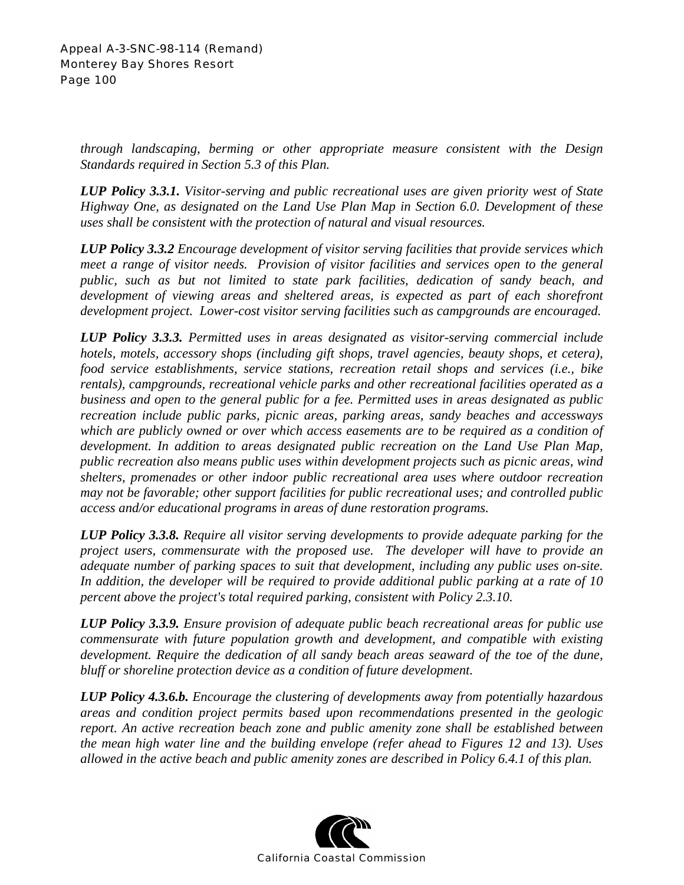*through landscaping, berming or other appropriate measure consistent with the Design Standards required in Section 5.3 of this Plan.* 

*LUP Policy 3.3.1. Visitor-serving and public recreational uses are given priority west of State Highway One, as designated on the Land Use Plan Map in Section 6.0. Development of these uses shall be consistent with the protection of natural and visual resources.* 

*LUP Policy 3.3.2 Encourage development of visitor serving facilities that provide services which meet a range of visitor needs. Provision of visitor facilities and services open to the general public, such as but not limited to state park facilities, dedication of sandy beach, and development of viewing areas and sheltered areas, is expected as part of each shorefront development project. Lower-cost visitor serving facilities such as campgrounds are encouraged.* 

*LUP Policy 3.3.3. Permitted uses in areas designated as visitor-serving commercial include hotels, motels, accessory shops (including gift shops, travel agencies, beauty shops, et cetera), food service establishments, service stations, recreation retail shops and services (i.e., bike rentals), campgrounds, recreational vehicle parks and other recreational facilities operated as a business and open to the general public for a fee. Permitted uses in areas designated as public recreation include public parks, picnic areas, parking areas, sandy beaches and accessways which are publicly owned or over which access easements are to be required as a condition of development. In addition to areas designated public recreation on the Land Use Plan Map, public recreation also means public uses within development projects such as picnic areas, wind shelters, promenades or other indoor public recreational area uses where outdoor recreation may not be favorable; other support facilities for public recreational uses; and controlled public access and/or educational programs in areas of dune restoration programs.* 

*LUP Policy 3.3.8. Require all visitor serving developments to provide adequate parking for the project users, commensurate with the proposed use. The developer will have to provide an adequate number of parking spaces to suit that development, including any public uses on-site. In addition, the developer will be required to provide additional public parking at a rate of 10 percent above the project's total required parking, consistent with Policy 2.3.10.* 

*LUP Policy 3.3.9. Ensure provision of adequate public beach recreational areas for public use commensurate with future population growth and development, and compatible with existing development. Require the dedication of all sandy beach areas seaward of the toe of the dune, bluff or shoreline protection device as a condition of future development.* 

*LUP Policy 4.3.6.b. Encourage the clustering of developments away from potentially hazardous areas and condition project permits based upon recommendations presented in the geologic report. An active recreation beach zone and public amenity zone shall be established between the mean high water line and the building envelope (refer ahead to Figures 12 and 13). Uses allowed in the active beach and public amenity zones are described in Policy 6.4.1 of this plan.* 

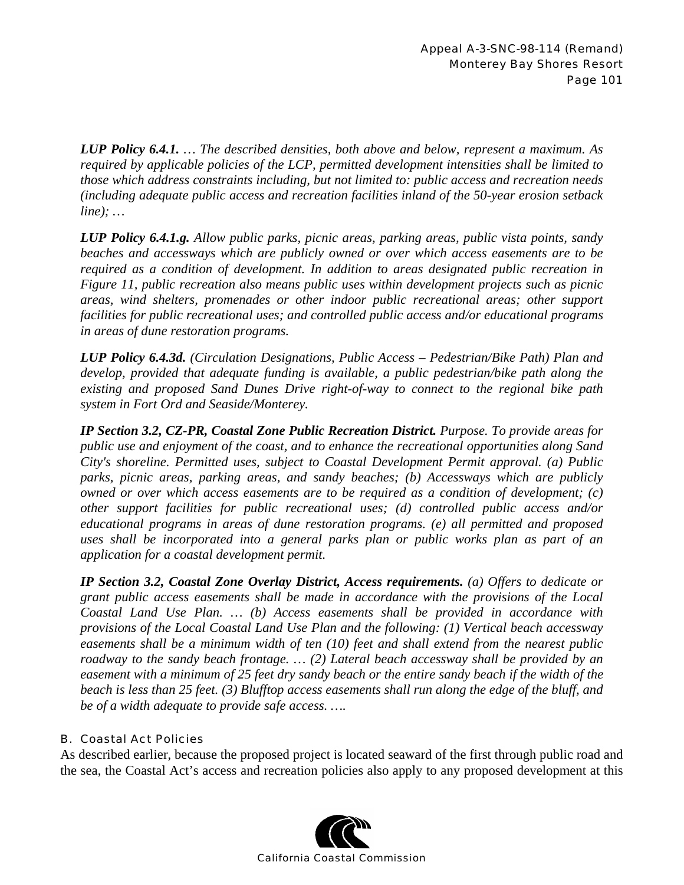*LUP Policy 6.4.1. … The described densities, both above and below, represent a maximum. As required by applicable policies of the LCP, permitted development intensities shall be limited to those which address constraints including, but not limited to: public access and recreation needs (including adequate public access and recreation facilities inland of the 50-year erosion setback line); …* 

*LUP Policy 6.4.1.g. Allow public parks, picnic areas, parking areas, public vista points, sandy beaches and accessways which are publicly owned or over which access easements are to be required as a condition of development. In addition to areas designated public recreation in Figure 11, public recreation also means public uses within development projects such as picnic areas, wind shelters, promenades or other indoor public recreational areas; other support facilities for public recreational uses; and controlled public access and/or educational programs in areas of dune restoration programs.* 

*LUP Policy 6.4.3d. (Circulation Designations, Public Access – Pedestrian/Bike Path) Plan and develop, provided that adequate funding is available, a public pedestrian/bike path along the existing and proposed Sand Dunes Drive right-of-way to connect to the regional bike path system in Fort Ord and Seaside/Monterey.*

*IP Section 3.2, CZ-PR, Coastal Zone Public Recreation District. Purpose. To provide areas for public use and enjoyment of the coast, and to enhance the recreational opportunities along Sand City's shoreline. Permitted uses, subject to Coastal Development Permit approval. (a) Public parks, picnic areas, parking areas, and sandy beaches; (b) Accessways which are publicly owned or over which access easements are to be required as a condition of development; (c) other support facilities for public recreational uses; (d) controlled public access and/or educational programs in areas of dune restoration programs. (e) all permitted and proposed uses shall be incorporated into a general parks plan or public works plan as part of an application for a coastal development permit.* 

*IP Section 3.2, Coastal Zone Overlay District, Access requirements. (a) Offers to dedicate or grant public access easements shall be made in accordance with the provisions of the Local Coastal Land Use Plan. … (b) Access easements shall be provided in accordance with provisions of the Local Coastal Land Use Plan and the following: (1) Vertical beach accessway easements shall be a minimum width of ten (10) feet and shall extend from the nearest public roadway to the sandy beach frontage. … (2) Lateral beach accessway shall be provided by an easement with a minimum of 25 feet dry sandy beach or the entire sandy beach if the width of the beach is less than 25 feet. (3) Blufftop access easements shall run along the edge of the bluff, and be of a width adequate to provide safe access. ….* 

## B. Coastal Act Policies

As described earlier, because the proposed project is located seaward of the first through public road and the sea, the Coastal Act's access and recreation policies also apply to any proposed development at this

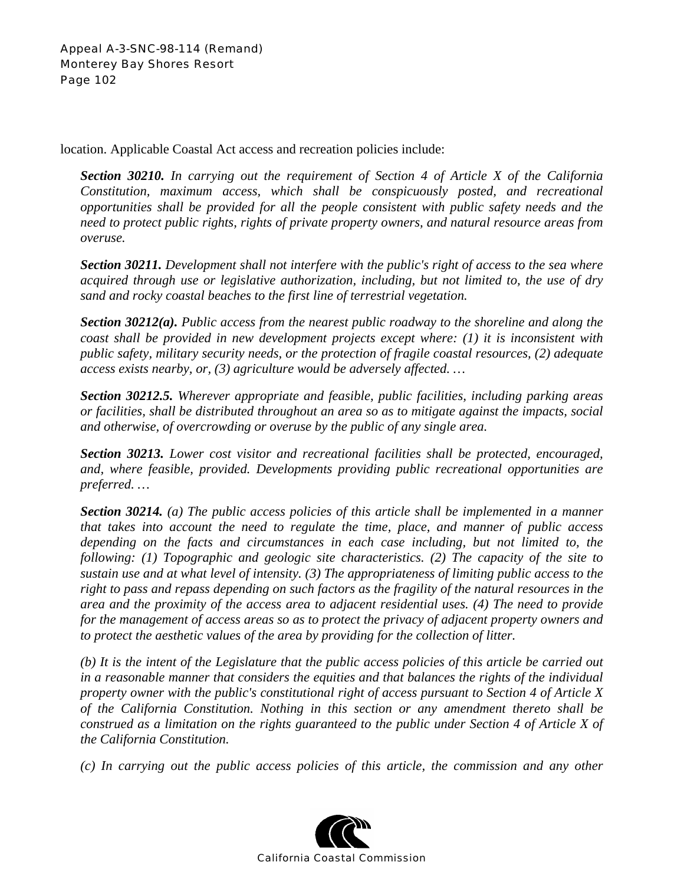location. Applicable Coastal Act access and recreation policies include:

*Section 30210. In carrying out the requirement of Section 4 of Article X of the California Constitution, maximum access, which shall be conspicuously posted, and recreational opportunities shall be provided for all the people consistent with public safety needs and the need to protect public rights, rights of private property owners, and natural resource areas from overuse.* 

*Section 30211. Development shall not interfere with the public's right of access to the sea where acquired through use or legislative authorization, including, but not limited to, the use of dry sand and rocky coastal beaches to the first line of terrestrial vegetation.* 

*Section 30212(a). Public access from the nearest public roadway to the shoreline and along the coast shall be provided in new development projects except where: (1) it is inconsistent with public safety, military security needs, or the protection of fragile coastal resources, (2) adequate access exists nearby, or, (3) agriculture would be adversely affected. …* 

*Section 30212.5. Wherever appropriate and feasible, public facilities, including parking areas or facilities, shall be distributed throughout an area so as to mitigate against the impacts, social and otherwise, of overcrowding or overuse by the public of any single area.* 

*Section 30213. Lower cost visitor and recreational facilities shall be protected, encouraged, and, where feasible, provided. Developments providing public recreational opportunities are preferred. …* 

*Section 30214. (a) The public access policies of this article shall be implemented in a manner that takes into account the need to regulate the time, place, and manner of public access depending on the facts and circumstances in each case including, but not limited to, the following: (1) Topographic and geologic site characteristics. (2) The capacity of the site to sustain use and at what level of intensity. (3) The appropriateness of limiting public access to the right to pass and repass depending on such factors as the fragility of the natural resources in the area and the proximity of the access area to adjacent residential uses. (4) The need to provide for the management of access areas so as to protect the privacy of adjacent property owners and to protect the aesthetic values of the area by providing for the collection of litter.* 

*(b) It is the intent of the Legislature that the public access policies of this article be carried out in a reasonable manner that considers the equities and that balances the rights of the individual property owner with the public's constitutional right of access pursuant to Section 4 of Article X of the California Constitution. Nothing in this section or any amendment thereto shall be construed as a limitation on the rights guaranteed to the public under Section 4 of Article X of the California Constitution.* 

*(c) In carrying out the public access policies of this article, the commission and any other* 

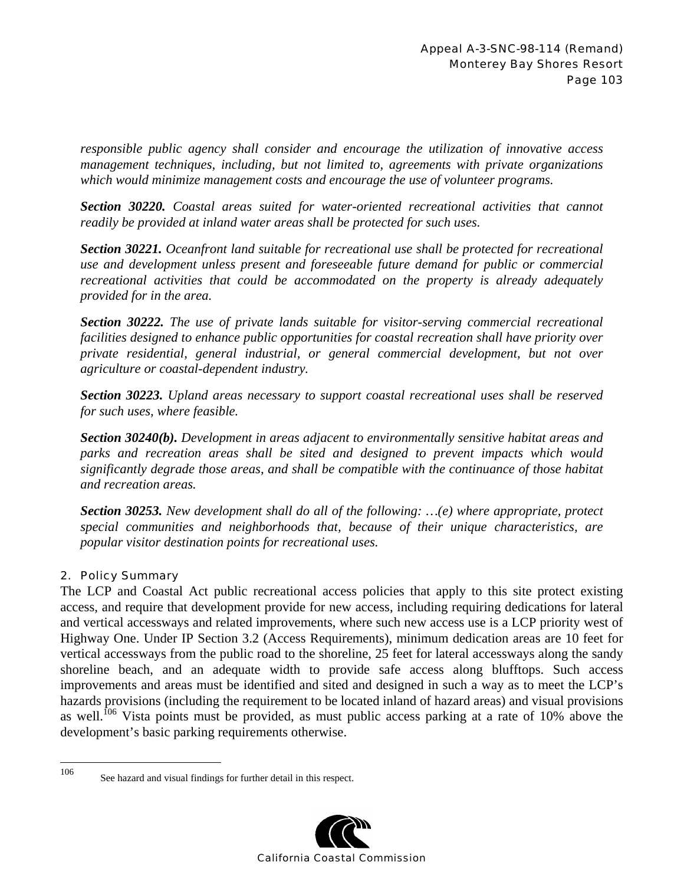*responsible public agency shall consider and encourage the utilization of innovative access management techniques, including, but not limited to, agreements with private organizations which would minimize management costs and encourage the use of volunteer programs.* 

*Section 30220. Coastal areas suited for water-oriented recreational activities that cannot readily be provided at inland water areas shall be protected for such uses.* 

*Section 30221. Oceanfront land suitable for recreational use shall be protected for recreational use and development unless present and foreseeable future demand for public or commercial recreational activities that could be accommodated on the property is already adequately provided for in the area.* 

*Section 30222. The use of private lands suitable for visitor-serving commercial recreational facilities designed to enhance public opportunities for coastal recreation shall have priority over private residential, general industrial, or general commercial development, but not over agriculture or coastal-dependent industry.*

*Section 30223. Upland areas necessary to support coastal recreational uses shall be reserved for such uses, where feasible.* 

*Section 30240(b). Development in areas adjacent to environmentally sensitive habitat areas and parks and recreation areas shall be sited and designed to prevent impacts which would significantly degrade those areas, and shall be compatible with the continuance of those habitat and recreation areas.* 

*Section 30253. New development shall do all of the following: …(e) where appropriate, protect special communities and neighborhoods that, because of their unique characteristics, are popular visitor destination points for recreational uses.* 

## 2. Policy Summary

The LCP and Coastal Act public recreational access policies that apply to this site protect existing access, and require that development provide for new access, including requiring dedications for lateral and vertical accessways and related improvements, where such new access use is a LCP priority west of Highway One. Under IP Section 3.2 (Access Requirements), minimum dedication areas are 10 feet for vertical accessways from the public road to the shoreline, 25 feet for lateral accessways along the sandy shoreline beach, and an adequate width to provide safe access along blufftops. Such access improvements and areas must be identified and sited and designed in such a way as to meet the LCP's hazards provisions (including the requirement to be located inland of hazard areas) and visual provisions as well.<sup>106</sup> Vista points must be provided, as must public access parking at a rate of 10% above the development's basic parking requirements otherwise.

<sup>106</sup> See hazard and visual findings for further detail in this respect.

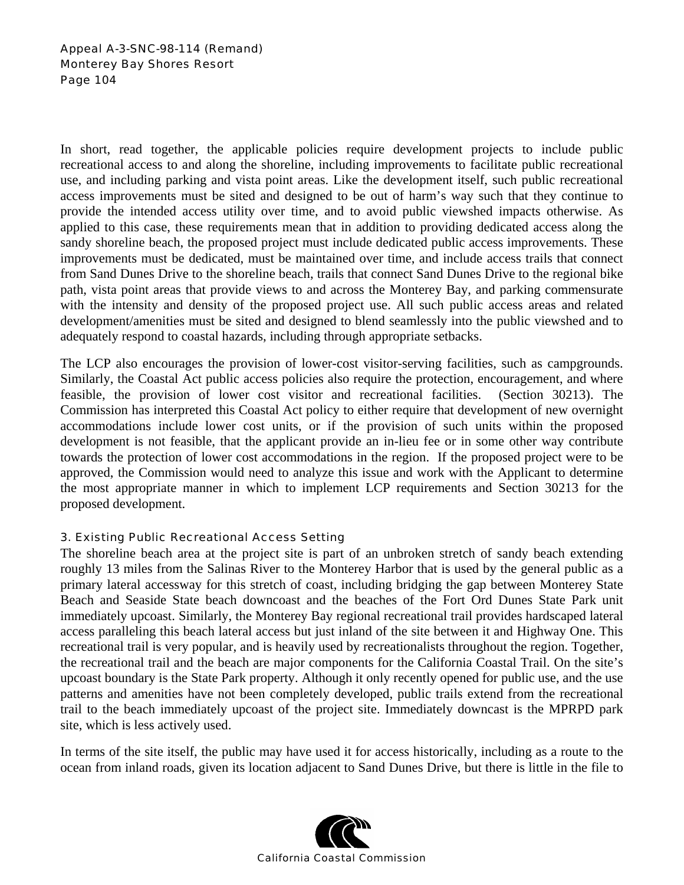Appeal A-3-SNC-98-114 (Remand) Monterey Bay Shores Resort Page 104

In short, read together, the applicable policies require development projects to include public recreational access to and along the shoreline, including improvements to facilitate public recreational use, and including parking and vista point areas. Like the development itself, such public recreational access improvements must be sited and designed to be out of harm's way such that they continue to provide the intended access utility over time, and to avoid public viewshed impacts otherwise. As applied to this case, these requirements mean that in addition to providing dedicated access along the sandy shoreline beach, the proposed project must include dedicated public access improvements. These improvements must be dedicated, must be maintained over time, and include access trails that connect from Sand Dunes Drive to the shoreline beach, trails that connect Sand Dunes Drive to the regional bike path, vista point areas that provide views to and across the Monterey Bay, and parking commensurate with the intensity and density of the proposed project use. All such public access areas and related development/amenities must be sited and designed to blend seamlessly into the public viewshed and to adequately respond to coastal hazards, including through appropriate setbacks.

The LCP also encourages the provision of lower-cost visitor-serving facilities, such as campgrounds. Similarly, the Coastal Act public access policies also require the protection, encouragement, and where feasible, the provision of lower cost visitor and recreational facilities. (Section 30213). The Commission has interpreted this Coastal Act policy to either require that development of new overnight accommodations include lower cost units, or if the provision of such units within the proposed development is not feasible, that the applicant provide an in-lieu fee or in some other way contribute towards the protection of lower cost accommodations in the region. If the proposed project were to be approved, the Commission would need to analyze this issue and work with the Applicant to determine the most appropriate manner in which to implement LCP requirements and Section 30213 for the proposed development.

### 3. Existing Public Recreational Access Setting

The shoreline beach area at the project site is part of an unbroken stretch of sandy beach extending roughly 13 miles from the Salinas River to the Monterey Harbor that is used by the general public as a primary lateral accessway for this stretch of coast, including bridging the gap between Monterey State Beach and Seaside State beach downcoast and the beaches of the Fort Ord Dunes State Park unit immediately upcoast. Similarly, the Monterey Bay regional recreational trail provides hardscaped lateral access paralleling this beach lateral access but just inland of the site between it and Highway One. This recreational trail is very popular, and is heavily used by recreationalists throughout the region. Together, the recreational trail and the beach are major components for the California Coastal Trail. On the site's upcoast boundary is the State Park property. Although it only recently opened for public use, and the use patterns and amenities have not been completely developed, public trails extend from the recreational trail to the beach immediately upcoast of the project site. Immediately downcast is the MPRPD park site, which is less actively used.

In terms of the site itself, the public may have used it for access historically, including as a route to the ocean from inland roads, given its location adjacent to Sand Dunes Drive, but there is little in the file to

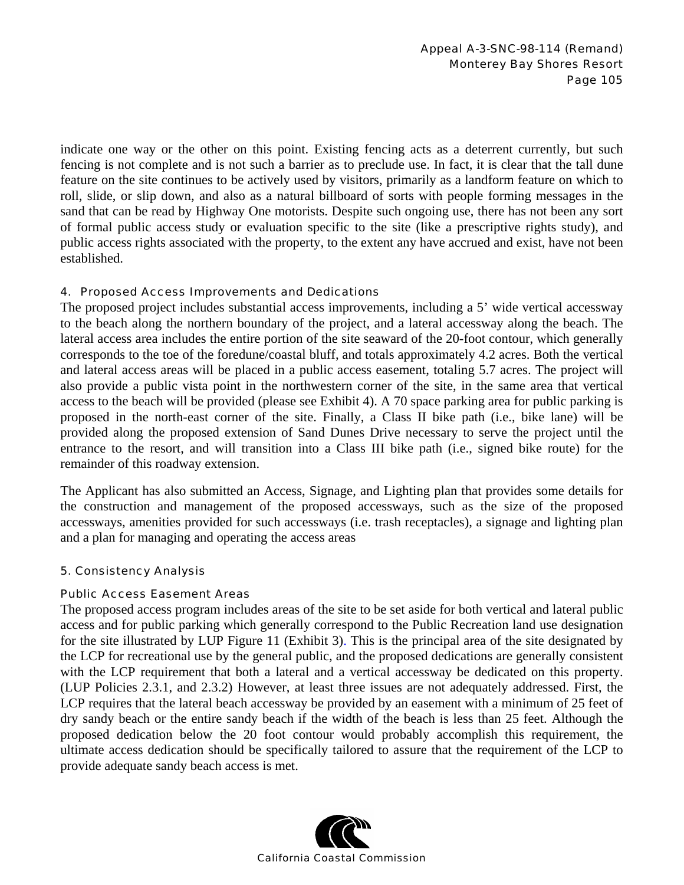indicate one way or the other on this point. Existing fencing acts as a deterrent currently, but such fencing is not complete and is not such a barrier as to preclude use. In fact, it is clear that the tall dune feature on the site continues to be actively used by visitors, primarily as a landform feature on which to roll, slide, or slip down, and also as a natural billboard of sorts with people forming messages in the sand that can be read by Highway One motorists. Despite such ongoing use, there has not been any sort of formal public access study or evaluation specific to the site (like a prescriptive rights study), and public access rights associated with the property, to the extent any have accrued and exist, have not been established.

### 4. Proposed Access Improvements and Dedications

The proposed project includes substantial access improvements, including a 5' wide vertical accessway to the beach along the northern boundary of the project, and a lateral accessway along the beach. The lateral access area includes the entire portion of the site seaward of the 20-foot contour, which generally corresponds to the toe of the foredune/coastal bluff, and totals approximately 4.2 acres. Both the vertical and lateral access areas will be placed in a public access easement, totaling 5.7 acres. The project will also provide a public vista point in the northwestern corner of the site, in the same area that vertical access to the beach will be provided (please see Exhibit 4). A 70 space parking area for public parking is proposed in the north-east corner of the site. Finally, a Class II bike path (i.e., bike lane) will be provided along the proposed extension of Sand Dunes Drive necessary to serve the project until the entrance to the resort, and will transition into a Class III bike path (i.e., signed bike route) for the remainder of this roadway extension.

The Applicant has also submitted an Access, Signage, and Lighting plan that provides some details for the construction and management of the proposed accessways, such as the size of the proposed accessways, amenities provided for such accessways (i.e. trash receptacles), a signage and lighting plan and a plan for managing and operating the access areas

## 5. Consistency Analysis

### Public Access Easement Areas

The proposed access program includes areas of the site to be set aside for both vertical and lateral public access and for public parking which generally correspond to the Public Recreation land use designation for the site illustrated by LUP Figure 11 (Exhibit 3). This is the principal area of the site designated by the LCP for recreational use by the general public, and the proposed dedications are generally consistent with the LCP requirement that both a lateral and a vertical accessway be dedicated on this property. (LUP Policies 2.3.1, and 2.3.2) However, at least three issues are not adequately addressed. First, the LCP requires that the lateral beach accessway be provided by an easement with a minimum of 25 feet of dry sandy beach or the entire sandy beach if the width of the beach is less than 25 feet. Although the proposed dedication below the 20 foot contour would probably accomplish this requirement, the ultimate access dedication should be specifically tailored to assure that the requirement of the LCP to provide adequate sandy beach access is met.

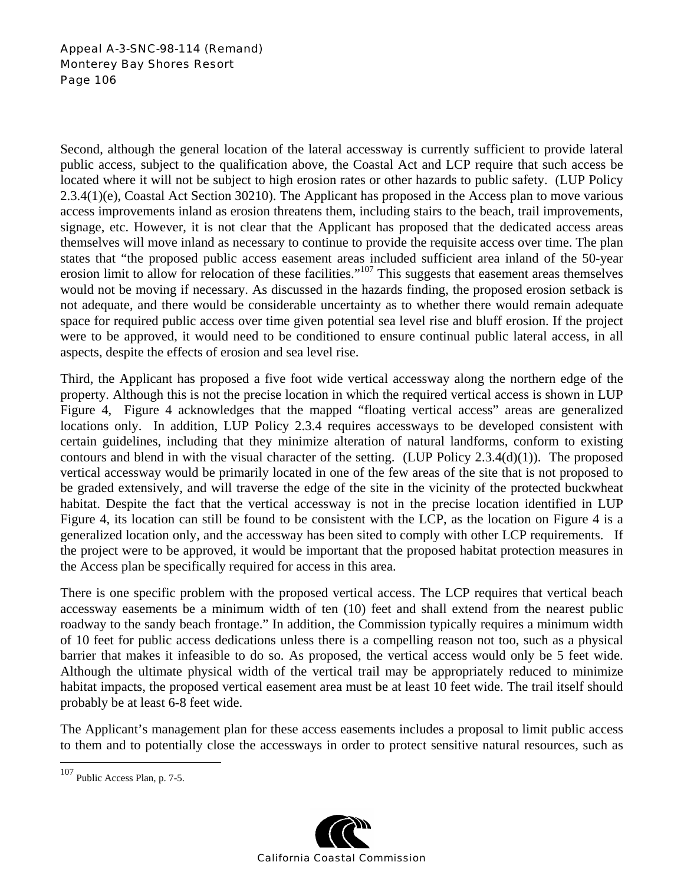Second, although the general location of the lateral accessway is currently sufficient to provide lateral public access, subject to the qualification above, the Coastal Act and LCP require that such access be located where it will not be subject to high erosion rates or other hazards to public safety. (LUP Policy 2.3.4(1)(e), Coastal Act Section 30210). The Applicant has proposed in the Access plan to move various access improvements inland as erosion threatens them, including stairs to the beach, trail improvements, signage, etc. However, it is not clear that the Applicant has proposed that the dedicated access areas themselves will move inland as necessary to continue to provide the requisite access over time. The plan states that "the proposed public access easement areas included sufficient area inland of the 50-year erosion limit to allow for relocation of these facilities."107 This suggests that easement areas themselves would not be moving if necessary. As discussed in the hazards finding, the proposed erosion setback is not adequate, and there would be considerable uncertainty as to whether there would remain adequate space for required public access over time given potential sea level rise and bluff erosion. If the project were to be approved, it would need to be conditioned to ensure continual public lateral access, in all aspects, despite the effects of erosion and sea level rise.

Third, the Applicant has proposed a five foot wide vertical accessway along the northern edge of the property. Although this is not the precise location in which the required vertical access is shown in LUP Figure 4, Figure 4 acknowledges that the mapped "floating vertical access" areas are generalized locations only. In addition, LUP Policy 2.3.4 requires accessways to be developed consistent with certain guidelines, including that they minimize alteration of natural landforms, conform to existing contours and blend in with the visual character of the setting. (LUP Policy 2.3.4(d)(1)). The proposed vertical accessway would be primarily located in one of the few areas of the site that is not proposed to be graded extensively, and will traverse the edge of the site in the vicinity of the protected buckwheat habitat. Despite the fact that the vertical accessway is not in the precise location identified in LUP Figure 4, its location can still be found to be consistent with the LCP, as the location on Figure 4 is a generalized location only, and the accessway has been sited to comply with other LCP requirements. If the project were to be approved, it would be important that the proposed habitat protection measures in the Access plan be specifically required for access in this area.

There is one specific problem with the proposed vertical access. The LCP requires that vertical beach accessway easements be a minimum width of ten (10) feet and shall extend from the nearest public roadway to the sandy beach frontage." In addition, the Commission typically requires a minimum width of 10 feet for public access dedications unless there is a compelling reason not too, such as a physical barrier that makes it infeasible to do so. As proposed, the vertical access would only be 5 feet wide. Although the ultimate physical width of the vertical trail may be appropriately reduced to minimize habitat impacts, the proposed vertical easement area must be at least 10 feet wide. The trail itself should probably be at least 6-8 feet wide.

The Applicant's management plan for these access easements includes a proposal to limit public access to them and to potentially close the accessways in order to protect sensitive natural resources, such as

 $\overline{a}$ 



<sup>107</sup> Public Access Plan, p. 7-5.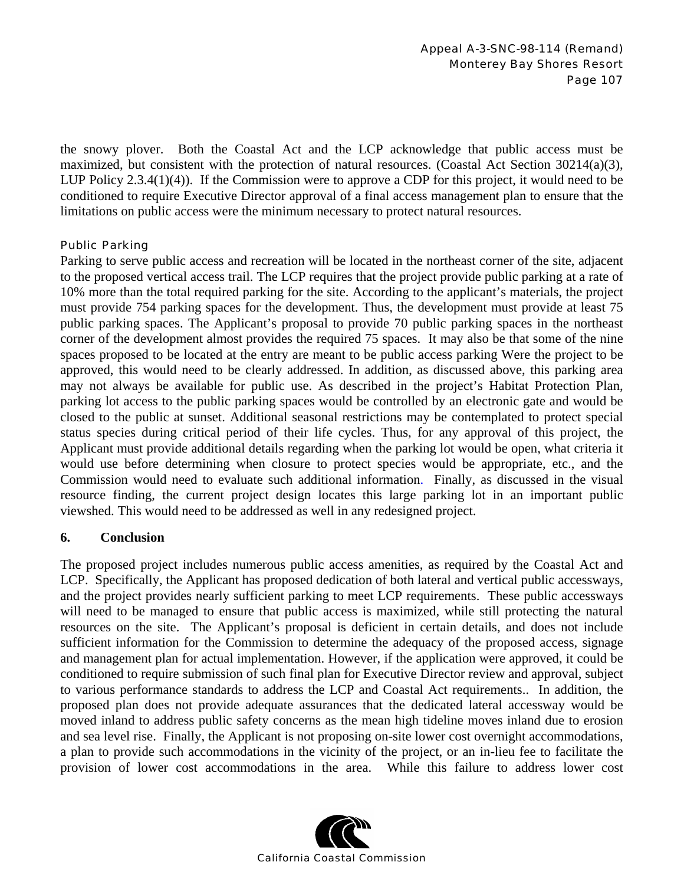the snowy plover. Both the Coastal Act and the LCP acknowledge that public access must be maximized, but consistent with the protection of natural resources. (Coastal Act Section 30214(a)(3), LUP Policy 2.3.4(1)(4)). If the Commission were to approve a CDP for this project, it would need to be conditioned to require Executive Director approval of a final access management plan to ensure that the limitations on public access were the minimum necessary to protect natural resources.

### Public Parking

Parking to serve public access and recreation will be located in the northeast corner of the site, adjacent to the proposed vertical access trail. The LCP requires that the project provide public parking at a rate of 10% more than the total required parking for the site. According to the applicant's materials, the project must provide 754 parking spaces for the development. Thus, the development must provide at least 75 public parking spaces. The Applicant's proposal to provide 70 public parking spaces in the northeast corner of the development almost provides the required 75 spaces. It may also be that some of the nine spaces proposed to be located at the entry are meant to be public access parking Were the project to be approved, this would need to be clearly addressed. In addition, as discussed above, this parking area may not always be available for public use. As described in the project's Habitat Protection Plan, parking lot access to the public parking spaces would be controlled by an electronic gate and would be closed to the public at sunset. Additional seasonal restrictions may be contemplated to protect special status species during critical period of their life cycles. Thus, for any approval of this project, the Applicant must provide additional details regarding when the parking lot would be open, what criteria it would use before determining when closure to protect species would be appropriate, etc., and the Commission would need to evaluate such additional information. Finally, as discussed in the visual resource finding, the current project design locates this large parking lot in an important public viewshed. This would need to be addressed as well in any redesigned project.

## **6. Conclusion**

The proposed project includes numerous public access amenities, as required by the Coastal Act and LCP. Specifically, the Applicant has proposed dedication of both lateral and vertical public accessways, and the project provides nearly sufficient parking to meet LCP requirements. These public accessways will need to be managed to ensure that public access is maximized, while still protecting the natural resources on the site. The Applicant's proposal is deficient in certain details, and does not include sufficient information for the Commission to determine the adequacy of the proposed access, signage and management plan for actual implementation. However, if the application were approved, it could be conditioned to require submission of such final plan for Executive Director review and approval, subject to various performance standards to address the LCP and Coastal Act requirements.. In addition, the proposed plan does not provide adequate assurances that the dedicated lateral accessway would be moved inland to address public safety concerns as the mean high tideline moves inland due to erosion and sea level rise. Finally, the Applicant is not proposing on-site lower cost overnight accommodations, a plan to provide such accommodations in the vicinity of the project, or an in-lieu fee to facilitate the provision of lower cost accommodations in the area. While this failure to address lower cost

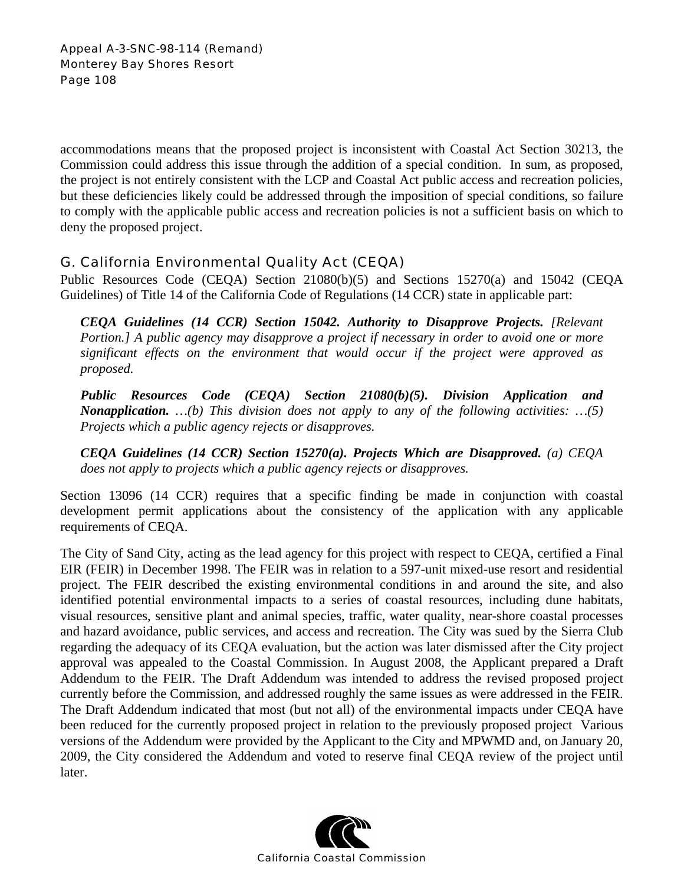accommodations means that the proposed project is inconsistent with Coastal Act Section 30213, the Commission could address this issue through the addition of a special condition. In sum, as proposed, the project is not entirely consistent with the LCP and Coastal Act public access and recreation policies, but these deficiencies likely could be addressed through the imposition of special conditions, so failure to comply with the applicable public access and recreation policies is not a sufficient basis on which to deny the proposed project.

# G. California Environmental Quality Act (CEQA)

Public Resources Code (CEQA) Section 21080(b)(5) and Sections 15270(a) and 15042 (CEQA Guidelines) of Title 14 of the California Code of Regulations (14 CCR) state in applicable part:

*CEQA Guidelines (14 CCR) Section 15042. Authority to Disapprove Projects. [Relevant Portion.] A public agency may disapprove a project if necessary in order to avoid one or more significant effects on the environment that would occur if the project were approved as proposed.* 

*Public Resources Code (CEQA) Section 21080(b)(5). Division Application and Nonapplication. …(b) This division does not apply to any of the following activities: …(5) Projects which a public agency rejects or disapproves.* 

*CEQA Guidelines (14 CCR) Section 15270(a). Projects Which are Disapproved. (a) CEQA does not apply to projects which a public agency rejects or disapproves.* 

Section 13096 (14 CCR) requires that a specific finding be made in conjunction with coastal development permit applications about the consistency of the application with any applicable requirements of CEQA.

The City of Sand City, acting as the lead agency for this project with respect to CEQA, certified a Final EIR (FEIR) in December 1998. The FEIR was in relation to a 597-unit mixed-use resort and residential project. The FEIR described the existing environmental conditions in and around the site, and also identified potential environmental impacts to a series of coastal resources, including dune habitats, visual resources, sensitive plant and animal species, traffic, water quality, near-shore coastal processes and hazard avoidance, public services, and access and recreation. The City was sued by the Sierra Club regarding the adequacy of its CEQA evaluation, but the action was later dismissed after the City project approval was appealed to the Coastal Commission. In August 2008, the Applicant prepared a Draft Addendum to the FEIR. The Draft Addendum was intended to address the revised proposed project currently before the Commission, and addressed roughly the same issues as were addressed in the FEIR. The Draft Addendum indicated that most (but not all) of the environmental impacts under CEQA have been reduced for the currently proposed project in relation to the previously proposed project Various versions of the Addendum were provided by the Applicant to the City and MPWMD and, on January 20, 2009, the City considered the Addendum and voted to reserve final CEQA review of the project until later.